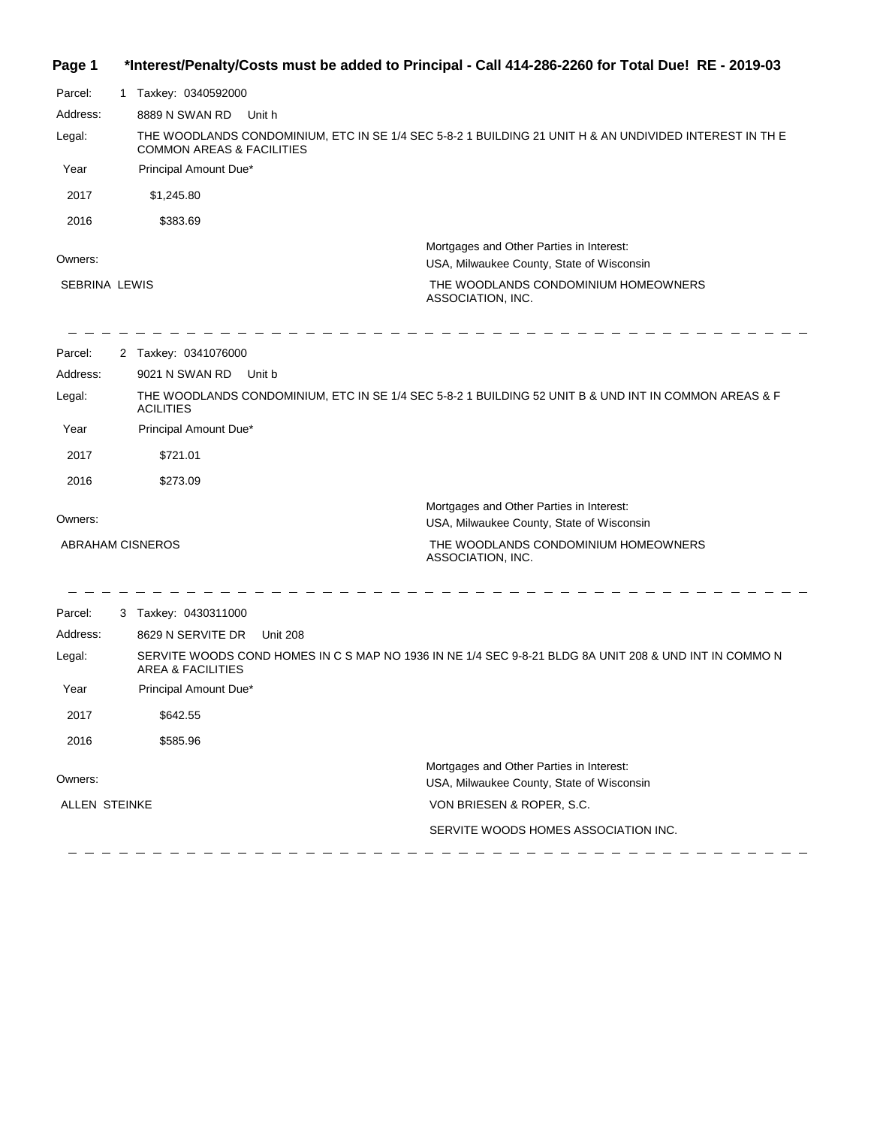| Page 1 | *Interest/Penalty/Costs must be added to Principal - Call 414-286-2260 for Total Due! RE - 2019-03 |  |  |  |  |
|--------|----------------------------------------------------------------------------------------------------|--|--|--|--|
|--------|----------------------------------------------------------------------------------------------------|--|--|--|--|

| Parcel:                         | 1. | Taxkey: 0340592000                                                                                                                             |                                                                                                                                                    |  |
|---------------------------------|----|------------------------------------------------------------------------------------------------------------------------------------------------|----------------------------------------------------------------------------------------------------------------------------------------------------|--|
| Address:                        |    | 8889 N SWAN RD<br>Unit h                                                                                                                       |                                                                                                                                                    |  |
| Legal:                          |    | THE WOODLANDS CONDOMINIUM, ETC IN SE 1/4 SEC 5-8-2 1 BUILDING 21 UNIT H & AN UNDIVIDED INTEREST IN THE<br><b>COMMON AREAS &amp; FACILITIES</b> |                                                                                                                                                    |  |
| Year                            |    | Principal Amount Due*                                                                                                                          |                                                                                                                                                    |  |
| 2017                            |    | \$1,245.80                                                                                                                                     |                                                                                                                                                    |  |
| 2016                            |    | \$383.69                                                                                                                                       |                                                                                                                                                    |  |
| Owners:<br><b>SEBRINA LEWIS</b> |    |                                                                                                                                                | Mortgages and Other Parties in Interest:<br>USA, Milwaukee County, State of Wisconsin<br>THE WOODLANDS CONDOMINIUM HOMEOWNERS<br>ASSOCIATION, INC. |  |
| Parcel:                         |    | 2 Taxkey: 0341076000                                                                                                                           |                                                                                                                                                    |  |
| Address:                        |    | 9021 N SWAN RD<br>Unit b                                                                                                                       |                                                                                                                                                    |  |
| Legal:                          |    | <b>ACILITIES</b>                                                                                                                               | THE WOODLANDS CONDOMINIUM, ETC IN SE 1/4 SEC 5-8-2 1 BUILDING 52 UNIT B & UND INT IN COMMON AREAS & F                                              |  |
| Year                            |    | Principal Amount Due*                                                                                                                          |                                                                                                                                                    |  |
| 2017                            |    | \$721.01                                                                                                                                       |                                                                                                                                                    |  |
| 2016                            |    | \$273.09                                                                                                                                       |                                                                                                                                                    |  |
| Owners:                         |    |                                                                                                                                                | Mortgages and Other Parties in Interest:<br>USA, Milwaukee County, State of Wisconsin                                                              |  |
| ABRAHAM CISNEROS                |    |                                                                                                                                                | THE WOODLANDS CONDOMINIUM HOMEOWNERS<br>ASSOCIATION, INC.                                                                                          |  |
| Parcel:                         |    | 3 Taxkey: 0430311000                                                                                                                           |                                                                                                                                                    |  |
| Address:                        |    | 8629 N SERVITE DR<br><b>Unit 208</b>                                                                                                           |                                                                                                                                                    |  |
| Legal:                          |    | <b>AREA &amp; FACILITIES</b>                                                                                                                   | SERVITE WOODS COND HOMES IN C S MAP NO 1936 IN NE 1/4 SEC 9-8-21 BLDG 8A UNIT 208 & UND INT IN COMMO N                                             |  |
| Year                            |    | Principal Amount Due*                                                                                                                          |                                                                                                                                                    |  |
| 2017                            |    | \$642.55                                                                                                                                       |                                                                                                                                                    |  |
| 2016                            |    | \$585.96                                                                                                                                       |                                                                                                                                                    |  |
| Owners:                         |    |                                                                                                                                                | Mortgages and Other Parties in Interest:<br>USA, Milwaukee County, State of Wisconsin                                                              |  |
| <b>ALLEN STEINKE</b>            |    |                                                                                                                                                | VON BRIESEN & ROPER, S.C.                                                                                                                          |  |
|                                 |    |                                                                                                                                                | SERVITE WOODS HOMES ASSOCIATION INC.                                                                                                               |  |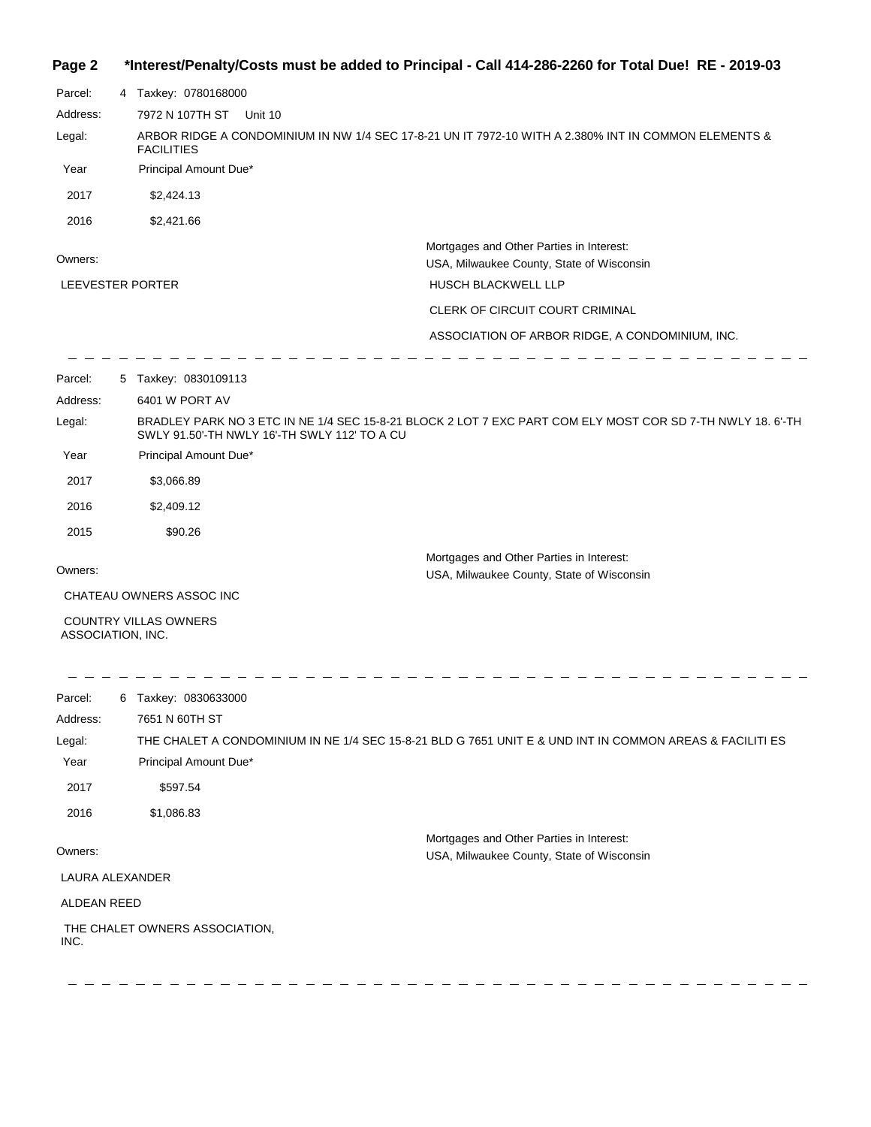#### **Page 2 \*Interest/Penalty/Costs must be added to Principal - Call 414-286-2260 for Total Due! RE - 2019-03**

| Parcel:           | 4 Taxkey: 0780168000                                                                                                      |                                                                                                            |  |  |
|-------------------|---------------------------------------------------------------------------------------------------------------------------|------------------------------------------------------------------------------------------------------------|--|--|
| Address:          | 7972 N 107TH ST<br>Unit 10                                                                                                |                                                                                                            |  |  |
| Legal:            | ARBOR RIDGE A CONDOMINIUM IN NW 1/4 SEC 17-8-21 UN IT 7972-10 WITH A 2.380% INT IN COMMON ELEMENTS &<br><b>FACILITIES</b> |                                                                                                            |  |  |
| Year              | Principal Amount Due*                                                                                                     |                                                                                                            |  |  |
| 2017              | \$2,424.13                                                                                                                |                                                                                                            |  |  |
| 2016              | \$2,421.66                                                                                                                |                                                                                                            |  |  |
| Owners:           |                                                                                                                           | Mortgages and Other Parties in Interest:<br>USA, Milwaukee County, State of Wisconsin                      |  |  |
| LEEVESTER PORTER  |                                                                                                                           | HUSCH BLACKWELL LLP                                                                                        |  |  |
|                   |                                                                                                                           | CLERK OF CIRCUIT COURT CRIMINAL                                                                            |  |  |
|                   |                                                                                                                           | ASSOCIATION OF ARBOR RIDGE, A CONDOMINIUM, INC.                                                            |  |  |
| Parcel:           | 5 Taxkey: 0830109113                                                                                                      |                                                                                                            |  |  |
| Address:          | 6401 W PORT AV                                                                                                            |                                                                                                            |  |  |
| Legal:            | SWLY 91.50'-TH NWLY 16'-TH SWLY 112' TO A CU                                                                              | BRADLEY PARK NO 3 ETC IN NE 1/4 SEC 15-8-21 BLOCK 2 LOT 7 EXC PART COM ELY MOST COR SD 7-TH NWLY 18. 6'-TH |  |  |
| Year              | Principal Amount Due*                                                                                                     |                                                                                                            |  |  |
| 2017              | \$3,066.89                                                                                                                |                                                                                                            |  |  |
| 2016              | \$2,409.12                                                                                                                |                                                                                                            |  |  |
| 2015              | \$90.26                                                                                                                   |                                                                                                            |  |  |
| Owners:           |                                                                                                                           | Mortgages and Other Parties in Interest:                                                                   |  |  |
|                   |                                                                                                                           | USA, Milwaukee County, State of Wisconsin                                                                  |  |  |
| ASSOCIATION, INC. | CHATEAU OWNERS ASSOC INC<br>COUNTRY VILLAS OWNERS                                                                         |                                                                                                            |  |  |
| Parcel:           | 6 Taxkey: 0830633000                                                                                                      |                                                                                                            |  |  |
| Address:          | 7651 N 60TH ST                                                                                                            |                                                                                                            |  |  |
| Legal:            |                                                                                                                           | THE CHALET A CONDOMINIUM IN NE 1/4 SEC 15-8-21 BLD G 7651 UNIT E & UND INT IN COMMON AREAS & FACILITI ES   |  |  |
| Year              | Principal Amount Due*                                                                                                     |                                                                                                            |  |  |
| 2017              | \$597.54                                                                                                                  |                                                                                                            |  |  |
| 2016              | \$1,086.83                                                                                                                |                                                                                                            |  |  |
| Owners:           |                                                                                                                           | Mortgages and Other Parties in Interest:<br>USA, Milwaukee County, State of Wisconsin                      |  |  |
| LAURA ALEXANDER   |                                                                                                                           |                                                                                                            |  |  |
| ALDEAN REED       |                                                                                                                           |                                                                                                            |  |  |
| INC.              | THE CHALET OWNERS ASSOCIATION,                                                                                            |                                                                                                            |  |  |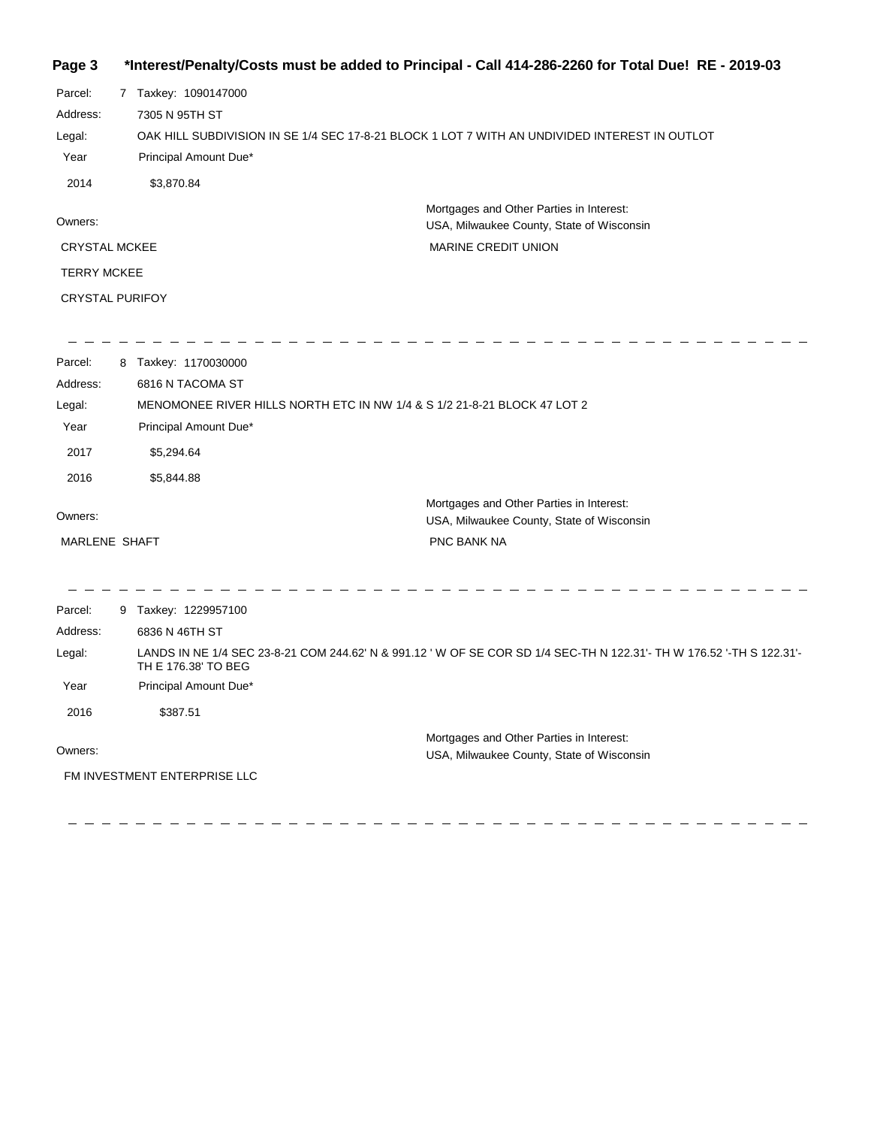# **Page 3 \*Interest/Penalty/Costs must be added to Principal - Call 414-286-2260 for Total Due! RE - 2019-03**

| Parcel:                |                    | 7 Taxkey: 1090147000                                                                          |  |
|------------------------|--------------------|-----------------------------------------------------------------------------------------------|--|
| Address:               |                    | 7305 N 95TH ST                                                                                |  |
| Legal:                 |                    | OAK HILL SUBDIVISION IN SE 1/4 SEC 17-8-21 BLOCK 1 LOT 7 WITH AN UNDIVIDED INTEREST IN OUTLOT |  |
| Year                   |                    | Principal Amount Due*                                                                         |  |
| 2014                   |                    | \$3,870.84                                                                                    |  |
| Owners:                |                    | Mortgages and Other Parties in Interest:<br>USA, Milwaukee County, State of Wisconsin         |  |
| <b>CRYSTAL MCKEE</b>   |                    | <b>MARINE CREDIT UNION</b>                                                                    |  |
|                        | <b>TERRY MCKEE</b> |                                                                                               |  |
| <b>CRYSTAL PURIFOY</b> |                    |                                                                                               |  |
|                        |                    |                                                                                               |  |
|                        |                    |                                                                                               |  |

| Parcel:<br>Address:<br>Legal:<br>Year<br>2017<br>2016 | 8 Taxkey: 1170030000<br>6816 N TACOMA ST<br>MENOMONEE RIVER HILLS NORTH ETC IN NW 1/4 & S 1/2 21-8-21 BLOCK 47 LOT 2<br>Principal Amount Due*<br>\$5,294.64<br>\$5,844.88 |                                                                                                                      |
|-------------------------------------------------------|---------------------------------------------------------------------------------------------------------------------------------------------------------------------------|----------------------------------------------------------------------------------------------------------------------|
| Owners:                                               |                                                                                                                                                                           | Mortgages and Other Parties in Interest:                                                                             |
| <b>MARLENE SHAFT</b>                                  |                                                                                                                                                                           | USA, Milwaukee County, State of Wisconsin<br>PNC BANK NA                                                             |
|                                                       |                                                                                                                                                                           |                                                                                                                      |
| Parcel:                                               | 9 Taxkey: 1229957100                                                                                                                                                      |                                                                                                                      |
| Address:                                              | 6836 N 46TH ST                                                                                                                                                            |                                                                                                                      |
| Legal:                                                | TH E 176.38' TO BEG                                                                                                                                                       | LANDS IN NE 1/4 SEC 23-8-21 COM 244.62' N & 991.12 'W OF SE COR SD 1/4 SEC-TH N 122.31'- TH W 176.52 '-TH S 122.31'- |
| Year                                                  | Principal Amount Due*                                                                                                                                                     |                                                                                                                      |
| 2016                                                  | \$387.51                                                                                                                                                                  |                                                                                                                      |
| Owners:                                               | FM INVESTMENT ENTERPRISE LLC                                                                                                                                              | Mortgages and Other Parties in Interest:<br>USA, Milwaukee County, State of Wisconsin                                |
|                                                       |                                                                                                                                                                           |                                                                                                                      |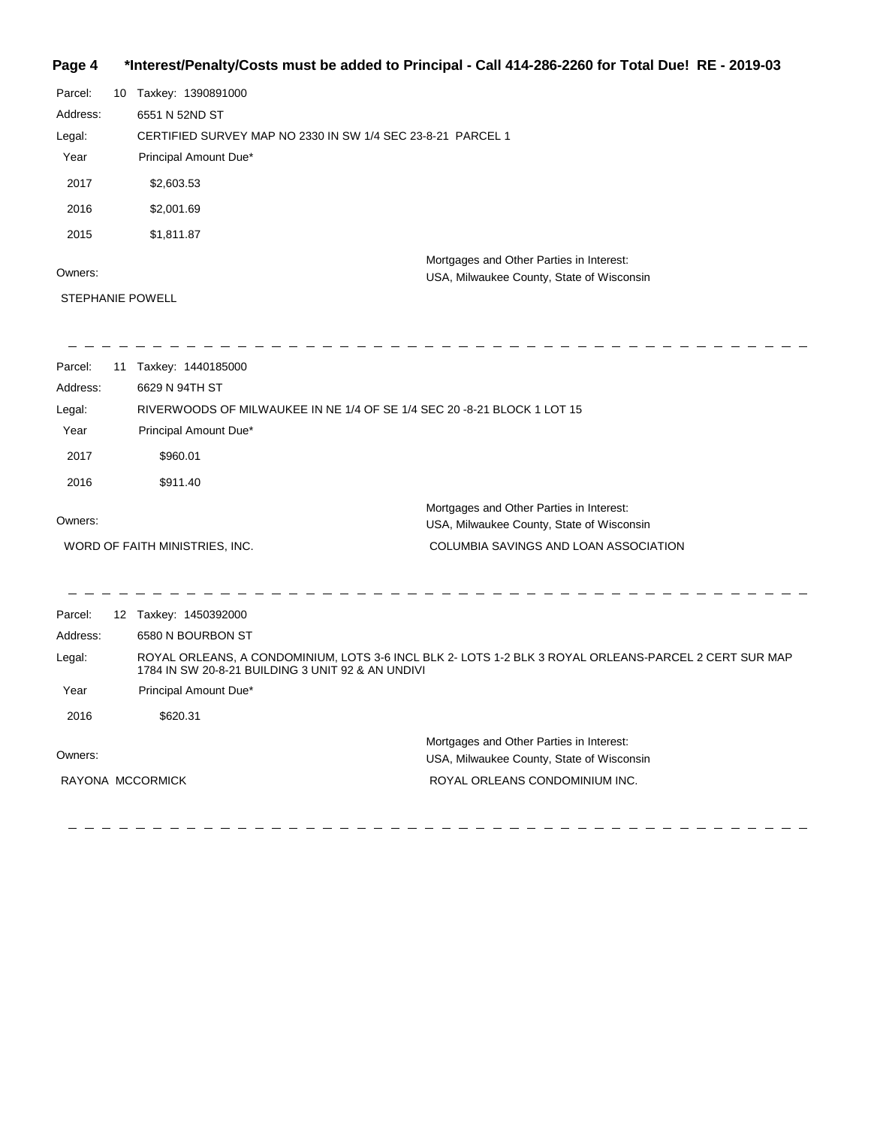# **Page 4 \*Interest/Penalty/Costs must be added to Principal - Call 414-286-2260 for Total Due! RE - 2019-03**

| Parcel:  | 10 | Taxkey: 1390891000                                          |
|----------|----|-------------------------------------------------------------|
| Address: |    | 6551 N 52ND ST                                              |
| Legal:   |    | CERTIFIED SURVEY MAP NO 2330 IN SW 1/4 SEC 23-8-21 PARCEL 1 |
| Year     |    | Principal Amount Due*                                       |
| 2017     |    | \$2,603.53                                                  |
| 2016     |    | \$2,001.69                                                  |
| 2015     |    | \$1,811.87                                                  |
|          |    | Mortgages and Other Parties in Interest:                    |
| Owners:  |    | USA, Milwaukee County, State of Wisconsin                   |

STEPHANIE POWELL

| Parcel:  | 11 | Taxkey: 1440185000                                                      |                                                                                                       |
|----------|----|-------------------------------------------------------------------------|-------------------------------------------------------------------------------------------------------|
| Address: |    | 6629 N 94TH ST                                                          |                                                                                                       |
| Legal:   |    | RIVERWOODS OF MILWAUKEE IN NE 1/4 OF SE 1/4 SEC 20 -8-21 BLOCK 1 LOT 15 |                                                                                                       |
| Year     |    | Principal Amount Due*                                                   |                                                                                                       |
| 2017     |    | \$960.01                                                                |                                                                                                       |
| 2016     |    | \$911.40                                                                |                                                                                                       |
| Owners:  |    |                                                                         | Mortgages and Other Parties in Interest:<br>USA, Milwaukee County, State of Wisconsin                 |
|          |    | WORD OF FAITH MINISTRIES, INC.                                          | COLUMBIA SAVINGS AND LOAN ASSOCIATION                                                                 |
|          |    |                                                                         |                                                                                                       |
|          |    |                                                                         |                                                                                                       |
| Parcel:  |    | 12 Taxkey: 1450392000                                                   |                                                                                                       |
| Address: |    | 6580 N BOURBON ST                                                       |                                                                                                       |
| Legal:   |    | 1784 IN SW 20-8-21 BUILDING 3 UNIT 92 & AN UNDIVI                       | ROYAL ORLEANS, A CONDOMINIUM, LOTS 3-6 INCL BLK 2- LOTS 1-2 BLK 3 ROYAL ORLEANS-PARCEL 2 CERT SUR MAP |
| Year     |    | Principal Amount Due*                                                   |                                                                                                       |
| 2016     |    | \$620.31                                                                |                                                                                                       |
| Owners:  |    |                                                                         | Mortgages and Other Parties in Interest:<br>USA, Milwaukee County, State of Wisconsin                 |
|          |    | RAYONA MCCORMICK                                                        | ROYAL ORLEANS CONDOMINIUM INC.                                                                        |
|          |    |                                                                         |                                                                                                       |

\_ \_ \_ \_ \_ \_ \_ \_ \_ \_ \_ \_ \_ \_ \_ \_

 $\overline{\phantom{0}}$ 

 $\frac{1}{2}$ 

 $\overline{\phantom{a}}$ 

- - - - - - - - -

 $\frac{1}{2}$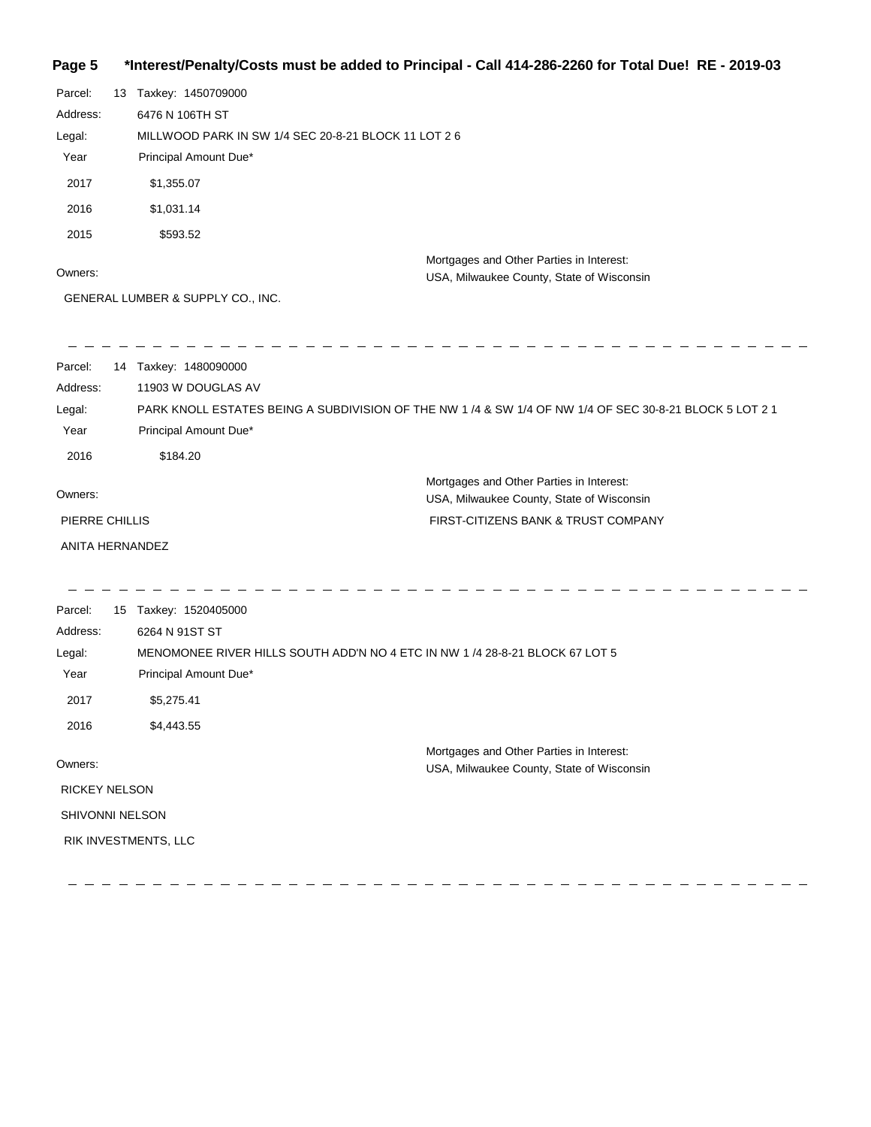# **Page 5 \*Interest/Penalty/Costs must be added to Principal - Call 414-286-2260 for Total Due! RE - 2019-03**

| Parcel:<br>Address:<br>Legal:<br>Year<br>2017<br>2016<br>2015<br>Owners: | 13 Taxkey: 1450709000<br>6476 N 106TH ST<br>MILLWOOD PARK IN SW 1/4 SEC 20-8-21 BLOCK 11 LOT 2 6<br>Principal Amount Due*<br>\$1,355.07<br>\$1,031.14<br>\$593.52            | Mortgages and Other Parties in Interest:<br>USA, Milwaukee County, State of Wisconsin                  |
|--------------------------------------------------------------------------|------------------------------------------------------------------------------------------------------------------------------------------------------------------------------|--------------------------------------------------------------------------------------------------------|
|                                                                          | GENERAL LUMBER & SUPPLY CO., INC.                                                                                                                                            |                                                                                                        |
| Parcel:<br>Address:<br>Legal:<br>Year<br>2016                            | 14 Taxkey: 1480090000<br>11903 W DOUGLAS AV<br>Principal Amount Due*<br>\$184.20                                                                                             | PARK KNOLL ESTATES BEING A SUBDIVISION OF THE NW 1/4 & SW 1/4 OF NW 1/4 OF SEC 30-8-21 BLOCK 5 LOT 2 1 |
| Owners:                                                                  |                                                                                                                                                                              | Mortgages and Other Parties in Interest:<br>USA, Milwaukee County, State of Wisconsin                  |
| PIERRE CHILLIS<br>ANITA HERNANDEZ                                        |                                                                                                                                                                              | FIRST-CITIZENS BANK & TRUST COMPANY                                                                    |
| Parcel:<br>Address:<br>Legal:<br>Year<br>2017<br>2016                    | 15 Taxkey: 1520405000<br>6264 N 91ST ST<br>MENOMONEE RIVER HILLS SOUTH ADD'N NO 4 ETC IN NW 1 /4 28-8-21 BLOCK 67 LOT 5<br>Principal Amount Due*<br>\$5,275.41<br>\$4,443.55 |                                                                                                        |
| Owners:<br><b>RICKEY NELSON</b><br>SHIVONNI NELSON                       | RIK INVESTMENTS, LLC                                                                                                                                                         | Mortgages and Other Parties in Interest:<br>USA, Milwaukee County, State of Wisconsin                  |

 $\frac{1}{2} \left( \frac{1}{2} \right) \left( \frac{1}{2} \right) \left( \frac{1}{2} \right)$  $\frac{1}{2} \frac{1}{2} \frac{1}{2} \frac{1}{2} \frac{1}{2} \frac{1}{2} \frac{1}{2} \frac{1}{2} \frac{1}{2} \frac{1}{2} \frac{1}{2} \frac{1}{2} \frac{1}{2} \frac{1}{2} \frac{1}{2} \frac{1}{2} \frac{1}{2} \frac{1}{2} \frac{1}{2} \frac{1}{2} \frac{1}{2} \frac{1}{2} \frac{1}{2} \frac{1}{2} \frac{1}{2} \frac{1}{2} \frac{1}{2} \frac{1}{2} \frac{1}{2} \frac{1}{2} \frac{1}{2} \frac{$  $\frac{1}{2} \frac{1}{2} \frac{1}{2} \frac{1}{2} \frac{1}{2} \frac{1}{2} \frac{1}{2} \frac{1}{2} \frac{1}{2} \frac{1}{2} \frac{1}{2} \frac{1}{2} \frac{1}{2} \frac{1}{2} \frac{1}{2} \frac{1}{2} \frac{1}{2} \frac{1}{2} \frac{1}{2} \frac{1}{2} \frac{1}{2} \frac{1}{2} \frac{1}{2} \frac{1}{2} \frac{1}{2} \frac{1}{2} \frac{1}{2} \frac{1}{2} \frac{1}{2} \frac{1}{2} \frac{1}{2} \frac{$ 

 $\overline{\phantom{a}}$ 

 $\overline{\phantom{a}}$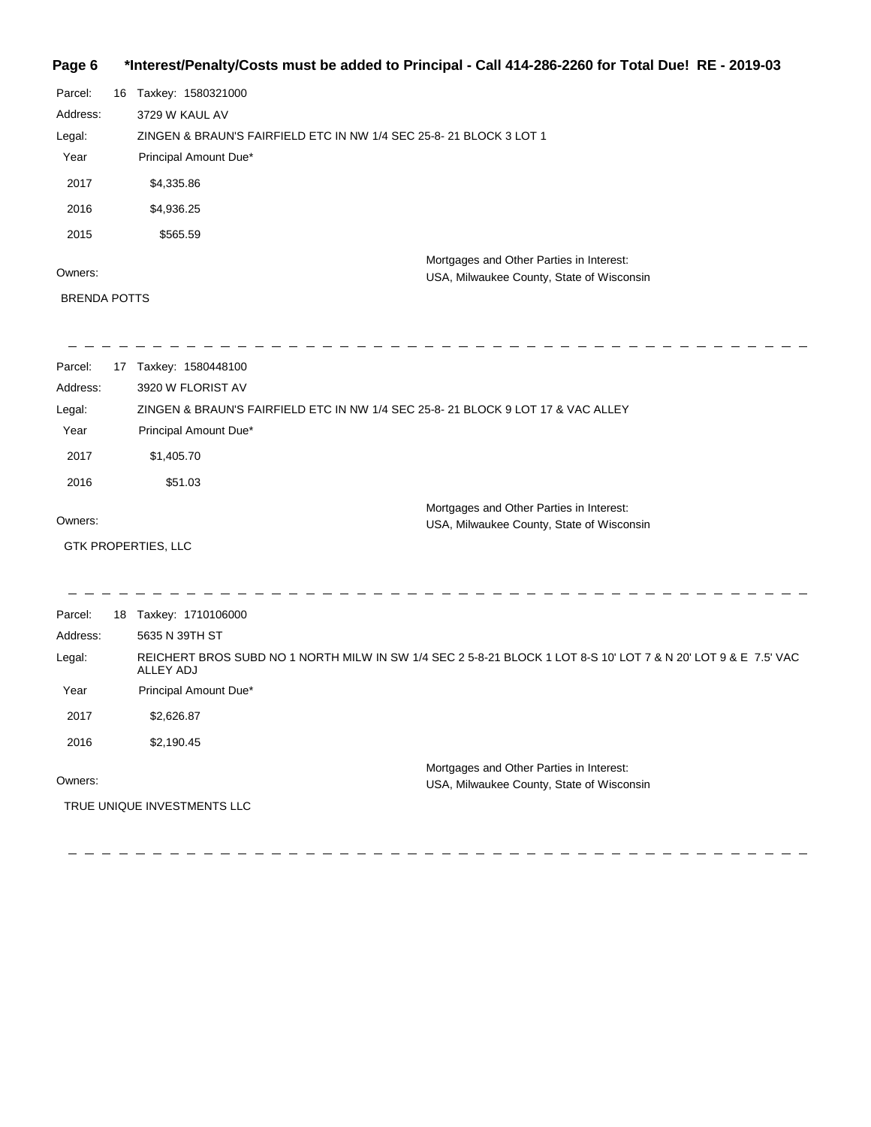# **Page 6 \*Interest/Penalty/Costs must be added to Principal - Call 414-286-2260 for Total Due! RE - 2019-03**

| Parcel:  | 16 | Taxkey: 1580321000                                                 |                                                                                       |
|----------|----|--------------------------------------------------------------------|---------------------------------------------------------------------------------------|
| Address: |    | 3729 W KAUL AV                                                     |                                                                                       |
| Legal:   |    | ZINGEN & BRAUN'S FAIRFIELD ETC IN NW 1/4 SEC 25-8-21 BLOCK 3 LOT 1 |                                                                                       |
| Year     |    | Principal Amount Due*                                              |                                                                                       |
| 2017     |    | \$4,335.86                                                         |                                                                                       |
| 2016     |    | \$4,936.25                                                         |                                                                                       |
| 2015     |    | \$565.59                                                           |                                                                                       |
| Owners:  |    |                                                                    | Mortgages and Other Parties in Interest:<br>USA, Milwaukee County, State of Wisconsin |

#### BRENDA POTTS

| Parcel:  | 17 | Taxkey: 1580448100                                                                                                                 |
|----------|----|------------------------------------------------------------------------------------------------------------------------------------|
| Address: |    | 3920 W FLORIST AV                                                                                                                  |
| Legal:   |    | ZINGEN & BRAUN'S FAIRFIELD ETC IN NW 1/4 SEC 25-8-21 BLOCK 9 LOT 17 & VAC ALLEY                                                    |
| Year     |    | Principal Amount Due*                                                                                                              |
| 2017     |    | \$1,405.70                                                                                                                         |
| 2016     |    | \$51.03                                                                                                                            |
|          |    | Mortgages and Other Parties in Interest:                                                                                           |
| Owners:  |    | USA, Milwaukee County, State of Wisconsin                                                                                          |
|          |    | <b>GTK PROPERTIES, LLC</b>                                                                                                         |
|          |    |                                                                                                                                    |
| Parcel:  |    | 18 Taxkey: 1710106000                                                                                                              |
| Address: |    | 5635 N 39TH ST                                                                                                                     |
| Legal:   |    | REICHERT BROS SUBD NO 1 NORTH MILW IN SW 1/4 SEC 2 5-8-21 BLOCK 1 LOT 8-S 10' LOT 7 & N 20' LOT 9 & E 7.5' VAC<br><b>ALLEY ADJ</b> |
| Year     |    | Principal Amount Due*                                                                                                              |
| 2017     |    | \$2,626.87                                                                                                                         |
| 2016     |    | \$2,190.45                                                                                                                         |
| Owners:  |    | Mortgages and Other Parties in Interest:<br>USA, Milwaukee County, State of Wisconsin                                              |
|          |    | TRUE UNIQUE INVESTMENTS LLC                                                                                                        |

 $\frac{1}{2}$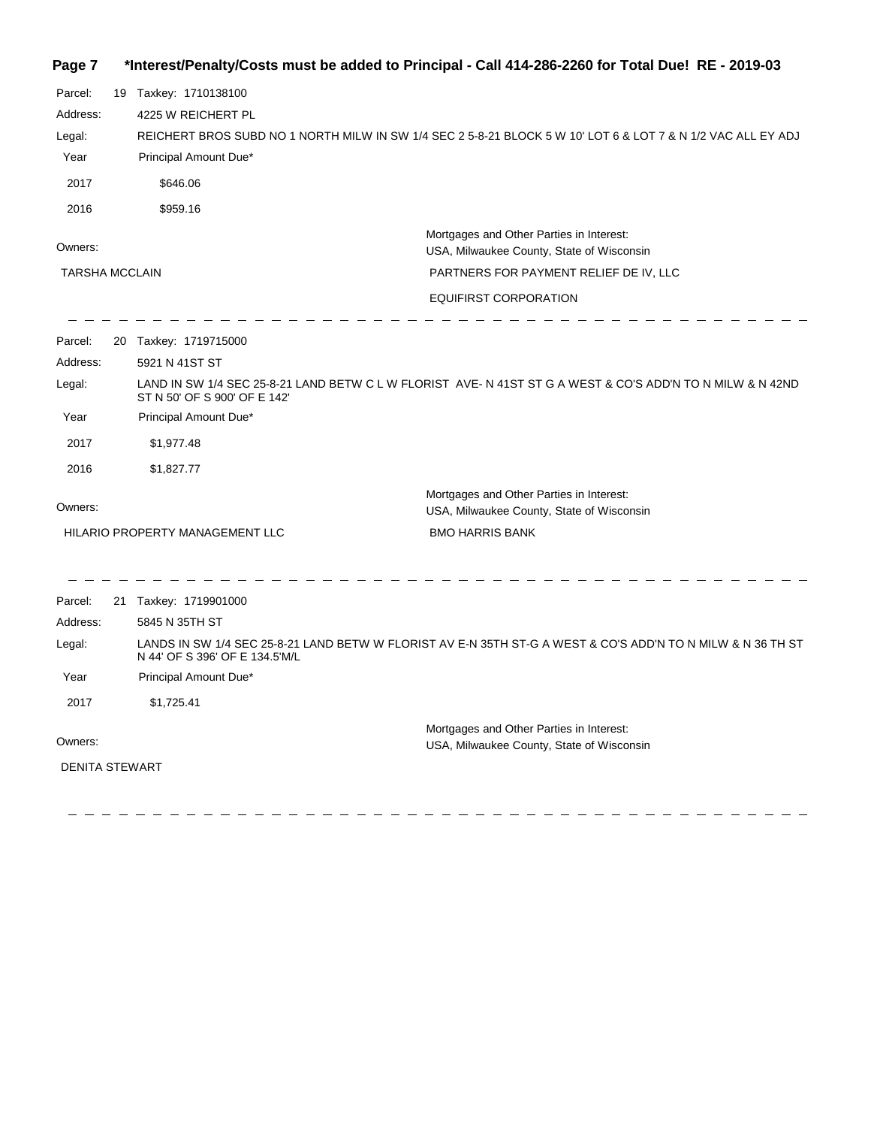| Page 7 |  |  | *Interest/Penalty/Costs must be added to Principal - Call 414-286-2260 for Total Due! RE - 2019-03 |
|--------|--|--|----------------------------------------------------------------------------------------------------|
|--------|--|--|----------------------------------------------------------------------------------------------------|

| Parcel:               | 19 Taxkey: 1710138100           |                                                                                                              |
|-----------------------|---------------------------------|--------------------------------------------------------------------------------------------------------------|
| Address:              | 4225 W REICHERT PL              |                                                                                                              |
| Legal:                |                                 | REICHERT BROS SUBD NO 1 NORTH MILW IN SW 1/4 SEC 2 5-8-21 BLOCK 5 W 10' LOT 6 & LOT 7 & N 1/2 VAC ALL EY ADJ |
| Year                  | Principal Amount Due*           |                                                                                                              |
| 2017                  | \$646.06                        |                                                                                                              |
| 2016                  | \$959.16                        |                                                                                                              |
|                       |                                 | Mortgages and Other Parties in Interest:                                                                     |
| Owners:               |                                 | USA, Milwaukee County, State of Wisconsin                                                                    |
| <b>TARSHA MCCLAIN</b> |                                 | PARTNERS FOR PAYMENT RELIEF DE IV, LLC                                                                       |
|                       |                                 | EQUIFIRST CORPORATION                                                                                        |
| Parcel:               | 20 Taxkey: 1719715000           |                                                                                                              |
| Address:              | 5921 N 41ST ST                  |                                                                                                              |
| Legal:                | ST N 50' OF S 900' OF E 142'    | LAND IN SW 1/4 SEC 25-8-21 LAND BETW C L W FLORIST AVE-N 41ST ST G A WEST & CO'S ADD'N TO N MILW & N 42ND    |
| Year                  | Principal Amount Due*           |                                                                                                              |
| 2017                  | \$1,977.48                      |                                                                                                              |
| 2016                  | \$1,827.77                      |                                                                                                              |
| Owners:               |                                 | Mortgages and Other Parties in Interest:                                                                     |
|                       |                                 | USA, Milwaukee County, State of Wisconsin                                                                    |
|                       | HILARIO PROPERTY MANAGEMENT LLC | <b>BMO HARRIS BANK</b>                                                                                       |
| Parcel:               | 21 Taxkey: 1719901000           |                                                                                                              |
| Address:              | 5845 N 35TH ST                  |                                                                                                              |
| Legal:                | N 44' OF S 396' OF E 134.5'M/L  | LANDS IN SW 1/4 SEC 25-8-21 LAND BETW W FLORIST AV E-N 35TH ST-G A WEST & CO'S ADD'N TO N MILW & N 36 TH ST  |
| Year                  | Principal Amount Due*           |                                                                                                              |
| 2017                  | \$1,725.41                      |                                                                                                              |
|                       |                                 | Mortgages and Other Parties in Interest:                                                                     |
| Owners:               |                                 | USA, Milwaukee County, State of Wisconsin                                                                    |
| <b>DENITA STEWART</b> |                                 |                                                                                                              |
|                       |                                 |                                                                                                              |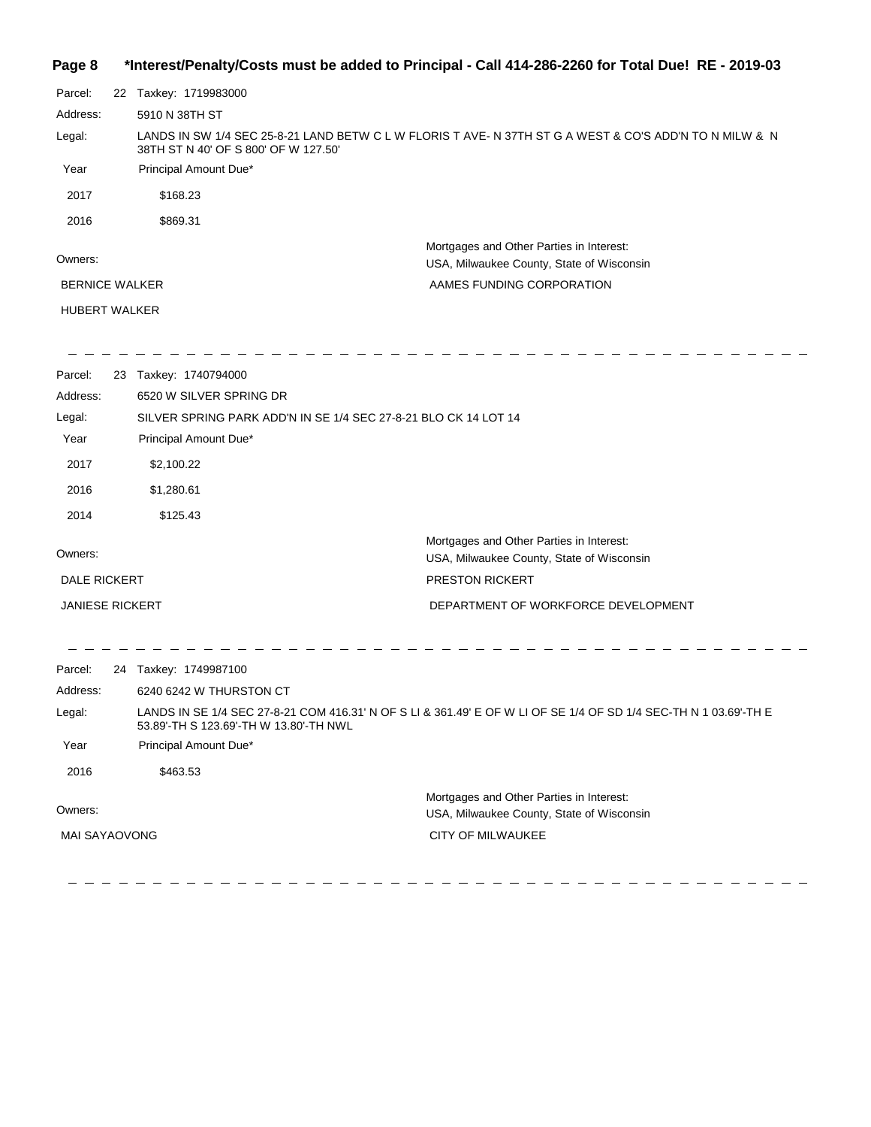#### **Page 8 \*Interest/Penalty/Costs must be added to Principal - Call 414-286-2260 for Total Due! RE - 2019-03**

| Parcel:               |  | 22 Taxkey: 1719983000                                                                                                                           |
|-----------------------|--|-------------------------------------------------------------------------------------------------------------------------------------------------|
| Address:              |  | 5910 N 38TH ST                                                                                                                                  |
| Legal:                |  | LANDS IN SW 1/4 SEC 25-8-21 LAND BETW C L W FLORIS T AVE- N 37TH ST G A WEST & CO'S ADD'N TO N MILW & N<br>38TH ST N 40' OF S 800' OF W 127.50' |
| Year                  |  | Principal Amount Due*                                                                                                                           |
| 2017                  |  | \$168.23                                                                                                                                        |
| 2016                  |  | \$869.31                                                                                                                                        |
| Owners:               |  | Mortgages and Other Parties in Interest:<br>USA, Milwaukee County, State of Wisconsin                                                           |
| <b>BERNICE WALKER</b> |  | AAMES FUNDING CORPORATION                                                                                                                       |
| <b>HUBERT WALKER</b>  |  |                                                                                                                                                 |
|                       |  |                                                                                                                                                 |

Parcel: 23 Taxkey: 1740794000 6520 W SILVER SPRING DR Address: Legal: SILVER SPRING PARK ADD'N IN SE 1/4 SEC 27-8-21 BLO CK 14 LOT 14 Year Principal Amount Due\* 2017 \$2,100.22 2016 \$1,280.61 2014 \$125.43 Mortgages and Other Parties in Interest: Owners: USA, Milwaukee County, State of Wisconsin DALE RICKERT PRESTON RICKERT JANIESE RICKERT DEPARTMENT OF WORKFORCE DEVELOPMENT  $\frac{1}{2} \frac{1}{2} \frac{1}{2} \frac{1}{2} \frac{1}{2} \frac{1}{2} \frac{1}{2} \frac{1}{2} \frac{1}{2} \frac{1}{2} \frac{1}{2} \frac{1}{2} \frac{1}{2} \frac{1}{2} \frac{1}{2} \frac{1}{2} \frac{1}{2} \frac{1}{2} \frac{1}{2} \frac{1}{2} \frac{1}{2} \frac{1}{2} \frac{1}{2} \frac{1}{2} \frac{1}{2} \frac{1}{2} \frac{1}{2} \frac{1}{2} \frac{1}{2} \frac{1}{2} \frac{1}{2} \frac{$  $\frac{1}{2}$  $\frac{1}{2}$  and  $\frac{1}{2}$  and  $\frac{1}{2}$  and  $\frac{1}{2}$  and  $\frac{1}{2}$ Parcel: 24 Taxkey: 1749987100 Address: 6240 6242 W THURSTON CT LANDS IN SE 1/4 SEC 27-8-21 COM 416.31' N OF S LI & 361.49' E OF W LI OF SE 1/4 OF SD 1/4 SEC-TH N 1 03.69'-TH E Legal: 53.89'-TH S 123.69'-TH W 13.80'-TH NWL Year Principal Amount Due\* 2016 \$463.53

Owners: Mortgages and Other Parties in Interest: USA, Milwaukee County, State of Wisconsin CITY OF MILWAUKEE MAI SAYAOVONG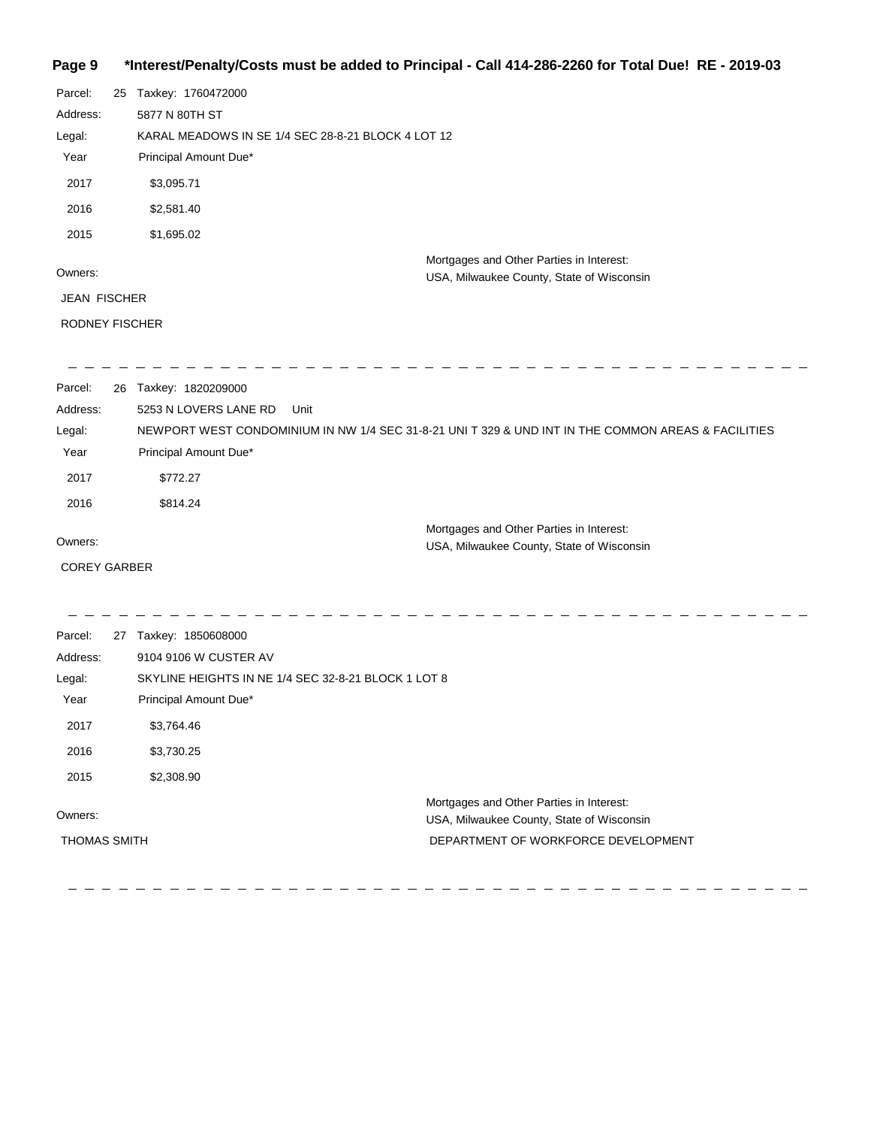#### **Page 9 \*Interest/Penalty/Costs must be added to Principal - Call 414-286-2260 for Total Due! RE - 2019-03**

| Parcel:             | 25 Taxkey: 1760472000                               |                                                                                                    |
|---------------------|-----------------------------------------------------|----------------------------------------------------------------------------------------------------|
| Address:            | 5877 N 80TH ST                                      |                                                                                                    |
| Legal:              | KARAL MEADOWS IN SE 1/4 SEC 28-8-21 BLOCK 4 LOT 12  |                                                                                                    |
| Year                | Principal Amount Due*                               |                                                                                                    |
| 2017                | \$3,095.71                                          |                                                                                                    |
| 2016                | \$2,581.40                                          |                                                                                                    |
| 2015                | \$1,695.02                                          |                                                                                                    |
|                     |                                                     | Mortgages and Other Parties in Interest:                                                           |
| Owners:             |                                                     | USA, Milwaukee County, State of Wisconsin                                                          |
| <b>JEAN FISCHER</b> |                                                     |                                                                                                    |
| RODNEY FISCHER      |                                                     |                                                                                                    |
|                     |                                                     |                                                                                                    |
| Parcel:             | 26 Taxkey: 1820209000                               |                                                                                                    |
| Address:            | 5253 N LOVERS LANE RD<br>Unit                       |                                                                                                    |
| Legal:              |                                                     | NEWPORT WEST CONDOMINIUM IN NW 1/4 SEC 31-8-21 UNIT 329 & UND INT IN THE COMMON AREAS & FACILITIES |
| Year                | Principal Amount Due*                               |                                                                                                    |
| 2017                | \$772.27                                            |                                                                                                    |
| 2016                | \$814.24                                            |                                                                                                    |
|                     |                                                     | Mortgages and Other Parties in Interest:                                                           |
| Owners:             |                                                     | USA, Milwaukee County, State of Wisconsin                                                          |
| <b>COREY GARBER</b> |                                                     |                                                                                                    |
|                     |                                                     |                                                                                                    |
| Parcel:             | 27 Taxkey: 1850608000                               |                                                                                                    |
| Address:            | 9104 9106 W CUSTER AV                               |                                                                                                    |
| Legal:              | SKYLINE HEIGHTS IN NE 1/4 SEC 32-8-21 BLOCK 1 LOT 8 |                                                                                                    |
| Year                | Principal Amount Due*                               |                                                                                                    |
| 2017                | \$3,764.46                                          |                                                                                                    |
| 2016                | \$3,730.25                                          |                                                                                                    |
| 2015                | \$2,308.90                                          |                                                                                                    |
|                     |                                                     | Mortgages and Other Parties in Interest:                                                           |
| Owners:             |                                                     | USA, Milwaukee County, State of Wisconsin                                                          |
| THOMAS SMITH        |                                                     | DEPARTMENT OF WORKFORCE DEVELOPMENT                                                                |

\_\_\_\_\_\_\_\_\_\_\_\_\_\_\_\_\_\_\_\_\_\_\_\_\_\_\_

 $\begin{array}{cccccccccccccc} \bot & \bot & \bot & \bot & \bot & \bot \end{array}$ \_ \_ \_ \_ \_ \_ \_ \_ \_ \_ \_ \_ \_ \_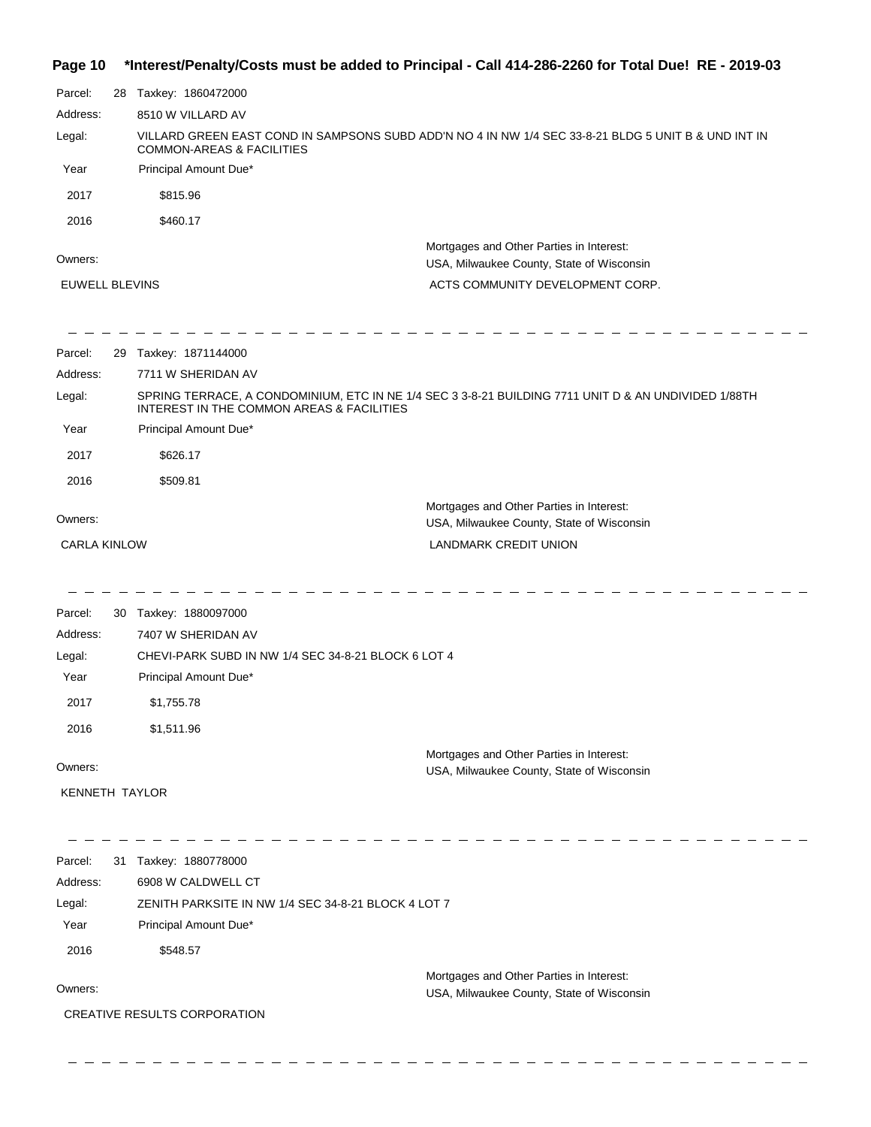**Page 10 \*Interest/Penalty/Costs must be added to Principal - Call 414-286-2260 for Total Due! RE - 2019-03**

| Parcel:                          | 28 Taxkey: 1860472000                               |                                                                                                                           |
|----------------------------------|-----------------------------------------------------|---------------------------------------------------------------------------------------------------------------------------|
| Address:                         | 8510 W VILLARD AV                                   |                                                                                                                           |
| Legal:                           | <b>COMMON-AREAS &amp; FACILITIES</b>                | VILLARD GREEN EAST COND IN SAMPSONS SUBD ADD'N NO 4 IN NW 1/4 SEC 33-8-21 BLDG 5 UNIT B & UND INT IN                      |
| Year                             | Principal Amount Due*                               |                                                                                                                           |
| 2017                             | \$815.96                                            |                                                                                                                           |
| 2016                             | \$460.17                                            |                                                                                                                           |
| Owners:<br><b>EUWELL BLEVINS</b> |                                                     | Mortgages and Other Parties in Interest:<br>USA, Milwaukee County, State of Wisconsin<br>ACTS COMMUNITY DEVELOPMENT CORP. |
|                                  |                                                     |                                                                                                                           |
| Parcel:                          | 29 Taxkey: 1871144000                               |                                                                                                                           |
| Address:                         | 7711 W SHERIDAN AV                                  |                                                                                                                           |
| Legal:                           | INTEREST IN THE COMMON AREAS & FACILITIES           | SPRING TERRACE, A CONDOMINIUM, ETC IN NE 1/4 SEC 3 3-8-21 BUILDING 7711 UNIT D & AN UNDIVIDED 1/88TH                      |
| Year                             | Principal Amount Due*                               |                                                                                                                           |
| 2017                             | \$626.17                                            |                                                                                                                           |
| 2016                             | \$509.81                                            |                                                                                                                           |
|                                  |                                                     | Mortgages and Other Parties in Interest:                                                                                  |
| Owners:                          |                                                     | USA, Milwaukee County, State of Wisconsin                                                                                 |
| <b>CARLA KINLOW</b>              |                                                     | LANDMARK CREDIT UNION                                                                                                     |
|                                  |                                                     |                                                                                                                           |
| Parcel:<br>Address:              | 30 Taxkey: 1880097000<br>7407 W SHERIDAN AV         |                                                                                                                           |
| Legal:                           | CHEVI-PARK SUBD IN NW 1/4 SEC 34-8-21 BLOCK 6 LOT 4 |                                                                                                                           |
| Year                             | Principal Amount Due*                               |                                                                                                                           |
| 2017                             | \$1,755.78                                          |                                                                                                                           |
| 2016                             | \$1,511.96                                          |                                                                                                                           |
|                                  |                                                     | Mortgages and Other Parties in Interest:                                                                                  |
| Owners:                          |                                                     | USA, Milwaukee County, State of Wisconsin                                                                                 |
| <b>KENNETH TAYLOR</b>            |                                                     |                                                                                                                           |
| Parcel:                          | 31 Taxkey: 1880778000                               |                                                                                                                           |
| Address:                         | 6908 W CALDWELL CT                                  |                                                                                                                           |
| Legal:                           | ZENITH PARKSITE IN NW 1/4 SEC 34-8-21 BLOCK 4 LOT 7 |                                                                                                                           |
| Year                             | Principal Amount Due*                               |                                                                                                                           |
| 2016                             | \$548.57                                            |                                                                                                                           |
|                                  |                                                     | Mortgages and Other Parties in Interest:                                                                                  |
| Owners:                          |                                                     | USA, Milwaukee County, State of Wisconsin                                                                                 |
|                                  | CREATIVE RESULTS CORPORATION                        |                                                                                                                           |
|                                  |                                                     |                                                                                                                           |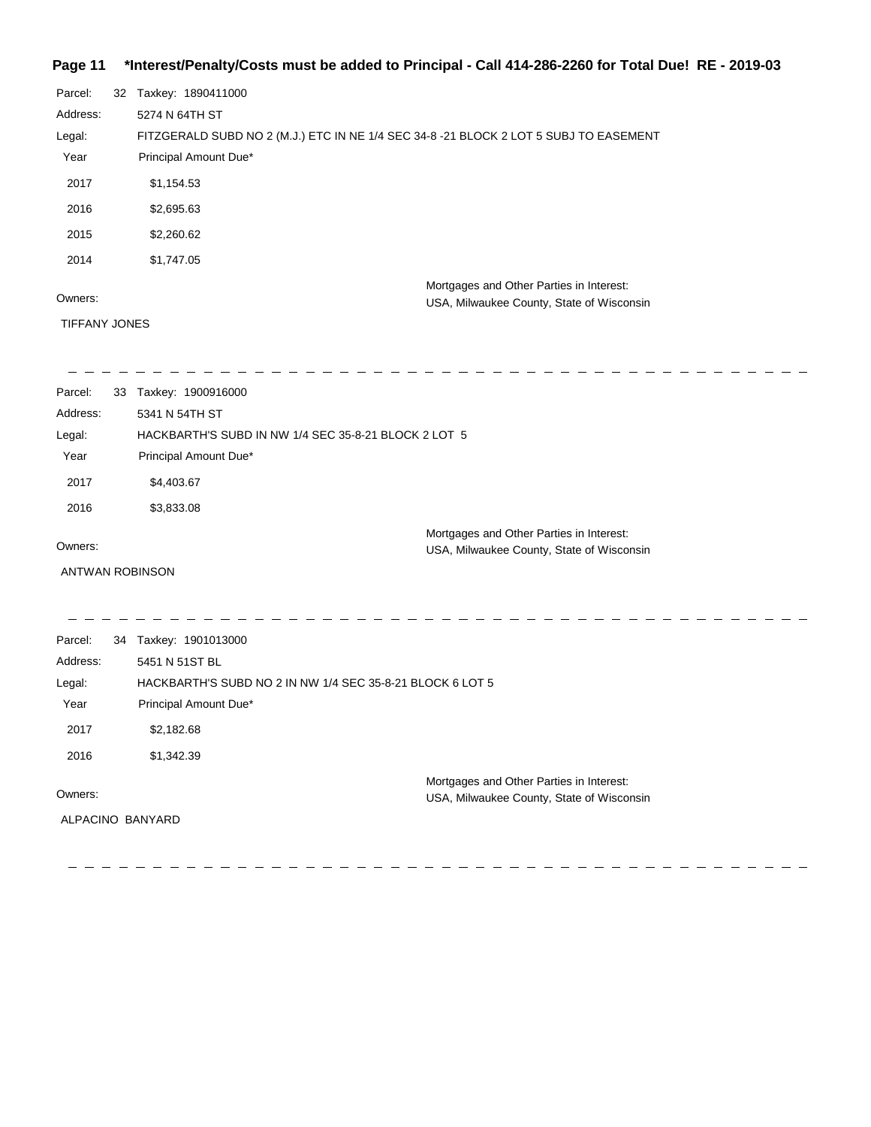#### **Page 11 \*Interest/Penalty/Costs must be added to Principal - Call 414-286-2260 for Total Due! RE - 2019-03**

| Parcel:  | 32 | Taxkey: 1890411000                                                                    |
|----------|----|---------------------------------------------------------------------------------------|
| Address: |    | 5274 N 64TH ST                                                                        |
| Legal:   |    | FITZGERALD SUBD NO 2 (M.J.) ETC IN NE 1/4 SEC 34-8 -21 BLOCK 2 LOT 5 SUBJ TO EASEMENT |
| Year     |    | Principal Amount Due*                                                                 |
| 2017     |    | \$1,154.53                                                                            |
| 2016     |    | \$2,695.63                                                                            |
| 2015     |    | \$2,260.62                                                                            |
| 2014     |    | \$1,747.05                                                                            |
|          |    | Mortgages and Other Parties in Interest:                                              |
| Owners:  |    | USA, Milwaukee County, State of Wisconsin                                             |

#### Owners:

TIFFANY JONES

 $\frac{1}{2} \frac{1}{2} \frac{1}{2} \frac{1}{2} \frac{1}{2} \frac{1}{2} \frac{1}{2} \frac{1}{2} \frac{1}{2} \frac{1}{2} \frac{1}{2} \frac{1}{2} \frac{1}{2} \frac{1}{2} \frac{1}{2} \frac{1}{2} \frac{1}{2} \frac{1}{2} \frac{1}{2} \frac{1}{2} \frac{1}{2} \frac{1}{2} \frac{1}{2} \frac{1}{2} \frac{1}{2} \frac{1}{2} \frac{1}{2} \frac{1}{2} \frac{1}{2} \frac{1}{2} \frac{1}{2} \frac{$ 

 $\frac{1}{2}$   $\frac{1}{2}$  $\sim$ 

| Parcel:  | 33 | Taxkey: 1900916000                                        |  |
|----------|----|-----------------------------------------------------------|--|
| Address: |    | 5341 N 54TH ST                                            |  |
| Legal:   |    | HACKBARTH'S SUBD IN NW 1/4 SEC 35-8-21 BLOCK 2 LOT 5      |  |
| Year     |    | Principal Amount Due*                                     |  |
| 2017     |    | \$4,403.67                                                |  |
| 2016     |    | \$3,833.08                                                |  |
|          |    | Mortgages and Other Parties in Interest:                  |  |
| Owners:  |    | USA, Milwaukee County, State of Wisconsin                 |  |
|          |    | <b>ANTWAN ROBINSON</b>                                    |  |
|          |    |                                                           |  |
| Parcel:  |    | 34 Taxkey: 1901013000                                     |  |
| Address: |    | 5451 N 51ST BL                                            |  |
| Legal:   |    | HACKBARTH'S SUBD NO 2 IN NW 1/4 SEC 35-8-21 BLOCK 6 LOT 5 |  |
| Year     |    | Principal Amount Due*                                     |  |
| 2017     |    | \$2,182.68                                                |  |
| 2016     |    | \$1,342.39                                                |  |
|          |    | Mortgages and Other Parties in Interest:                  |  |
| Owners:  |    | USA, Milwaukee County, State of Wisconsin                 |  |
|          |    | ALPACINO BANYARD                                          |  |
|          |    |                                                           |  |
|          |    |                                                           |  |

---------------

 $\sim$  $\frac{1}{2}$  -------------

 $\overline{\phantom{0}}$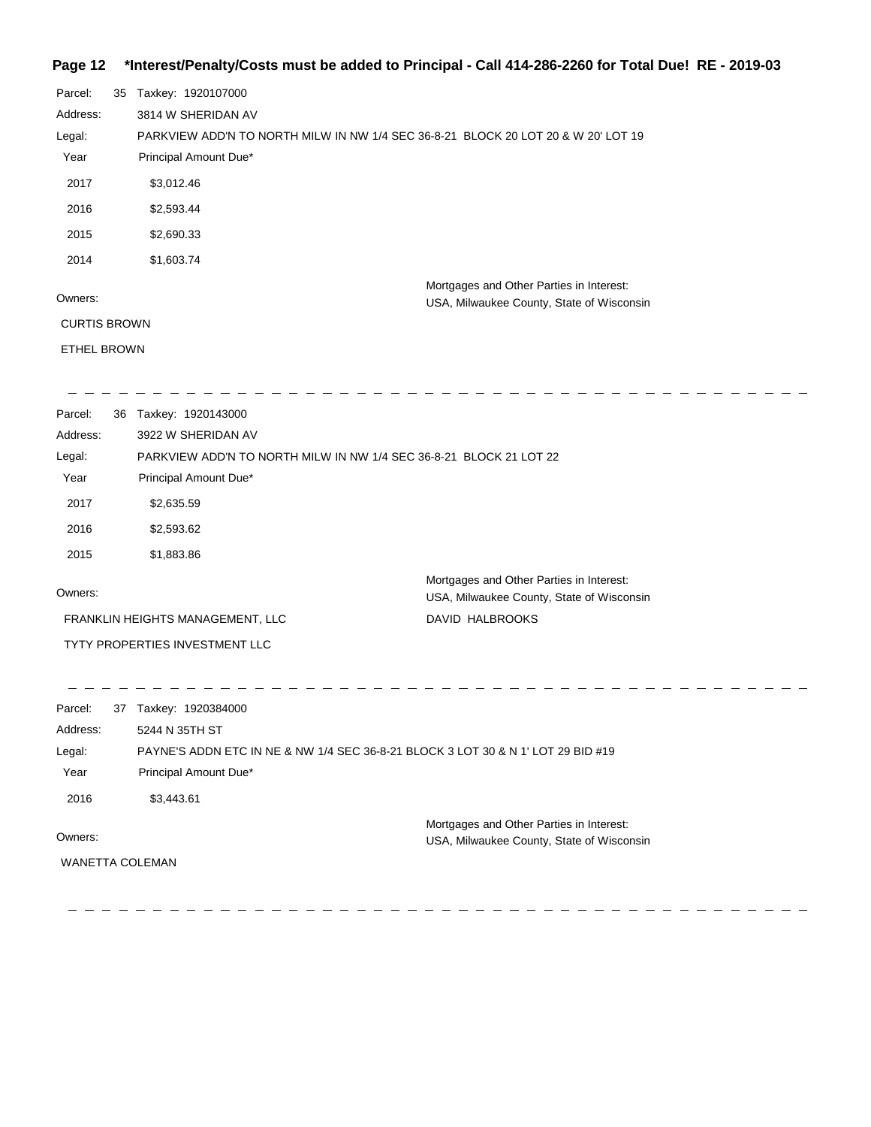# **Page 12 \*Interest/Penalty/Costs must be added to Principal - Call 414-286-2260 for Total Due! RE - 2019-03**

| Parcel:<br>Address:<br>Legal:<br>Year<br>2017<br>2016<br>2015 | 35                                                                               | Taxkey: 1920107000<br>3814 W SHERIDAN AV<br>PARKVIEW ADD'N TO NORTH MILW IN NW 1/4 SEC 36-8-21 BLOCK 20 LOT 20 & W 20' LOT 19<br>Principal Amount Due*<br>\$3,012.46<br>\$2,593.44<br>\$2,690.33 |                                                                                       |
|---------------------------------------------------------------|----------------------------------------------------------------------------------|--------------------------------------------------------------------------------------------------------------------------------------------------------------------------------------------------|---------------------------------------------------------------------------------------|
| 2014                                                          |                                                                                  | \$1,603.74                                                                                                                                                                                       |                                                                                       |
| Owners:<br><b>CURTIS BROWN</b><br><b>ETHEL BROWN</b>          |                                                                                  |                                                                                                                                                                                                  | Mortgages and Other Parties in Interest:<br>USA, Milwaukee County, State of Wisconsin |
|                                                               |                                                                                  |                                                                                                                                                                                                  |                                                                                       |
| Parcel:<br>Address:<br>Legal:                                 |                                                                                  | 36 Taxkey: 1920143000<br>3922 W SHERIDAN AV<br>PARKVIEW ADD'N TO NORTH MILW IN NW 1/4 SEC 36-8-21 BLOCK 21 LOT 22                                                                                |                                                                                       |
| Year                                                          |                                                                                  | Principal Amount Due*                                                                                                                                                                            |                                                                                       |
| 2017                                                          |                                                                                  | \$2,635.59                                                                                                                                                                                       |                                                                                       |
| 2016                                                          |                                                                                  | \$2,593.62                                                                                                                                                                                       |                                                                                       |
| 2015                                                          |                                                                                  | \$1,883.86                                                                                                                                                                                       |                                                                                       |
| Owners:                                                       |                                                                                  |                                                                                                                                                                                                  | Mortgages and Other Parties in Interest:<br>USA, Milwaukee County, State of Wisconsin |
|                                                               |                                                                                  | FRANKLIN HEIGHTS MANAGEMENT, LLC                                                                                                                                                                 | DAVID HALBROOKS                                                                       |
|                                                               |                                                                                  | TYTY PROPERTIES INVESTMENT LLC                                                                                                                                                                   |                                                                                       |
| Parcel:                                                       |                                                                                  | 37 Taxkey: 1920384000                                                                                                                                                                            |                                                                                       |
| Address:                                                      |                                                                                  | 5244 N 35TH ST                                                                                                                                                                                   |                                                                                       |
| Legal:                                                        | PAYNE'S ADDN ETC IN NE & NW 1/4 SEC 36-8-21 BLOCK 3 LOT 30 & N 1' LOT 29 BID #19 |                                                                                                                                                                                                  |                                                                                       |
| Year                                                          |                                                                                  | Principal Amount Due*                                                                                                                                                                            |                                                                                       |
| 2016                                                          |                                                                                  | \$3,443.61                                                                                                                                                                                       |                                                                                       |
| Owners:                                                       |                                                                                  |                                                                                                                                                                                                  | Mortgages and Other Parties in Interest:<br>USA, Milwaukee County, State of Wisconsin |
|                                                               |                                                                                  | WANETTA COLEMAN                                                                                                                                                                                  |                                                                                       |
|                                                               |                                                                                  |                                                                                                                                                                                                  |                                                                                       |

 $\qquad \qquad -$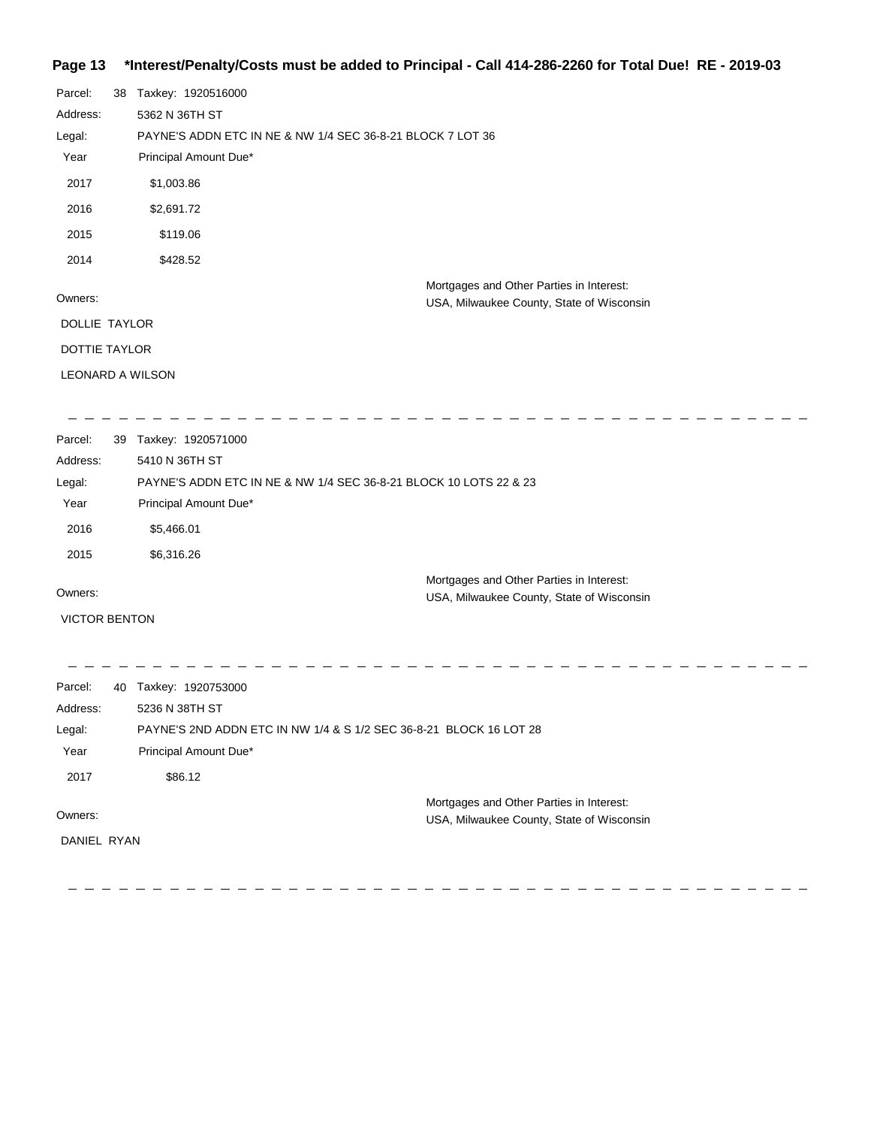#### **Page 13 \*Interest/Penalty/Costs must be added to Principal - Call 414-286-2260 for Total Due! RE - 2019-03**

| Parcel:       | 38                      | Taxkey: 1920516000                                                                    |  |  |  |
|---------------|-------------------------|---------------------------------------------------------------------------------------|--|--|--|
| Address:      |                         | 5362 N 36TH ST                                                                        |  |  |  |
| Legal:        |                         | PAYNE'S ADDN ETC IN NE & NW 1/4 SEC 36-8-21 BLOCK 7 LOT 36                            |  |  |  |
| Year          |                         | Principal Amount Due*                                                                 |  |  |  |
| 2017          |                         | \$1,003.86                                                                            |  |  |  |
| 2016          |                         | \$2,691.72                                                                            |  |  |  |
| 2015          |                         | \$119.06                                                                              |  |  |  |
| 2014          |                         | \$428.52                                                                              |  |  |  |
| Owners:       |                         | Mortgages and Other Parties in Interest:<br>USA, Milwaukee County, State of Wisconsin |  |  |  |
| DOLLIE TAYLOR |                         |                                                                                       |  |  |  |
| DOTTIE TAYLOR |                         |                                                                                       |  |  |  |
|               | <b>LEONARD A WILSON</b> |                                                                                       |  |  |  |
|               |                         |                                                                                       |  |  |  |

| Parcel:  | 39 | Taxkey: 1920571000                                                |
|----------|----|-------------------------------------------------------------------|
| Address: |    | 5410 N 36TH ST                                                    |
| Legal:   |    | PAYNE'S ADDN ETC IN NE & NW 1/4 SEC 36-8-21 BLOCK 10 LOTS 22 & 23 |
| Year     |    | Principal Amount Due*                                             |
| 2016     |    | \$5,466.01                                                        |
| 2015     |    | \$6,316.26                                                        |
|          |    | Mortgages and Other Parties in Interest:                          |

Owners:

VICTOR BENTON

\_ \_ \_ \_ \_ \_ \_ \_ \_ \_ \_ \_ \_ \_ \_ \_  $\frac{1}{2}$  $\frac{1}{2}$  $-$ - - - - -Parcel: 40 Taxkey: 1920753000 Address: 5236 N 38TH ST PAYNE'S 2ND ADDN ETC IN NW 1/4 & S 1/2 SEC 36-8-21 BLOCK 16 LOT 28 Legal: Year Principal Amount Due\* 2017 \$86.12 Mortgages and Other Parties in Interest: Owners: USA, Milwaukee County, State of Wisconsin DANIEL RYAN

USA, Milwaukee County, State of Wisconsin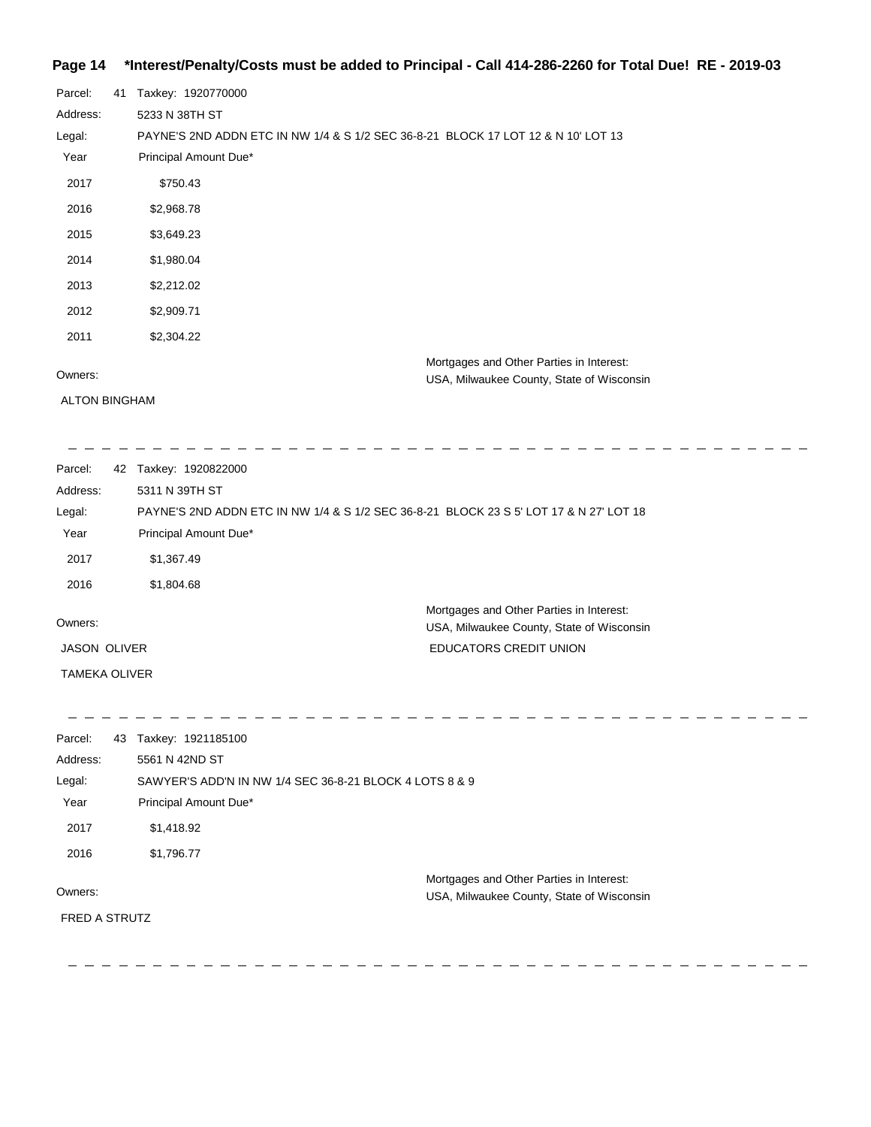# **Page 14 \*Interest/Penalty/Costs must be added to Principal - Call 414-286-2260 for Total Due! RE - 2019-03**

| Parcel:  | 41 | Taxkey: 1920770000                                                                |
|----------|----|-----------------------------------------------------------------------------------|
| Address: |    | 5233 N 38TH ST                                                                    |
| Legal:   |    | PAYNE'S 2ND ADDN ETC IN NW 1/4 & S 1/2 SEC 36-8-21 BLOCK 17 LOT 12 & N 10' LOT 13 |
| Year     |    | Principal Amount Due*                                                             |
| 2017     |    | \$750.43                                                                          |
| 2016     |    | \$2,968.78                                                                        |
| 2015     |    | \$3,649.23                                                                        |
| 2014     |    | \$1,980.04                                                                        |
| 2013     |    | \$2,212.02                                                                        |
| 2012     |    | \$2,909.71                                                                        |
| 2011     |    | \$2,304.22                                                                        |
|          |    | Mortgages and Other Parties in Interest:                                          |
| Owners:  |    | USA, Milwaukee County, State of Wisconsin                                         |

ALTON BINGHAM

| Parcel:              | Taxkey: 1920822000<br>42                                                               |                                                                                       |  |  |
|----------------------|----------------------------------------------------------------------------------------|---------------------------------------------------------------------------------------|--|--|
| Address:             | 5311 N 39TH ST                                                                         |                                                                                       |  |  |
| Legal:               | PAYNE'S 2ND ADDN ETC IN NW 1/4 & S 1/2 SEC 36-8-21 BLOCK 23 S 5' LOT 17 & N 27' LOT 18 |                                                                                       |  |  |
| Year                 | Principal Amount Due*                                                                  |                                                                                       |  |  |
| 2017                 | \$1,367.49                                                                             |                                                                                       |  |  |
| 2016                 | \$1,804.68                                                                             |                                                                                       |  |  |
| Owners:              |                                                                                        | Mortgages and Other Parties in Interest:<br>USA, Milwaukee County, State of Wisconsin |  |  |
| <b>JASON OLIVER</b>  |                                                                                        | <b>EDUCATORS CREDIT UNION</b>                                                         |  |  |
| <b>TAMEKA OLIVER</b> |                                                                                        |                                                                                       |  |  |

| Parcel:              | 43 | Taxkey: 1921185100                                                                    |
|----------------------|----|---------------------------------------------------------------------------------------|
| Address:             |    | 5561 N 42ND ST                                                                        |
| Legal:               |    | SAWYER'S ADD'N IN NW 1/4 SEC 36-8-21 BLOCK 4 LOTS 8 & 9                               |
| Year                 |    | Principal Amount Due*                                                                 |
| 2017                 |    | \$1,418.92                                                                            |
| 2016                 |    | \$1,796.77                                                                            |
| Owners:              |    | Mortgages and Other Parties in Interest:<br>USA, Milwaukee County, State of Wisconsin |
| <b>FRED A STRUTZ</b> |    |                                                                                       |
|                      |    |                                                                                       |
|                      |    |                                                                                       |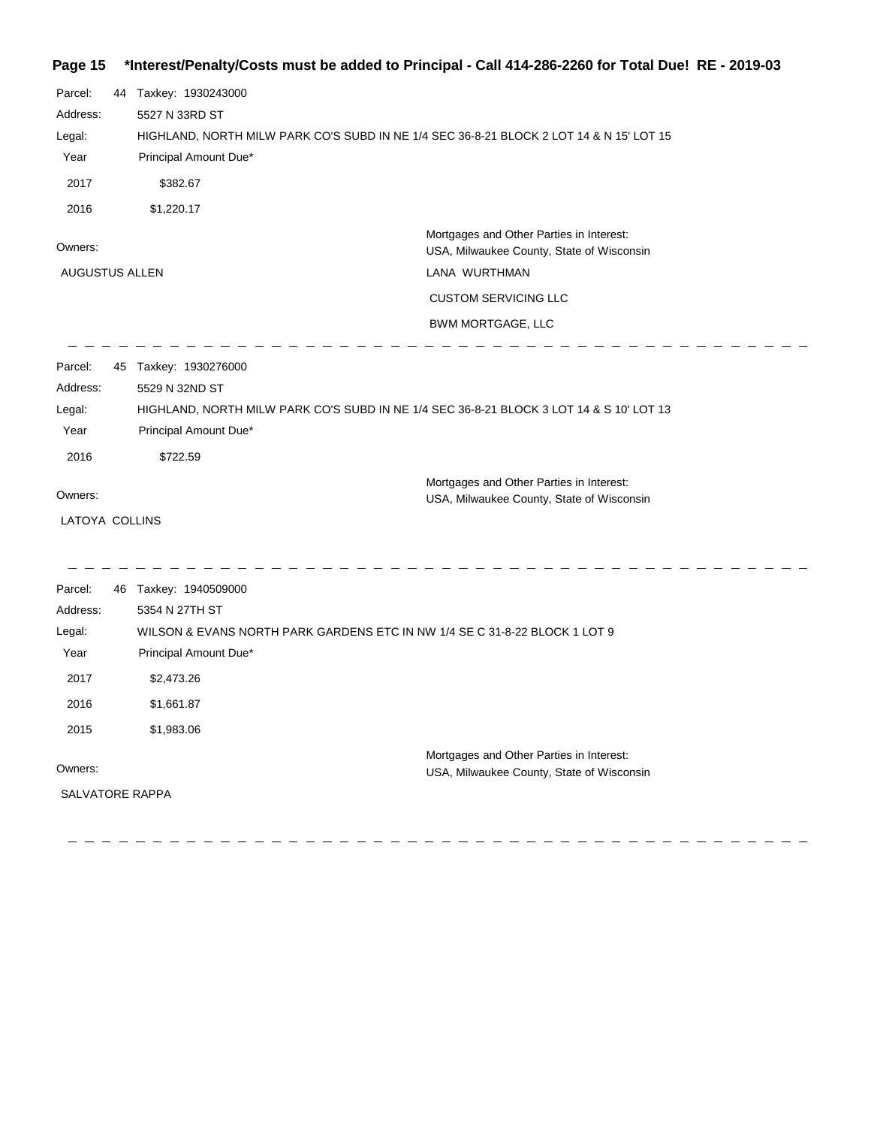# **Page 15 \*Interest/Penalty/Costs must be added to Principal - Call 414-286-2260 for Total Due! RE - 2019-03**

| Parcel:<br>Address:<br>Legal:<br>Year<br>2017<br>2016         | 44 Taxkey: 1930243000<br>5527 N 33RD ST<br>HIGHLAND, NORTH MILW PARK CO'S SUBD IN NE 1/4 SEC 36-8-21 BLOCK 2 LOT 14 & N 15' LOT 15<br>Principal Amount Due*<br>\$382.67<br>\$1,220.17    |                                                                                                                                                            |
|---------------------------------------------------------------|------------------------------------------------------------------------------------------------------------------------------------------------------------------------------------------|------------------------------------------------------------------------------------------------------------------------------------------------------------|
| Owners:<br><b>AUGUSTUS ALLEN</b>                              |                                                                                                                                                                                          | Mortgages and Other Parties in Interest:<br>USA, Milwaukee County, State of Wisconsin<br>LANA WURTHMAN<br><b>CUSTOM SERVICING LLC</b><br>BWM MORTGAGE, LLC |
| Parcel:<br>Address:<br>Legal:<br>Year<br>2016                 | 45 Taxkey: 1930276000<br>5529 N 32ND ST<br>HIGHLAND, NORTH MILW PARK CO'S SUBD IN NE 1/4 SEC 36-8-21 BLOCK 3 LOT 14 & S 10' LOT 13<br>Principal Amount Due*<br>\$722.59                  |                                                                                                                                                            |
| Owners:<br>LATOYA COLLINS                                     |                                                                                                                                                                                          | Mortgages and Other Parties in Interest:<br>USA, Milwaukee County, State of Wisconsin                                                                      |
| Parcel:<br>Address:<br>Legal:<br>Year<br>2017<br>2016<br>2015 | 46 Taxkey: 1940509000<br>5354 N 27TH ST<br>WILSON & EVANS NORTH PARK GARDENS ETC IN NW 1/4 SE C 31-8-22 BLOCK 1 LOT 9<br>Principal Amount Due*<br>\$2,473.26<br>\$1,661.87<br>\$1,983.06 |                                                                                                                                                            |
| Owners:<br><b>SALVATORE RAPPA</b>                             |                                                                                                                                                                                          | Mortgages and Other Parties in Interest:<br>USA, Milwaukee County, State of Wisconsin                                                                      |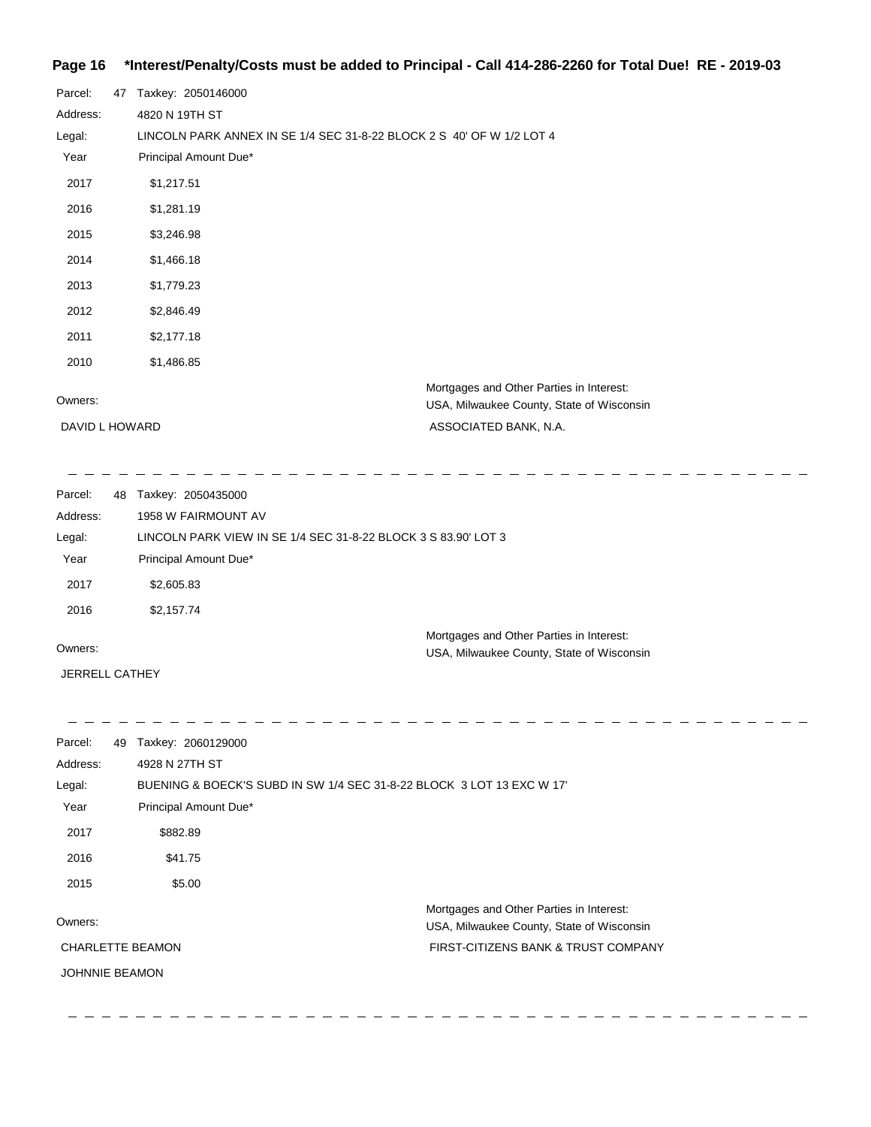#### **Page 16 \*Interest/Penalty/Costs must be added to Principal - Call 414-286-2260 for Total Due! RE - 2019-03**

| Parcel:        | 47 | Taxkey: 2050146000                                                                    |
|----------------|----|---------------------------------------------------------------------------------------|
| Address:       |    | 4820 N 19TH ST                                                                        |
| Legal:         |    | LINCOLN PARK ANNEX IN SE 1/4 SEC 31-8-22 BLOCK 2 S 40' OF W 1/2 LOT 4                 |
| Year           |    | Principal Amount Due*                                                                 |
| 2017           |    | \$1,217.51                                                                            |
| 2016           |    | \$1,281.19                                                                            |
| 2015           |    | \$3,246.98                                                                            |
| 2014           |    | \$1,466.18                                                                            |
| 2013           |    | \$1,779.23                                                                            |
| 2012           |    | \$2,846.49                                                                            |
| 2011           |    | \$2,177.18                                                                            |
| 2010           |    | \$1,486.85                                                                            |
| Owners:        |    | Mortgages and Other Parties in Interest:<br>USA, Milwaukee County, State of Wisconsin |
| DAVID L HOWARD |    | ASSOCIATED BANK, N.A.                                                                 |

------------------------------------- $\overline{\phantom{a}}$  $\frac{1}{2} \left( \frac{1}{2} \right)$ Parcel: 48 Taxkey: 2050435000 1958 W FAIRMOUNT AV Address: Legal: LINCOLN PARK VIEW IN SE 1/4 SEC 31-8-22 BLOCK 3 S 83.90' LOT 3 Year Principal Amount Due\* 2017 \$2,605.83 2016 \$2,157.74 Mortgages and Other Parties in Interest: Owners: USA, Milwaukee County, State of Wisconsin

JERRELL CATHEY

\_ \_ \_ \_ \_ \_ \_ \_ \_ \_ \_ \_

| Parcel:                 | 49 | Taxkey: 2060129000                                                   |                                           |
|-------------------------|----|----------------------------------------------------------------------|-------------------------------------------|
| Address:                |    | 4928 N 27TH ST                                                       |                                           |
| Legal:                  |    | BUENING & BOECK'S SUBD IN SW 1/4 SEC 31-8-22 BLOCK 3 LOT 13 EXC W 17 |                                           |
| Year                    |    | Principal Amount Due*                                                |                                           |
| 2017                    |    | \$882.89                                                             |                                           |
| 2016                    |    | \$41.75                                                              |                                           |
| 2015                    |    | \$5.00                                                               |                                           |
|                         |    |                                                                      | Mortgages and Other Parties in Interest:  |
| Owners:                 |    |                                                                      | USA, Milwaukee County, State of Wisconsin |
| <b>CHARLETTE BEAMON</b> |    |                                                                      | FIRST-CITIZENS BANK & TRUST COMPANY       |
| <b>JOHNNIE BEAMON</b>   |    |                                                                      |                                           |
|                         |    |                                                                      |                                           |

<u> 1991 - 1992 - 1992 - 1992 - 1992 - 1992 - 1993 </u>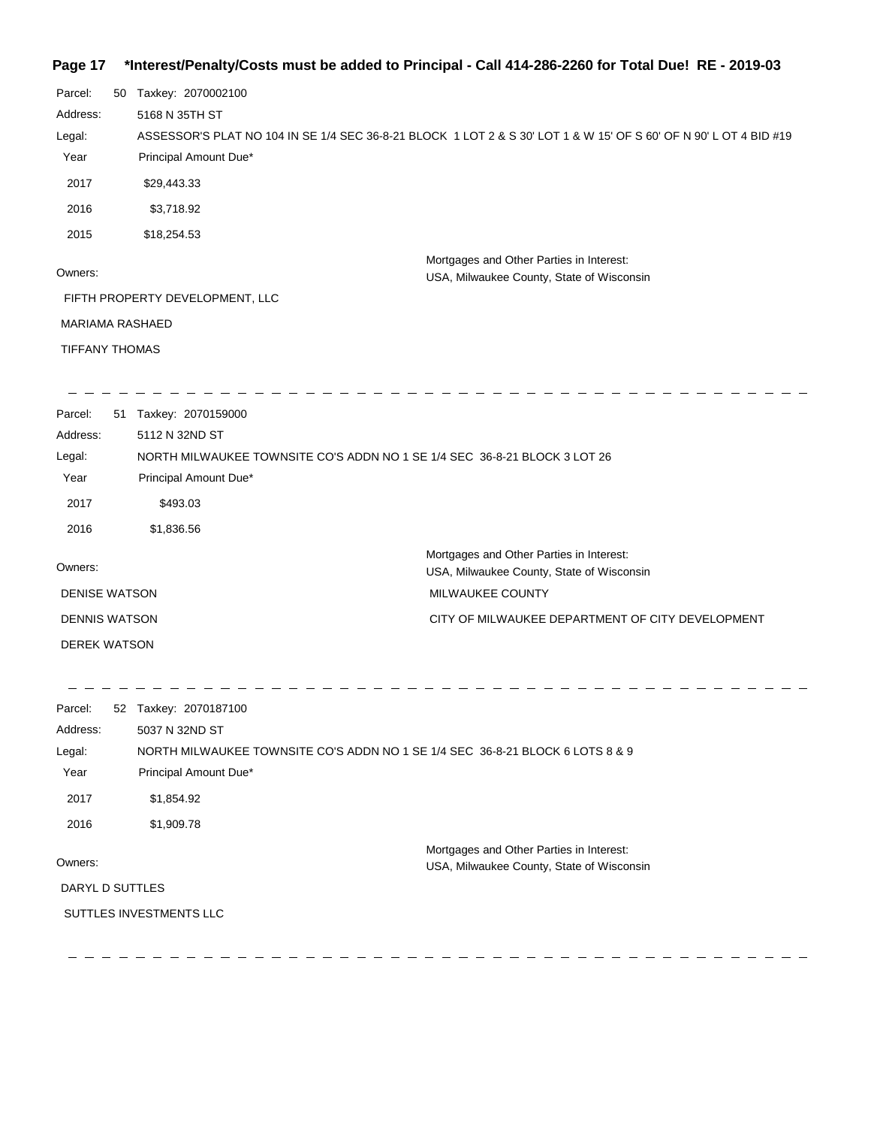#### **Page 17 \*Interest/Penalty/Costs must be added to Principal - Call 414-286-2260 for Total Due! RE - 2019-03**

| Page 17                | "interest/Penaity/Costs must be added to Principal - Call 414-286-2260 for Total Due!" RE - 2019-03               |
|------------------------|-------------------------------------------------------------------------------------------------------------------|
| Parcel:                | 50 Taxkey: 2070002100                                                                                             |
| Address:               | 5168 N 35TH ST                                                                                                    |
| Legal:                 | ASSESSOR'S PLAT NO 104 IN SE 1/4 SEC 36-8-21 BLOCK 1 LOT 2 & S 30' LOT 1 & W 15' OF S 60' OF N 90' L OT 4 BID #19 |
| Year                   | Principal Amount Due*                                                                                             |
| 2017                   | \$29,443.33                                                                                                       |
| 2016                   | \$3,718.92                                                                                                        |
| 2015                   | \$18,254.53                                                                                                       |
| Owners:                | Mortgages and Other Parties in Interest:<br>USA, Milwaukee County, State of Wisconsin                             |
|                        | FIFTH PROPERTY DEVELOPMENT, LLC                                                                                   |
| <b>MARIAMA RASHAED</b> |                                                                                                                   |
| <b>TIFFANY THOMAS</b>  |                                                                                                                   |
| Parcel:                | 51 Taxkey: 2070159000                                                                                             |
| Address:               | 5112 N 32ND ST                                                                                                    |
| Legal:                 | NORTH MILWAUKEE TOWNSITE CO'S ADDN NO 1 SE 1/4 SEC 36-8-21 BLOCK 3 LOT 26                                         |
| Year                   | Principal Amount Due*                                                                                             |
| 2017                   | \$493.03                                                                                                          |
| 2016                   | \$1,836.56                                                                                                        |
| Owners:                | Mortgages and Other Parties in Interest:<br>USA, Milwaukee County, State of Wisconsin                             |
| <b>DENISE WATSON</b>   | MILWAUKEE COUNTY                                                                                                  |
| <b>DENNIS WATSON</b>   | CITY OF MILWAUKEE DEPARTMENT OF CITY DEVELOPMENT                                                                  |
| <b>DEREK WATSON</b>    |                                                                                                                   |
| Parcel:                | 52 Taxkey: 2070187100                                                                                             |
| Address:               | 5037 N 32ND ST                                                                                                    |
| Legal:                 | NORTH MILWAUKEE TOWNSITE CO'S ADDN NO 1 SE 1/4 SEC 36-8-21 BLOCK 6 LOTS 8 & 9                                     |
| Year                   | Principal Amount Due*                                                                                             |
| 2017                   | \$1,854.92                                                                                                        |
| 2016                   | \$1,909.78                                                                                                        |

#### Owners:

DARYL D SUTTLES

SUTTLES INVESTMENTS LLC

Mortgages and Other Parties in Interest:

USA, Milwaukee County, State of Wisconsin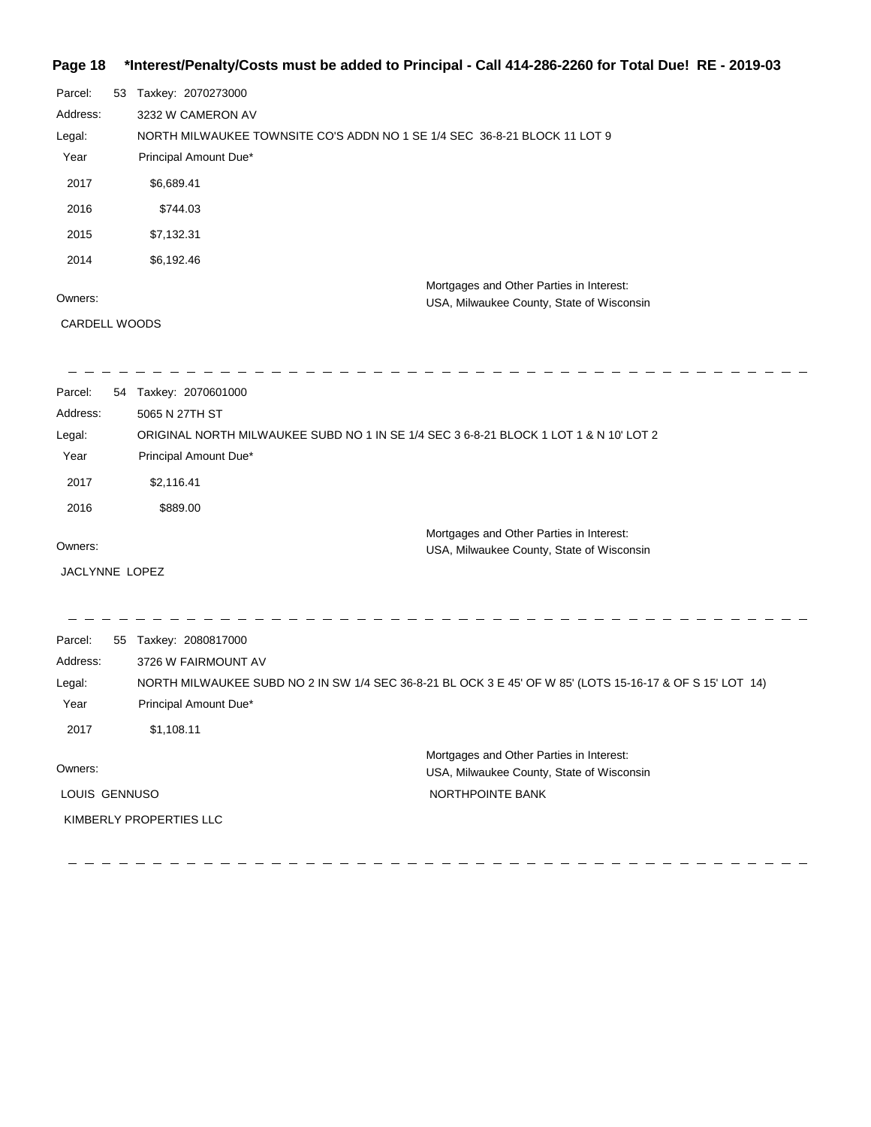#### **Page 18 \*Interest/Penalty/Costs must be added to Principal - Call 414-286-2260 for Total Due! RE - 2019-03**

| Parcel:  | 53 | Taxkey: 2070273000                                                        |
|----------|----|---------------------------------------------------------------------------|
| Address: |    | 3232 W CAMERON AV                                                         |
| Legal:   |    | NORTH MILWAUKEE TOWNSITE CO'S ADDN NO 1 SE 1/4 SEC 36-8-21 BLOCK 11 LOT 9 |
| Year     |    | Principal Amount Due*                                                     |
| 2017     |    | \$6,689.41                                                                |
| 2016     |    | \$744.03                                                                  |
| 2015     |    | \$7,132.31                                                                |
| 2014     |    | \$6,192.46                                                                |
|          |    | Mortgages and Other Parties in Interest:                                  |
| Owners:  |    | USA, Milwaukee County, State of Wisconsin                                 |

#### Owners:

CARDELL WOODS

| Parcel:        |    | 54 Taxkey: 2070601000                                                                                     |
|----------------|----|-----------------------------------------------------------------------------------------------------------|
| Address:       |    | 5065 N 27TH ST                                                                                            |
| Legal:         |    | ORIGINAL NORTH MILWAUKEE SUBD NO 1 IN SE 1/4 SEC 3 6-8-21 BLOCK 1 LOT 1 & N 10' LOT 2                     |
| Year           |    | Principal Amount Due*                                                                                     |
| 2017           |    | \$2,116.41                                                                                                |
| 2016           |    | \$889.00                                                                                                  |
|                |    | Mortgages and Other Parties in Interest:                                                                  |
| Owners:        |    | USA, Milwaukee County, State of Wisconsin                                                                 |
| JACLYNNE LOPEZ |    |                                                                                                           |
|                |    |                                                                                                           |
|                |    |                                                                                                           |
| Parcel:        | 55 | Taxkey: 2080817000                                                                                        |
| Address:       |    | 3726 W FAIRMOUNT AV                                                                                       |
| Legal:         |    | NORTH MILWAUKEE SUBD NO 2 IN SW 1/4 SEC 36-8-21 BL OCK 3 E 45' OF W 85' (LOTS 15-16-17 & OF S 15' LOT 14) |
| Year           |    | Principal Amount Due*                                                                                     |
| 2017           |    | \$1,108.11                                                                                                |
| Owners:        |    | Mortgages and Other Parties in Interest:                                                                  |
|                |    | USA, Milwaukee County, State of Wisconsin                                                                 |
| LOUIS GENNUSO  |    | NORTHPOINTE BANK                                                                                          |
|                |    | KIMBERLY PROPERTIES LLC                                                                                   |
|                |    |                                                                                                           |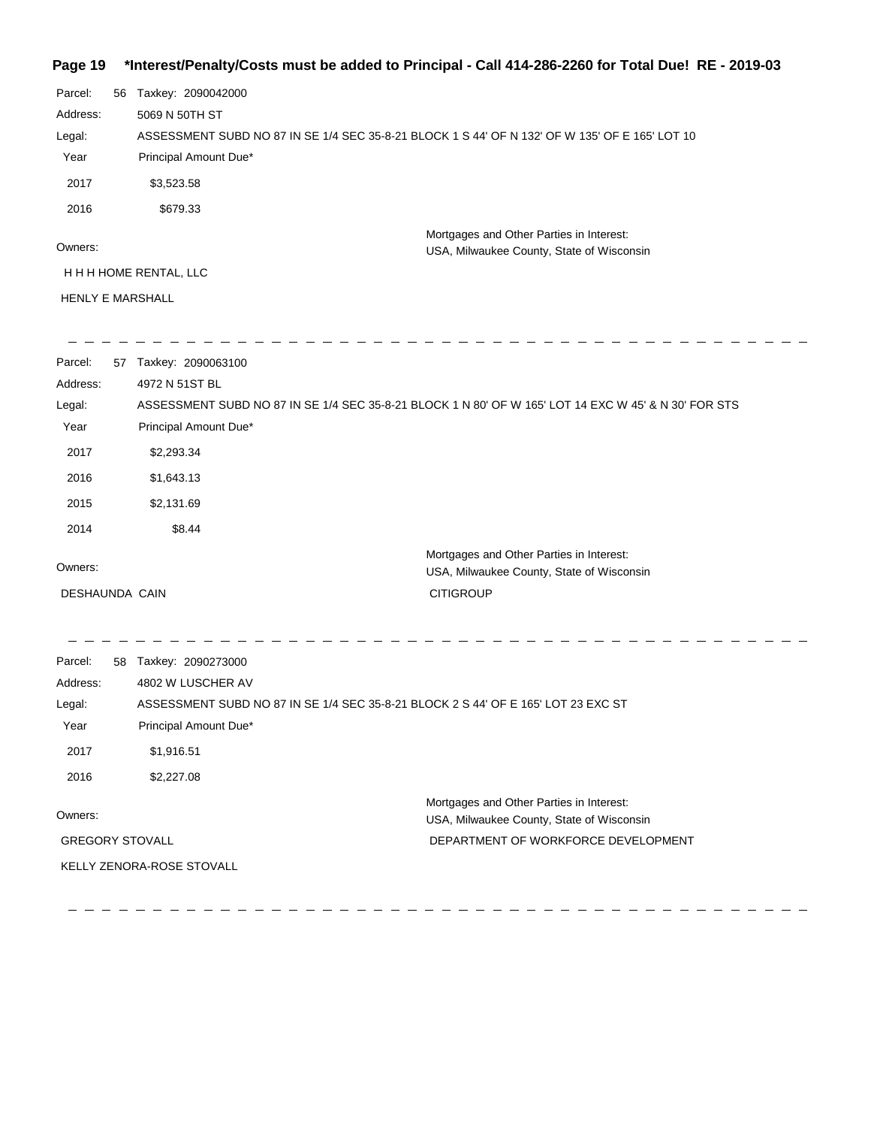# **Page 19 \*Interest/Penalty/Costs must be added to Principal - Call 414-286-2260 for Total Due! RE - 2019-03**

| Parcel:                 | 56 | Taxkey: 2090042000                                                                             |  |  |
|-------------------------|----|------------------------------------------------------------------------------------------------|--|--|
| Address:                |    | 5069 N 50TH ST                                                                                 |  |  |
| Legal:                  |    | ASSESSMENT SUBD NO 87 IN SE 1/4 SEC 35-8-21 BLOCK 1 S 44' OF N 132' OF W 135' OF E 165' LOT 10 |  |  |
| Year                    |    | Principal Amount Due*                                                                          |  |  |
| 2017                    |    | \$3,523.58                                                                                     |  |  |
| 2016                    |    | \$679.33                                                                                       |  |  |
| Owners:                 |    | Mortgages and Other Parties in Interest:<br>USA, Milwaukee County, State of Wisconsin          |  |  |
| H H H HOME RENTAL, LLC  |    |                                                                                                |  |  |
| <b>HENLY E MARSHALL</b> |    |                                                                                                |  |  |

| Parcel:<br>Address:<br>Legal:<br>Year | 57 Taxkey: 2090063100<br>4972 N 51ST BL<br>ASSESSMENT SUBD NO 87 IN SE 1/4 SEC 35-8-21 BLOCK 1 N 80' OF W 165' LOT 14 EXC W 45' & N 30' FOR STS<br>Principal Amount Due* |                                                                                  |
|---------------------------------------|--------------------------------------------------------------------------------------------------------------------------------------------------------------------------|----------------------------------------------------------------------------------|
| 2017                                  | \$2,293.34                                                                                                                                                               |                                                                                  |
| 2016                                  | \$1,643.13                                                                                                                                                               |                                                                                  |
| 2015                                  | \$2,131.69                                                                                                                                                               |                                                                                  |
| 2014                                  | \$8.44                                                                                                                                                                   |                                                                                  |
| Owners:                               | Mortgages and Other Parties in Interest:<br>DESHAUNDA CAIN<br><b>CITIGROUP</b>                                                                                           | USA, Milwaukee County, State of Wisconsin                                        |
| Parcel:<br>Address:<br>Legal:<br>Year | 58 Taxkey: 2090273000<br>4802 W LUSCHER AV<br>ASSESSMENT SUBD NO 87 IN SE 1/4 SEC 35-8-21 BLOCK 2 S 44' OF E 165' LOT 23 EXC ST<br>Principal Amount Due*                 |                                                                                  |
| 2017                                  | \$1,916.51                                                                                                                                                               |                                                                                  |
| 2016                                  | \$2,227.08                                                                                                                                                               |                                                                                  |
| Owners:                               | Mortgages and Other Parties in Interest:<br><b>GREGORY STOVALL</b><br>KELLY ZENORA-ROSE STOVALL                                                                          | USA, Milwaukee County, State of Wisconsin<br>DEPARTMENT OF WORKFORCE DEVELOPMENT |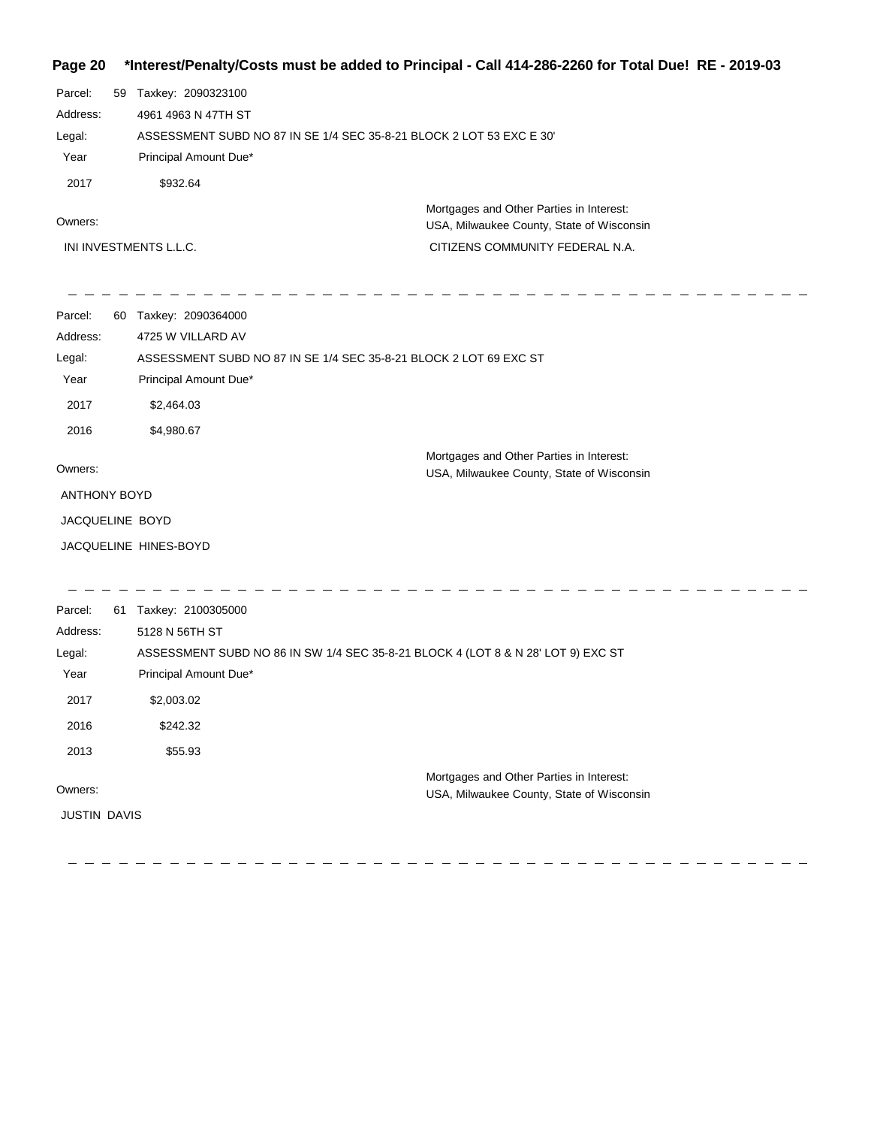**Page 20 \*Interest/Penalty/Costs must be added to Principal - Call 414-286-2260 for Total Due! RE - 2019-03**

Parcel: 59 Taxkey: 2090323100 4961 4963 N 47TH ST Address: ASSESSMENT SUBD NO 87 IN SE 1/4 SEC 35-8-21 BLOCK 2 LOT 53 EXC E 30' Legal: Year Principal Amount Due\* 2017 \$932.64 Mortgages and Other Parties in Interest: Owners: USA, Milwaukee County, State of Wisconsin INI INVESTMENTS L.L.C. CITIZENS COMMUNITY FEDERAL N.A.  $\frac{1}{2} \frac{1}{2} \frac{1}{2} \frac{1}{2} \frac{1}{2} \frac{1}{2} \frac{1}{2} \frac{1}{2} \frac{1}{2} \frac{1}{2} \frac{1}{2} \frac{1}{2} \frac{1}{2} \frac{1}{2} \frac{1}{2} \frac{1}{2} \frac{1}{2} \frac{1}{2} \frac{1}{2} \frac{1}{2} \frac{1}{2} \frac{1}{2} \frac{1}{2} \frac{1}{2} \frac{1}{2} \frac{1}{2} \frac{1}{2} \frac{1}{2} \frac{1}{2} \frac{1}{2} \frac{1}{2} \frac{$ Parcel: 60 Taxkey: 2090364000 4725 W VILLARD AV Address: ASSESSMENT SUBD NO 87 IN SE 1/4 SEC 35-8-21 BLOCK 2 LOT 69 EXC ST Legal: Year Principal Amount Due\* 2017 \$2,464.03 2016 \$4,980.67 Mortgages and Other Parties in Interest: Owners: USA, Milwaukee County, State of Wisconsin ANTHONY BOYD JACQUELINE BOYD JACQUELINE HINES-BOYD Parcel: 61 Taxkey: 2100305000 Address: 5128 N 56TH ST ASSESSMENT SUBD NO 86 IN SW 1/4 SEC 35-8-21 BLOCK 4 (LOT 8 & N 28' LOT 9) EXC ST Legal: Year Principal Amount Due\* 2017 \$2,003.02 2016 \$242.32 2013 \$55.93 Mortgages and Other Parties in Interest: Owners: USA, Milwaukee County, State of Wisconsin JUSTIN DAVIS

 $- - - - - - - - - -$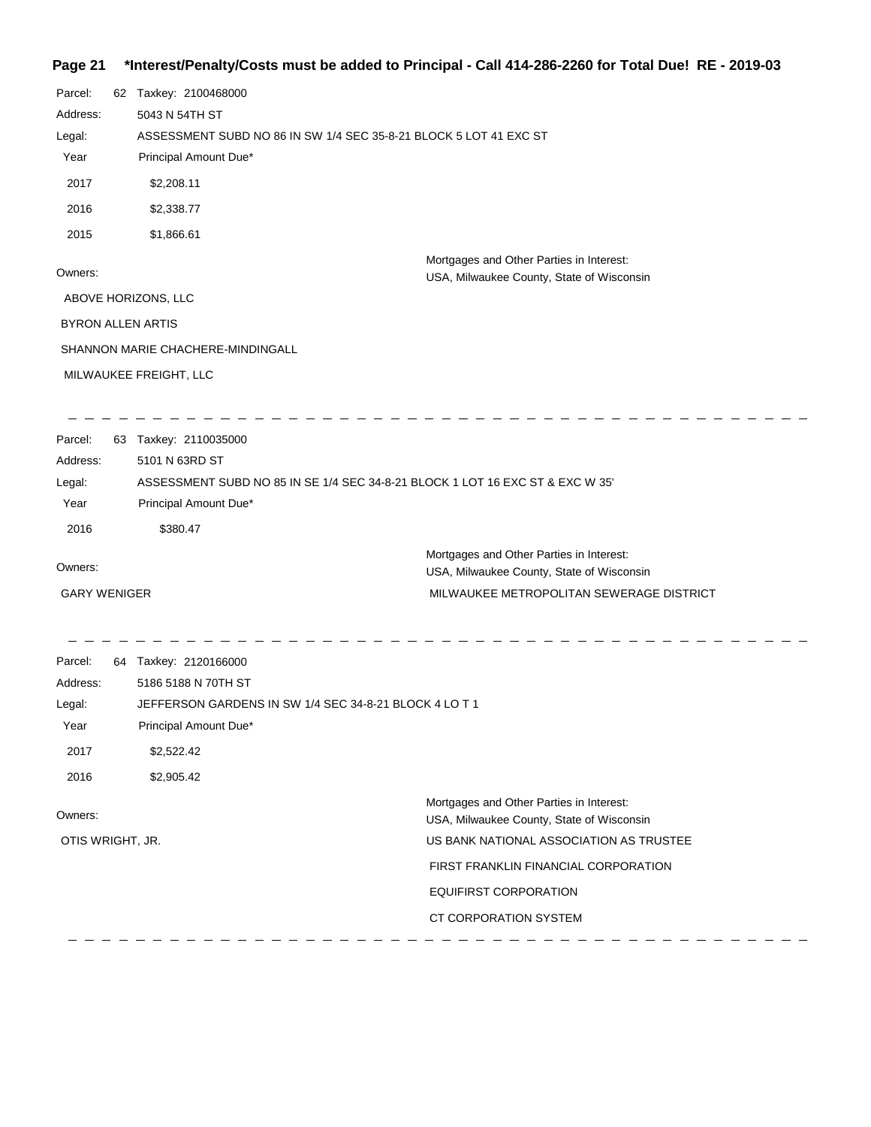# **Page 21 \*Interest/Penalty/Costs must be added to Principal - Call 414-286-2260 for Total Due! RE - 2019-03**

| Parcel:  |                                   | 62 Taxkey: 2100468000                                                                 |  |  |
|----------|-----------------------------------|---------------------------------------------------------------------------------------|--|--|
| Address: |                                   | 5043 N 54TH ST                                                                        |  |  |
| Legal:   |                                   | ASSESSMENT SUBD NO 86 IN SW 1/4 SEC 35-8-21 BLOCK 5 LOT 41 EXC ST                     |  |  |
| Year     |                                   | Principal Amount Due*                                                                 |  |  |
| 2017     |                                   | \$2,208.11                                                                            |  |  |
| 2016     |                                   | \$2,338.77                                                                            |  |  |
| 2015     |                                   | \$1,866.61                                                                            |  |  |
| Owners:  |                                   | Mortgages and Other Parties in Interest:<br>USA, Milwaukee County, State of Wisconsin |  |  |
|          |                                   | ABOVE HORIZONS, LLC                                                                   |  |  |
|          | <b>BYRON ALLEN ARTIS</b>          |                                                                                       |  |  |
|          | SHANNON MARIE CHACHERE-MINDINGALL |                                                                                       |  |  |
|          |                                   | MILWAUKEE FREIGHT, LLC                                                                |  |  |
|          |                                   |                                                                                       |  |  |
| Parcel:  | 63                                | Taxkey: 2110035000                                                                    |  |  |
| Address: |                                   | 5101 N 63RD ST                                                                        |  |  |

| Parcel:                                                                                 |  | 63 Taxkey: 2110035000                     |
|-----------------------------------------------------------------------------------------|--|-------------------------------------------|
| Address:                                                                                |  | 5101 N 63RD ST                            |
| Legal:<br>ASSESSMENT SUBD NO 85 IN SE 1/4 SEC 34-8-21 BLOCK 1 LOT 16 EXC ST & EXC W 35' |  |                                           |
| Year                                                                                    |  | Principal Amount Due*                     |
| 2016                                                                                    |  | \$380.47                                  |
| Owners:                                                                                 |  | Mortgages and Other Parties in Interest:  |
|                                                                                         |  | USA, Milwaukee County, State of Wisconsin |
| <b>GARY WENIGER</b>                                                                     |  | MILWAUKEE METROPOLITAN SEWERAGE DISTRICT  |

| Parcel:          | 64 | Taxkey: 2120166000                                     |                                                                                       |
|------------------|----|--------------------------------------------------------|---------------------------------------------------------------------------------------|
| Address:         |    | 5186 5188 N 70TH ST                                    |                                                                                       |
| Legal:           |    | JEFFERSON GARDENS IN SW 1/4 SEC 34-8-21 BLOCK 4 LO T 1 |                                                                                       |
| Year             |    | Principal Amount Due*                                  |                                                                                       |
| 2017             |    | \$2,522.42                                             |                                                                                       |
| 2016             |    | \$2,905.42                                             |                                                                                       |
| Owners:          |    |                                                        | Mortgages and Other Parties in Interest:<br>USA, Milwaukee County, State of Wisconsin |
| OTIS WRIGHT, JR. |    |                                                        | US BANK NATIONAL ASSOCIATION AS TRUSTEE                                               |
|                  |    |                                                        | FIRST FRANKLIN FINANCIAL CORPORATION                                                  |
|                  |    |                                                        | <b>EQUIFIRST CORPORATION</b>                                                          |
|                  |    |                                                        | CT CORPORATION SYSTEM                                                                 |
|                  |    |                                                        |                                                                                       |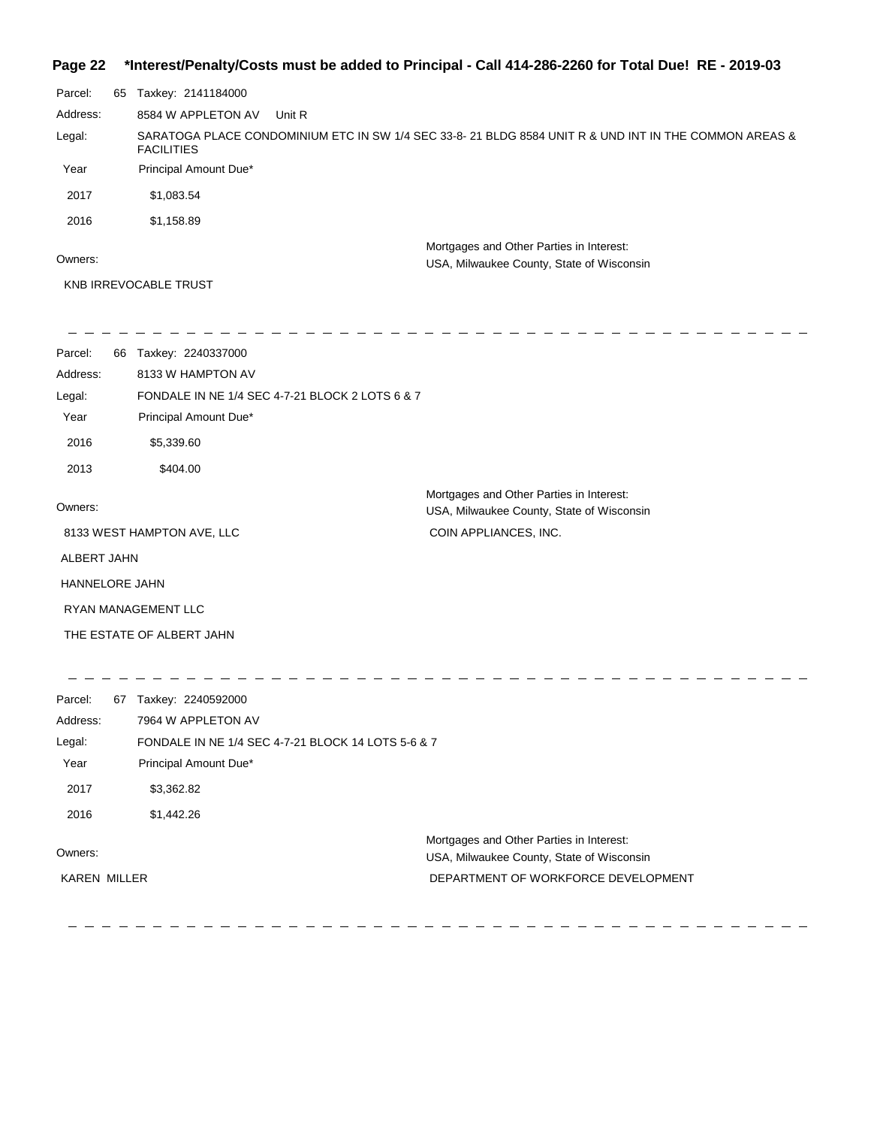#### **Page 22 \*Interest/Penalty/Costs must be added to Principal - Call 414-286-2260 for Total Due! RE - 2019-03**

| Parcel:  | 65 | Taxkey: 2141184000                                                                                                         |
|----------|----|----------------------------------------------------------------------------------------------------------------------------|
| Address: |    | 8584 W APPLETON AV<br>Unit R                                                                                               |
| Legal:   |    | SARATOGA PLACE CONDOMINIUM ETC IN SW 1/4 SEC 33-8-21 BLDG 8584 UNIT R & UND INT IN THE COMMON AREAS &<br><b>FACILITIES</b> |
| Year     |    | Principal Amount Due*                                                                                                      |
| 2017     |    | \$1.083.54                                                                                                                 |
| 2016     |    | \$1,158.89                                                                                                                 |
|          |    | Mortgages and Other Parties in Interest:                                                                                   |

Owners:

USA, Milwaukee County, State of Wisconsin

- - - - - - - - - -

- -

KNB IRREVOCABLE TRUST

| Parcel:<br>66         | Taxkey: 2240337000                              |                                                                                       |
|-----------------------|-------------------------------------------------|---------------------------------------------------------------------------------------|
| Address:              | 8133 W HAMPTON AV                               |                                                                                       |
| Legal:                | FONDALE IN NE 1/4 SEC 4-7-21 BLOCK 2 LOTS 6 & 7 |                                                                                       |
| Year                  | Principal Amount Due*                           |                                                                                       |
| 2016                  | \$5,339.60                                      |                                                                                       |
| 2013                  | \$404.00                                        |                                                                                       |
| Owners:               |                                                 | Mortgages and Other Parties in Interest:<br>USA, Milwaukee County, State of Wisconsin |
|                       | 8133 WEST HAMPTON AVE, LLC                      | COIN APPLIANCES, INC.                                                                 |
| ALBERT JAHN           |                                                 |                                                                                       |
| <b>HANNELORE JAHN</b> |                                                 |                                                                                       |
|                       | <b>RYAN MANAGEMENT LLC</b>                      |                                                                                       |
|                       | THE ESTATE OF ALBERT JAHN                       |                                                                                       |

| Parcel:             | 67 | Taxkey: 2240592000                                 |
|---------------------|----|----------------------------------------------------|
| Address:            |    | 7964 W APPLETON AV                                 |
| Legal:              |    | FONDALE IN NE 1/4 SEC 4-7-21 BLOCK 14 LOTS 5-6 & 7 |
| Year                |    | Principal Amount Due*                              |
| 2017                |    | \$3,362.82                                         |
| 2016                |    | \$1,442.26                                         |
|                     |    | Mortgages and Other Parties in Interest:           |
| Owners:             |    | USA, Milwaukee County, State of Wisconsin          |
| <b>KAREN MILLER</b> |    | DEPARTMENT OF WORKFORCE DEVELOPMENT                |
|                     |    |                                                    |

- - - - - - - - - - - - - - - -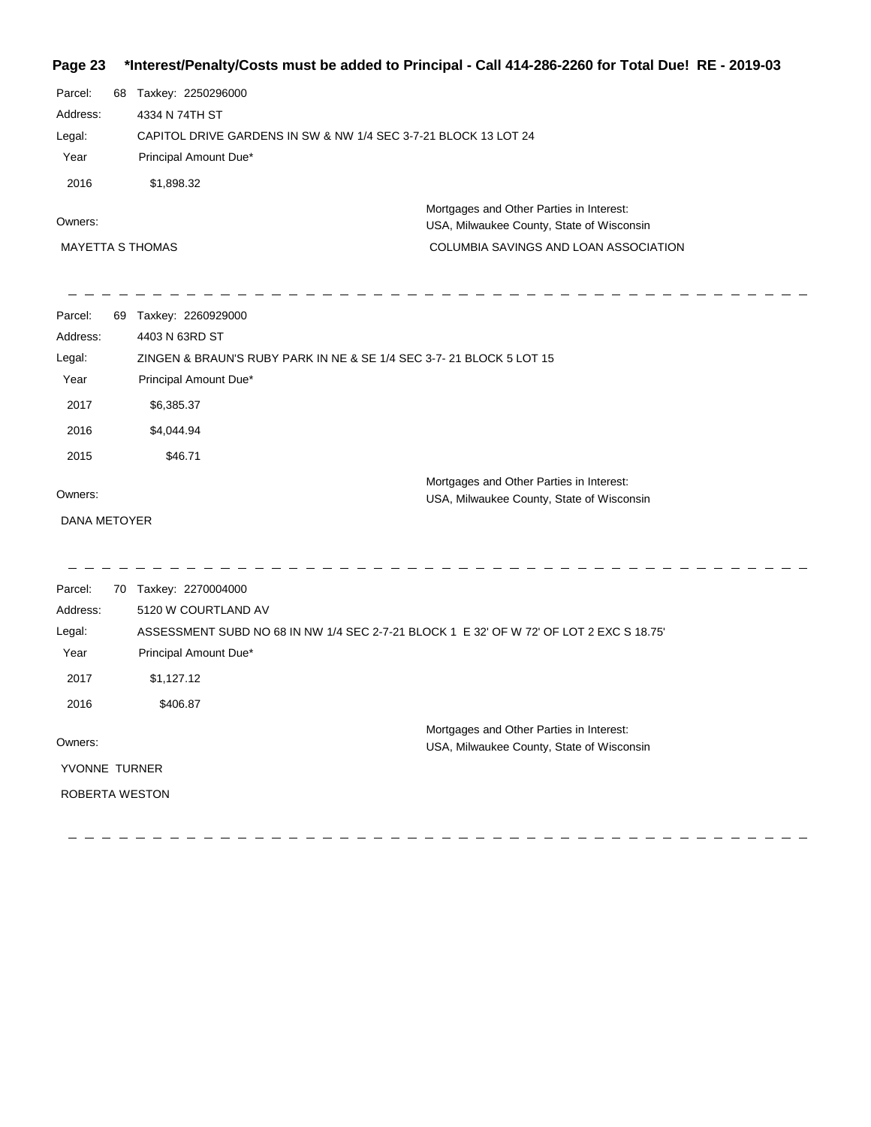#### **Page 23 \*Interest/Penalty/Costs must be added to Principal - Call 414-286-2260 for Total Due! RE - 2019-03**

| Parcel:                 | 68 | Taxkey: 2250296000                                              |
|-------------------------|----|-----------------------------------------------------------------|
| Address:                |    | 4334 N 74TH ST                                                  |
| Legal:                  |    | CAPITOL DRIVE GARDENS IN SW & NW 1/4 SEC 3-7-21 BLOCK 13 LOT 24 |
| Year                    |    | Principal Amount Due*                                           |
| 2016                    |    | \$1,898.32                                                      |
| Owners:                 |    | Mortgages and Other Parties in Interest:                        |
|                         |    | USA, Milwaukee County, State of Wisconsin                       |
| <b>MAYETTA S THOMAS</b> |    | COLUMBIA SAVINGS AND LOAN ASSOCIATION                           |

| Parcel:      | 69 | Taxkey: 2260929000                                                                      |
|--------------|----|-----------------------------------------------------------------------------------------|
| Address:     |    | 4403 N 63RD ST                                                                          |
| Legal:       |    | ZINGEN & BRAUN'S RUBY PARK IN NE & SE 1/4 SEC 3-7-21 BLOCK 5 LOT 15                     |
| Year         |    | Principal Amount Due*                                                                   |
| 2017         |    | \$6,385.37                                                                              |
| 2016         |    | \$4,044.94                                                                              |
| 2015         |    | \$46.71                                                                                 |
| Owners:      |    | Mortgages and Other Parties in Interest:<br>USA, Milwaukee County, State of Wisconsin   |
| DANA METOYER |    |                                                                                         |
|              |    |                                                                                         |
| Parcel:      | 70 | Taxkey: 2270004000                                                                      |
| Address:     |    | 5120 W COURTLAND AV                                                                     |
| Legal:       |    | ASSESSMENT SUBD NO 68 IN NW 1/4 SEC 2-7-21 BLOCK 1 E 32' OF W 72' OF LOT 2 EXC S 18.75' |
| Year         |    | Principal Amount Due*                                                                   |
| 2017         |    | \$1,127.12                                                                              |
| 2016         |    | \$406.87                                                                                |

 $- - - - - - - - - - - -$ 

---------------

Owners: Mortgages and Other Parties in Interest: USA, Milwaukee County, State of Wisconsin YVONNE TURNER ROBERTA WESTON

-------------------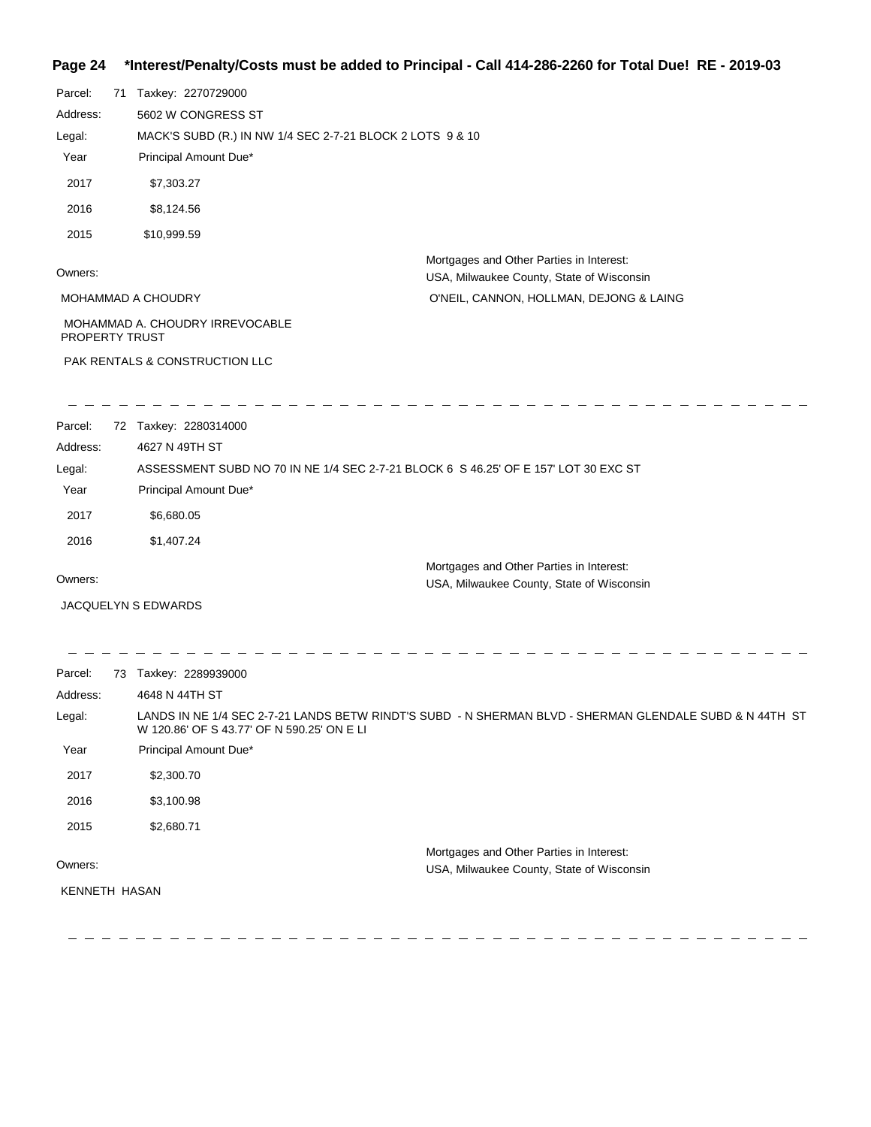# **Page 24 \*Interest/Penalty/Costs must be added to Principal - Call 414-286-2260 for Total Due! RE - 2019-03**

| Parcel:               | 71 | Taxkey: 2270729000                                        |                                                                                       |
|-----------------------|----|-----------------------------------------------------------|---------------------------------------------------------------------------------------|
| Address:              |    | 5602 W CONGRESS ST                                        |                                                                                       |
| Legal:                |    | MACK'S SUBD (R.) IN NW 1/4 SEC 2-7-21 BLOCK 2 LOTS 9 & 10 |                                                                                       |
| Year                  |    | Principal Amount Due*                                     |                                                                                       |
| 2017                  |    | \$7,303.27                                                |                                                                                       |
| 2016                  |    | \$8,124.56                                                |                                                                                       |
| 2015                  |    | \$10,999.59                                               |                                                                                       |
| Owners:               |    |                                                           | Mortgages and Other Parties in Interest:<br>USA, Milwaukee County, State of Wisconsin |
|                       |    | <b>MOHAMMAD A CHOUDRY</b>                                 | O'NEIL, CANNON, HOLLMAN, DEJONG & LAING                                               |
| <b>PROPERTY TRUST</b> |    | MOHAMMAD A. CHOUDRY IRREVOCABLE                           |                                                                                       |
|                       |    | PAK RENTALS & CONSTRUCTION LLC                            |                                                                                       |
|                       |    |                                                           |                                                                                       |
| Parcel:               |    | 72 Taxkey: 2280314000                                     |                                                                                       |

| Address: | 4627 N 49TH ST                                                                      |  |
|----------|-------------------------------------------------------------------------------------|--|
| Legal:   | ASSESSMENT SUBD NO 70 IN NE 1/4 SEC 2-7-21 BLOCK 6 S 46.25' OF E 157' LOT 30 EXC ST |  |
| Year     | Principal Amount Due*                                                               |  |
| 2017     | \$6,680.05                                                                          |  |
| 2016     | \$1,407.24                                                                          |  |
|          | Mortgages and Other Parties in Interest:                                            |  |
| Owners:  | USA, Milwaukee County, State of Wisconsin                                           |  |

JACQUELYN S EDWARDS

 $-\;-\;$ 

| Parcel:       | 73 | Taxkey: 2289939000                                                                                                                                    |
|---------------|----|-------------------------------------------------------------------------------------------------------------------------------------------------------|
| Address:      |    | 4648 N 44TH ST                                                                                                                                        |
| Legal:        |    | LANDS IN NE 1/4 SEC 2-7-21 LANDS BETW RINDT'S SUBD - N SHERMAN BLVD - SHERMAN GLENDALE SUBD & N 44TH ST<br>W 120.86' OF S 43.77' OF N 590.25' ON E LI |
| Year          |    | Principal Amount Due*                                                                                                                                 |
| 2017          |    | \$2,300.70                                                                                                                                            |
| 2016          |    | \$3,100.98                                                                                                                                            |
| 2015          |    | \$2,680.71                                                                                                                                            |
|               |    | Mortgages and Other Parties in Interest:                                                                                                              |
| Owners:       |    | USA, Milwaukee County, State of Wisconsin                                                                                                             |
| KENNETH HASAN |    |                                                                                                                                                       |

 $-$ 

 $\qquad \qquad - \ - \ -$ 

 $\frac{1}{2}$ 

 $\overline{\phantom{m}}$  $\hspace{0.1cm} \hspace{0.1cm} \hspace{0.1cm} \hspace{0.1cm} \hspace{0.1cm} \hspace{0.1cm} \hspace{0.1cm} \hspace{0.1cm} \hspace{0.1cm} \hspace{0.1cm} \hspace{0.1cm} \hspace{0.1cm} \hspace{0.1cm} \hspace{0.1cm} \hspace{0.1cm}$   $\frac{1}{2}$ 

 $\hspace{0.1cm} - \hspace{0.1cm}$   $\hspace{0.1cm} - \hspace{0.1cm}$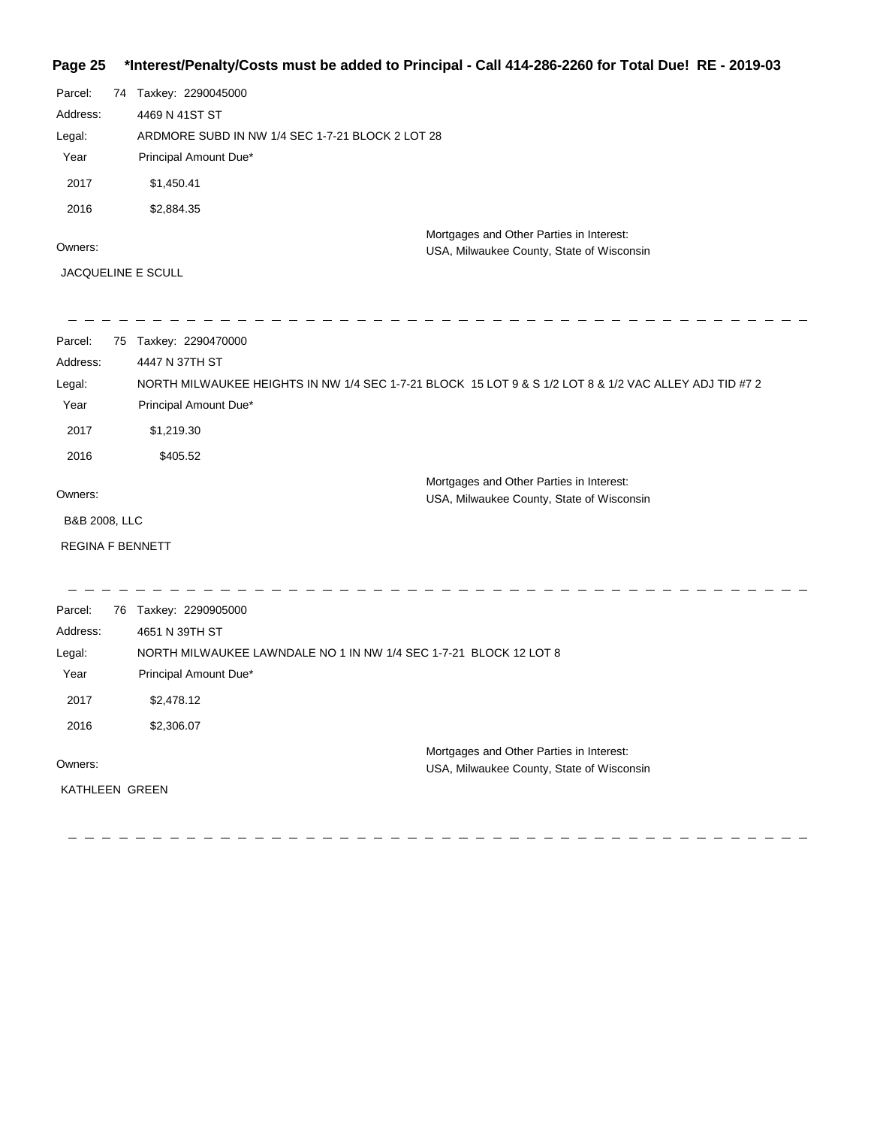# **Page 25 \*Interest/Penalty/Costs must be added to Principal - Call 414-286-2260 for Total Due! RE - 2019-03**

| Parcel:  | 74 | Taxkey: 2290045000                               |                                                                                       |
|----------|----|--------------------------------------------------|---------------------------------------------------------------------------------------|
| Address: |    | 4469 N 41ST ST                                   |                                                                                       |
| Legal:   |    | ARDMORE SUBD IN NW 1/4 SEC 1-7-21 BLOCK 2 LOT 28 |                                                                                       |
| Year     |    | Principal Amount Due*                            |                                                                                       |
| 2017     |    | \$1,450.41                                       |                                                                                       |
| 2016     |    | \$2,884.35                                       |                                                                                       |
| Owners:  |    |                                                  | Mortgages and Other Parties in Interest:<br>USA, Milwaukee County, State of Wisconsin |

JACQUELINE E SCULL

| Parcel:                 | 75 | Taxkey: 2290470000                                                                                     |
|-------------------------|----|--------------------------------------------------------------------------------------------------------|
| Address:                |    | 4447 N 37TH ST                                                                                         |
| Legal:                  |    | NORTH MILWAUKEE HEIGHTS IN NW 1/4 SEC 1-7-21 BLOCK 15 LOT 9 & S 1/2 LOT 8 & 1/2 VAC ALLEY ADJ TID #7 2 |
| Year                    |    | Principal Amount Due*                                                                                  |
| 2017                    |    | \$1,219.30                                                                                             |
| 2016                    |    | \$405.52                                                                                               |
|                         |    | Mortgages and Other Parties in Interest:                                                               |
| Owners:                 |    | USA, Milwaukee County, State of Wisconsin                                                              |
| B&B 2008, LLC           |    |                                                                                                        |
| <b>REGINA F BENNETT</b> |    |                                                                                                        |
|                         |    |                                                                                                        |
| Parcel:                 |    | 76 Taxkey: 2290905000                                                                                  |
| Address:                |    | 4651 N 39TH ST                                                                                         |
| Legal:                  |    | NORTH MILWAUKEE LAWNDALE NO 1 IN NW 1/4 SEC 1-7-21 BLOCK 12 LOT 8                                      |
| Year                    |    | Principal Amount Due*                                                                                  |
| 2017                    |    | \$2,478.12                                                                                             |
| 2016                    |    | \$2,306.07                                                                                             |
|                         |    | Mortgages and Other Parties in Interest:                                                               |
| Owners:                 |    | USA, Milwaukee County, State of Wisconsin                                                              |
| KATHLEEN GREEN          |    |                                                                                                        |
|                         |    |                                                                                                        |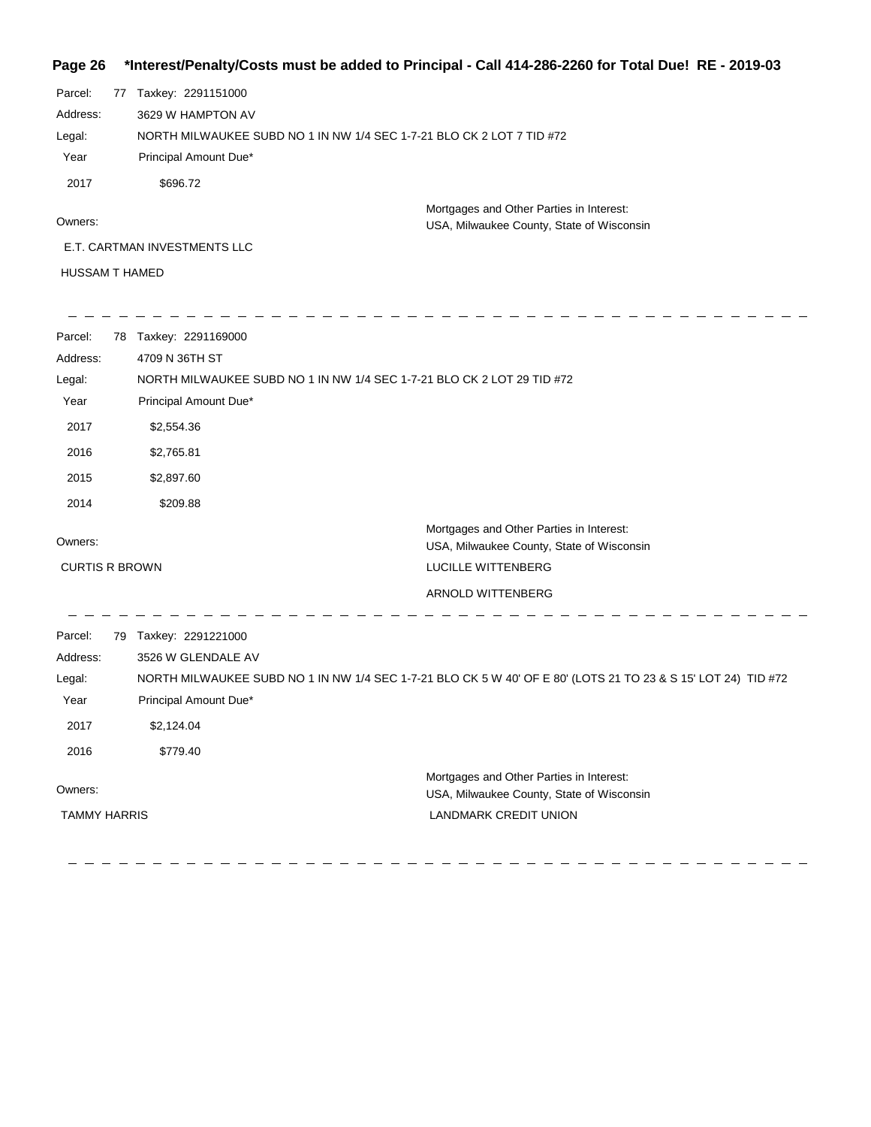#### **Page 26 \*Interest/Penalty/Costs must be added to Principal - Call 414-286-2260 for Total Due! RE - 2019-03**

| Parcel:               | 77 | Taxkey: 2291151000                                                    |                                           |
|-----------------------|----|-----------------------------------------------------------------------|-------------------------------------------|
| Address:              |    | 3629 W HAMPTON AV                                                     |                                           |
| Legal:                |    | NORTH MILWAUKEE SUBD NO 1 IN NW 1/4 SEC 1-7-21 BLO CK 2 LOT 7 TID #72 |                                           |
| Year                  |    | Principal Amount Due*                                                 |                                           |
| 2017                  |    | \$696.72                                                              |                                           |
| Owners:               |    |                                                                       | Mortgages and Other Parties in Interest:  |
|                       |    |                                                                       | USA, Milwaukee County, State of Wisconsin |
|                       |    | E.T. CARTMAN INVESTMENTS LLC                                          |                                           |
| <b>HUSSAM T HAMED</b> |    |                                                                       |                                           |

| Parcel:               | 78 Taxkey: 2291169000                                                  |                                                                                                               |
|-----------------------|------------------------------------------------------------------------|---------------------------------------------------------------------------------------------------------------|
| Address:              | 4709 N 36TH ST                                                         |                                                                                                               |
| Legal:                | NORTH MILWAUKEE SUBD NO 1 IN NW 1/4 SEC 1-7-21 BLO CK 2 LOT 29 TID #72 |                                                                                                               |
| Year                  | Principal Amount Due*                                                  |                                                                                                               |
| 2017                  | \$2,554.36                                                             |                                                                                                               |
| 2016                  | \$2,765.81                                                             |                                                                                                               |
| 2015                  | \$2,897.60                                                             |                                                                                                               |
| 2014                  | \$209.88                                                               |                                                                                                               |
| Owners:               |                                                                        | Mortgages and Other Parties in Interest:<br>USA, Milwaukee County, State of Wisconsin                         |
| <b>CURTIS R BROWN</b> |                                                                        | LUCILLE WITTENBERG                                                                                            |
|                       |                                                                        | ARNOLD WITTENBERG                                                                                             |
| Parcel:               | 79 Taxkey: 2291221000                                                  |                                                                                                               |
| Address:              | 3526 W GLENDALE AV                                                     |                                                                                                               |
| Legal:                |                                                                        | NORTH MILWAUKEE SUBD NO 1 IN NW 1/4 SEC 1-7-21 BLO CK 5 W 40' OF E 80' (LOTS 21 TO 23 & S 15' LOT 24) TID #72 |
| Year                  | Principal Amount Due*                                                  |                                                                                                               |
| 2017                  | \$2,124.04                                                             |                                                                                                               |
| 2016                  | \$779.40                                                               |                                                                                                               |
| Owners:               |                                                                        | Mortgages and Other Parties in Interest:<br>USA, Milwaukee County, State of Wisconsin                         |
| <b>TAMMY HARRIS</b>   |                                                                        | <b>LANDMARK CREDIT UNION</b>                                                                                  |
|                       |                                                                        |                                                                                                               |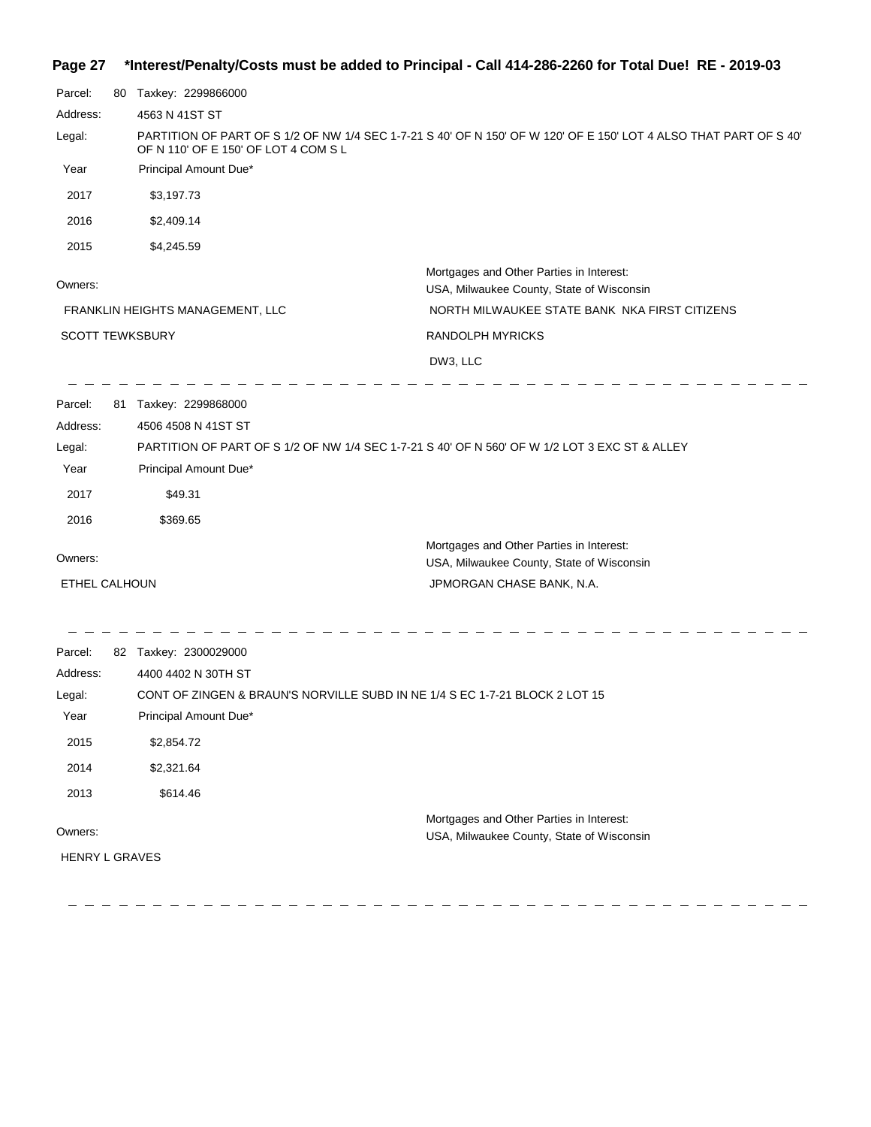# **Page 27 \*Interest/Penalty/Costs must be added to Principal - Call 414-286-2260 for Total Due! RE - 2019-03**

| Parcel:                | 80 Taxkey: 2299866000                                                                         |                                                                                                                   |
|------------------------|-----------------------------------------------------------------------------------------------|-------------------------------------------------------------------------------------------------------------------|
| Address:               | 4563 N 41ST ST                                                                                |                                                                                                                   |
| Legal:                 | OF N 110' OF E 150' OF LOT 4 COM S L                                                          | PARTITION OF PART OF S 1/2 OF NW 1/4 SEC 1-7-21 S 40' OF N 150' OF W 120' OF E 150' LOT 4 ALSO THAT PART OF S 40' |
| Year                   | Principal Amount Due*                                                                         |                                                                                                                   |
| 2017                   | \$3,197.73                                                                                    |                                                                                                                   |
| 2016                   | \$2,409.14                                                                                    |                                                                                                                   |
| 2015                   | \$4,245.59                                                                                    |                                                                                                                   |
|                        |                                                                                               | Mortgages and Other Parties in Interest:                                                                          |
| Owners:                |                                                                                               | USA, Milwaukee County, State of Wisconsin                                                                         |
|                        | FRANKLIN HEIGHTS MANAGEMENT, LLC                                                              | NORTH MILWAUKEE STATE BANK NKA FIRST CITIZENS                                                                     |
| <b>SCOTT TEWKSBURY</b> |                                                                                               | <b>RANDOLPH MYRICKS</b>                                                                                           |
|                        |                                                                                               | DW3, LLC                                                                                                          |
| Parcel:                | 81 Taxkey: 2299868000                                                                         |                                                                                                                   |
| Address:               | 4506 4508 N 41ST ST                                                                           |                                                                                                                   |
| Legal:                 | PARTITION OF PART OF S 1/2 OF NW 1/4 SEC 1-7-21 S 40' OF N 560' OF W 1/2 LOT 3 EXC ST & ALLEY |                                                                                                                   |
| Year                   | Principal Amount Due*                                                                         |                                                                                                                   |
| 2017                   | \$49.31                                                                                       |                                                                                                                   |
| 2016                   | \$369.65                                                                                      |                                                                                                                   |
| Owners:                |                                                                                               | Mortgages and Other Parties in Interest:                                                                          |
|                        |                                                                                               | USA, Milwaukee County, State of Wisconsin                                                                         |
| ETHEL CALHOUN          |                                                                                               | JPMORGAN CHASE BANK, N.A.                                                                                         |
| Parcel:                | 82 Taxkey: 2300029000                                                                         |                                                                                                                   |
| Address:               | 4400 4402 N 30TH ST                                                                           |                                                                                                                   |
| Legal:                 | CONT OF ZINGEN & BRAUN'S NORVILLE SUBD IN NE 1/4 S EC 1-7-21 BLOCK 2 LOT 15                   |                                                                                                                   |
| Year                   | Principal Amount Due*                                                                         |                                                                                                                   |
| 2015                   | \$2,854.72                                                                                    |                                                                                                                   |
| 2014                   | \$2,321.64                                                                                    |                                                                                                                   |
| 2013                   | \$614.46                                                                                      |                                                                                                                   |
|                        |                                                                                               | Mortgages and Other Parties in Interest:                                                                          |
| Owners:                |                                                                                               | USA, Milwaukee County, State of Wisconsin                                                                         |
| <b>HENRY L GRAVES</b>  |                                                                                               |                                                                                                                   |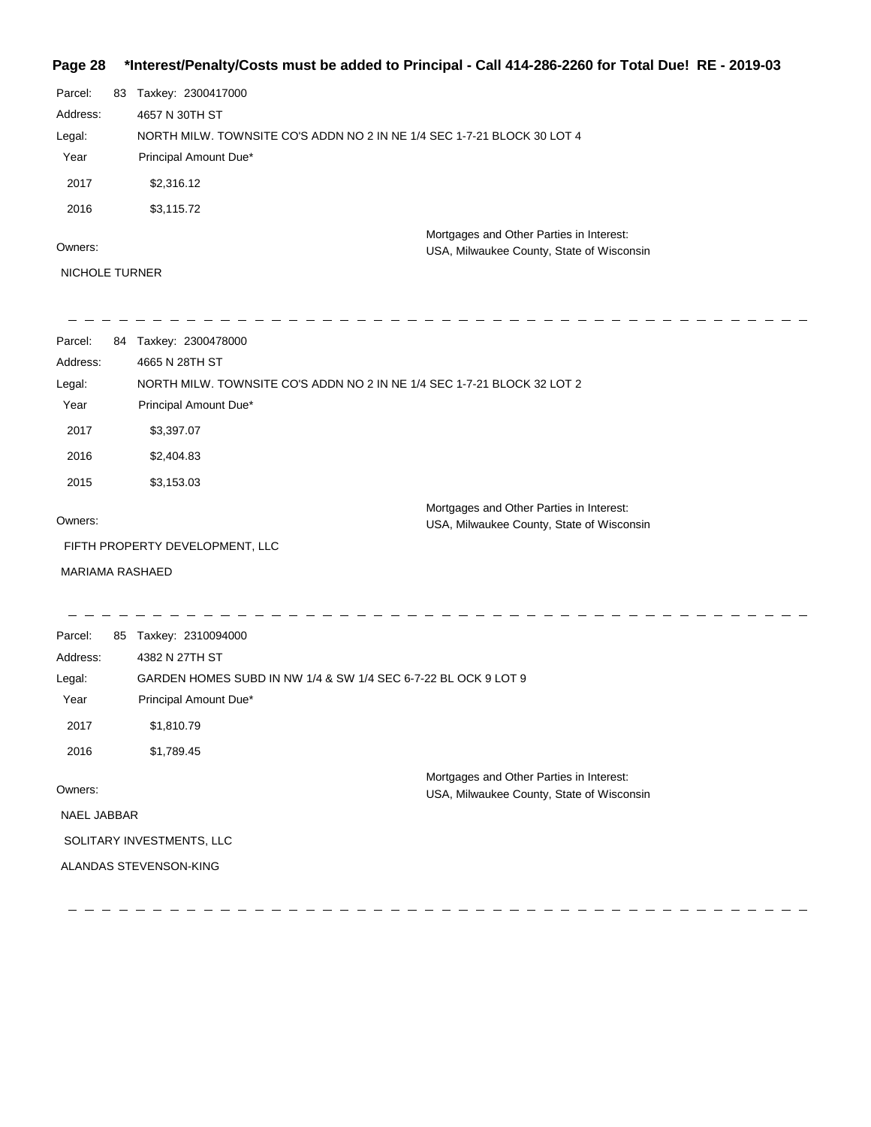# **Page 28 \*Interest/Penalty/Costs must be added to Principal - Call 414-286-2260 for Total Due! RE - 2019-03**

| Parcel:               | 83 | Taxkey: 2300417000                                                                    |
|-----------------------|----|---------------------------------------------------------------------------------------|
| Address:              |    | 4657 N 30TH ST                                                                        |
| Legal:                |    | NORTH MILW. TOWNSITE CO'S ADDN NO 2 IN NE 1/4 SEC 1-7-21 BLOCK 30 LOT 4               |
| Year                  |    | Principal Amount Due*                                                                 |
| 2017                  |    | \$2,316.12                                                                            |
| 2016                  |    | \$3,115.72                                                                            |
| Owners:               |    | Mortgages and Other Parties in Interest:<br>USA, Milwaukee County, State of Wisconsin |
| <b>NICHOLE TURNER</b> |    |                                                                                       |

| Parcel:         | 84 Taxkey: 2300478000                                                                 |  |  |
|-----------------|---------------------------------------------------------------------------------------|--|--|
| Address:        | 4665 N 28TH ST                                                                        |  |  |
| Legal:          | NORTH MILW. TOWNSITE CO'S ADDN NO 2 IN NE 1/4 SEC 1-7-21 BLOCK 32 LOT 2               |  |  |
| Year            | Principal Amount Due*                                                                 |  |  |
| 2017            | \$3,397.07                                                                            |  |  |
| 2016            | \$2,404.83                                                                            |  |  |
| 2015            | \$3,153.03                                                                            |  |  |
|                 | Mortgages and Other Parties in Interest:                                              |  |  |
| Owners:         | USA, Milwaukee County, State of Wisconsin                                             |  |  |
|                 | FIFTH PROPERTY DEVELOPMENT, LLC                                                       |  |  |
| MARIAMA RASHAED |                                                                                       |  |  |
|                 |                                                                                       |  |  |
| Parcel:         | 85 Taxkey: 2310094000                                                                 |  |  |
| Address:        | 4382 N 27TH ST                                                                        |  |  |
| Legal:          | GARDEN HOMES SUBD IN NW 1/4 & SW 1/4 SEC 6-7-22 BL OCK 9 LOT 9                        |  |  |
| Year            | Principal Amount Due*                                                                 |  |  |
| 2017            | \$1,810.79                                                                            |  |  |
| 2016            | \$1,789.45                                                                            |  |  |
| Owners:         | Mortgages and Other Parties in Interest:<br>USA, Milwaukee County, State of Wisconsin |  |  |
| NAEL JABBAR     |                                                                                       |  |  |
|                 | SOLITARY INVESTMENTS, LLC                                                             |  |  |
|                 | ALANDAS STEVENSON-KING                                                                |  |  |
|                 |                                                                                       |  |  |
|                 |                                                                                       |  |  |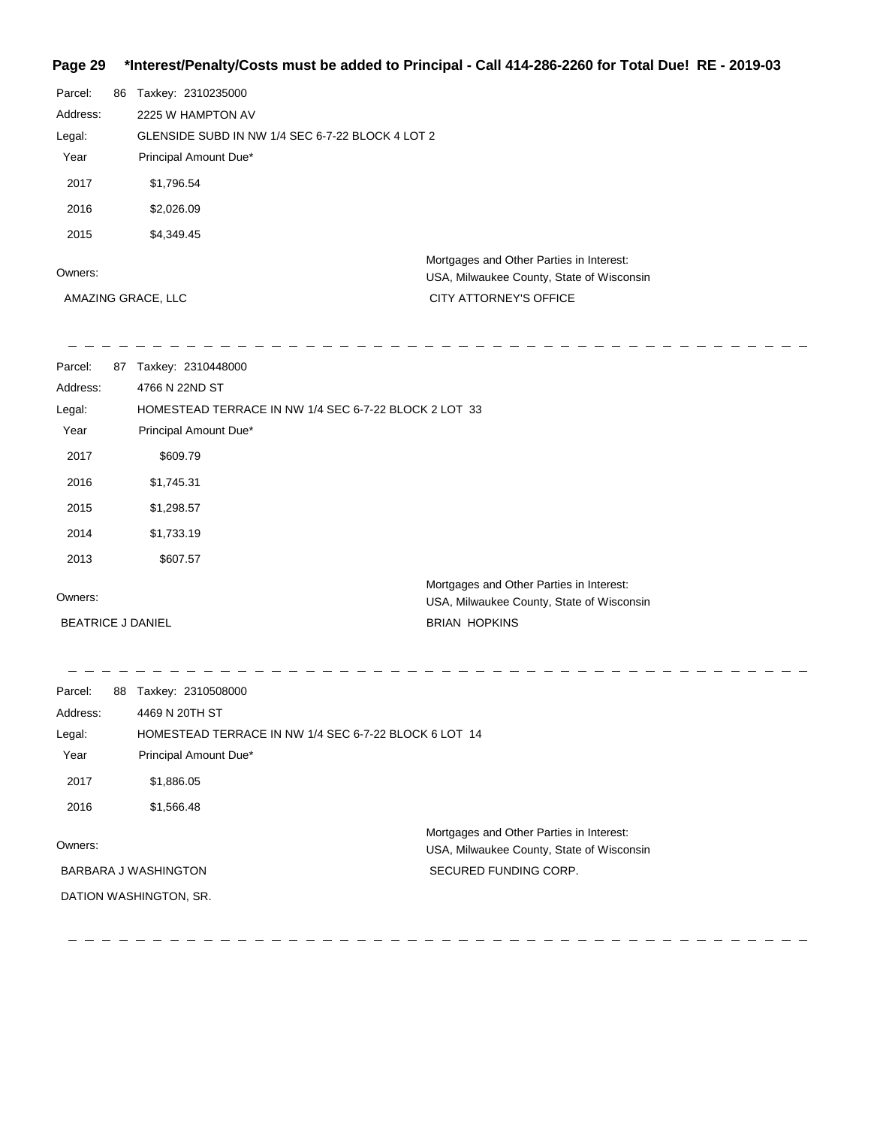# **Page 29 \*Interest/Penalty/Costs must be added to Principal - Call 414-286-2260 for Total Due! RE - 2019-03**

| Parcel:            | 86 | Taxkey: 2310235000                               |                                                                                       |  |
|--------------------|----|--------------------------------------------------|---------------------------------------------------------------------------------------|--|
| Address:           |    | 2225 W HAMPTON AV                                |                                                                                       |  |
| Legal:             |    | GLENSIDE SUBD IN NW 1/4 SEC 6-7-22 BLOCK 4 LOT 2 |                                                                                       |  |
| Year               |    | Principal Amount Due*                            |                                                                                       |  |
| 2017               |    | \$1,796.54                                       |                                                                                       |  |
| 2016               |    | \$2,026.09                                       |                                                                                       |  |
| 2015               |    | \$4,349.45                                       |                                                                                       |  |
| Owners:            |    |                                                  | Mortgages and Other Parties in Interest:<br>USA, Milwaukee County, State of Wisconsin |  |
| AMAZING GRACE, LLC |    |                                                  | <b>CITY ATTORNEY'S OFFICE</b>                                                         |  |

\_ \_ \_ \_ \_ \_ \_ \_ \_ \_ \_ \_ \_ \_

 $\overline{\phantom{0}}$ 

| Parcel:<br>Address:      | 87 | Taxkey: 2310448000<br>4766 N 22ND ST                                                  |  |
|--------------------------|----|---------------------------------------------------------------------------------------|--|
| Legal:                   |    | HOMESTEAD TERRACE IN NW 1/4 SEC 6-7-22 BLOCK 2 LOT 33                                 |  |
| Year                     |    | Principal Amount Due*                                                                 |  |
| 2017                     |    | \$609.79                                                                              |  |
| 2016                     |    | \$1,745.31                                                                            |  |
| 2015                     |    | \$1,298.57                                                                            |  |
| 2014                     |    | \$1,733.19                                                                            |  |
| 2013                     |    | \$607.57                                                                              |  |
| Owners:                  |    | Mortgages and Other Parties in Interest:<br>USA, Milwaukee County, State of Wisconsin |  |
| <b>BEATRICE J DANIEL</b> |    | <b>BRIAN HOPKINS</b>                                                                  |  |

| 88                                                    | Taxkey: 2310508000    |                                           |  |
|-------------------------------------------------------|-----------------------|-------------------------------------------|--|
|                                                       |                       |                                           |  |
| HOMESTEAD TERRACE IN NW 1/4 SEC 6-7-22 BLOCK 6 LOT 14 |                       |                                           |  |
|                                                       | Principal Amount Due* |                                           |  |
|                                                       | \$1,886.05            |                                           |  |
|                                                       | \$1,566.48            |                                           |  |
|                                                       |                       | Mortgages and Other Parties in Interest:  |  |
|                                                       |                       | USA, Milwaukee County, State of Wisconsin |  |
| BARBARA J WASHINGTON                                  |                       | SECURED FUNDING CORP.                     |  |
| DATION WASHINGTON, SR.                                |                       |                                           |  |
|                                                       |                       | 4469 N 20TH ST                            |  |

 $\frac{1}{2}$ 

 $\frac{1}{2}$  and  $\frac{1}{2}$ 

 $\frac{1}{2}$  and  $\frac{1}{2}$ 

 $\frac{1}{2} \frac{1}{2} \frac{1}{2} \frac{1}{2} \frac{1}{2} \frac{1}{2} \frac{1}{2} \frac{1}{2} \frac{1}{2} \frac{1}{2} \frac{1}{2} \frac{1}{2} \frac{1}{2} \frac{1}{2} \frac{1}{2} \frac{1}{2} \frac{1}{2} \frac{1}{2} \frac{1}{2} \frac{1}{2} \frac{1}{2} \frac{1}{2} \frac{1}{2} \frac{1}{2} \frac{1}{2} \frac{1}{2} \frac{1}{2} \frac{1}{2} \frac{1}{2} \frac{1}{2} \frac{1}{2} \frac{$  $\frac{1}{2}$ 

 $\qquad \qquad \ \ \, -\qquad \ \ \, -\qquad \ \ \, -\qquad \ \ \, -\qquad \ \ \, -\qquad \qquad \ \, -\qquad \qquad \ \, -\qquad \qquad \ \, -\qquad \qquad \, -\qquad \qquad \, -\qquad \qquad \, -\qquad \qquad \, -\qquad \qquad \, -\qquad \qquad \, -\qquad \qquad \, -\qquad \qquad \, -\qquad \qquad \, -\qquad \qquad \, -\qquad \qquad \, -\qquad \qquad \, -\qquad \qquad \, -\qquad \qquad \, -\qquad \qquad \,$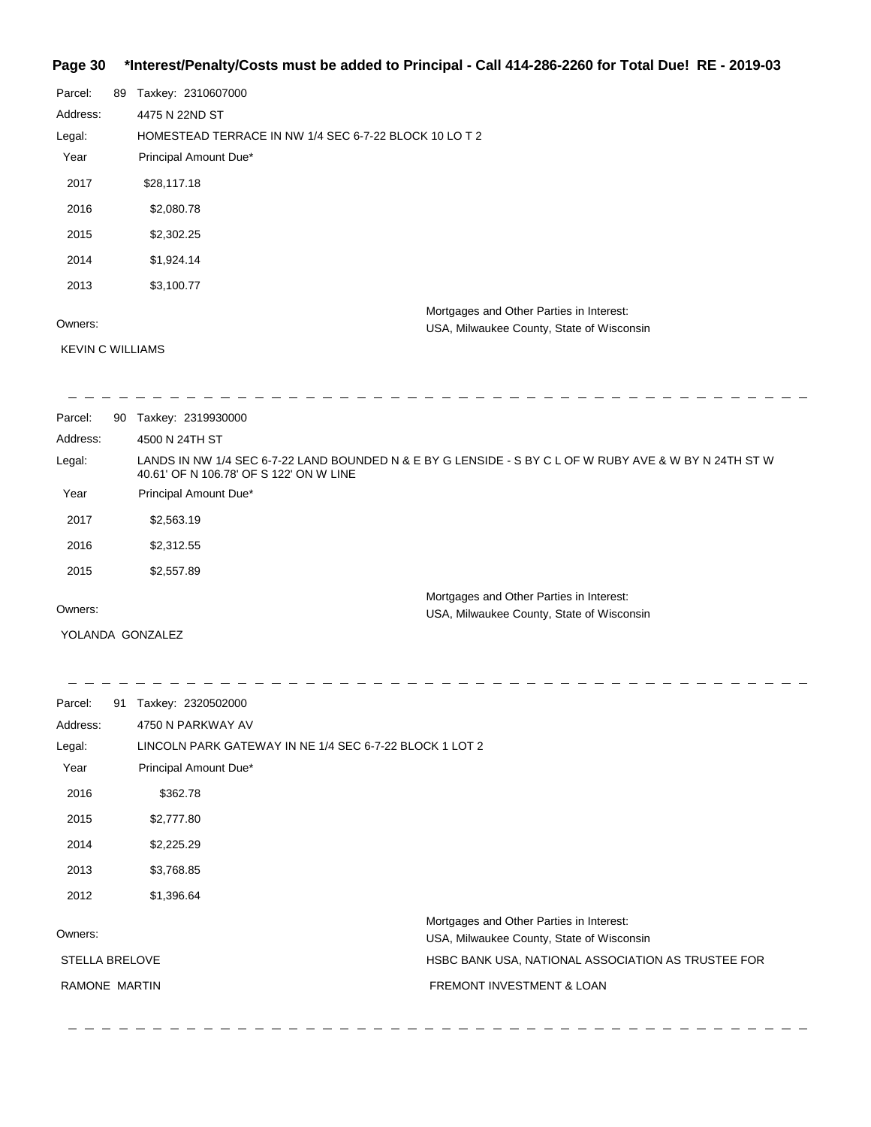#### **Page 30 \*Interest/Penalty/Costs must be added to Principal - Call 414-286-2260 for Total Due! RE - 2019-03**

| Parcel:                 | 89 | Taxkey: 2310607000                                     |  |  |
|-------------------------|----|--------------------------------------------------------|--|--|
| Address:                |    | 4475 N 22ND ST                                         |  |  |
| Legal:                  |    | HOMESTEAD TERRACE IN NW 1/4 SEC 6-7-22 BLOCK 10 LO T 2 |  |  |
| Year                    |    | Principal Amount Due*                                  |  |  |
| 2017                    |    | \$28,117.18                                            |  |  |
| 2016                    |    | \$2,080.78                                             |  |  |
| 2015                    |    | \$2,302.25                                             |  |  |
| 2014                    |    | \$1,924.14                                             |  |  |
| 2013                    |    | \$3,100.77                                             |  |  |
|                         |    | Mortgages and Other Parties in Interest:               |  |  |
| Owners:                 |    | USA, Milwaukee County, State of Wisconsin              |  |  |
| <b>KEVIN C WILLIAMS</b> |    |                                                        |  |  |

| Parcel:  | 90 | Taxkey: 2319930000                                                                                                                                |  |
|----------|----|---------------------------------------------------------------------------------------------------------------------------------------------------|--|
| Address: |    | 4500 N 24TH ST                                                                                                                                    |  |
| Legal:   |    | LANDS IN NW 1/4 SEC 6-7-22 LAND BOUNDED N & E BY G LENSIDE - S BY C L OF W RUBY AVE & W BY N 24TH ST W<br>40.61' OF N 106.78' OF S 122' ON W LINE |  |
| Year     |    | Principal Amount Due*                                                                                                                             |  |
| 2017     |    | \$2,563.19                                                                                                                                        |  |
| 2016     |    | \$2,312.55                                                                                                                                        |  |
| 2015     |    | \$2,557.89                                                                                                                                        |  |
| Owners:  |    | Mortgages and Other Parties in Interest:                                                                                                          |  |
|          |    | USA, Milwaukee County, State of Wisconsin                                                                                                         |  |

YOLANDA GONZALEZ

 $\equiv$   $\equiv$ 

 $-$ 

 $\begin{array}{cccccccccccccc} \bot & \bot & \bot & \bot & \bot & \bot \end{array}$  $\overline{\phantom{0}}$  $\frac{1}{2}$  $\frac{1}{2}$ Parcel: 91 Taxkey: 2320502000 Address: 4750 N PARKWAY AV LINCOLN PARK GATEWAY IN NE 1/4 SEC 6-7-22 BLOCK 1 LOT 2 Legal: Year Principal Amount Due\* 2016 \$362.78 2015 \$2,777.80 2014 \$2,225.29 2013 \$3,768.85 2012 \$1,396.64 Mortgages and Other Parties in Interest: Owners: USA, Milwaukee County, State of Wisconsin STELLA BRELOVE HSBC BANK USA, NATIONAL ASSOCIATION AS TRUSTEE FOR RAMONE MARTIN FREMONT INVESTMENT & LOAN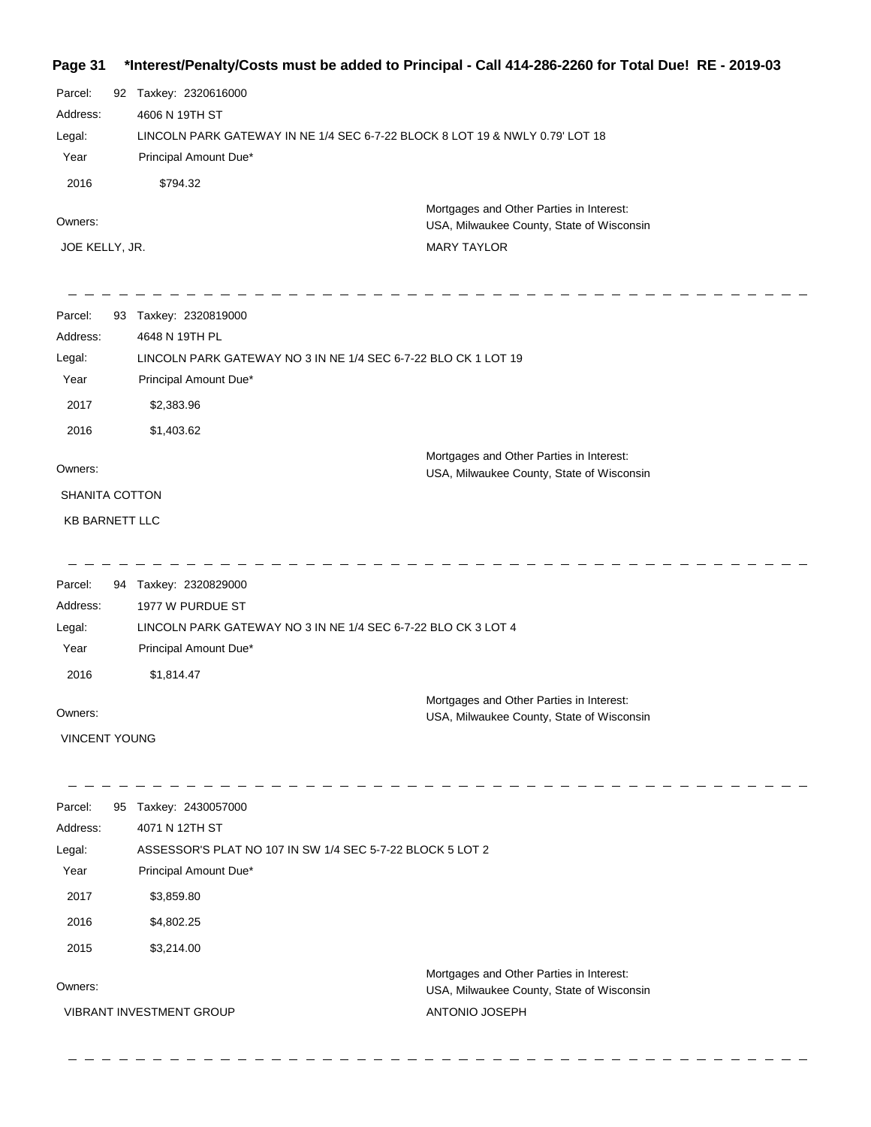# **Page 31 \*Interest/Penalty/Costs must be added to Principal - Call 414-286-2260 for Total Due! RE - 2019-03**

| Parcel:<br>Address:<br>Legal:<br>Year<br>2016 | 92 Taxkey: 2320616000<br>4606 N 19TH ST<br>LINCOLN PARK GATEWAY IN NE 1/4 SEC 6-7-22 BLOCK 8 LOT 19 & NWLY 0.79' LOT 18<br>Principal Amount Due*<br>\$794.32 |                                                                                       |  |
|-----------------------------------------------|--------------------------------------------------------------------------------------------------------------------------------------------------------------|---------------------------------------------------------------------------------------|--|
| Owners:                                       |                                                                                                                                                              | Mortgages and Other Parties in Interest:<br>USA, Milwaukee County, State of Wisconsin |  |
| JOE KELLY, JR.                                |                                                                                                                                                              | <b>MARY TAYLOR</b>                                                                    |  |
| Parcel:                                       | 93 Taxkey: 2320819000                                                                                                                                        |                                                                                       |  |
| Address:                                      | 4648 N 19TH PL                                                                                                                                               |                                                                                       |  |
| Legal:<br>Year                                | Principal Amount Due*                                                                                                                                        | LINCOLN PARK GATEWAY NO 3 IN NE 1/4 SEC 6-7-22 BLO CK 1 LOT 19                        |  |
| 2017                                          | \$2,383.96                                                                                                                                                   |                                                                                       |  |
| 2016                                          | \$1,403.62                                                                                                                                                   |                                                                                       |  |
|                                               |                                                                                                                                                              | Mortgages and Other Parties in Interest:                                              |  |
| Owners:                                       |                                                                                                                                                              | USA, Milwaukee County, State of Wisconsin                                             |  |
| SHANITA COTTON                                |                                                                                                                                                              |                                                                                       |  |
| KB BARNETT LLC                                |                                                                                                                                                              |                                                                                       |  |
| Parcel:                                       | 94 Taxkey: 2320829000                                                                                                                                        |                                                                                       |  |
| Address:                                      | 1977 W PURDUE ST                                                                                                                                             |                                                                                       |  |
| Legal:<br>Year                                | LINCOLN PARK GATEWAY NO 3 IN NE 1/4 SEC 6-7-22 BLO CK 3 LOT 4<br>Principal Amount Due*                                                                       |                                                                                       |  |
| 2016                                          | \$1,814.47                                                                                                                                                   |                                                                                       |  |
|                                               |                                                                                                                                                              | Mortgages and Other Parties in Interest:                                              |  |
| Owners:                                       |                                                                                                                                                              | USA, Milwaukee County, State of Wisconsin                                             |  |
| <b>VINCENT YOUNG</b>                          |                                                                                                                                                              |                                                                                       |  |
| Parcel:                                       | 95 Taxkey: 2430057000                                                                                                                                        |                                                                                       |  |
| Address:                                      | 4071 N 12TH ST                                                                                                                                               |                                                                                       |  |
| Legal:<br>Year                                | Principal Amount Due*                                                                                                                                        | ASSESSOR'S PLAT NO 107 IN SW 1/4 SEC 5-7-22 BLOCK 5 LOT 2                             |  |
| 2017                                          |                                                                                                                                                              |                                                                                       |  |
| 2016                                          | \$3,859.80<br>\$4,802.25                                                                                                                                     |                                                                                       |  |
|                                               |                                                                                                                                                              |                                                                                       |  |
| 2015                                          | \$3,214.00                                                                                                                                                   |                                                                                       |  |
| Owners:                                       |                                                                                                                                                              | Mortgages and Other Parties in Interest:<br>USA, Milwaukee County, State of Wisconsin |  |
|                                               | VIBRANT INVESTMENT GROUP                                                                                                                                     | ANTONIO JOSEPH                                                                        |  |
|                                               |                                                                                                                                                              |                                                                                       |  |

 $\equiv$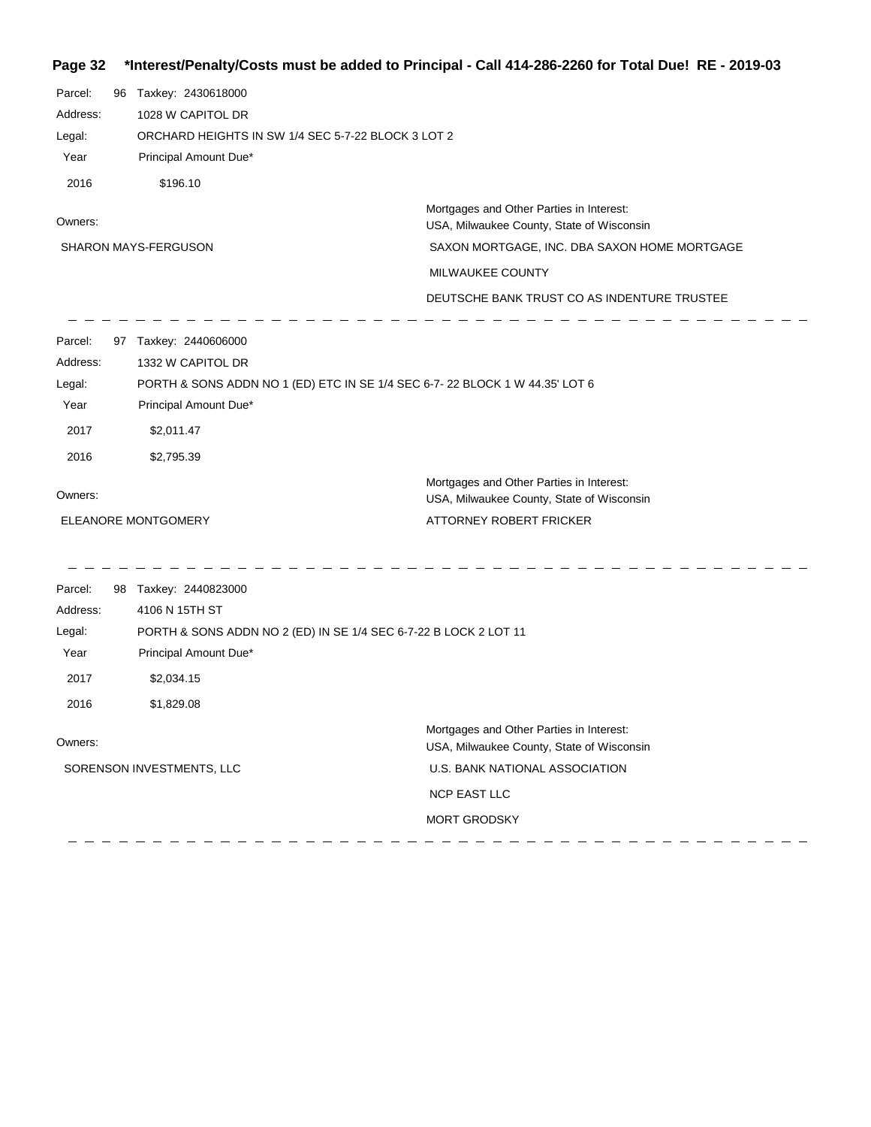# **Page 32 \*Interest/Penalty/Costs must be added to Principal - Call 414-286-2260 for Total Due! RE - 2019-03**

| Parcel:<br>Address:<br>Legal:<br>Year<br>2016         | 96 Taxkey: 2430618000<br>1028 W CAPITOL DR<br>ORCHARD HEIGHTS IN SW 1/4 SEC 5-7-22 BLOCK 3 LOT 2<br>Principal Amount Due*<br>\$196.10                                          |                                                                                                                                                                                                          |  |
|-------------------------------------------------------|--------------------------------------------------------------------------------------------------------------------------------------------------------------------------------|----------------------------------------------------------------------------------------------------------------------------------------------------------------------------------------------------------|--|
| Owners:                                               | <b>SHARON MAYS-FERGUSON</b>                                                                                                                                                    | Mortgages and Other Parties in Interest:<br>USA, Milwaukee County, State of Wisconsin<br>SAXON MORTGAGE, INC. DBA SAXON HOME MORTGAGE<br>MILWAUKEE COUNTY<br>DEUTSCHE BANK TRUST CO AS INDENTURE TRUSTEE |  |
| Parcel:<br>Address:<br>Legal:<br>Year<br>2017<br>2016 | 97 Taxkey: 2440606000<br>1332 W CAPITOL DR<br>PORTH & SONS ADDN NO 1 (ED) ETC IN SE 1/4 SEC 6-7-22 BLOCK 1 W 44.35' LOT 6<br>Principal Amount Due*<br>\$2,011.47<br>\$2,795.39 |                                                                                                                                                                                                          |  |
| Owners:                                               | ELEANORE MONTGOMERY                                                                                                                                                            | Mortgages and Other Parties in Interest:<br>USA, Milwaukee County, State of Wisconsin<br>ATTORNEY ROBERT FRICKER                                                                                         |  |
| Parcel:<br>Address:<br>Legal:<br>Year<br>2017<br>2016 | 98 Taxkey: 2440823000<br>4106 N 15TH ST<br>PORTH & SONS ADDN NO 2 (ED) IN SE 1/4 SEC 6-7-22 B LOCK 2 LOT 11<br>Principal Amount Due*<br>\$2,034.15<br>\$1,829.08               |                                                                                                                                                                                                          |  |
| Owners:                                               | SORENSON INVESTMENTS, LLC                                                                                                                                                      | Mortgages and Other Parties in Interest:<br>USA, Milwaukee County, State of Wisconsin<br>U.S. BANK NATIONAL ASSOCIATION<br><b>NCP EAST LLC</b><br><b>MORT GRODSKY</b>                                    |  |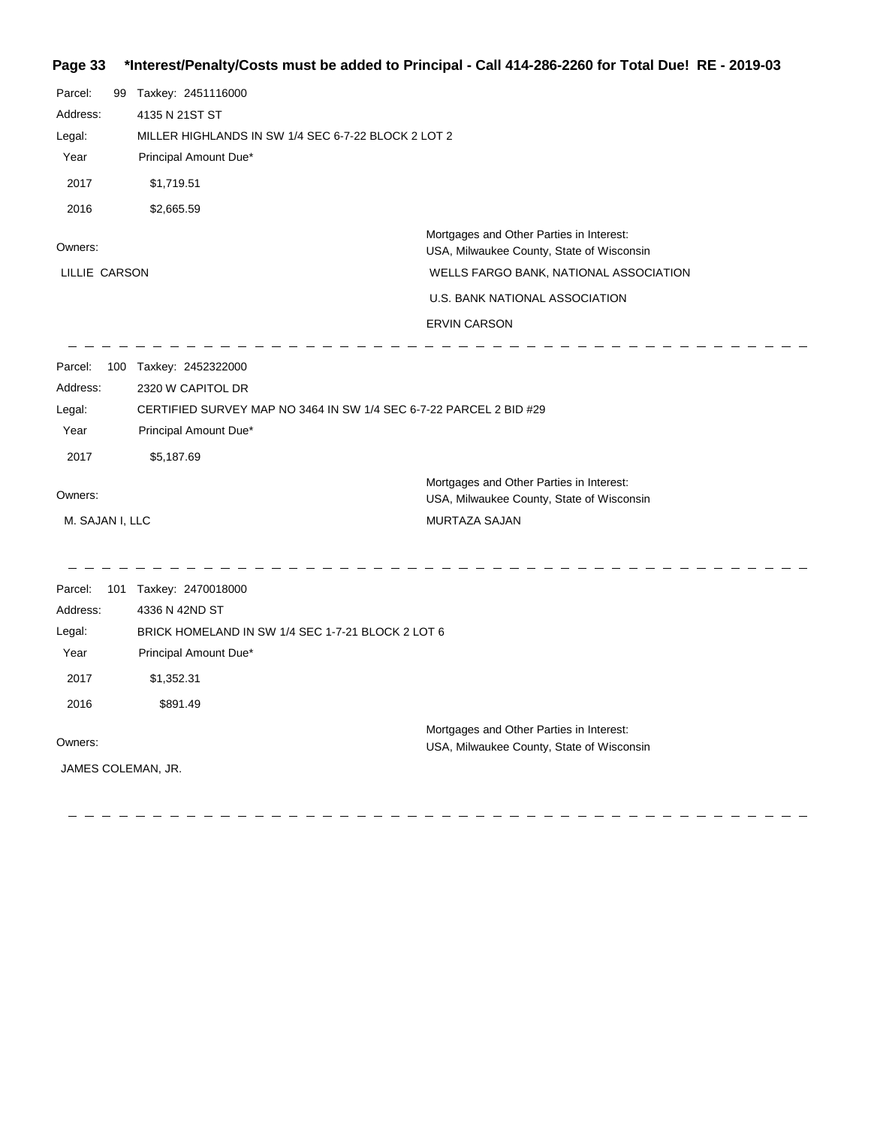# **Page 33 \*Interest/Penalty/Costs must be added to Principal - Call 414-286-2260 for Total Due! RE - 2019-03**

| Parcel:<br>Address:<br>Legal:<br>Year<br>2017<br>2016<br>Owners: | 99 Taxkey: 2451116000<br>4135 N 21ST ST<br>MILLER HIGHLANDS IN SW 1/4 SEC 6-7-22 BLOCK 2 LOT 2<br>Principal Amount Due*<br>\$1,719.51<br>\$2,665.59<br>Mortgages and Other Parties in Interest: |                                                                                       |
|------------------------------------------------------------------|-------------------------------------------------------------------------------------------------------------------------------------------------------------------------------------------------|---------------------------------------------------------------------------------------|
| LILLIE CARSON                                                    |                                                                                                                                                                                                 | USA, Milwaukee County, State of Wisconsin<br>WELLS FARGO BANK, NATIONAL ASSOCIATION   |
|                                                                  |                                                                                                                                                                                                 | U.S. BANK NATIONAL ASSOCIATION                                                        |
|                                                                  |                                                                                                                                                                                                 | <b>ERVIN CARSON</b>                                                                   |
| Parcel:                                                          | 100 Taxkey: 2452322000                                                                                                                                                                          |                                                                                       |
| Address:                                                         | 2320 W CAPITOL DR                                                                                                                                                                               |                                                                                       |
| Legal:                                                           | CERTIFIED SURVEY MAP NO 3464 IN SW 1/4 SEC 6-7-22 PARCEL 2 BID #29                                                                                                                              |                                                                                       |
| Year                                                             | Principal Amount Due*                                                                                                                                                                           |                                                                                       |
| 2017                                                             | \$5,187.69                                                                                                                                                                                      |                                                                                       |
| Owners:                                                          |                                                                                                                                                                                                 | Mortgages and Other Parties in Interest:<br>USA, Milwaukee County, State of Wisconsin |
| M. SAJAN I, LLC                                                  |                                                                                                                                                                                                 | MURTAZA SAJAN                                                                         |
| Parcel:                                                          | 101 Taxkey: 2470018000                                                                                                                                                                          |                                                                                       |
| Address:                                                         | 4336 N 42ND ST                                                                                                                                                                                  |                                                                                       |
| Legal:                                                           | BRICK HOMELAND IN SW 1/4 SEC 1-7-21 BLOCK 2 LOT 6                                                                                                                                               |                                                                                       |
| Year                                                             | Principal Amount Due*                                                                                                                                                                           |                                                                                       |
| 2017                                                             | \$1,352.31                                                                                                                                                                                      |                                                                                       |
| 2016                                                             | \$891.49                                                                                                                                                                                        |                                                                                       |
| Owners:                                                          |                                                                                                                                                                                                 | Mortgages and Other Parties in Interest:<br>USA, Milwaukee County, State of Wisconsin |
| JAMES COLEMAN, JR.                                               |                                                                                                                                                                                                 |                                                                                       |

 $\frac{1}{2}$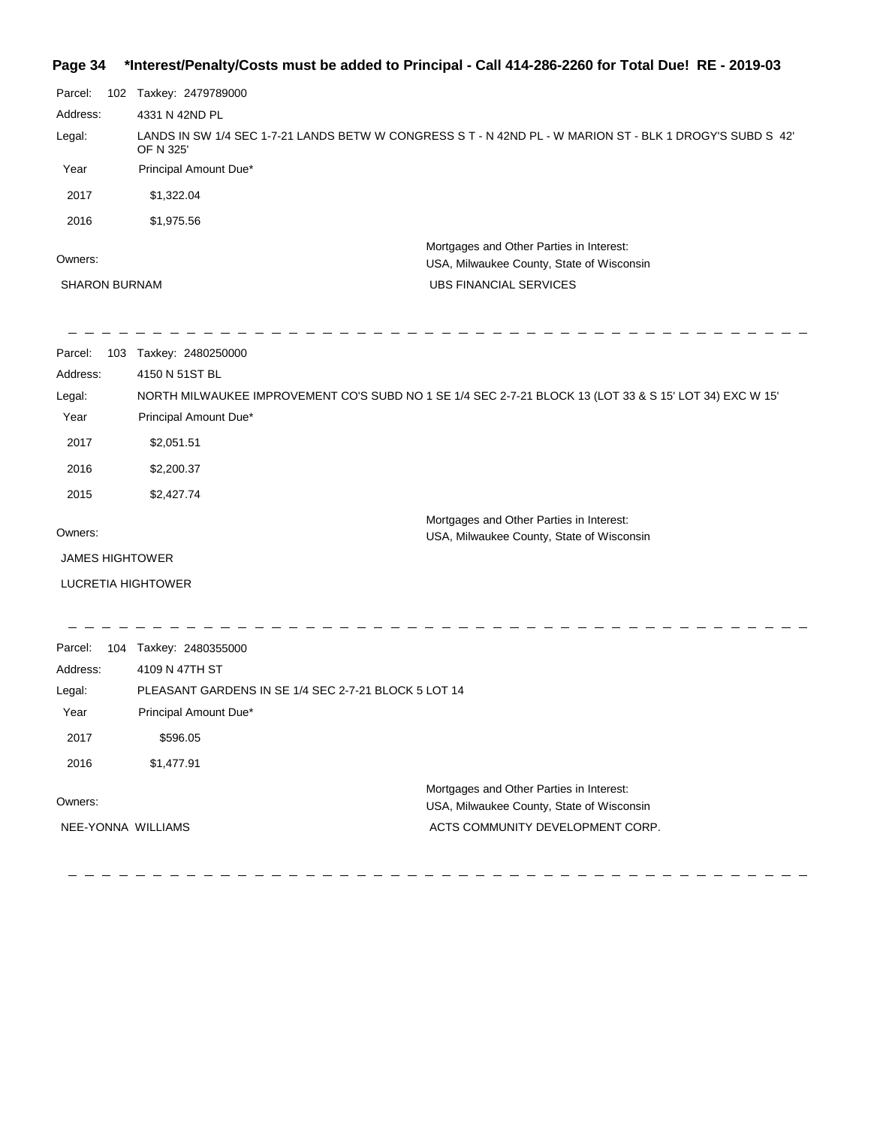#### **Page 34 \*Interest/Penalty/Costs must be added to Principal - Call 414-286-2260 for Total Due! RE - 2019-03**

| Parcel:                                                                                                           | 102 Taxkey: 2479789000                               |                                                                                                           |
|-------------------------------------------------------------------------------------------------------------------|------------------------------------------------------|-----------------------------------------------------------------------------------------------------------|
| Address:                                                                                                          | 4331 N 42ND PL                                       |                                                                                                           |
| Legal:                                                                                                            | OF N 325'                                            | LANDS IN SW 1/4 SEC 1-7-21 LANDS BETW W CONGRESS S T - N 42ND PL - W MARION ST - BLK 1 DROGY'S SUBD S 42' |
| Year                                                                                                              | Principal Amount Due*                                |                                                                                                           |
| 2017                                                                                                              | \$1,322.04                                           |                                                                                                           |
| 2016                                                                                                              | \$1,975.56                                           |                                                                                                           |
| Owners:                                                                                                           |                                                      | Mortgages and Other Parties in Interest:<br>USA, Milwaukee County, State of Wisconsin                     |
| <b>SHARON BURNAM</b>                                                                                              |                                                      | <b>UBS FINANCIAL SERVICES</b>                                                                             |
| Parcel:                                                                                                           | 103 Taxkey: 2480250000                               |                                                                                                           |
| Address:                                                                                                          | 4150 N 51ST BL                                       |                                                                                                           |
| NORTH MILWAUKEE IMPROVEMENT CO'S SUBD NO 1 SE 1/4 SEC 2-7-21 BLOCK 13 (LOT 33 & S 15' LOT 34) EXC W 15'<br>Legal: |                                                      |                                                                                                           |
| Year                                                                                                              | Principal Amount Due*                                |                                                                                                           |
| 2017                                                                                                              | \$2,051.51                                           |                                                                                                           |
| 2016                                                                                                              | \$2,200.37                                           |                                                                                                           |
| 2015                                                                                                              | \$2,427.74                                           |                                                                                                           |
| Owners:                                                                                                           |                                                      | Mortgages and Other Parties in Interest:<br>USA, Milwaukee County, State of Wisconsin                     |
| <b>JAMES HIGHTOWER</b>                                                                                            |                                                      |                                                                                                           |
|                                                                                                                   | LUCRETIA HIGHTOWER                                   |                                                                                                           |
| Parcel:                                                                                                           | 104 Taxkey: 2480355000                               |                                                                                                           |
| Address:                                                                                                          | 4109 N 47TH ST                                       |                                                                                                           |
| Legal:                                                                                                            | PLEASANT GARDENS IN SE 1/4 SEC 2-7-21 BLOCK 5 LOT 14 |                                                                                                           |
| Year                                                                                                              | Principal Amount Due*                                |                                                                                                           |
| 2017                                                                                                              | \$596.05                                             |                                                                                                           |
| 2016                                                                                                              | \$1,477.91                                           |                                                                                                           |
|                                                                                                                   |                                                      | Mortgages and Other Derties in Interacti                                                                  |

\_\_\_\_\_\_\_\_\_\_\_\_\_\_\_\_\_\_\_\_\_\_\_\_\_\_\_\_\_\_\_\_\_\_\_

Owners:

NEE-YONNA WILLIAMS

Mortgages and Other Parties in Interest: USA, Milwaukee County, State of Wisconsin ACTS COMMUNITY DEVELOPMENT CORP.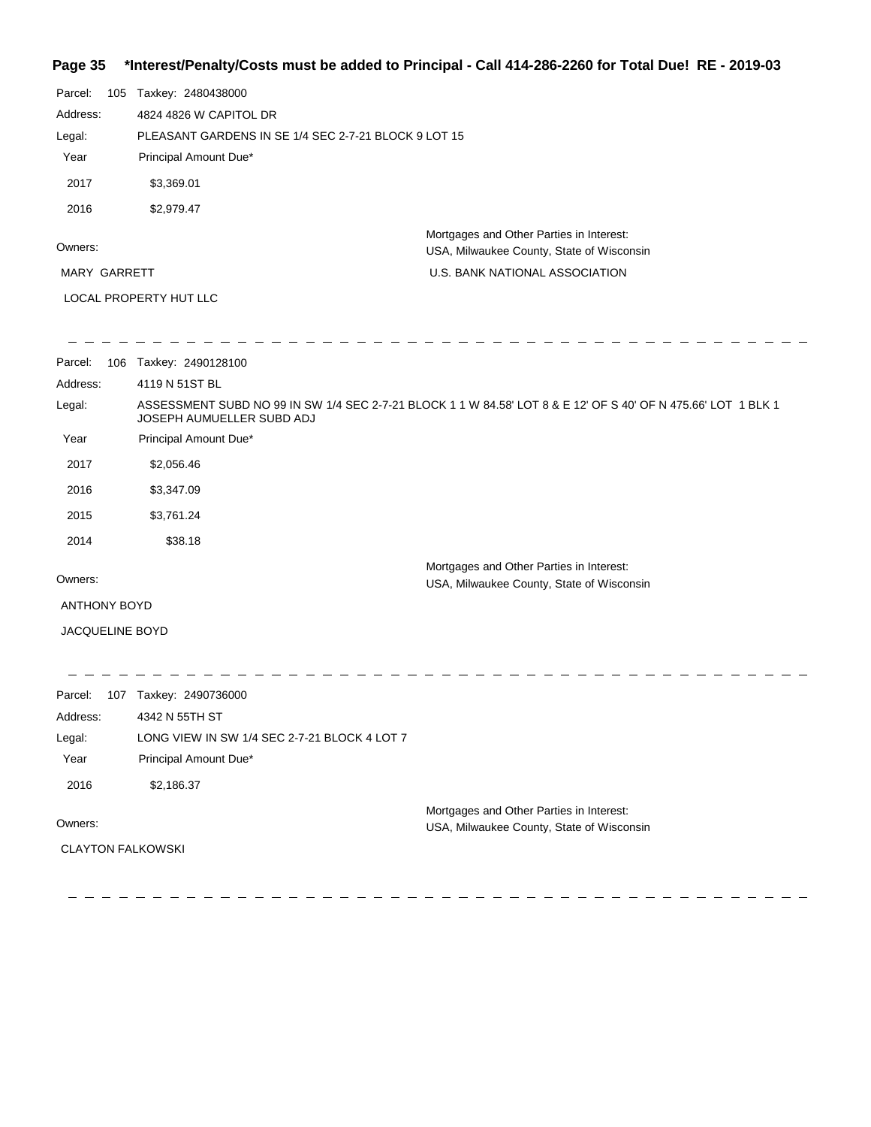# **Page 35 \*Interest/Penalty/Costs must be added to Principal - Call 414-286-2260 for Total Due! RE - 2019-03**

| Parcel:                | 105 | Taxkey: 2480438000                                   |                                                                                       |  |
|------------------------|-----|------------------------------------------------------|---------------------------------------------------------------------------------------|--|
| Address:               |     | 4824 4826 W CAPITOL DR                               |                                                                                       |  |
| Legal:                 |     | PLEASANT GARDENS IN SE 1/4 SEC 2-7-21 BLOCK 9 LOT 15 |                                                                                       |  |
| Year                   |     | Principal Amount Due*                                |                                                                                       |  |
| 2017                   |     | \$3,369.01                                           |                                                                                       |  |
| 2016                   |     | \$2,979.47                                           |                                                                                       |  |
| Owners:                |     |                                                      | Mortgages and Other Parties in Interest:<br>USA, Milwaukee County, State of Wisconsin |  |
| <b>MARY GARRETT</b>    |     |                                                      | U.S. BANK NATIONAL ASSOCIATION                                                        |  |
| LOCAL PROPERTY HUT LLC |     |                                                      |                                                                                       |  |

| Parcel:<br>106         | Taxkey: 2490128100                                                                                                                         |
|------------------------|--------------------------------------------------------------------------------------------------------------------------------------------|
| Address:               | 4119 N 51ST BL                                                                                                                             |
| Legal:                 | ASSESSMENT SUBD NO 99 IN SW 1/4 SEC 2-7-21 BLOCK 1 1 W 84.58' LOT 8 & E 12' OF S 40' OF N 475.66' LOT 1 BLK 1<br>JOSEPH AUMUELLER SUBD ADJ |
| Year                   | Principal Amount Due*                                                                                                                      |
| 2017                   | \$2,056.46                                                                                                                                 |
| 2016                   | \$3,347.09                                                                                                                                 |
| 2015                   | \$3,761.24                                                                                                                                 |
| 2014                   | \$38.18                                                                                                                                    |
|                        | Mortgages and Other Parties in Interest:                                                                                                   |
| Owners:                | USA, Milwaukee County, State of Wisconsin                                                                                                  |
| <b>ANTHONY BOYD</b>    |                                                                                                                                            |
| <b>JACQUELINE BOYD</b> |                                                                                                                                            |
|                        |                                                                                                                                            |
|                        |                                                                                                                                            |

| Parcel:  | 107 | Taxkey: 2490736000                           |                                                                                       |
|----------|-----|----------------------------------------------|---------------------------------------------------------------------------------------|
| Address: |     | 4342 N 55TH ST                               |                                                                                       |
| Legal:   |     | LONG VIEW IN SW 1/4 SEC 2-7-21 BLOCK 4 LOT 7 |                                                                                       |
| Year     |     | Principal Amount Due*                        |                                                                                       |
| 2016     |     | \$2,186.37                                   |                                                                                       |
| Owners:  |     |                                              | Mortgages and Other Parties in Interest:<br>USA, Milwaukee County, State of Wisconsin |

CLAYTON FALKOWSKI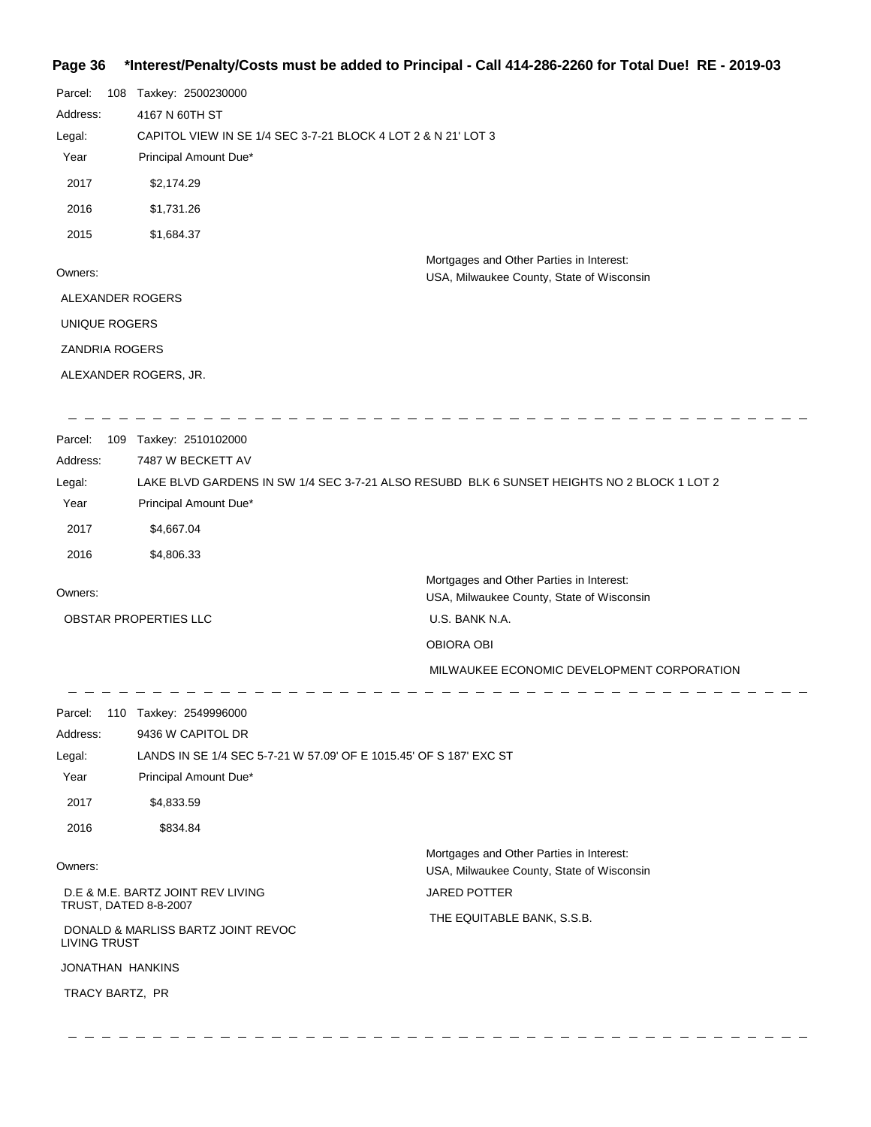# **Page 36 \*Interest/Penalty/Costs must be added to Principal - Call 414-286-2260 for Total Due! RE - 2019-03**

| Parcel:<br>108          | Taxkey: 2500230000                                                 |                                                                                            |  |  |
|-------------------------|--------------------------------------------------------------------|--------------------------------------------------------------------------------------------|--|--|
| Address:                | 4167 N 60TH ST                                                     |                                                                                            |  |  |
| Legal:                  | CAPITOL VIEW IN SE 1/4 SEC 3-7-21 BLOCK 4 LOT 2 & N 21' LOT 3      |                                                                                            |  |  |
| Year                    | Principal Amount Due*                                              |                                                                                            |  |  |
| 2017                    | \$2,174.29                                                         |                                                                                            |  |  |
| 2016                    | \$1,731.26                                                         |                                                                                            |  |  |
| 2015                    | \$1,684.37                                                         |                                                                                            |  |  |
| Owners:                 |                                                                    | Mortgages and Other Parties in Interest:                                                   |  |  |
| ALEXANDER ROGERS        |                                                                    | USA, Milwaukee County, State of Wisconsin                                                  |  |  |
|                         |                                                                    |                                                                                            |  |  |
| UNIQUE ROGERS           |                                                                    |                                                                                            |  |  |
| <b>ZANDRIA ROGERS</b>   |                                                                    |                                                                                            |  |  |
|                         | ALEXANDER ROGERS, JR.                                              |                                                                                            |  |  |
| Parcel:                 | 109 Taxkey: 2510102000                                             |                                                                                            |  |  |
| Address:                | 7487 W BECKETT AV                                                  |                                                                                            |  |  |
| Legal:                  |                                                                    | LAKE BLVD GARDENS IN SW 1/4 SEC 3-7-21 ALSO RESUBD BLK 6 SUNSET HEIGHTS NO 2 BLOCK 1 LOT 2 |  |  |
| Year                    | Principal Amount Due*                                              |                                                                                            |  |  |
| 2017                    | \$4,667.04                                                         |                                                                                            |  |  |
| 2016                    | \$4,806.33                                                         |                                                                                            |  |  |
| Owners:                 |                                                                    | Mortgages and Other Parties in Interest:<br>USA, Milwaukee County, State of Wisconsin      |  |  |
|                         | OBSTAR PROPERTIES LLC                                              | U.S. BANK N.A.                                                                             |  |  |
|                         |                                                                    | OBIORA OBI                                                                                 |  |  |
|                         |                                                                    | MILWAUKEE ECONOMIC DEVELOPMENT CORPORATION                                                 |  |  |
|                         | Parcel: 110 Taxkey: 2549996000                                     |                                                                                            |  |  |
| Address:                | 9436 W CAPITOL DR                                                  |                                                                                            |  |  |
| Legal:                  | LANDS IN SE 1/4 SEC 5-7-21 W 57.09' OF E 1015.45' OF S 187' EXC ST |                                                                                            |  |  |
| Year                    | Principal Amount Due*                                              |                                                                                            |  |  |
| 2017                    | \$4,833.59                                                         |                                                                                            |  |  |
| 2016                    | \$834.84                                                           |                                                                                            |  |  |
| Owners:                 |                                                                    | Mortgages and Other Parties in Interest:<br>USA, Milwaukee County, State of Wisconsin      |  |  |
|                         | D.E & M.E. BARTZ JOINT REV LIVING                                  | <b>JARED POTTER</b>                                                                        |  |  |
| TRUST, DATED 8-8-2007   |                                                                    | THE EQUITABLE BANK, S.S.B.                                                                 |  |  |
| <b>LIVING TRUST</b>     | DONALD & MARLISS BARTZ JOINT REVOC                                 |                                                                                            |  |  |
| <b>JONATHAN HANKINS</b> |                                                                    |                                                                                            |  |  |
| TRACY BARTZ, PR         |                                                                    |                                                                                            |  |  |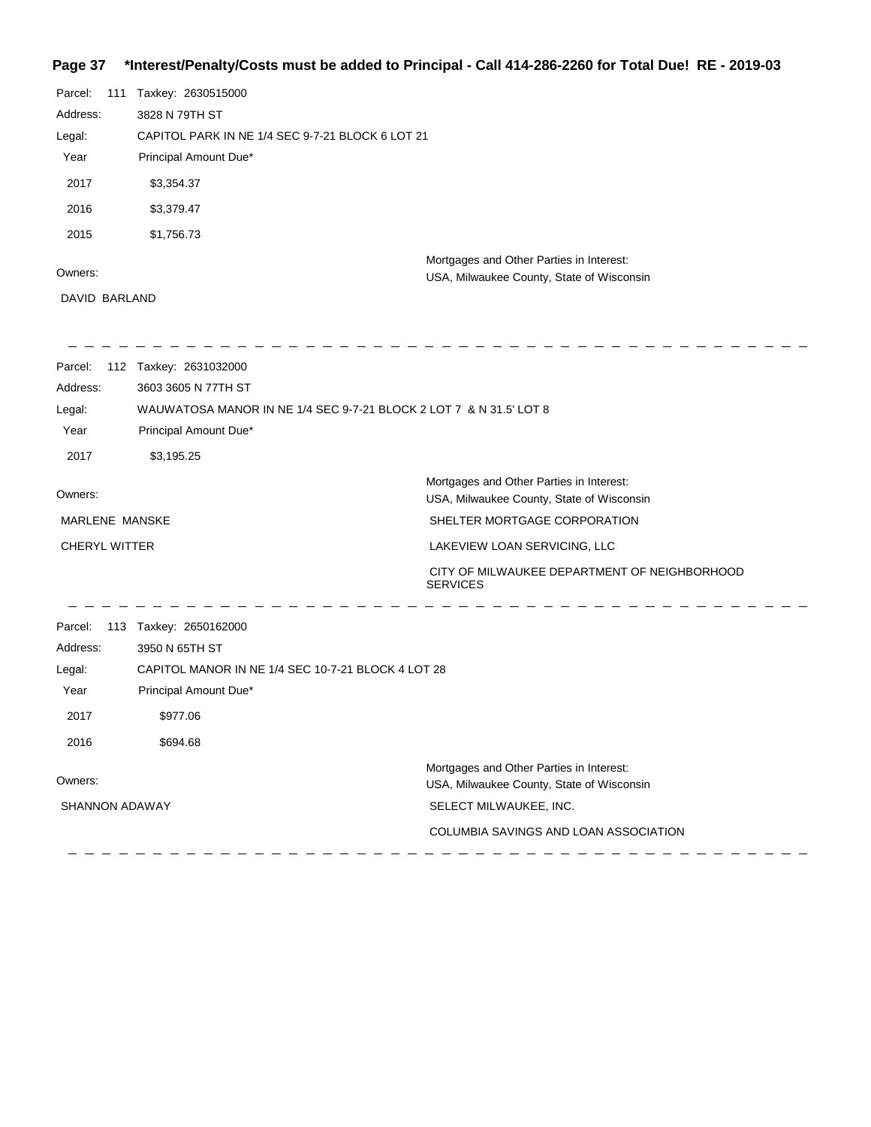## **Page 37 \*Interest/Penalty/Costs must be added to Principal - Call 414-286-2260 for Total Due! RE - 2019-03**

| Parcel:               | 111 Taxkey: 2630515000                                             |                                                                                       |
|-----------------------|--------------------------------------------------------------------|---------------------------------------------------------------------------------------|
| Address:              | 3828 N 79TH ST                                                     |                                                                                       |
| Legal:                | CAPITOL PARK IN NE 1/4 SEC 9-7-21 BLOCK 6 LOT 21                   |                                                                                       |
| Year                  | Principal Amount Due*                                              |                                                                                       |
| 2017                  | \$3,354.37                                                         |                                                                                       |
| 2016                  | \$3,379.47                                                         |                                                                                       |
| 2015                  | \$1,756.73                                                         |                                                                                       |
|                       |                                                                    | Mortgages and Other Parties in Interest:                                              |
| Owners:               |                                                                    | USA, Milwaukee County, State of Wisconsin                                             |
| DAVID BARLAND         |                                                                    |                                                                                       |
| Parcel:               | 112 Taxkey: 2631032000                                             |                                                                                       |
| Address:              | 3603 3605 N 77TH ST                                                |                                                                                       |
| Legal:                | WAUWATOSA MANOR IN NE 1/4 SEC 9-7-21 BLOCK 2 LOT 7 & N 31.5' LOT 8 |                                                                                       |
| Year                  | Principal Amount Due*                                              |                                                                                       |
| 2017                  | \$3,195.25                                                         |                                                                                       |
| Owners:               |                                                                    | Mortgages and Other Parties in Interest:<br>USA, Milwaukee County, State of Wisconsin |
| MARLENE MANSKE        |                                                                    | SHELTER MORTGAGE CORPORATION                                                          |
| <b>CHERYL WITTER</b>  |                                                                    | LAKEVIEW LOAN SERVICING, LLC                                                          |
|                       |                                                                    | CITY OF MILWAUKEE DEPARTMENT OF NEIGHBORHOOD<br><b>SERVICES</b>                       |
| Parcel:               | 113 Taxkey: 2650162000                                             |                                                                                       |
| Address:              | 3950 N 65TH ST                                                     |                                                                                       |
| Legal:                | CAPITOL MANOR IN NE 1/4 SEC 10-7-21 BLOCK 4 LOT 28                 |                                                                                       |
| Year                  | Principal Amount Due*                                              |                                                                                       |
| 2017                  | \$977.06                                                           |                                                                                       |
| 2016                  | \$694.68                                                           |                                                                                       |
|                       |                                                                    | Mortgages and Other Parties in Interest:                                              |
| Owners:               |                                                                    | USA, Milwaukee County, State of Wisconsin                                             |
| <b>SHANNON ADAWAY</b> |                                                                    | SELECT MILWAUKEE, INC.                                                                |
|                       |                                                                    | COLUMBIA SAVINGS AND LOAN ASSOCIATION                                                 |
|                       |                                                                    |                                                                                       |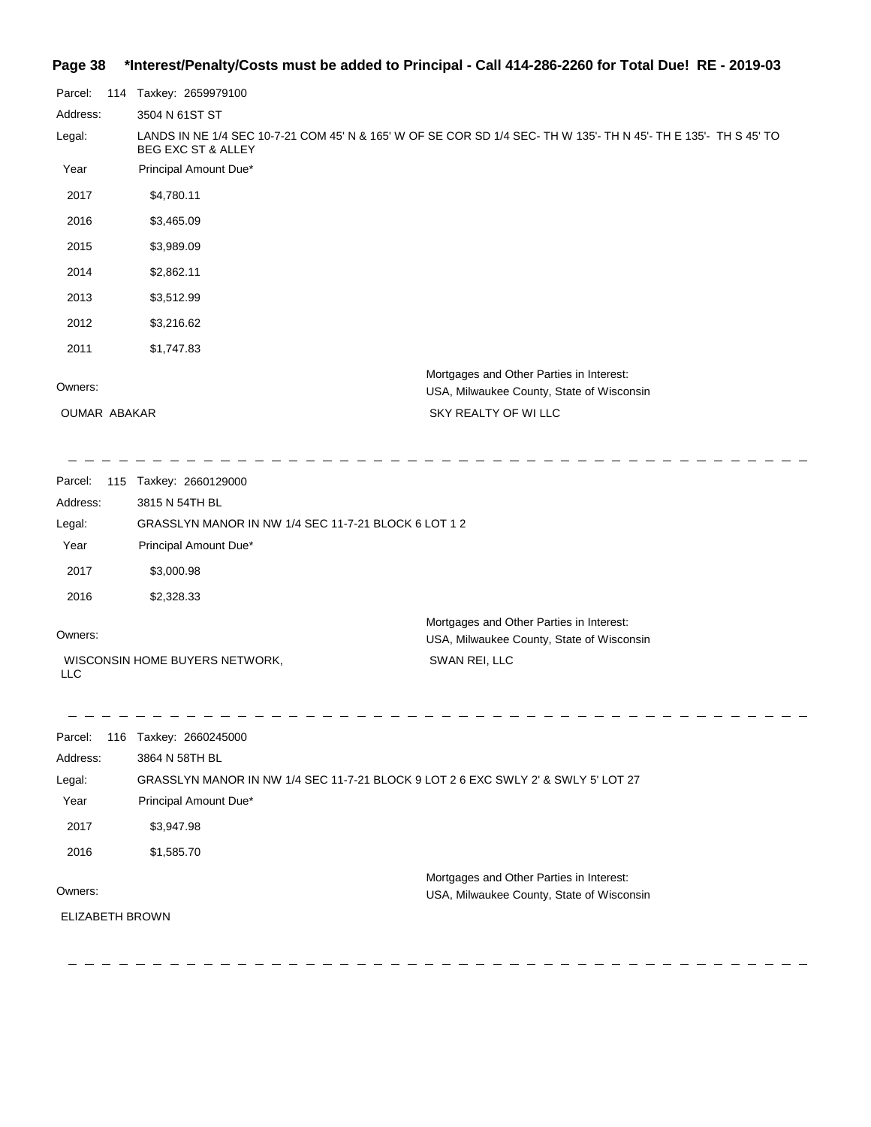## **Page 38 \*Interest/Penalty/Costs must be added to Principal - Call 414-286-2260 for Total Due! RE - 2019-03**

| Parcel:             | 114 Taxkey: 2659979100                                                                                                                            |
|---------------------|---------------------------------------------------------------------------------------------------------------------------------------------------|
| Address:            | 3504 N 61ST ST                                                                                                                                    |
| Legal:              | LANDS IN NE 1/4 SEC 10-7-21 COM 45' N & 165' W OF SE COR SD 1/4 SEC- TH W 135'- TH N 45'- TH E 135'- TH S 45' TO<br><b>BEG EXC ST &amp; ALLEY</b> |
| Year                | Principal Amount Due*                                                                                                                             |
| 2017                | \$4,780.11                                                                                                                                        |
| 2016                | \$3,465.09                                                                                                                                        |
| 2015                | \$3,989.09                                                                                                                                        |
| 2014                | \$2,862.11                                                                                                                                        |
| 2013                | \$3,512.99                                                                                                                                        |
| 2012                | \$3,216.62                                                                                                                                        |
| 2011                | \$1,747.83                                                                                                                                        |
| Owners:             | Mortgages and Other Parties in Interest:<br>USA, Milwaukee County, State of Wisconsin                                                             |
| <b>OUMAR ABAKAR</b> | SKY REALTY OF WILLC                                                                                                                               |
|                     |                                                                                                                                                   |
|                     |                                                                                                                                                   |

| Parcel:                           | 115 Taxkey: 2660129000                                                            |                                                                                                        |
|-----------------------------------|-----------------------------------------------------------------------------------|--------------------------------------------------------------------------------------------------------|
| Address:                          | 3815 N 54TH BL                                                                    |                                                                                                        |
| Legal:                            | GRASSLYN MANOR IN NW 1/4 SEC 11-7-21 BLOCK 6 LOT 1 2                              |                                                                                                        |
| Year                              | Principal Amount Due*                                                             |                                                                                                        |
| 2017                              | \$3,000.98                                                                        |                                                                                                        |
| 2016                              | \$2,328.33                                                                        |                                                                                                        |
| Owners:<br><b>LLC</b>             | WISCONSIN HOME BUYERS NETWORK,                                                    | Mortgages and Other Parties in Interest:<br>USA, Milwaukee County, State of Wisconsin<br>SWAN REI, LLC |
|                                   |                                                                                   |                                                                                                        |
| Parcel:<br>Address:               | 116 Taxkey: 2660245000<br>3864 N 58TH BL                                          |                                                                                                        |
| Legal:                            | GRASSLYN MANOR IN NW 1/4 SEC 11-7-21 BLOCK 9 LOT 2 6 EXC SWLY 2' & SWLY 5' LOT 27 |                                                                                                        |
| Year                              | Principal Amount Due*                                                             |                                                                                                        |
| 2017                              | \$3,947.98                                                                        |                                                                                                        |
| 2016                              | \$1,585.70                                                                        |                                                                                                        |
| Owners:<br><b>ELIZABETH BROWN</b> |                                                                                   | Mortgages and Other Parties in Interest:<br>USA, Milwaukee County, State of Wisconsin                  |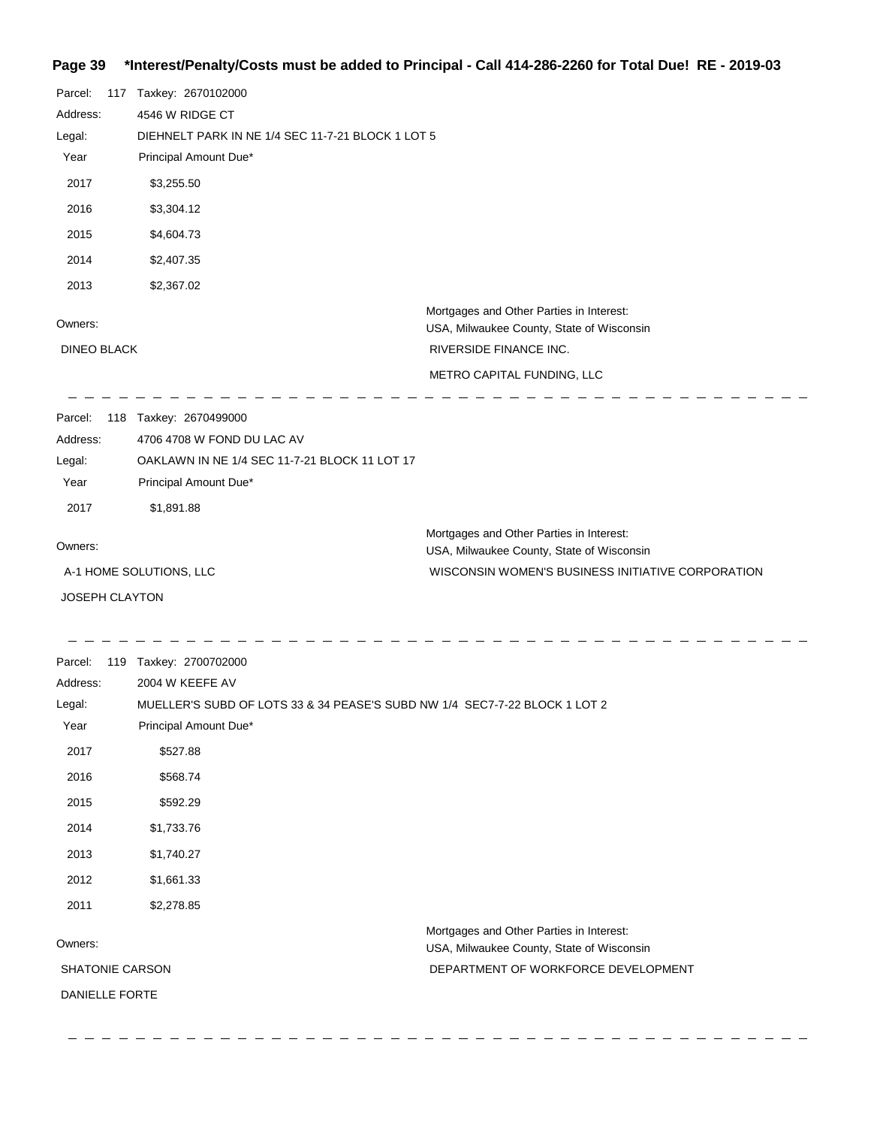# **Page 39 \*Interest/Penalty/Costs must be added to Principal - Call 414-286-2260 for Total Due! RE - 2019-03**

| Parcel:<br>Address:<br>Legal:<br>Year<br>2017<br>2016<br>2015<br>2014 | 117 Taxkey: 2670102000<br>4546 W RIDGE CT<br>DIEHNELT PARK IN NE 1/4 SEC 11-7-21 BLOCK 1 LOT 5<br>Principal Amount Due*<br>\$3,255.50<br>\$3,304.12<br>\$4,604.73<br>\$2,407.35 |                                                                                                                                            |
|-----------------------------------------------------------------------|---------------------------------------------------------------------------------------------------------------------------------------------------------------------------------|--------------------------------------------------------------------------------------------------------------------------------------------|
| 2013                                                                  | \$2,367.02                                                                                                                                                                      | Mortgages and Other Parties in Interest:                                                                                                   |
| Owners:                                                               |                                                                                                                                                                                 | USA, Milwaukee County, State of Wisconsin                                                                                                  |
| <b>DINEO BLACK</b>                                                    |                                                                                                                                                                                 | RIVERSIDE FINANCE INC.                                                                                                                     |
|                                                                       |                                                                                                                                                                                 | METRO CAPITAL FUNDING, LLC                                                                                                                 |
| Parcel:<br>Address:<br>Legal:<br>Year                                 | 118 Taxkey: 2670499000<br>4706 4708 W FOND DU LAC AV<br>OAKLAWN IN NE 1/4 SEC 11-7-21 BLOCK 11 LOT 17<br>Principal Amount Due*                                                  |                                                                                                                                            |
| 2017                                                                  | \$1,891.88                                                                                                                                                                      |                                                                                                                                            |
| Owners:                                                               | A-1 HOME SOLUTIONS, LLC                                                                                                                                                         | Mortgages and Other Parties in Interest:<br>USA, Milwaukee County, State of Wisconsin<br>WISCONSIN WOMEN'S BUSINESS INITIATIVE CORPORATION |
| JOSEPH CLAYTON                                                        |                                                                                                                                                                                 |                                                                                                                                            |
| Parcel:<br>Address:<br>Legal:<br>Year                                 | 119 Taxkey: 2700702000<br>2004 W KEEFE AV<br>MUELLER'S SUBD OF LOTS 33 & 34 PEASE'S SUBD NW 1/4 SEC7-7-22 BLOCK 1 LOT 2<br>Principal Amount Due*                                |                                                                                                                                            |
| 2017                                                                  | \$527.88                                                                                                                                                                        |                                                                                                                                            |
| 2016                                                                  | \$568.74                                                                                                                                                                        |                                                                                                                                            |
| 2015                                                                  | \$592.29                                                                                                                                                                        |                                                                                                                                            |
| 2014                                                                  | \$1,733.76                                                                                                                                                                      |                                                                                                                                            |
| 2013                                                                  | \$1,740.27                                                                                                                                                                      |                                                                                                                                            |
| 2012                                                                  | \$1,661.33                                                                                                                                                                      |                                                                                                                                            |
| 2011                                                                  | \$2,278.85                                                                                                                                                                      |                                                                                                                                            |
|                                                                       |                                                                                                                                                                                 | Mortgages and Other Parties in Interest:                                                                                                   |
| Owners:                                                               |                                                                                                                                                                                 | USA, Milwaukee County, State of Wisconsin                                                                                                  |
| SHATONIE CARSON                                                       |                                                                                                                                                                                 | DEPARTMENT OF WORKFORCE DEVELOPMENT                                                                                                        |
| DANIELLE FORTE                                                        |                                                                                                                                                                                 |                                                                                                                                            |

 $\begin{array}{cccccccccccccc} \Box & \Box & \Box & \Box & \Box & \Box & \Box & \Box \end{array}$ 

 $\frac{1}{2}$ 

 $\overline{a}$  $\frac{1}{2}$  $\frac{1}{2}$  $\overline{\phantom{0}}$  $\overline{\phantom{0}}$  $\frac{1}{2}$  \_ \_ \_ \_ \_ \_ \_ \_ \_ \_ \_ \_ \_ \_ \_ \_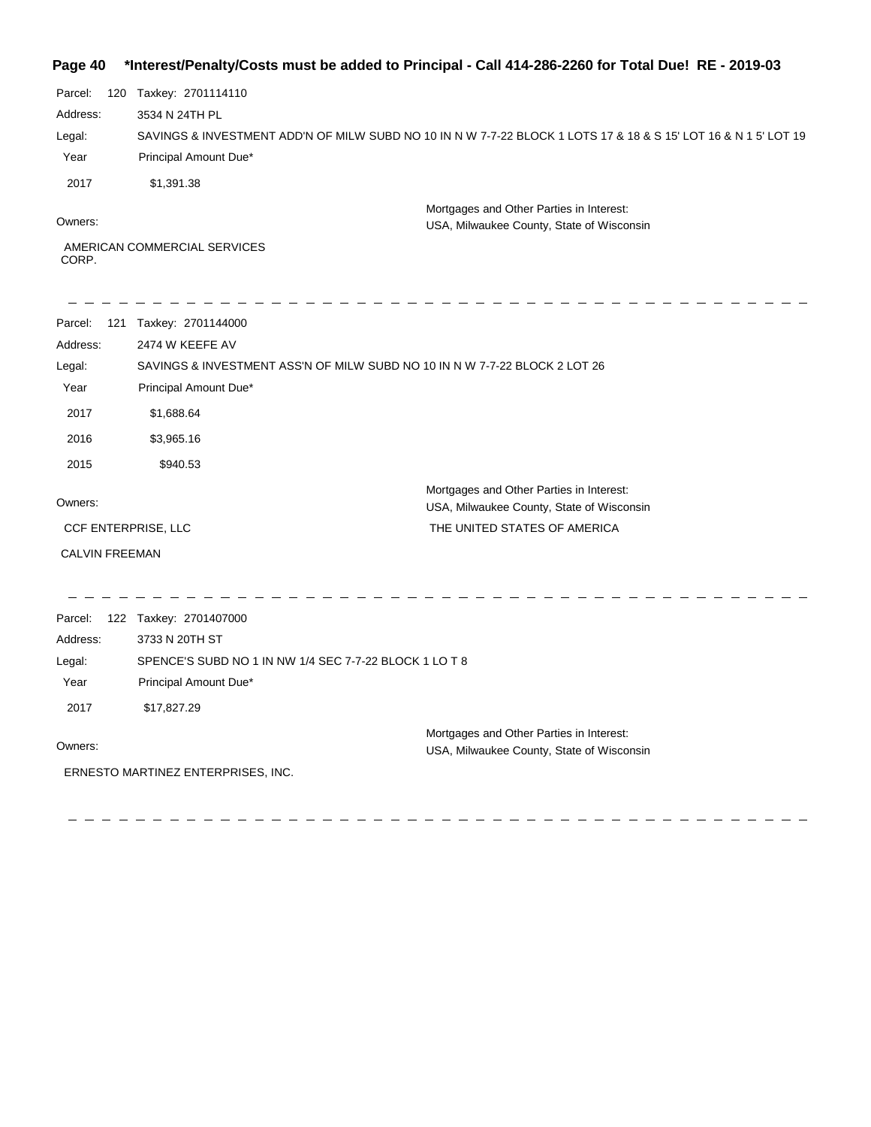## **Page 40 \*Interest/Penalty/Costs must be added to Principal - Call 414-286-2260 for Total Due! RE - 2019-03**

| Parcel:  | 120 | Taxkey: 2701114110                                                                                              |
|----------|-----|-----------------------------------------------------------------------------------------------------------------|
| Address: |     | 3534 N 24TH PL                                                                                                  |
| Legal:   |     | SAVINGS & INVESTMENT ADD'N OF MILW SUBD NO 10 IN N W 7-7-22 BLOCK 1 LOTS 17 & 18 & S 15' LOT 16 & N 1 5' LOT 19 |
| Year     |     | Principal Amount Due*                                                                                           |
| 2017     |     | \$1,391,38                                                                                                      |
| Owners:  |     | Mortgages and Other Parties in Interest:<br>USA, Milwaukee County, State of Wisconsin                           |
| CORP.    |     | AMERICAN COMMERCIAL SERVICES                                                                                    |

 $\sim$ 

| 121<br>Parcel:<br>Address:<br>Legal:<br>Year<br>2017<br>2016 | Taxkey: 2701144000<br>2474 W KEEFE AV<br>SAVINGS & INVESTMENT ASS'N OF MILW SUBD NO 10 IN N W 7-7-22 BLOCK 2 LOT 26<br>Principal Amount Due*<br>\$1,688.64<br>\$3,965.16 |                                                                                                                       |
|--------------------------------------------------------------|--------------------------------------------------------------------------------------------------------------------------------------------------------------------------|-----------------------------------------------------------------------------------------------------------------------|
| 2015                                                         | \$940.53                                                                                                                                                                 |                                                                                                                       |
| Owners:<br>CCF ENTERPRISE, LLC                               |                                                                                                                                                                          | Mortgages and Other Parties in Interest:<br>USA, Milwaukee County, State of Wisconsin<br>THE UNITED STATES OF AMERICA |
| <b>CALVIN FREEMAN</b>                                        |                                                                                                                                                                          |                                                                                                                       |
|                                                              |                                                                                                                                                                          |                                                                                                                       |
| Parcel:<br>Address:                                          | 122 Taxkey: 2701407000<br>3733 N 20TH ST                                                                                                                                 |                                                                                                                       |
| Legal:                                                       | SPENCE'S SUBD NO 1 IN NW 1/4 SEC 7-7-22 BLOCK 1 LO T 8                                                                                                                   |                                                                                                                       |
| Year                                                         | Principal Amount Due*                                                                                                                                                    |                                                                                                                       |
| 2017                                                         | \$17,827.29                                                                                                                                                              |                                                                                                                       |
| Owners:                                                      |                                                                                                                                                                          | Mortgages and Other Parties in Interest:<br>USA, Milwaukee County, State of Wisconsin                                 |
|                                                              | ERNESTO MARTINEZ ENTERPRISES, INC.                                                                                                                                       |                                                                                                                       |

 $\hspace{0.1cm} \rule{0.7cm}{0.1cm}$ 

 $\hspace{0.1cm} - \hspace{0.1cm}$ 

---------------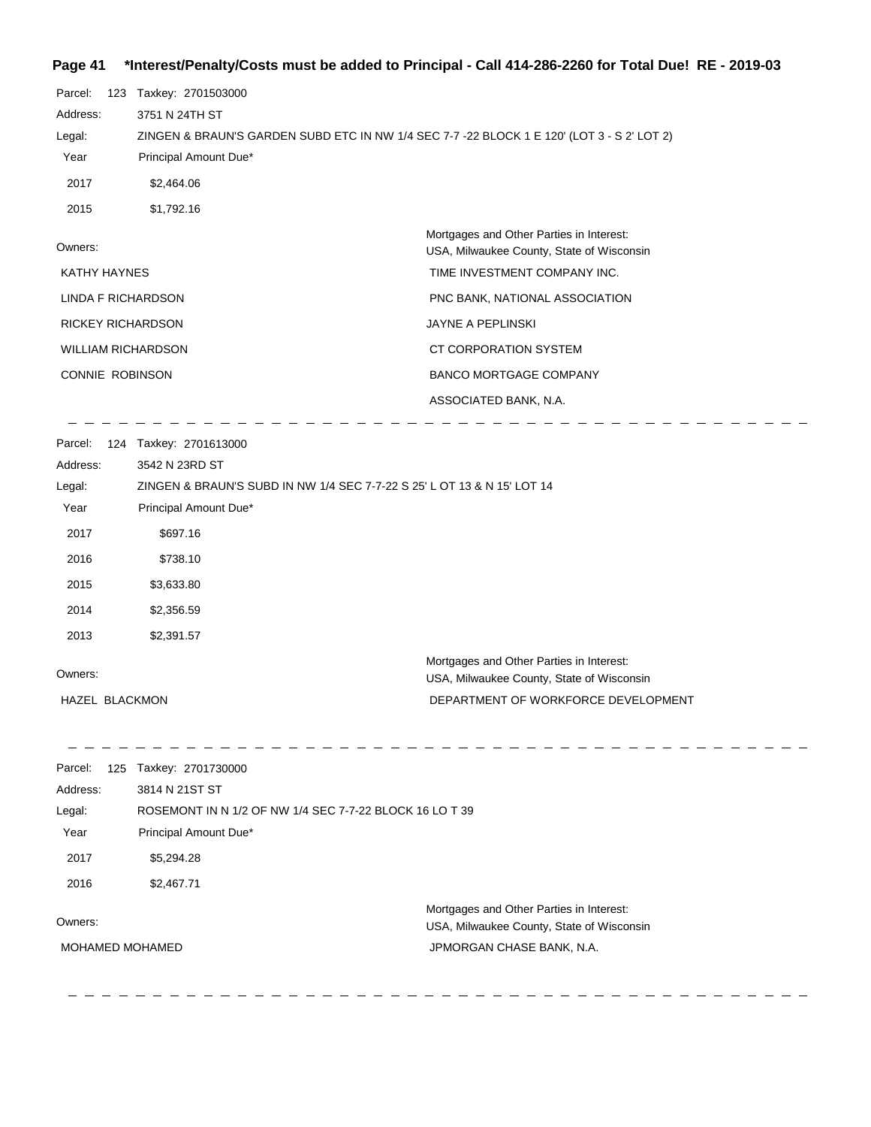#### **Page 41 \*Interest/Penalty/Costs must be added to Principal - Call 414-286-2260 for Total Due! RE - 2019-03**

| Parcel:                   | 123 Taxkey: 2701503000                                                                     |                                                                                       |
|---------------------------|--------------------------------------------------------------------------------------------|---------------------------------------------------------------------------------------|
| Address:                  | 3751 N 24TH ST                                                                             |                                                                                       |
| Legal:                    | ZINGEN & BRAUN'S GARDEN SUBD ETC IN NW 1/4 SEC 7-7 -22 BLOCK 1 E 120' (LOT 3 - S 2' LOT 2) |                                                                                       |
| Year                      | Principal Amount Due*                                                                      |                                                                                       |
| 2017                      | \$2,464.06                                                                                 |                                                                                       |
| 2015                      | \$1,792.16                                                                                 |                                                                                       |
| Owners:                   |                                                                                            | Mortgages and Other Parties in Interest:<br>USA, Milwaukee County, State of Wisconsin |
| <b>KATHY HAYNES</b>       |                                                                                            | TIME INVESTMENT COMPANY INC.                                                          |
| LINDA F RICHARDSON        |                                                                                            | PNC BANK, NATIONAL ASSOCIATION                                                        |
| <b>RICKEY RICHARDSON</b>  |                                                                                            | <b>JAYNE A PEPLINSKI</b>                                                              |
| <b>WILLIAM RICHARDSON</b> |                                                                                            | CT CORPORATION SYSTEM                                                                 |
| <b>CONNIE ROBINSON</b>    |                                                                                            | <b>BANCO MORTGAGE COMPANY</b>                                                         |
|                           |                                                                                            | ASSOCIATED BANK, N.A.                                                                 |
|                           |                                                                                            |                                                                                       |

\_ \_ \_ \_ \_ \_ \_ \_ \_ \_ \_

| Parcel:               | 124 | Taxkey: 2701613000                                                                    |
|-----------------------|-----|---------------------------------------------------------------------------------------|
| Address:              |     | 3542 N 23RD ST                                                                        |
| Legal:                |     | ZINGEN & BRAUN'S SUBD IN NW 1/4 SEC 7-7-22 S 25' L OT 13 & N 15' LOT 14               |
| Year                  |     | Principal Amount Due*                                                                 |
| 2017                  |     | \$697.16                                                                              |
| 2016                  |     | \$738.10                                                                              |
| 2015                  |     | \$3,633.80                                                                            |
| 2014                  |     | \$2,356.59                                                                            |
| 2013                  |     | \$2,391.57                                                                            |
| Owners:               |     | Mortgages and Other Parties in Interest:<br>USA, Milwaukee County, State of Wisconsin |
| <b>HAZEL BLACKMON</b> |     | DEPARTMENT OF WORKFORCE DEVELOPMENT                                                   |

 $\frac{1}{2}$  . <br>  $\frac{1}{2}$  . <br>  $\frac{1}{2}$  . <br>  $\frac{1}{2}$  . <br>  $\frac{1}{2}$  . <br>  $\frac{1}{2}$  . <br>  $\frac{1}{2}$  . <br>  $\frac{1}{2}$  . <br>  $\frac{1}{2}$  . <br><br><br><br><br><br><br><br><br><br><br><br><br><br><br><br><br><br><br><br><br><br>

Parcel: 125 Taxkey: 2701730000 Owners: Mortgages and Other Parties in Interest: Year Principal Amount Due\* USA, Milwaukee County, State of Wisconsin ROSEMONT IN N 1/2 OF NW 1/4 SEC 7-7-22 BLOCK 16 LO T 39 3814 N 21ST ST Address: Legal: JPMORGAN CHASE BANK, N.A. 2017 \$5,294.28 2016 \$2,467.71 MOHAMED MOHAMED

\_\_\_\_\_\_\_\_\_\_\_\_\_\_\_\_\_\_\_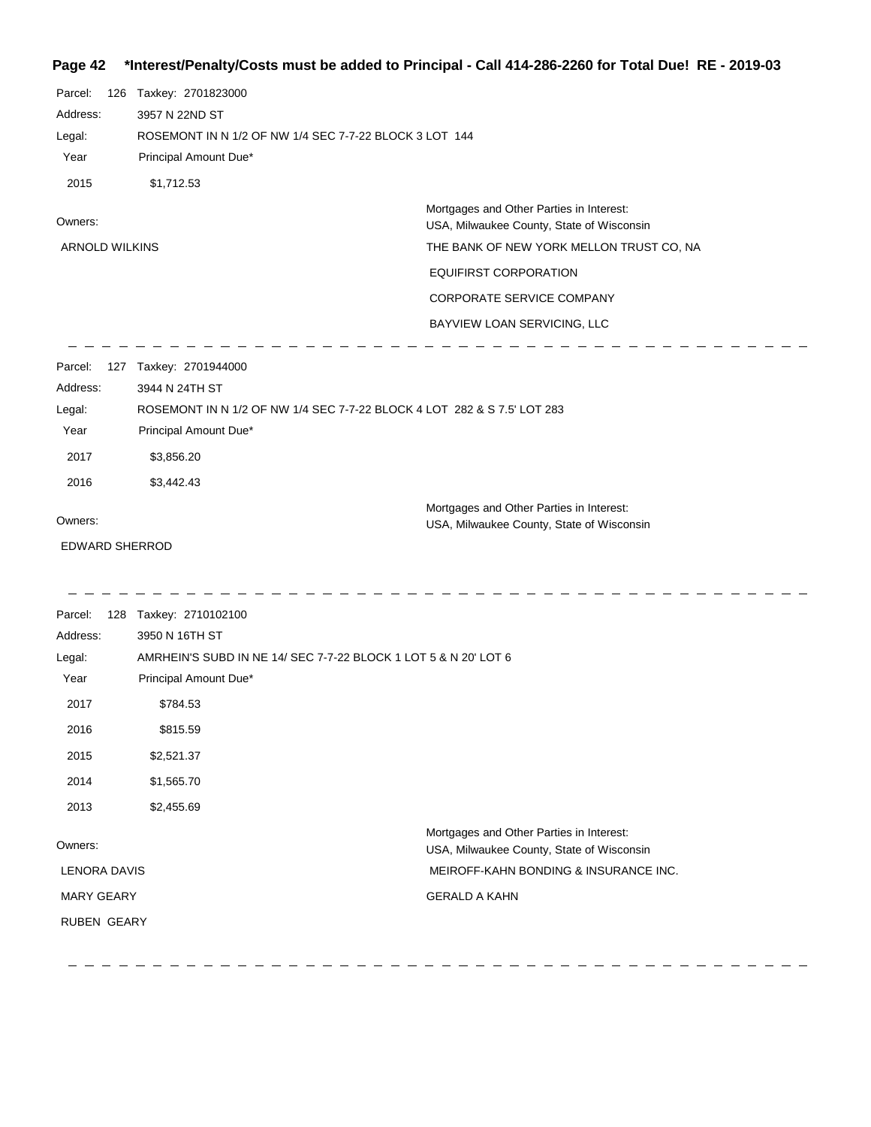## **Page 42 \*Interest/Penalty/Costs must be added to Principal - Call 414-286-2260 for Total Due! RE - 2019-03**

| Parcel:<br>Address:<br>Legal:<br>Year                                         | 126 Taxkey: 2701823000<br>3957 N 22ND ST<br>ROSEMONT IN N 1/2 OF NW 1/4 SEC 7-7-22 BLOCK 3 LOT 144<br>Principal Amount Due*                                                                            |                                                                                                                                                                                                                               |
|-------------------------------------------------------------------------------|--------------------------------------------------------------------------------------------------------------------------------------------------------------------------------------------------------|-------------------------------------------------------------------------------------------------------------------------------------------------------------------------------------------------------------------------------|
| 2015<br>Owners:<br><b>ARNOLD WILKINS</b>                                      | \$1,712.53                                                                                                                                                                                             | Mortgages and Other Parties in Interest:<br>USA, Milwaukee County, State of Wisconsin<br>THE BANK OF NEW YORK MELLON TRUST CO, NA<br><b>EQUIFIRST CORPORATION</b><br>CORPORATE SERVICE COMPANY<br>BAYVIEW LOAN SERVICING, LLC |
| Parcel:<br>Address:<br>Legal:<br>Year<br>2017<br>2016                         | 127 Taxkey: 2701944000<br>3944 N 24TH ST<br>Principal Amount Due*<br>\$3,856.20<br>\$3,442.43                                                                                                          | ROSEMONT IN N 1/2 OF NW 1/4 SEC 7-7-22 BLOCK 4 LOT 282 & S 7.5' LOT 283                                                                                                                                                       |
| Owners:<br><b>EDWARD SHERROD</b>                                              |                                                                                                                                                                                                        | Mortgages and Other Parties in Interest:<br>USA, Milwaukee County, State of Wisconsin                                                                                                                                         |
| Parcel:<br>Address:<br>Legal:<br>Year<br>2017<br>2016<br>2015<br>2014<br>2013 | 128 Taxkey: 2710102100<br>3950 N 16TH ST<br>AMRHEIN'S SUBD IN NE 14/ SEC 7-7-22 BLOCK 1 LOT 5 & N 20' LOT 6<br>Principal Amount Due*<br>\$784.53<br>\$815.59<br>\$2,521.37<br>\$1,565.70<br>\$2,455.69 |                                                                                                                                                                                                                               |
| Owners:<br><b>LENORA DAVIS</b><br><b>MARY GEARY</b><br>RUBEN GEARY            |                                                                                                                                                                                                        | Mortgages and Other Parties in Interest:<br>USA, Milwaukee County, State of Wisconsin<br>MEIROFF-KAHN BONDING & INSURANCE INC.<br><b>GERALD A KAHN</b>                                                                        |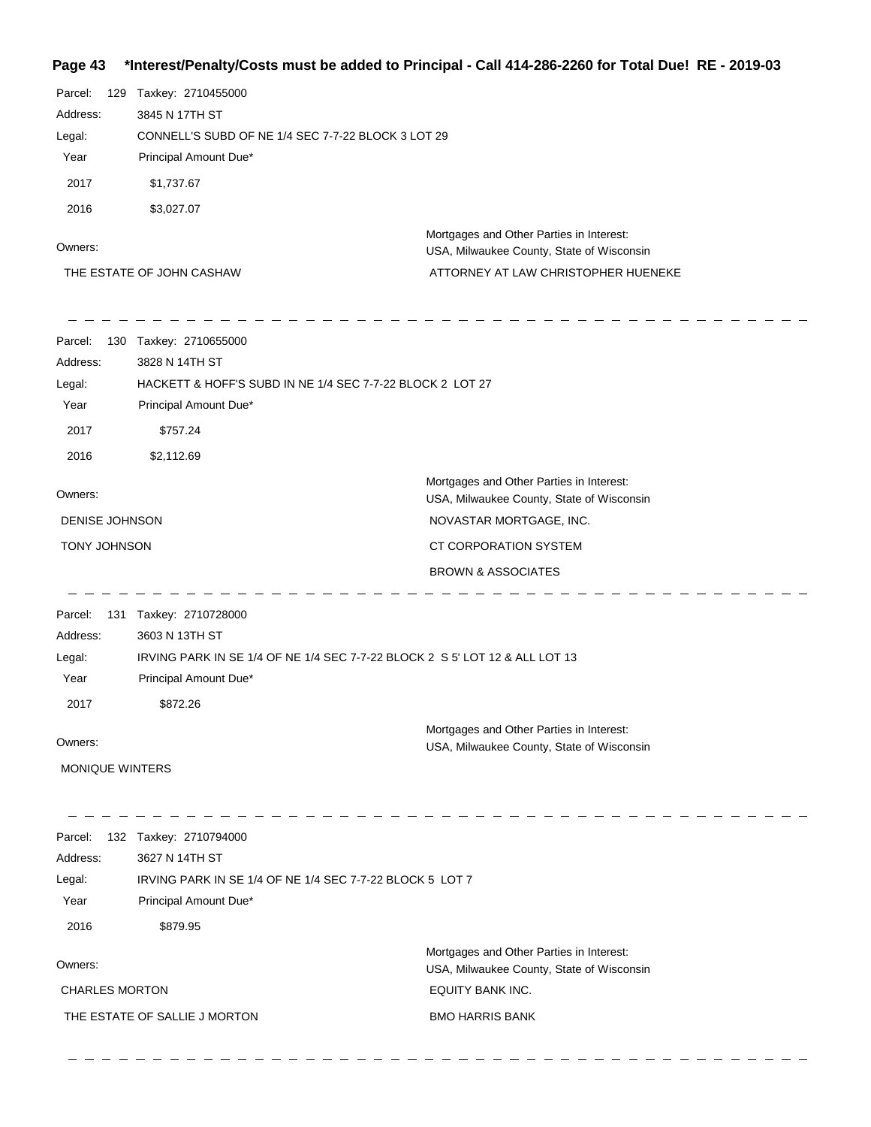## **Page 43 \*Interest/Penalty/Costs must be added to Principal - Call 414-286-2260 for Total Due! RE - 2019-03**

| Parcel:<br>129<br>Address:<br>Legal:<br>Year<br>2017<br>2016 | Taxkey: 2710455000<br>3845 N 17TH ST<br>CONNELL'S SUBD OF NE 1/4 SEC 7-7-22 BLOCK 3 LOT 29<br>Principal Amount Due*<br>\$1,737.67<br>\$3,027.07          | Mortgages and Other Parties in Interest:                                                                                                                                   |
|--------------------------------------------------------------|----------------------------------------------------------------------------------------------------------------------------------------------------------|----------------------------------------------------------------------------------------------------------------------------------------------------------------------------|
| Owners:                                                      | THE ESTATE OF JOHN CASHAW                                                                                                                                | USA, Milwaukee County, State of Wisconsin<br>ATTORNEY AT LAW CHRISTOPHER HUENEKE                                                                                           |
| Parcel:<br>Address:<br>Legal:<br>Year<br>2017<br>2016        | 130 Taxkey: 2710655000<br>3828 N 14TH ST<br>HACKETT & HOFF'S SUBD IN NE 1/4 SEC 7-7-22 BLOCK 2 LOT 27<br>Principal Amount Due*<br>\$757.24<br>\$2,112.69 |                                                                                                                                                                            |
| Owners:<br>DENISE JOHNSON<br><b>TONY JOHNSON</b>             |                                                                                                                                                          | Mortgages and Other Parties in Interest:<br>USA, Milwaukee County, State of Wisconsin<br>NOVASTAR MORTGAGE, INC.<br>CT CORPORATION SYSTEM<br><b>BROWN &amp; ASSOCIATES</b> |
| Parcel:<br>131<br>Address:<br>Legal:<br>Year<br>2017         | Taxkey: 2710728000<br>3603 N 13TH ST<br>IRVING PARK IN SE 1/4 OF NE 1/4 SEC 7-7-22 BLOCK 2 S 5' LOT 12 & ALL LOT 13<br>Principal Amount Due*<br>\$872.26 |                                                                                                                                                                            |
| Owners:<br><b>MONIQUE WINTERS</b>                            |                                                                                                                                                          | Mortgages and Other Parties in Interest:<br>USA, Milwaukee County, State of Wisconsin                                                                                      |
| Parcel:<br>Address:<br>Legal:<br>Year<br>2016                | 132 Taxkey: 2710794000<br>3627 N 14TH ST<br>IRVING PARK IN SE 1/4 OF NE 1/4 SEC 7-7-22 BLOCK 5 LOT 7<br>Principal Amount Due*<br>\$879.95                |                                                                                                                                                                            |
| Owners:<br><b>CHARLES MORTON</b>                             | THE ESTATE OF SALLIE J MORTON                                                                                                                            | Mortgages and Other Parties in Interest:<br>USA, Milwaukee County, State of Wisconsin<br>EQUITY BANK INC.<br><b>BMO HARRIS BANK</b>                                        |

 $\equiv$ 

 $\qquad \qquad - \qquad -$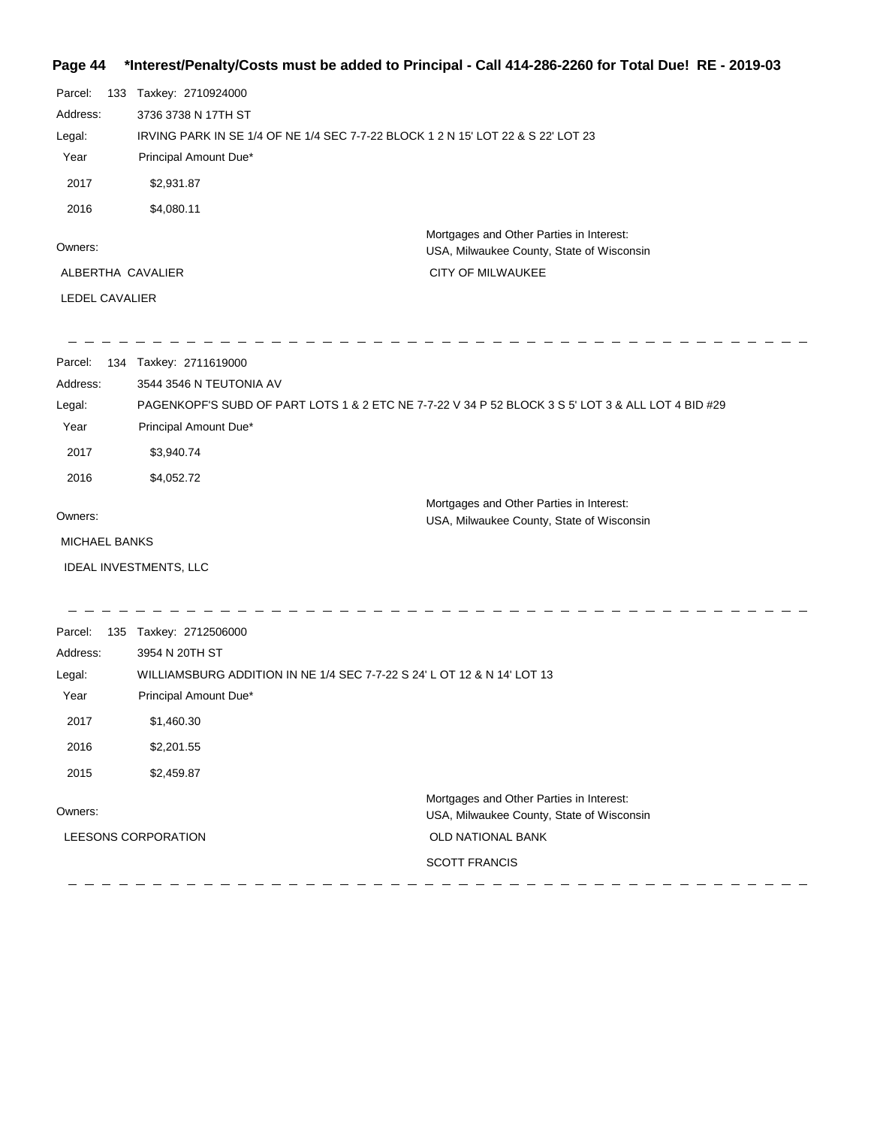## **Page 44 \*Interest/Penalty/Costs must be added to Principal - Call 414-286-2260 for Total Due! RE - 2019-03**

| Parcel:              | 133 | Taxkey: 2710924000                                                                                 |
|----------------------|-----|----------------------------------------------------------------------------------------------------|
| Address:             |     | 3736 3738 N 17TH ST                                                                                |
| Legal:               |     | IRVING PARK IN SE 1/4 OF NE 1/4 SEC 7-7-22 BLOCK 1 2 N 15' LOT 22 & S 22' LOT 23                   |
| Year                 |     | Principal Amount Due*                                                                              |
| 2017                 |     | \$2,931.87                                                                                         |
| 2016                 |     | \$4,080.11                                                                                         |
| Owners:              |     | Mortgages and Other Parties in Interest:<br>USA, Milwaukee County, State of Wisconsin              |
| ALBERTHA CAVALIER    |     | CITY OF MILWAUKEE                                                                                  |
| LEDEL CAVALIER       |     |                                                                                                    |
|                      |     |                                                                                                    |
| Parcel:              |     | 134 Taxkey: 2711619000                                                                             |
| Address:             |     | 3544 3546 N TEUTONIA AV                                                                            |
| Legal:               |     | PAGENKOPF'S SUBD OF PART LOTS 1 & 2 ETC NE 7-7-22 V 34 P 52 BLOCK 3 S 5' LOT 3 & ALL LOT 4 BID #29 |
| Year                 |     | Principal Amount Due*                                                                              |
| 2017                 |     | \$3,940.74                                                                                         |
| 2016                 |     | \$4,052.72                                                                                         |
| Owners:              |     | Mortgages and Other Parties in Interest:<br>USA, Milwaukee County, State of Wisconsin              |
| <b>MICHAEL BANKS</b> |     |                                                                                                    |
|                      |     |                                                                                                    |
|                      |     | IDEAL INVESTMENTS, LLC                                                                             |
|                      |     |                                                                                                    |
| Parcel:              |     | 135 Taxkey: 2712506000                                                                             |

| Address:            | 3954 N 20TH ST                                                          |                                                                                       |
|---------------------|-------------------------------------------------------------------------|---------------------------------------------------------------------------------------|
| Legal:              | WILLIAMSBURG ADDITION IN NE 1/4 SEC 7-7-22 S 24' L OT 12 & N 14' LOT 13 |                                                                                       |
| Year                | Principal Amount Due*                                                   |                                                                                       |
| 2017                | \$1,460.30                                                              |                                                                                       |
| 2016                | \$2,201.55                                                              |                                                                                       |
| 2015                | \$2,459.87                                                              |                                                                                       |
| Owners:             |                                                                         | Mortgages and Other Parties in Interest:<br>USA, Milwaukee County, State of Wisconsin |
| LEESONS CORPORATION |                                                                         | <b>OLD NATIONAL BANK</b>                                                              |
|                     |                                                                         | <b>SCOTT FRANCIS</b>                                                                  |
|                     |                                                                         |                                                                                       |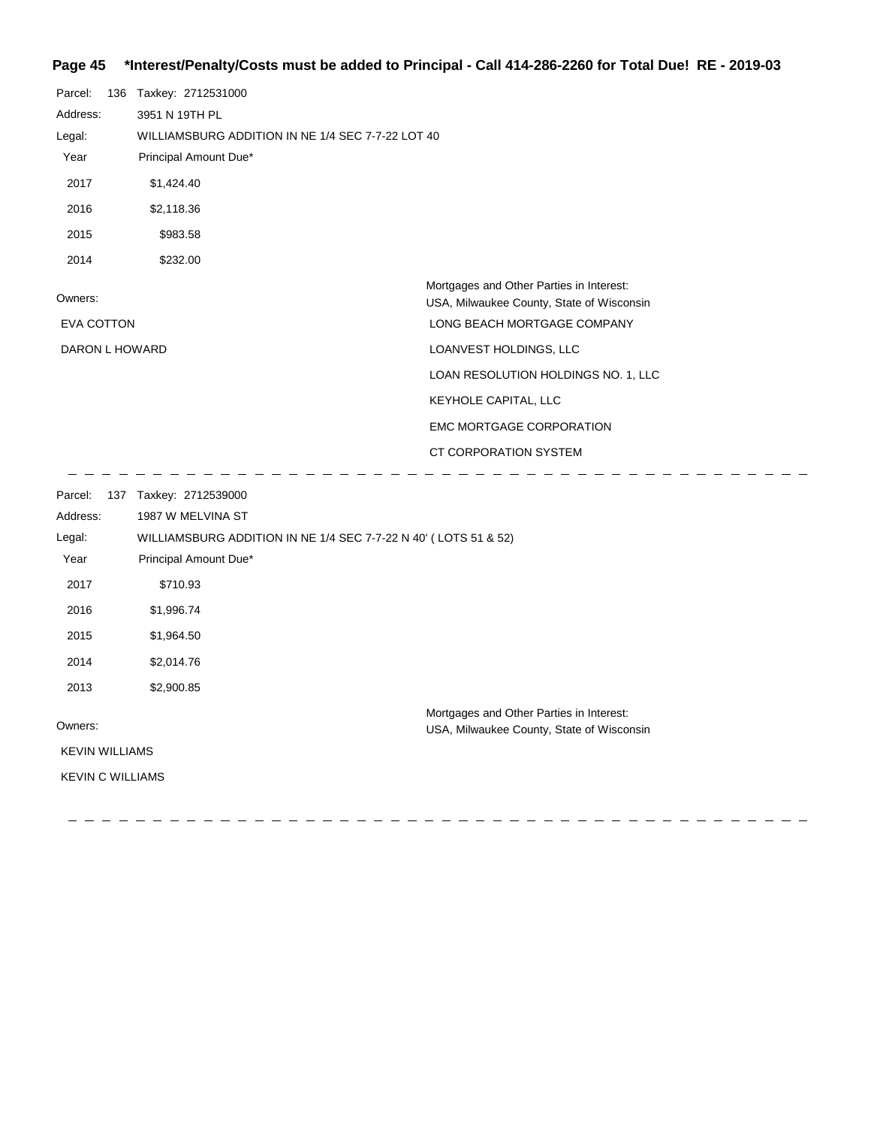## **Page 45 \*Interest/Penalty/Costs must be added to Principal - Call 414-286-2260 for Total Due! RE - 2019-03**

| Parcel:           | 136 Taxkey: 2712531000                            |                                           |
|-------------------|---------------------------------------------------|-------------------------------------------|
| Address:          | 3951 N 19TH PL                                    |                                           |
| Legal:            | WILLIAMSBURG ADDITION IN NE 1/4 SEC 7-7-22 LOT 40 |                                           |
| Year              | Principal Amount Due*                             |                                           |
| 2017              | \$1,424.40                                        |                                           |
| 2016              | \$2,118.36                                        |                                           |
| 2015              | \$983.58                                          |                                           |
| 2014              | \$232.00                                          |                                           |
|                   |                                                   | Mortgages and Other Parties in Interest:  |
| Owners:           |                                                   | USA, Milwaukee County, State of Wisconsin |
| <b>EVA COTTON</b> |                                                   | LONG BEACH MORTGAGE COMPANY               |
|                   | DARON L HOWARD                                    | LOANVEST HOLDINGS, LLC                    |
|                   |                                                   | LOAN RESOLUTION HOLDINGS NO. 1, LLC       |
|                   |                                                   | KEYHOLE CAPITAL, LLC                      |
|                   |                                                   | <b>EMC MORTGAGE CORPORATION</b>           |
|                   |                                                   | CT CORPORATION SYSTEM                     |

---------------

 $\overline{\phantom{m}}$  $\overline{\phantom{m}}$  $\hspace{0.1cm} \rule{0.7cm}{0.1cm}$   $\hspace{0.1cm} \rule{0.7cm}{0.1cm}$   $\hspace{0.1cm} \rule{0.7cm}{0.1cm}$  $\overline{\phantom{0}}$ 

 $\frac{1}{2} \left( \frac{1}{2} \right) \frac{1}{2} \left( \frac{1}{2} \right) \frac{1}{2} \left( \frac{1}{2} \right) \frac{1}{2} \left( \frac{1}{2} \right) \frac{1}{2} \left( \frac{1}{2} \right) \frac{1}{2} \left( \frac{1}{2} \right) \frac{1}{2} \left( \frac{1}{2} \right) \frac{1}{2} \left( \frac{1}{2} \right) \frac{1}{2} \left( \frac{1}{2} \right) \frac{1}{2} \left( \frac{1}{2} \right) \frac{1}{2} \left( \frac{1}{2} \right)$ 

| Parcel:                 | 137 | Taxkey: 2712539000                                              |                                                                                       |
|-------------------------|-----|-----------------------------------------------------------------|---------------------------------------------------------------------------------------|
| Address:                |     | 1987 W MELVINA ST                                               |                                                                                       |
| Legal:                  |     | WILLIAMSBURG ADDITION IN NE 1/4 SEC 7-7-22 N 40' (LOTS 51 & 52) |                                                                                       |
| Year                    |     | Principal Amount Due*                                           |                                                                                       |
| 2017                    |     | \$710.93                                                        |                                                                                       |
| 2016                    |     | \$1,996.74                                                      |                                                                                       |
| 2015                    |     | \$1,964.50                                                      |                                                                                       |
| 2014                    |     | \$2,014.76                                                      |                                                                                       |
| 2013                    |     | \$2,900.85                                                      |                                                                                       |
| Owners:                 |     |                                                                 | Mortgages and Other Parties in Interest:<br>USA, Milwaukee County, State of Wisconsin |
| <b>KEVIN WILLIAMS</b>   |     |                                                                 |                                                                                       |
| <b>KEVIN C WILLIAMS</b> |     |                                                                 |                                                                                       |
|                         |     |                                                                 |                                                                                       |

 $\frac{1}{2} \frac{1}{2} \frac{1}{2} \frac{1}{2} \frac{1}{2} \frac{1}{2} \frac{1}{2} \frac{1}{2} \frac{1}{2} \frac{1}{2} \frac{1}{2} \frac{1}{2} \frac{1}{2} \frac{1}{2} \frac{1}{2} \frac{1}{2} \frac{1}{2} \frac{1}{2} \frac{1}{2} \frac{1}{2} \frac{1}{2} \frac{1}{2} \frac{1}{2} \frac{1}{2} \frac{1}{2} \frac{1}{2} \frac{1}{2} \frac{1}{2} \frac{1}{2} \frac{1}{2} \frac{1}{2} \frac{$ 

 $\hspace{0.1em} \rule{0.7em}{0.1em} \hspace{0.1em} \ldots \hspace{0.1em} \rule{0.7em}{0.1em}$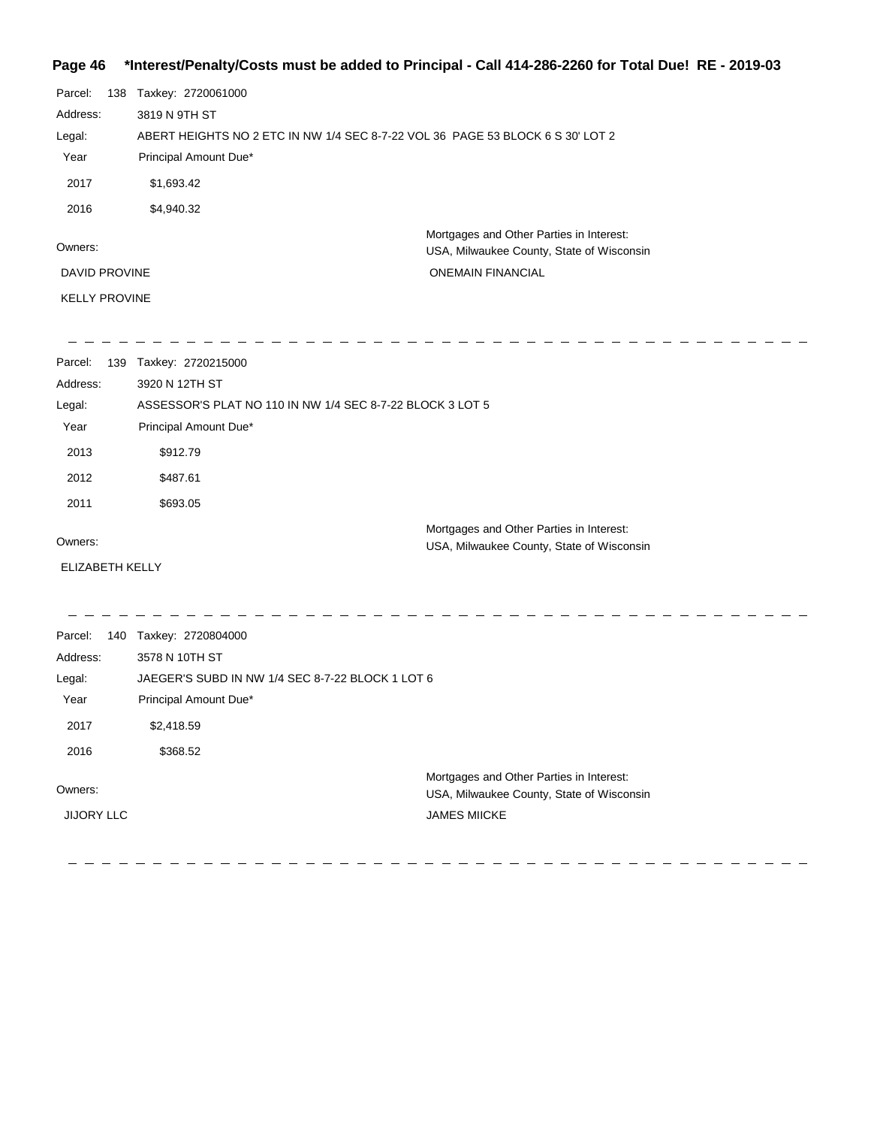### **Page 46 \*Interest/Penalty/Costs must be added to Principal - Call 414-286-2260 for Total Due! RE - 2019-03**

| Parcel:              | 138 | Taxkey: 2720061000                                                                    |
|----------------------|-----|---------------------------------------------------------------------------------------|
| Address:             |     | 3819 N 9TH ST                                                                         |
| Legal:               |     | ABERT HEIGHTS NO 2 ETC IN NW 1/4 SEC 8-7-22 VOL 36 PAGE 53 BLOCK 6 S 30' LOT 2        |
| Year                 |     | Principal Amount Due*                                                                 |
| 2017                 |     | \$1,693.42                                                                            |
| 2016                 |     | \$4,940.32                                                                            |
| Owners:              |     | Mortgages and Other Parties in Interest:<br>USA, Milwaukee County, State of Wisconsin |
| <b>DAVID PROVINE</b> |     | <b>ONEMAIN FINANCIAL</b>                                                              |
| <b>KELLY PROVINE</b> |     |                                                                                       |
|                      |     |                                                                                       |

| Parcel:                | 139 | Taxkey: 2720215000                                        |                                           |
|------------------------|-----|-----------------------------------------------------------|-------------------------------------------|
| Address:               |     | 3920 N 12TH ST                                            |                                           |
| Legal:                 |     | ASSESSOR'S PLAT NO 110 IN NW 1/4 SEC 8-7-22 BLOCK 3 LOT 5 |                                           |
| Year                   |     | Principal Amount Due*                                     |                                           |
| 2013                   |     | \$912.79                                                  |                                           |
| 2012                   |     | \$487.61                                                  |                                           |
| 2011                   |     | \$693.05                                                  |                                           |
| Owners:                |     |                                                           | Mortgages and Other Parties in Interest:  |
|                        |     |                                                           | USA, Milwaukee County, State of Wisconsin |
| <b>ELIZABETH KELLY</b> |     |                                                           |                                           |
|                        |     |                                                           |                                           |
| Parcel:                | 140 | Taxkey: 2720804000                                        |                                           |
| Address:               |     | 3578 N 10TH ST                                            |                                           |
| Legal:                 |     | JAEGER'S SUBD IN NW 1/4 SEC 8-7-22 BLOCK 1 LOT 6          |                                           |
| Year                   |     | Principal Amount Due*                                     |                                           |
| 2017                   |     | \$2,418.59                                                |                                           |
| 2016                   |     |                                                           |                                           |

Owners:

JIJORY LLC

Mortgages and Other Parties in Interest: USA, Milwaukee County, State of Wisconsin JAMES MIICKE

 $\frac{1}{2}$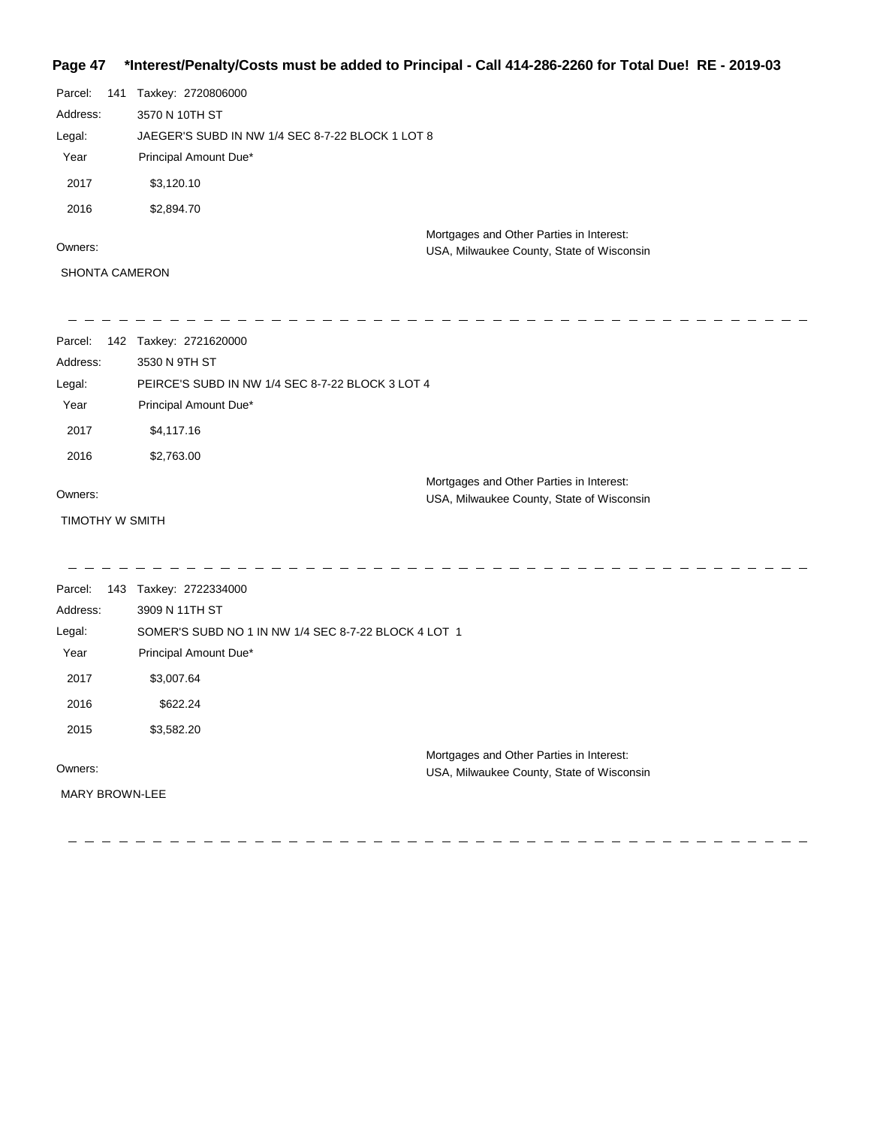## **Page 47 \*Interest/Penalty/Costs must be added to Principal - Call 414-286-2260 for Total Due! RE - 2019-03**

| Parcel:  | 141 | Taxkey: 2720806000                               |                                           |  |
|----------|-----|--------------------------------------------------|-------------------------------------------|--|
| Address: |     | 3570 N 10TH ST                                   |                                           |  |
| Legal:   |     | JAEGER'S SUBD IN NW 1/4 SEC 8-7-22 BLOCK 1 LOT 8 |                                           |  |
| Year     |     | Principal Amount Due*                            |                                           |  |
| 2017     |     | \$3,120.10                                       |                                           |  |
| 2016     |     | \$2,894.70                                       |                                           |  |
|          |     |                                                  | Mortgages and Other Parties in Interest:  |  |
| Owners:  |     |                                                  | USA, Milwaukee County, State of Wisconsin |  |

SHONTA CAMERON

| Parcel:               | 142 Taxkey: 2721620000                               |                                                                                       |
|-----------------------|------------------------------------------------------|---------------------------------------------------------------------------------------|
| Address:              | 3530 N 9TH ST                                        |                                                                                       |
| Legal:                | PEIRCE'S SUBD IN NW 1/4 SEC 8-7-22 BLOCK 3 LOT 4     |                                                                                       |
| Year                  | Principal Amount Due*                                |                                                                                       |
| 2017                  | \$4,117.16                                           |                                                                                       |
| 2016                  | \$2,763.00                                           |                                                                                       |
|                       |                                                      | Mortgages and Other Parties in Interest:                                              |
| Owners:               |                                                      | USA, Milwaukee County, State of Wisconsin                                             |
| TIMOTHY W SMITH       |                                                      |                                                                                       |
|                       |                                                      |                                                                                       |
|                       |                                                      |                                                                                       |
| Parcel:               | 143 Taxkey: 2722334000                               |                                                                                       |
| Address:              | 3909 N 11TH ST                                       |                                                                                       |
| Legal:                | SOMER'S SUBD NO 1 IN NW 1/4 SEC 8-7-22 BLOCK 4 LOT 1 |                                                                                       |
| Year                  | Principal Amount Due*                                |                                                                                       |
| 2017                  | \$3,007.64                                           |                                                                                       |
| 2016                  | \$622.24                                             |                                                                                       |
| 2015                  | \$3,582.20                                           |                                                                                       |
| Owners:               |                                                      | Mortgages and Other Parties in Interest:<br>USA, Milwaukee County, State of Wisconsin |
| <b>MARY BROWN-LEE</b> |                                                      |                                                                                       |
|                       |                                                      |                                                                                       |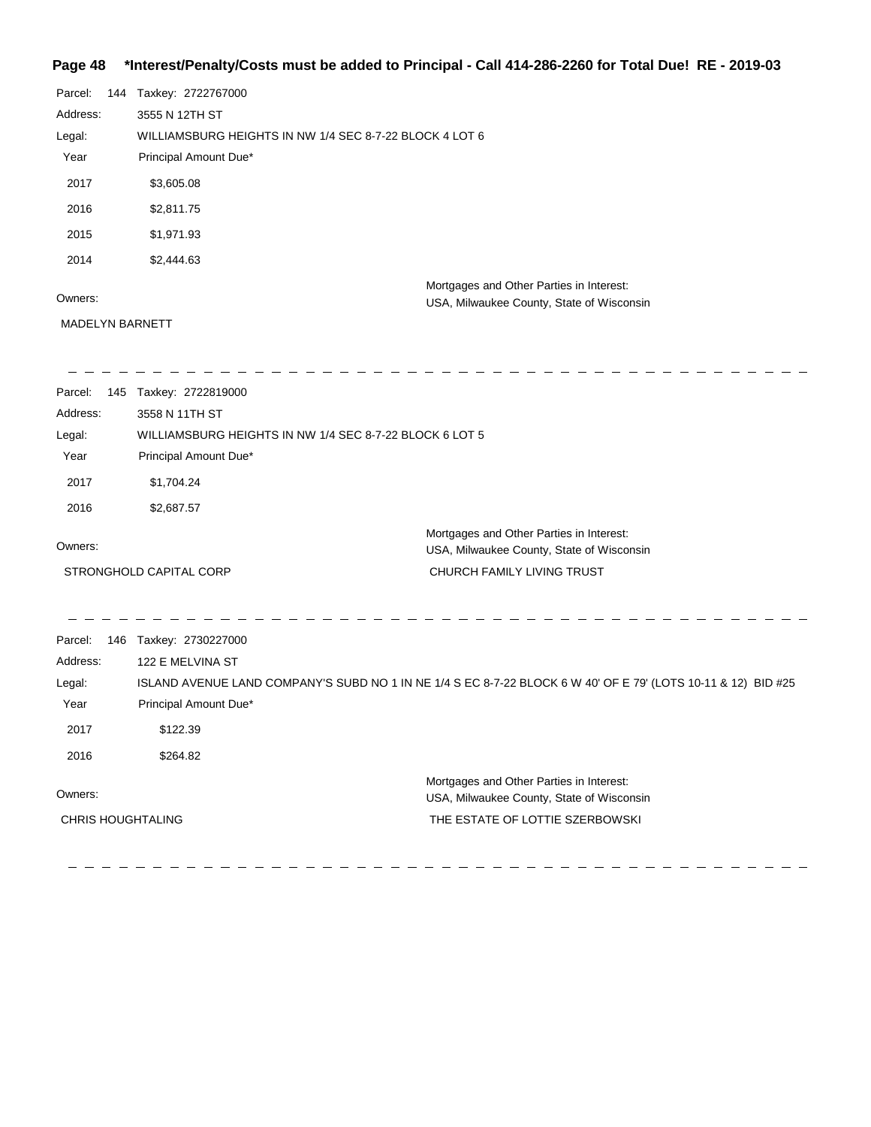#### **Page 48 \*Interest/Penalty/Costs must be added to Principal - Call 414-286-2260 for Total Due! RE - 2019-03**

| Parcel:  | 144 | Taxkey: 2722767000                                                                    |
|----------|-----|---------------------------------------------------------------------------------------|
| Address: |     | 3555 N 12TH ST                                                                        |
| Legal:   |     | WILLIAMSBURG HEIGHTS IN NW 1/4 SEC 8-7-22 BLOCK 4 LOT 6                               |
| Year     |     | Principal Amount Due*                                                                 |
| 2017     |     | \$3,605.08                                                                            |
| 2016     |     | \$2,811.75                                                                            |
| 2015     |     | \$1,971.93                                                                            |
| 2014     |     | \$2,444.63                                                                            |
| Owners:  |     | Mortgages and Other Parties in Interest:<br>USA, Milwaukee County, State of Wisconsin |

## MADELYN BARNETT

\_ \_ \_ \_ \_ \_ \_ \_ \_ \_ \_ \_ \_ \_ \_

 $-$ 

USA, Milwaukee County, State of Wisconsin

### \_\_\_\_\_\_\_\_\_\_\_\_\_\_\_\_\_\_ Parcel: 145 Taxkey: 2722819000 Address: 3558 N 11TH ST Legal: WILLIAMSBURG HEIGHTS IN NW 1/4 SEC 8-7-22 BLOCK 6 LOT 5 Year Principal Amount Due\* 2017 \$1,704.24 2016 \$2,687.57 Mortgages and Other Parties in Interest: Owners: USA, Milwaukee County, State of Wisconsin STRONGHOLD CAPITAL CORP CHURCH FAMILY LIVING TRUST

Parcel: 146 Taxkey: 2730227000 Owners: Mortgages and Other Parties in Interest: Year Principal Amount Due\* USA, Milwaukee County, State of Wisconsin ISLAND AVENUE LAND COMPANY'S SUBD NO 1 IN NE 1/4 S EC 8-7-22 BLOCK 6 W 40' OF E 79' (LOTS 10-11 & 12) BID #25 122 E MELVINA ST Address: Legal: THE ESTATE OF LOTTIE SZERBOWSKI 2017 \$122.39 2016 \$264.82 CHRIS HOUGHTALING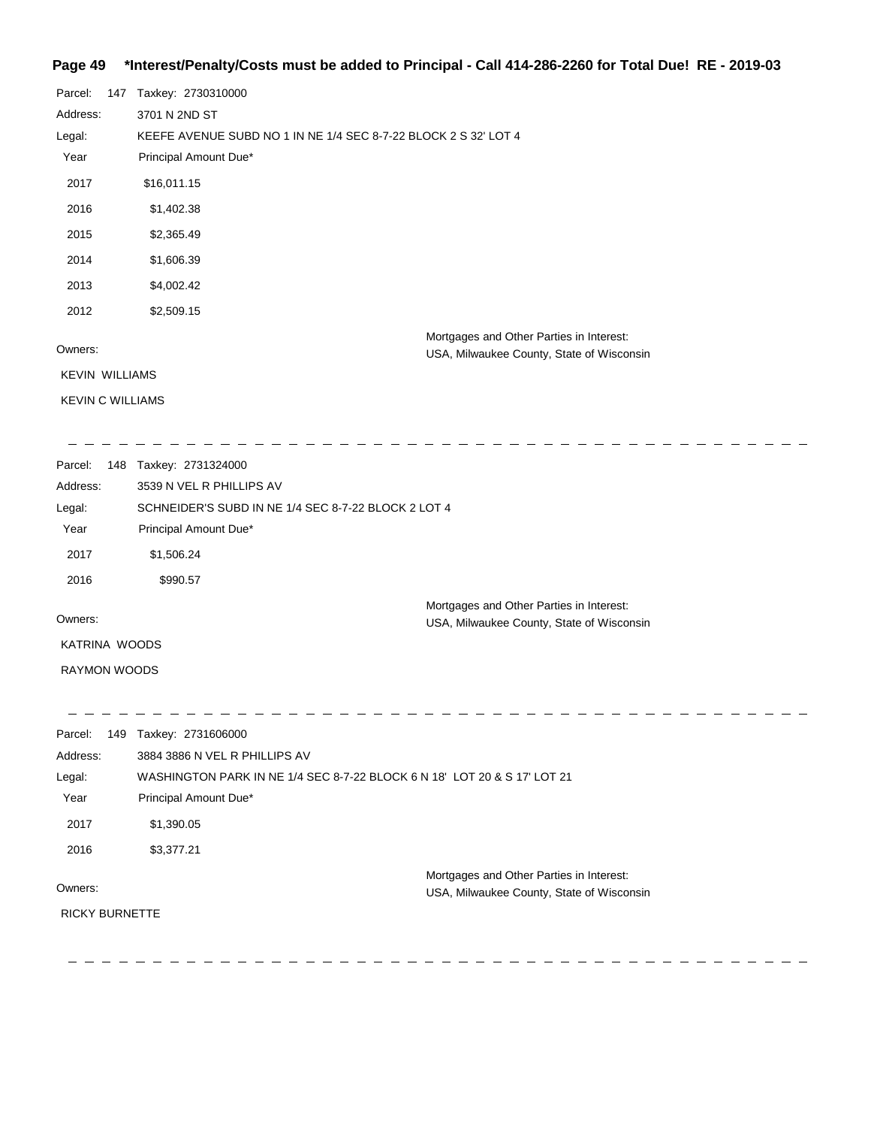## **Page 49 \*Interest/Penalty/Costs must be added to Principal - Call 414-286-2260 for Total Due! RE - 2019-03**

| Parcel:                 | 147 | Taxkey: 2730310000                                                                    |
|-------------------------|-----|---------------------------------------------------------------------------------------|
| Address:                |     | 3701 N 2ND ST                                                                         |
| Legal:                  |     | KEEFE AVENUE SUBD NO 1 IN NE 1/4 SEC 8-7-22 BLOCK 2 S 32' LOT 4                       |
| Year                    |     | Principal Amount Due*                                                                 |
| 2017                    |     | \$16,011.15                                                                           |
| 2016                    |     | \$1,402.38                                                                            |
| 2015                    |     | \$2,365.49                                                                            |
| 2014                    |     | \$1,606.39                                                                            |
| 2013                    |     | \$4,002.42                                                                            |
| 2012                    |     | \$2,509.15                                                                            |
| Owners:                 |     | Mortgages and Other Parties in Interest:<br>USA, Milwaukee County, State of Wisconsin |
| <b>KEVIN WILLIAMS</b>   |     |                                                                                       |
| <b>KEVIN C WILLIAMS</b> |     |                                                                                       |
|                         |     |                                                                                       |

| Parcel:       | 148 | Taxkey: 2731324000                                  |                                           |
|---------------|-----|-----------------------------------------------------|-------------------------------------------|
| Address:      |     | 3539 N VEL R PHILLIPS AV                            |                                           |
| Legal:        |     | SCHNEIDER'S SUBD IN NE 1/4 SEC 8-7-22 BLOCK 2 LOT 4 |                                           |
| Year          |     | Principal Amount Due*                               |                                           |
| 2017          |     | \$1,506.24                                          |                                           |
| 2016          |     | \$990.57                                            |                                           |
| Owners:       |     |                                                     | Mortgages and Other Parties in Interest:  |
|               |     |                                                     | USA, Milwaukee County, State of Wisconsin |
| KATRINA WOODS |     |                                                     |                                           |

RAYMON WOODS

| Parcel:               | 149 | Taxkey: 2731606000                                                       |
|-----------------------|-----|--------------------------------------------------------------------------|
| Address:              |     | 3884 3886 N VEL R PHILLIPS AV                                            |
| Legal:                |     | WASHINGTON PARK IN NE 1/4 SEC 8-7-22 BLOCK 6 N 18' LOT 20 & S 17' LOT 21 |
| Year                  |     | Principal Amount Due*                                                    |
| 2017                  |     | \$1,390.05                                                               |
| 2016                  |     | \$3,377.21                                                               |
| Owners:               |     | Mortgages and Other Parties in Interest:                                 |
|                       |     | USA, Milwaukee County, State of Wisconsin                                |
| <b>RICKY BURNETTE</b> |     |                                                                          |
|                       |     |                                                                          |

\_ \_ \_ \_ \_ \_ \_ \_ \_ \_ \_ \_  $\sim$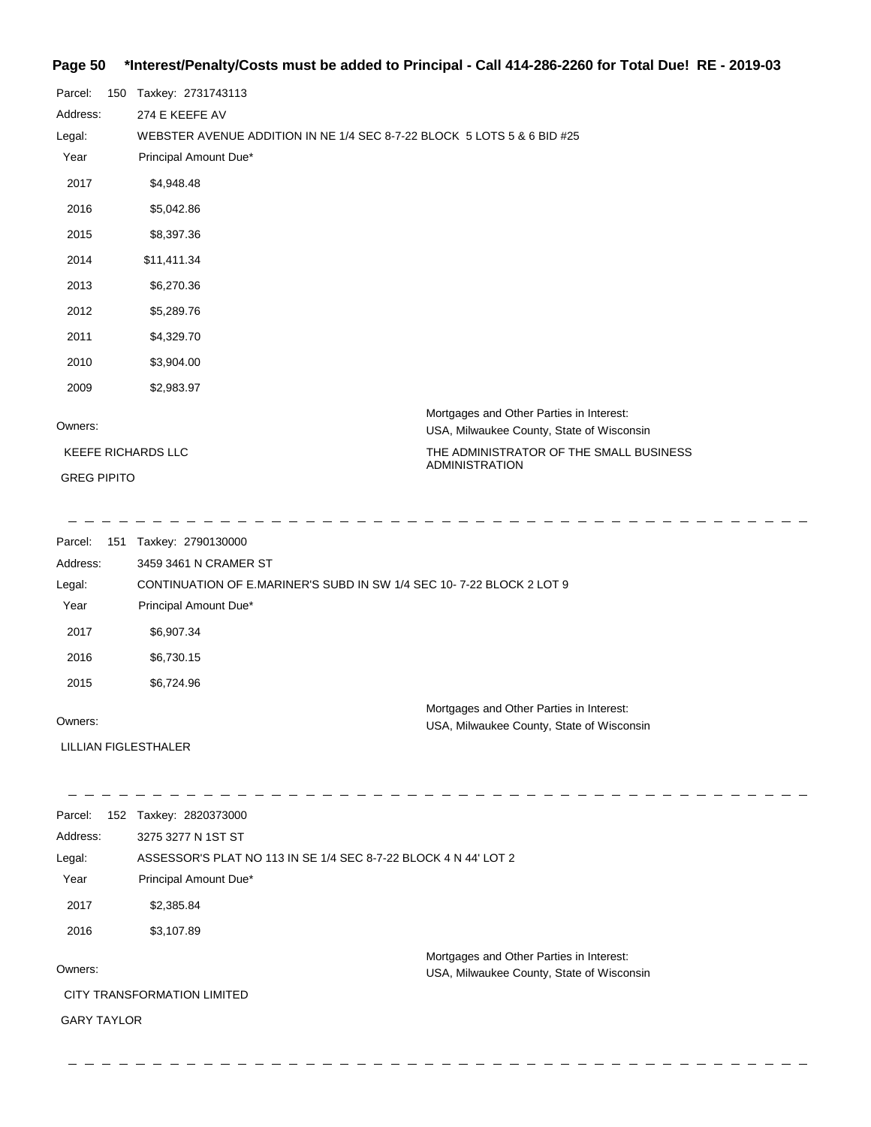## **Page 50 \*Interest/Penalty/Costs must be added to Principal - Call 414-286-2260 for Total Due! RE - 2019-03**

| Parcel:                   |  | 150 Taxkey: 2731743113                                                  |                                                                                       |
|---------------------------|--|-------------------------------------------------------------------------|---------------------------------------------------------------------------------------|
| Address:                  |  | 274 E KEEFE AV                                                          |                                                                                       |
| Legal:                    |  | WEBSTER AVENUE ADDITION IN NE 1/4 SEC 8-7-22 BLOCK 5 LOTS 5 & 6 BID #25 |                                                                                       |
| Year                      |  | Principal Amount Due*                                                   |                                                                                       |
| 2017                      |  | \$4,948.48                                                              |                                                                                       |
| 2016                      |  | \$5,042.86                                                              |                                                                                       |
| 2015                      |  | \$8,397.36                                                              |                                                                                       |
| 2014                      |  | \$11,411.34                                                             |                                                                                       |
| 2013                      |  | \$6,270.36                                                              |                                                                                       |
| 2012                      |  | \$5,289.76                                                              |                                                                                       |
| 2011                      |  | \$4,329.70                                                              |                                                                                       |
| 2010                      |  | \$3,904.00                                                              |                                                                                       |
| 2009                      |  | \$2,983.97                                                              |                                                                                       |
| Owners:                   |  |                                                                         | Mortgages and Other Parties in Interest:<br>USA, Milwaukee County, State of Wisconsin |
| <b>KEEFE RICHARDS LLC</b> |  |                                                                         | THE ADMINISTRATOR OF THE SMALL BUSINESS<br><b>ADMINISTRATION</b>                      |
| <b>GREG PIPITO</b>        |  |                                                                         |                                                                                       |

| Parcel:  | 151 | Taxkey: 2790130000                                                   |                                                                                       |
|----------|-----|----------------------------------------------------------------------|---------------------------------------------------------------------------------------|
| Address: |     | 3459 3461 N CRAMER ST                                                |                                                                                       |
| Legal:   |     | CONTINUATION OF E.MARINER'S SUBD IN SW 1/4 SEC 10-7-22 BLOCK 2 LOT 9 |                                                                                       |
| Year     |     | Principal Amount Due*                                                |                                                                                       |
| 2017     |     | \$6,907.34                                                           |                                                                                       |
| 2016     |     | \$6,730.15                                                           |                                                                                       |
| 2015     |     | \$6,724.96                                                           |                                                                                       |
| Owners:  |     |                                                                      | Mortgages and Other Parties in Interest:<br>USA, Milwaukee County, State of Wisconsin |

LILLIAN FIGLESTHALER

| Parcel:            | 152 | Taxkey: 2820373000          |                                                                                       |
|--------------------|-----|-----------------------------|---------------------------------------------------------------------------------------|
| Address:           |     | 3275 3277 N 1ST ST          |                                                                                       |
| Legal:             |     |                             | ASSESSOR'S PLAT NO 113 IN SE 1/4 SEC 8-7-22 BLOCK 4 N 44' LOT 2                       |
| Year               |     | Principal Amount Due*       |                                                                                       |
| 2017               |     | \$2,385.84                  |                                                                                       |
| 2016               |     | \$3,107.89                  |                                                                                       |
| Owners:            |     | CITY TRANSFORMATION LIMITED | Mortgages and Other Parties in Interest:<br>USA, Milwaukee County, State of Wisconsin |
|                    |     |                             |                                                                                       |
| <b>GARY TAYLOR</b> |     |                             |                                                                                       |
|                    |     |                             |                                                                                       |
|                    |     |                             |                                                                                       |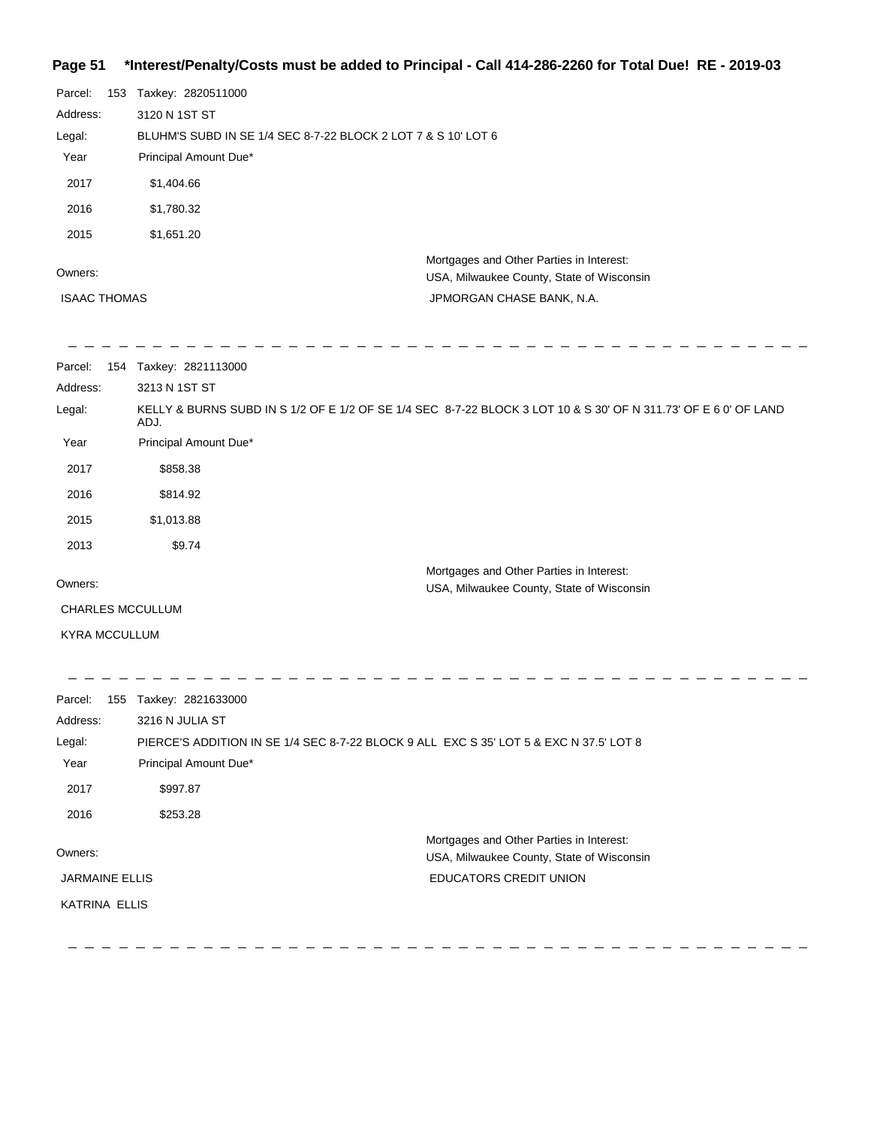### **Page 51 \*Interest/Penalty/Costs must be added to Principal - Call 414-286-2260 for Total Due! RE - 2019-03**

| Parcel:              | 153 Taxkey: 2820511000                                        |                                                                                                                 |
|----------------------|---------------------------------------------------------------|-----------------------------------------------------------------------------------------------------------------|
| Address:             | 3120 N 1ST ST                                                 |                                                                                                                 |
| Legal:               | BLUHM'S SUBD IN SE 1/4 SEC 8-7-22 BLOCK 2 LOT 7 & S 10' LOT 6 |                                                                                                                 |
| Year                 | Principal Amount Due*                                         |                                                                                                                 |
| 2017                 | \$1,404.66                                                    |                                                                                                                 |
| 2016                 | \$1,780.32                                                    |                                                                                                                 |
| 2015                 | \$1,651.20                                                    |                                                                                                                 |
| Owners:              |                                                               | Mortgages and Other Parties in Interest:<br>USA, Milwaukee County, State of Wisconsin                           |
| <b>ISAAC THOMAS</b>  |                                                               | JPMORGAN CHASE BANK, N.A.                                                                                       |
| Parcel:<br>Address:  | 154 Taxkey: 2821113000<br>3213 N 1ST ST                       |                                                                                                                 |
| Legal:               | ADJ.                                                          | KELLY & BURNS SUBD IN S 1/2 OF E 1/2 OF SE 1/4 SEC 8-7-22 BLOCK 3 LOT 10 & S 30' OF N 311.73' OF E 6 0' OF LAND |
| Year                 | Principal Amount Due*                                         |                                                                                                                 |
| 2017                 | \$858.38                                                      |                                                                                                                 |
| 2016                 | \$814.92                                                      |                                                                                                                 |
| 2015                 | \$1,013.88                                                    |                                                                                                                 |
| 2013                 | \$9.74                                                        |                                                                                                                 |
| Owners:              |                                                               | Mortgages and Other Parties in Interest:<br>USA, Milwaukee County, State of Wisconsin                           |
| CHARLES MCCULLUM     |                                                               |                                                                                                                 |
| <b>KYRA MCCULLUM</b> |                                                               |                                                                                                                 |
|                      |                                                               |                                                                                                                 |
|                      |                                                               |                                                                                                                 |

| Parcel:               | 155 | Taxkey: 2821633000    |                                                                                        |
|-----------------------|-----|-----------------------|----------------------------------------------------------------------------------------|
| Address:              |     | 3216 N JULIA ST       |                                                                                        |
| Legal:                |     |                       | PIERCE'S ADDITION IN SE 1/4 SEC 8-7-22 BLOCK 9 ALL EXC S 35' LOT 5 & EXC N 37.5' LOT 8 |
| Year                  |     | Principal Amount Due* |                                                                                        |
| 2017                  |     | \$997.87              |                                                                                        |
| 2016                  |     | \$253.28              |                                                                                        |
| Owners:               |     |                       | Mortgages and Other Parties in Interest:<br>USA, Milwaukee County, State of Wisconsin  |
| <b>JARMAINE ELLIS</b> |     |                       | <b>EDUCATORS CREDIT UNION</b>                                                          |
| <b>KATRINA ELLIS</b>  |     |                       |                                                                                        |
|                       |     |                       |                                                                                        |
|                       |     |                       |                                                                                        |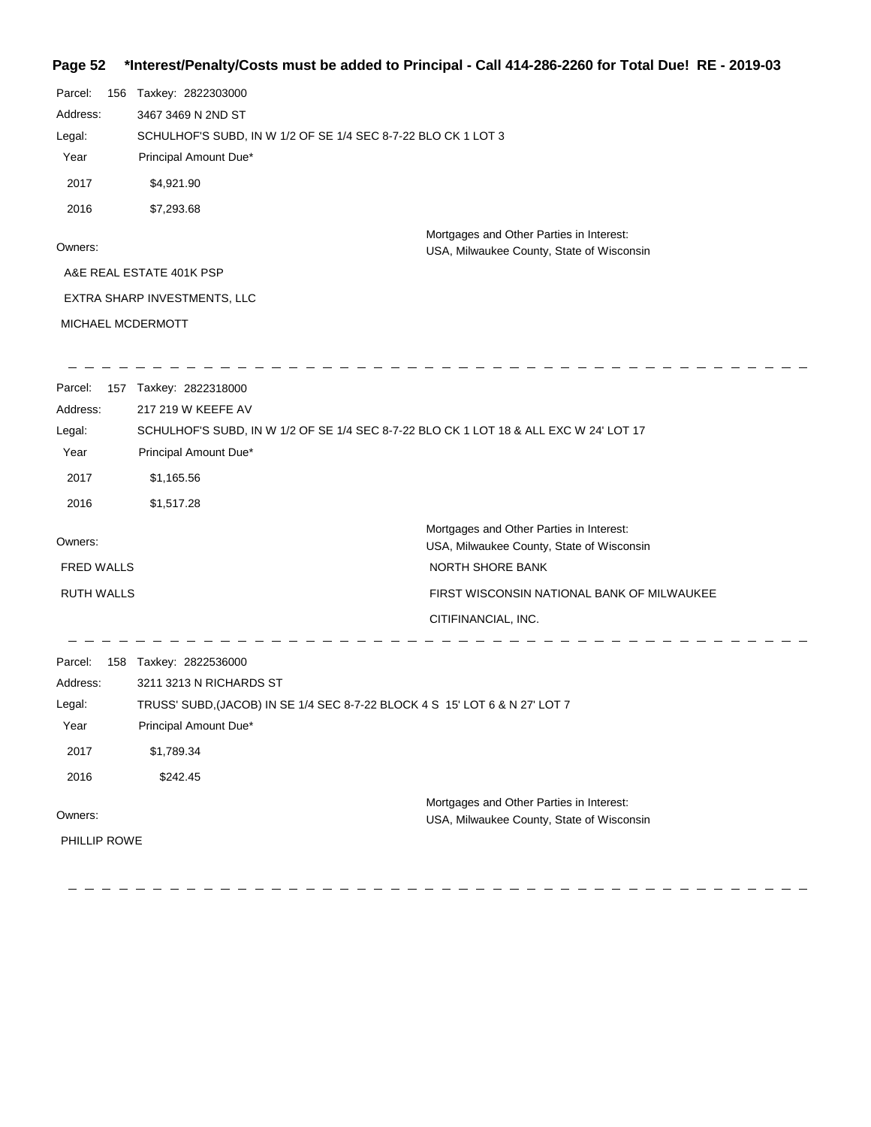### **Page 52 \*Interest/Penalty/Costs must be added to Principal - Call 414-286-2260 for Total Due! RE - 2019-03**

| Parcel:<br>156    | Taxkey: 2822303000                                            |                                                                                       |
|-------------------|---------------------------------------------------------------|---------------------------------------------------------------------------------------|
| Address:          | 3467 3469 N 2ND ST                                            |                                                                                       |
| Legal:            | SCHULHOF'S SUBD, IN W 1/2 OF SE 1/4 SEC 8-7-22 BLO CK 1 LOT 3 |                                                                                       |
| Year              | Principal Amount Due*                                         |                                                                                       |
| 2017              | \$4,921.90                                                    |                                                                                       |
| 2016              | \$7,293.68                                                    |                                                                                       |
| Owners:           |                                                               | Mortgages and Other Parties in Interest:<br>USA, Milwaukee County, State of Wisconsin |
|                   | A&E REAL ESTATE 401K PSP                                      |                                                                                       |
|                   | EXTRA SHARP INVESTMENTS, LLC                                  |                                                                                       |
| MICHAEL MCDERMOTT |                                                               |                                                                                       |
|                   | Parcel: 157 Taxkey: 2822318000                                |                                                                                       |
| Address:          | 217 219 W KEEFE AV                                            |                                                                                       |
| Legal:            |                                                               | SCHULHOF'S SUBD, IN W 1/2 OF SE 1/4 SEC 8-7-22 BLO CK 1 LOT 18 & ALL EXC W 24' LOT 17 |
| Year              | Principal Amount Due*                                         |                                                                                       |
| 2017              | \$1,165.56                                                    |                                                                                       |
| 2016              | \$1,517.28                                                    |                                                                                       |
| Owners:           |                                                               | Mortgages and Other Parties in Interest:                                              |
| <b>FRED WALLS</b> |                                                               | USA, Milwaukee County, State of Wisconsin<br>NORTH SHORE BANK                         |
|                   |                                                               |                                                                                       |
| <b>RUTH WALLS</b> |                                                               | FIRST WISCONSIN NATIONAL BANK OF MILWAUKEE                                            |
|                   |                                                               | CITIFINANCIAL, INC.                                                                   |
| Parcel:           | 158 Taxkey: 2822536000                                        |                                                                                       |
| Address:          | 3211 3213 N RICHARDS ST                                       |                                                                                       |
| Legal:            |                                                               | TRUSS' SUBD, (JACOB) IN SE 1/4 SEC 8-7-22 BLOCK 4 S 15' LOT 6 & N 27' LOT 7           |
| Year              | Principal Amount Due*                                         |                                                                                       |
| 2017              | \$1,789.34                                                    |                                                                                       |
| 2016              | \$242.45                                                      |                                                                                       |
|                   |                                                               | Mortgages and Other Parties in Interest:                                              |
| Owners:           |                                                               | USA, Milwaukee County, State of Wisconsin                                             |
| PHILLIP ROWE      |                                                               |                                                                                       |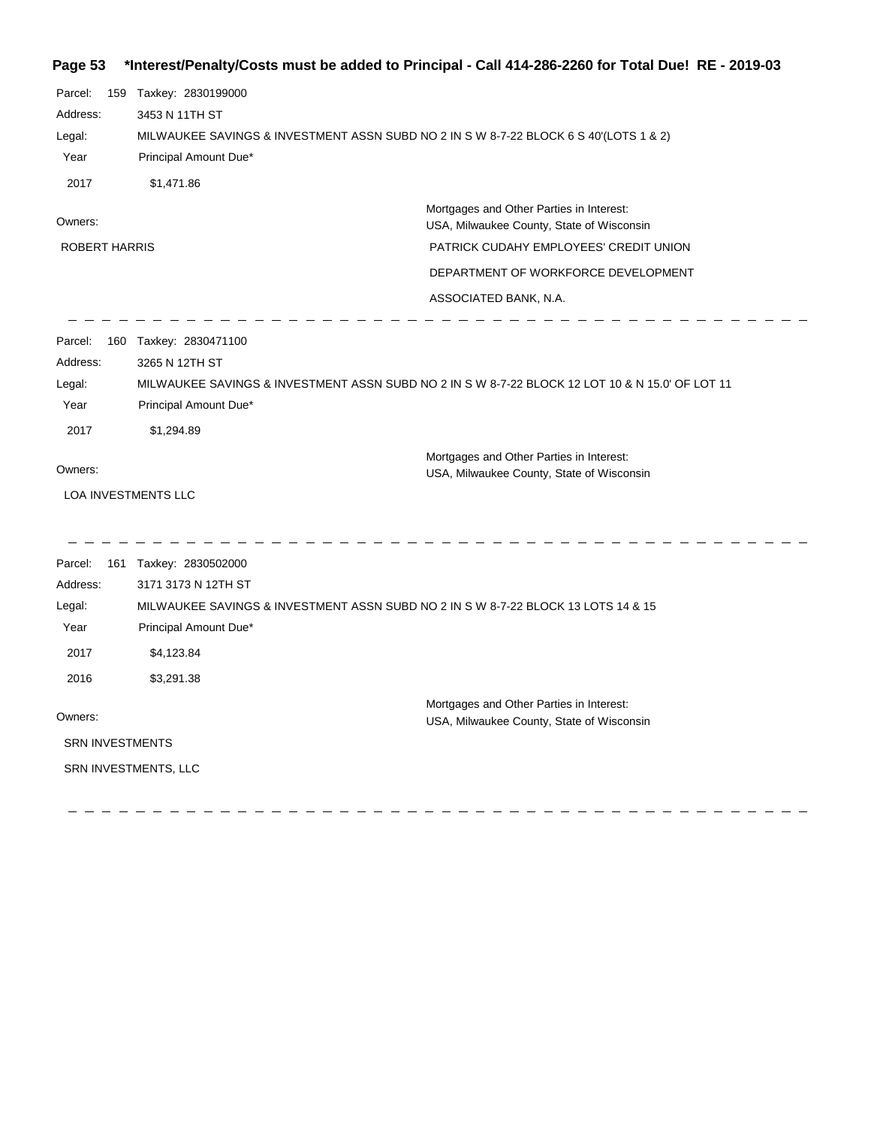## **Page 53 \*Interest/Penalty/Costs must be added to Principal - Call 414-286-2260 for Total Due! RE - 2019-03**

| Parcel:<br>Address:<br>Legal:<br>Year<br>2017         | 159 Taxkey: 2830199000<br>3453 N 11TH ST<br>MILWAUKEE SAVINGS & INVESTMENT ASSN SUBD NO 2 IN S W 8-7-22 BLOCK 6 S 40'(LOTS 1 & 2)<br>Principal Amount Due*<br>\$1,471.86                |                                                                                                 |
|-------------------------------------------------------|-----------------------------------------------------------------------------------------------------------------------------------------------------------------------------------------|-------------------------------------------------------------------------------------------------|
| Owners:                                               |                                                                                                                                                                                         | Mortgages and Other Parties in Interest:<br>USA, Milwaukee County, State of Wisconsin           |
| ROBERT HARRIS                                         |                                                                                                                                                                                         | PATRICK CUDAHY EMPLOYEES' CREDIT UNION                                                          |
|                                                       |                                                                                                                                                                                         | DEPARTMENT OF WORKFORCE DEVELOPMENT                                                             |
|                                                       |                                                                                                                                                                                         | ASSOCIATED BANK, N.A.                                                                           |
| Parcel:<br>Address:<br>Legal:<br>Year<br>2017         | 160 Taxkey: 2830471100<br>3265 N 12TH ST<br>Principal Amount Due*<br>\$1,294.89                                                                                                         | MILWAUKEE SAVINGS & INVESTMENT ASSN SUBD NO 2 IN S W 8-7-22 BLOCK 12 LOT 10 & N 15.0' OF LOT 11 |
|                                                       |                                                                                                                                                                                         | Mortgages and Other Parties in Interest:                                                        |
| Owners:                                               |                                                                                                                                                                                         | USA, Milwaukee County, State of Wisconsin                                                       |
| LOA INVESTMENTS LLC                                   |                                                                                                                                                                                         |                                                                                                 |
| Parcel:<br>Address:<br>Legal:<br>Year<br>2017<br>2016 | 161 Taxkey: 2830502000<br>3171 3173 N 12TH ST<br>MILWAUKEE SAVINGS & INVESTMENT ASSN SUBD NO 2 IN S W 8-7-22 BLOCK 13 LOTS 14 & 15<br>Principal Amount Due*<br>\$4,123.84<br>\$3,291.38 |                                                                                                 |
| Owners:                                               |                                                                                                                                                                                         | Mortgages and Other Parties in Interest:<br>USA, Milwaukee County, State of Wisconsin           |
| <b>SRN INVESTMENTS</b>                                |                                                                                                                                                                                         |                                                                                                 |
|                                                       | SRN INVESTMENTS, LLC                                                                                                                                                                    |                                                                                                 |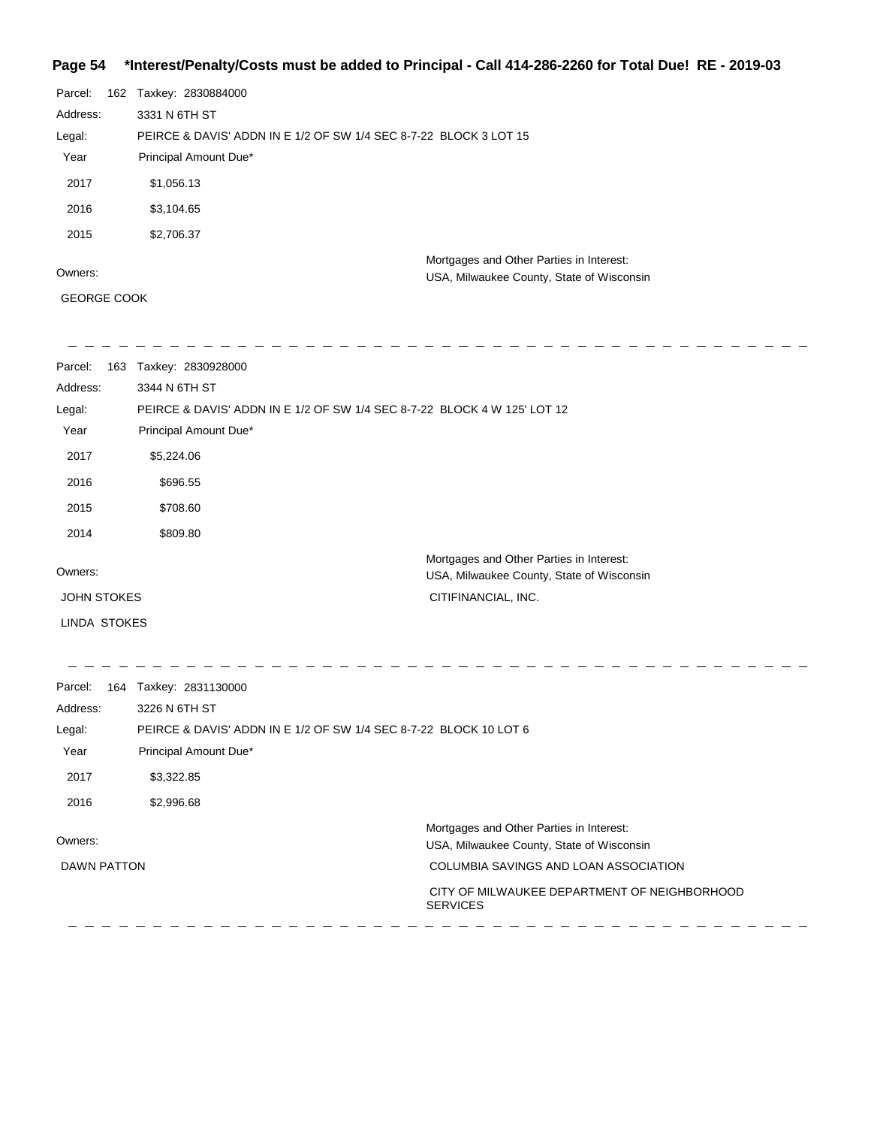## **Page 54 \*Interest/Penalty/Costs must be added to Principal - Call 414-286-2260 for Total Due! RE - 2019-03**

| Parcel:  | 162 | Taxkey: 2830884000                                                |                                                                                       |  |
|----------|-----|-------------------------------------------------------------------|---------------------------------------------------------------------------------------|--|
| Address: |     | 3331 N 6TH ST                                                     |                                                                                       |  |
| Legal:   |     | PEIRCE & DAVIS' ADDN IN E 1/2 OF SW 1/4 SEC 8-7-22 BLOCK 3 LOT 15 |                                                                                       |  |
| Year     |     | Principal Amount Due*                                             |                                                                                       |  |
| 2017     |     | \$1,056.13                                                        |                                                                                       |  |
| 2016     |     | \$3,104.65                                                        |                                                                                       |  |
| 2015     |     | \$2,706.37                                                        |                                                                                       |  |
| Owners:  |     |                                                                   | Mortgages and Other Parties in Interest:<br>USA, Milwaukee County, State of Wisconsin |  |

GEORGE COOK

| Parcel:<br>163     | Taxkey: 2830928000                                                                    |
|--------------------|---------------------------------------------------------------------------------------|
| Address:           | 3344 N 6TH ST                                                                         |
| Legal:             | PEIRCE & DAVIS' ADDN IN E 1/2 OF SW 1/4 SEC 8-7-22 BLOCK 4 W 125' LOT 12              |
| Year               | Principal Amount Due*                                                                 |
| 2017               | \$5,224.06                                                                            |
| 2016               | \$696.55                                                                              |
| 2015               | \$708.60                                                                              |
| 2014               | \$809.80                                                                              |
| Owners:            | Mortgages and Other Parties in Interest:<br>USA, Milwaukee County, State of Wisconsin |
| <b>JOHN STOKES</b> | CITIFINANCIAL, INC.                                                                   |
| LINDA STOKES       |                                                                                       |

| Parcel:<br>164 | Taxkey: 2831130000                                                |                                                                                       |
|----------------|-------------------------------------------------------------------|---------------------------------------------------------------------------------------|
| Address:       | 3226 N 6TH ST                                                     |                                                                                       |
| Legal:         | PEIRCE & DAVIS' ADDN IN E 1/2 OF SW 1/4 SEC 8-7-22 BLOCK 10 LOT 6 |                                                                                       |
| Year           | Principal Amount Due*                                             |                                                                                       |
| 2017           | \$3,322.85                                                        |                                                                                       |
| 2016           | \$2,996.68                                                        |                                                                                       |
| Owners:        |                                                                   | Mortgages and Other Parties in Interest:<br>USA, Milwaukee County, State of Wisconsin |
| DAWN PATTON    |                                                                   | COLUMBIA SAVINGS AND LOAN ASSOCIATION                                                 |
|                |                                                                   | CITY OF MILWAUKEE DEPARTMENT OF NEIGHBORHOOD<br><b>SERVICES</b>                       |
|                |                                                                   |                                                                                       |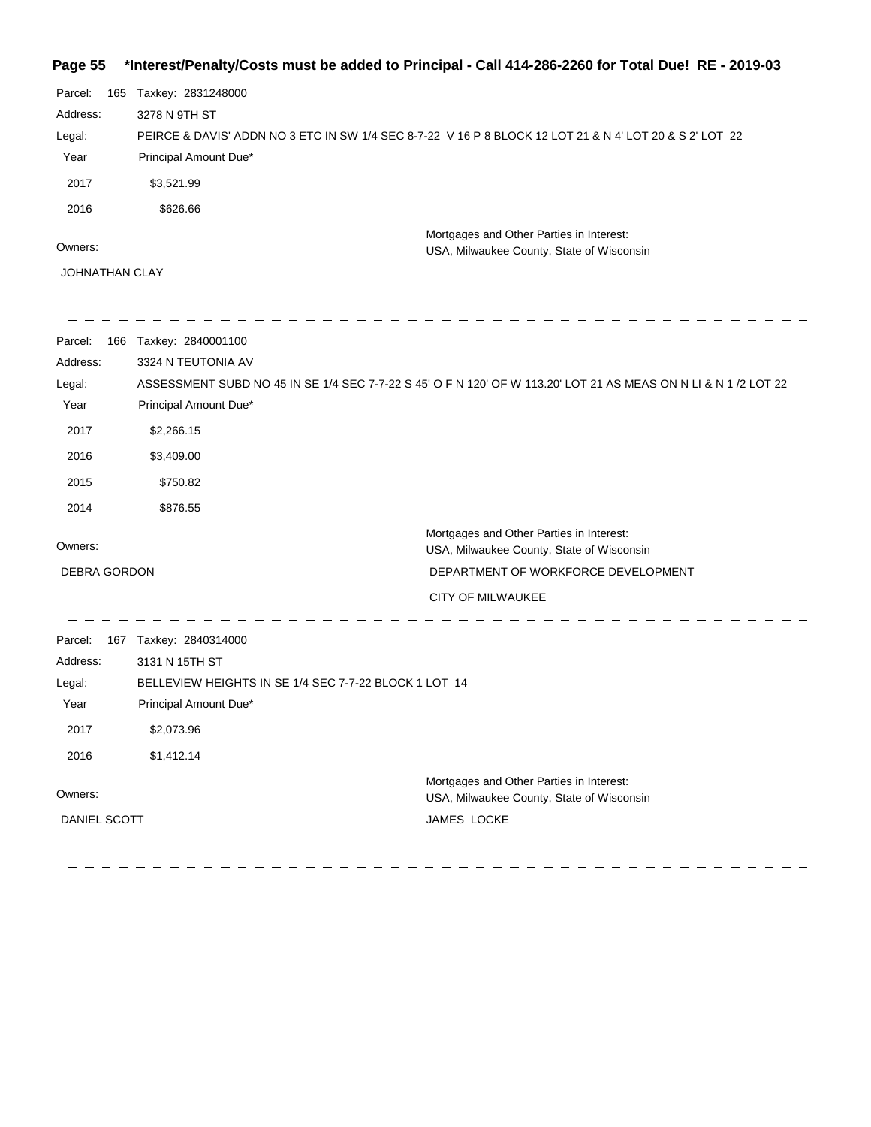## **Page 55 \*Interest/Penalty/Costs must be added to Principal - Call 414-286-2260 for Total Due! RE - 2019-03**

| Parcel:  | 165 | Taxkey: 2831248000                                                                                      |
|----------|-----|---------------------------------------------------------------------------------------------------------|
| Address: |     | 3278 N 9TH ST                                                                                           |
| Legal:   |     | PEIRCE & DAVIS' ADDN NO 3 ETC IN SW 1/4 SEC 8-7-22 V 16 P 8 BLOCK 12 LOT 21 & N 4' LOT 20 & S 2' LOT 22 |
| Year     |     | Principal Amount Due*                                                                                   |
| 2017     |     | \$3,521.99                                                                                              |
| 2016     |     | \$626.66                                                                                                |
|          |     | Mortgages and Other Parties in Interest:                                                                |
| Owners:  |     | USA, Milwaukee County, State of Wisconsin                                                               |

JOHNATHAN CLAY

-----------

| Parcel:             | 166 Taxkey: 2840001100                                |                                                                                                                 |
|---------------------|-------------------------------------------------------|-----------------------------------------------------------------------------------------------------------------|
| Address:            | 3324 N TEUTONIA AV                                    |                                                                                                                 |
| Legal:              |                                                       | ASSESSMENT SUBD NO 45 IN SE 1/4 SEC 7-7-22 S 45' O F N 120' OF W 113.20' LOT 21 AS MEAS ON N LI & N 1 /2 LOT 22 |
| Year                | Principal Amount Due*                                 |                                                                                                                 |
| 2017                | \$2,266.15                                            |                                                                                                                 |
| 2016                | \$3,409.00                                            |                                                                                                                 |
| 2015                | \$750.82                                              |                                                                                                                 |
| 2014                | \$876.55                                              |                                                                                                                 |
|                     |                                                       | Mortgages and Other Parties in Interest:                                                                        |
| Owners:             |                                                       | USA, Milwaukee County, State of Wisconsin                                                                       |
| <b>DEBRA GORDON</b> |                                                       | DEPARTMENT OF WORKFORCE DEVELOPMENT                                                                             |
|                     |                                                       | <b>CITY OF MILWAUKEE</b>                                                                                        |
| Parcel:             | 167 Taxkey: 2840314000                                |                                                                                                                 |
| Address:            | 3131 N 15TH ST                                        |                                                                                                                 |
| Legal:              | BELLEVIEW HEIGHTS IN SE 1/4 SEC 7-7-22 BLOCK 1 LOT 14 |                                                                                                                 |
| Year                | Principal Amount Due*                                 |                                                                                                                 |
| 2017                | \$2,073.96                                            |                                                                                                                 |
| 2016                | \$1,412.14                                            |                                                                                                                 |
|                     |                                                       | Mortgages and Other Parties in Interest:                                                                        |
| Owners:             |                                                       | USA, Milwaukee County, State of Wisconsin                                                                       |
| DANIEL SCOTT        |                                                       | JAMES LOCKE                                                                                                     |
|                     |                                                       |                                                                                                                 |

-------------------------------

 $\equiv$   $\equiv$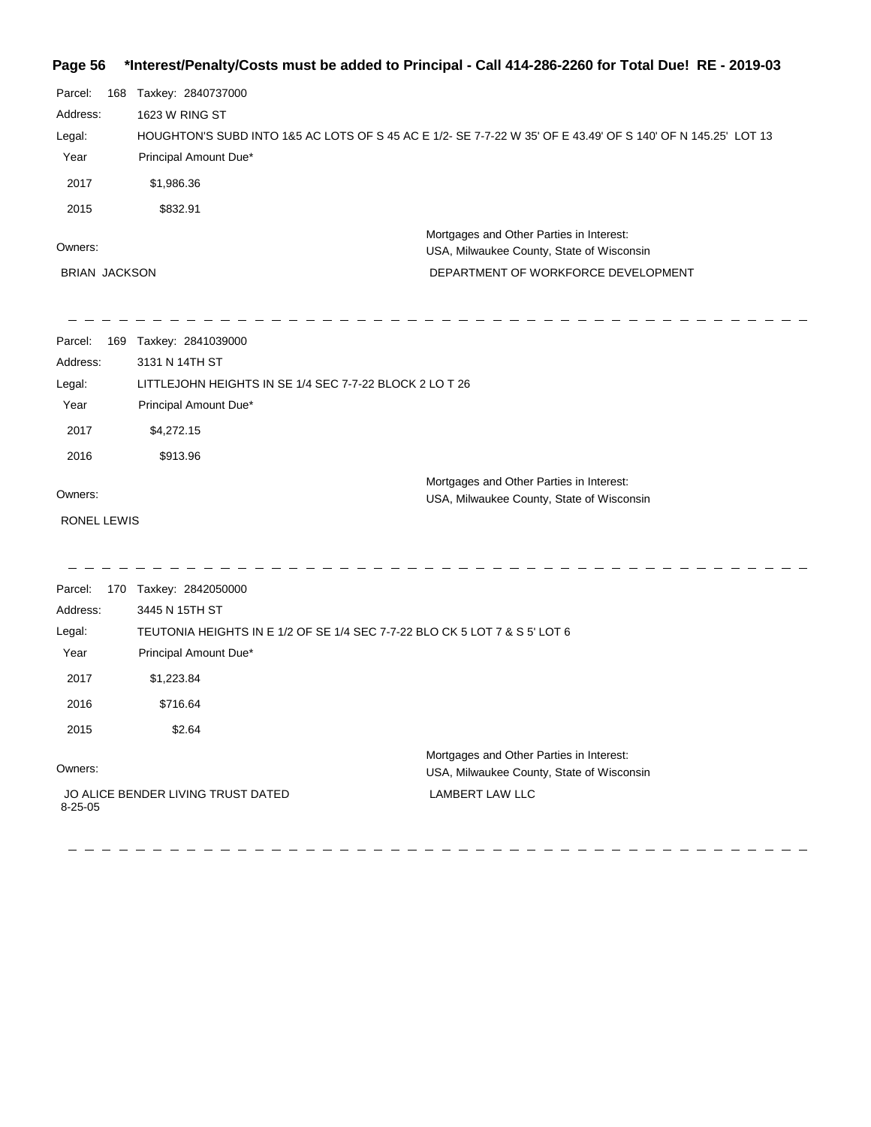#### **Page 56 \*Interest/Penalty/Costs must be added to Principal - Call 414-286-2260 for Total Due! RE - 2019-03**

| Parcel:<br>168       | Taxkey: 2840737000                                                                                           |                                                                                       |
|----------------------|--------------------------------------------------------------------------------------------------------------|---------------------------------------------------------------------------------------|
| Address:             | 1623 W RING ST                                                                                               |                                                                                       |
| Legal:               | HOUGHTON'S SUBD INTO 1&5 AC LOTS OF S 45 AC E 1/2- SE 7-7-22 W 35' OF E 43.49' OF S 140' OF N 145.25' LOT 13 |                                                                                       |
| Year                 | Principal Amount Due*                                                                                        |                                                                                       |
| 2017                 | \$1,986.36                                                                                                   |                                                                                       |
| 2015                 | \$832.91                                                                                                     |                                                                                       |
| Owners:              |                                                                                                              | Mortgages and Other Parties in Interest:<br>USA, Milwaukee County, State of Wisconsin |
| <b>BRIAN JACKSON</b> |                                                                                                              | DEPARTMENT OF WORKFORCE DEVELOPMENT                                                   |
| Parcel:              | 169 Taxkey: 2841039000                                                                                       |                                                                                       |
| Address:             | 3131 N 14TH ST                                                                                               |                                                                                       |
| Legal:               | LITTLEJOHN HEIGHTS IN SE 1/4 SEC 7-7-22 BLOCK 2 LO T 26                                                      |                                                                                       |
| Year                 | Principal Amount Due*                                                                                        |                                                                                       |
| 2017                 | \$4,272.15                                                                                                   |                                                                                       |
| 2016                 | \$913.96                                                                                                     |                                                                                       |
| Owners:              |                                                                                                              | Mortgages and Other Parties in Interest:                                              |
|                      |                                                                                                              | USA, Milwaukee County, State of Wisconsin                                             |
| RONEL LEWIS          |                                                                                                              |                                                                                       |
| Parcel:              | 170 Taxkey: 2842050000                                                                                       |                                                                                       |
| Address:             | 3445 N 15TH ST                                                                                               |                                                                                       |
| Legal:               | TEUTONIA HEIGHTS IN E 1/2 OF SE 1/4 SEC 7-7-22 BLO CK 5 LOT 7 & S 5' LOT 6                                   |                                                                                       |
| Year                 | Principal Amount Due*                                                                                        |                                                                                       |

2017 \$1,223.84 2016 \$716.64

2015 \$2.64

#### Owners:

 JO ALICE BENDER LIVING TRUST DATED 8-25-05

Mortgages and Other Parties in Interest: USA, Milwaukee County, State of Wisconsin LAMBERT LAW LLC

\_ \_ \_ \_ \_ \_ \_ \_ \_ \_ \_ \_ \_ \_ \_ \_ \_ \_ \_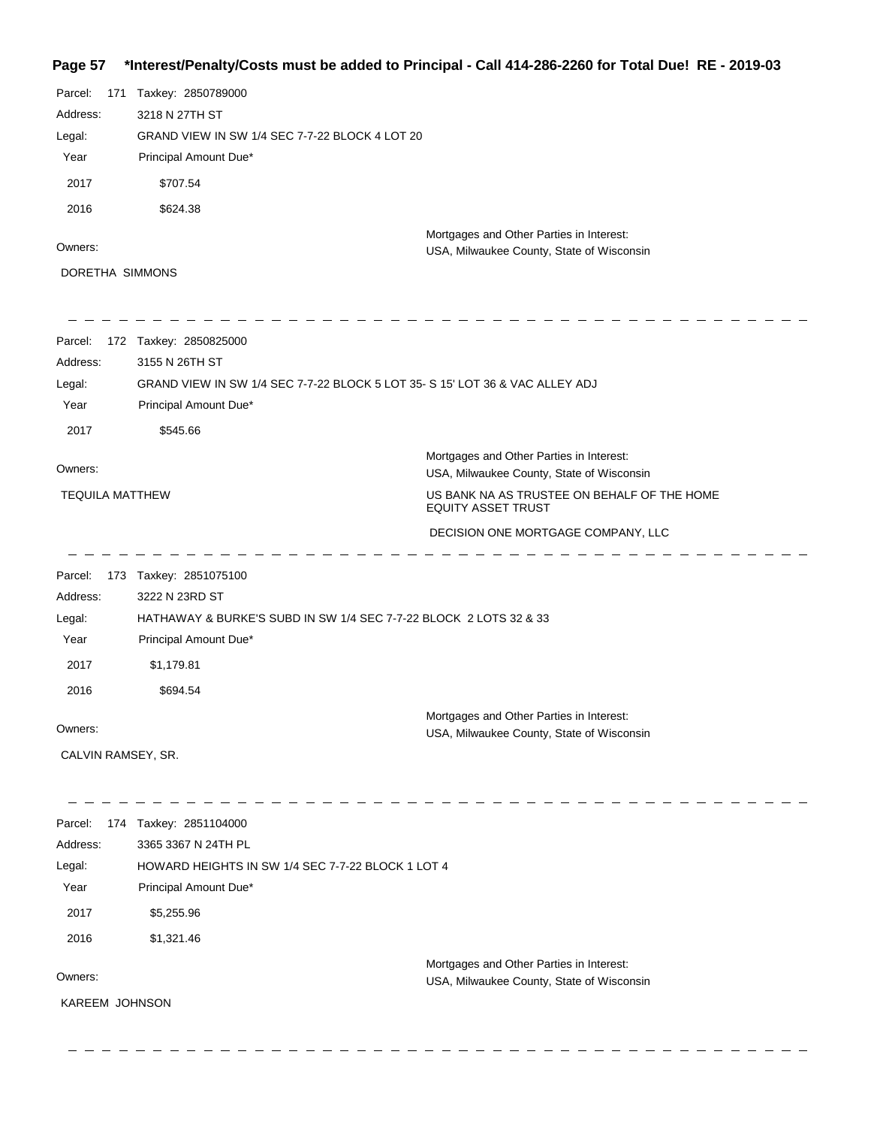# **Page 57 \*Interest/Penalty/Costs must be added to Principal - Call 414-286-2260 for Total Due! RE - 2019-03**

| Parcel:<br>171<br>Address:<br>Legal:<br>Year | Taxkey: 2850789000<br>3218 N 27TH ST<br>GRAND VIEW IN SW 1/4 SEC 7-7-22 BLOCK 4 LOT 20<br>Principal Amount Due* |                                                                                       |
|----------------------------------------------|-----------------------------------------------------------------------------------------------------------------|---------------------------------------------------------------------------------------|
| 2017                                         | \$707.54                                                                                                        |                                                                                       |
| 2016                                         | \$624.38                                                                                                        |                                                                                       |
| Owners:                                      |                                                                                                                 | Mortgages and Other Parties in Interest:                                              |
| DORETHA SIMMONS                              |                                                                                                                 | USA, Milwaukee County, State of Wisconsin                                             |
|                                              |                                                                                                                 |                                                                                       |
| Parcel:                                      | 172 Taxkey: 2850825000                                                                                          |                                                                                       |
| Address:                                     | 3155 N 26TH ST                                                                                                  |                                                                                       |
| Legal:<br>Year                               | GRAND VIEW IN SW 1/4 SEC 7-7-22 BLOCK 5 LOT 35- S 15' LOT 36 & VAC ALLEY ADJ<br>Principal Amount Due*           |                                                                                       |
| 2017                                         | \$545.66                                                                                                        |                                                                                       |
| Owners:                                      |                                                                                                                 | Mortgages and Other Parties in Interest:<br>USA, Milwaukee County, State of Wisconsin |
| <b>TEQUILA MATTHEW</b>                       |                                                                                                                 | US BANK NA AS TRUSTEE ON BEHALF OF THE HOME                                           |
|                                              |                                                                                                                 | <b>EQUITY ASSET TRUST</b>                                                             |
|                                              |                                                                                                                 | DECISION ONE MORTGAGE COMPANY, LLC                                                    |
| Parcel:                                      | 173 Taxkey: 2851075100                                                                                          |                                                                                       |
| Address:                                     | 3222 N 23RD ST                                                                                                  |                                                                                       |
| Legal:                                       | HATHAWAY & BURKE'S SUBD IN SW 1/4 SEC 7-7-22 BLOCK 2 LOTS 32 & 33                                               |                                                                                       |
| Year                                         | Principal Amount Due*                                                                                           |                                                                                       |
| 2017                                         | \$1,179.81                                                                                                      |                                                                                       |
| 2016                                         | \$694.54                                                                                                        |                                                                                       |
| Owners:                                      |                                                                                                                 | Mortgages and Other Parties in Interest:                                              |
| CALVIN RAMSEY, SR.                           |                                                                                                                 | USA, Milwaukee County, State of Wisconsin                                             |
|                                              |                                                                                                                 |                                                                                       |
| Parcel:                                      | 174 Taxkey: 2851104000                                                                                          |                                                                                       |
| Address:                                     | 3365 3367 N 24TH PL                                                                                             |                                                                                       |
| Legal:                                       | HOWARD HEIGHTS IN SW 1/4 SEC 7-7-22 BLOCK 1 LOT 4                                                               |                                                                                       |
| Year                                         | Principal Amount Due*                                                                                           |                                                                                       |
| 2017                                         | \$5,255.96                                                                                                      |                                                                                       |
| 2016                                         | \$1,321.46                                                                                                      |                                                                                       |
| Owners:                                      |                                                                                                                 | Mortgages and Other Parties in Interest:                                              |
| KAREEM JOHNSON                               |                                                                                                                 | USA, Milwaukee County, State of Wisconsin                                             |
|                                              |                                                                                                                 |                                                                                       |
|                                              |                                                                                                                 |                                                                                       |
|                                              |                                                                                                                 |                                                                                       |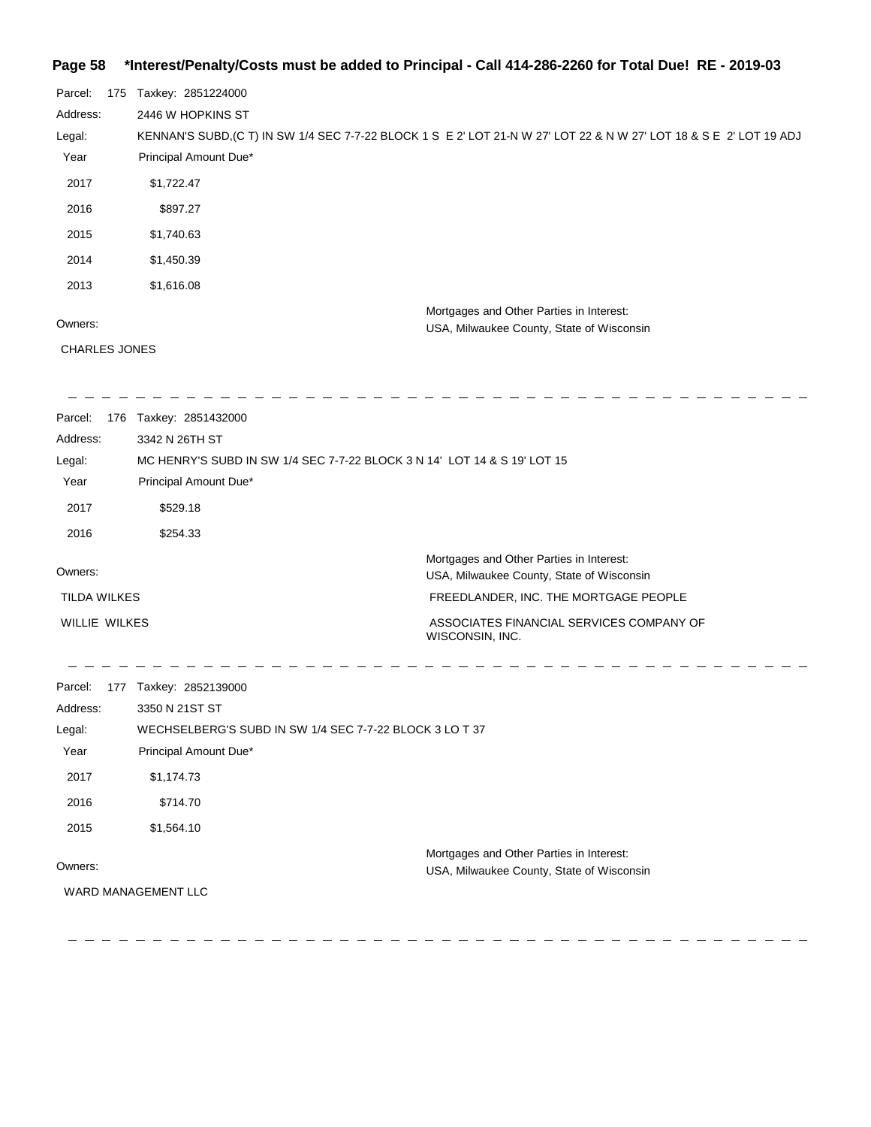## **Page 58 \*Interest/Penalty/Costs must be added to Principal - Call 414-286-2260 for Total Due! RE - 2019-03**

| Parcel:  | 175 | Taxkey: 2851224000                                                                                                  |
|----------|-----|---------------------------------------------------------------------------------------------------------------------|
| Address: |     | 2446 W HOPKINS ST                                                                                                   |
| Legal:   |     | KENNAN'S SUBD, (C T) IN SW 1/4 SEC 7-7-22 BLOCK 1 S E 2' LOT 21-N W 27' LOT 22 & N W 27' LOT 18 & S E 2' LOT 19 ADJ |
| Year     |     | Principal Amount Due*                                                                                               |
| 2017     |     | \$1,722.47                                                                                                          |
| 2016     |     | \$897.27                                                                                                            |
| 2015     |     | \$1,740.63                                                                                                          |
| 2014     |     | \$1,450.39                                                                                                          |
| 2013     |     | \$1,616.08                                                                                                          |
|          |     | Mortgages and Other Parties in Interest:                                                                            |
| Owners:  |     | USA, Milwaukee County, State of Wisconsin                                                                           |

CHARLES JONES

| Parcel:<br>176      | Taxkey: 2851432000                                                       |                                                                                       |
|---------------------|--------------------------------------------------------------------------|---------------------------------------------------------------------------------------|
| Address:            | 3342 N 26TH ST                                                           |                                                                                       |
| Legal:              | MC HENRY'S SUBD IN SW 1/4 SEC 7-7-22 BLOCK 3 N 14' LOT 14 & S 19' LOT 15 |                                                                                       |
| Year                | Principal Amount Due*                                                    |                                                                                       |
| 2017                | \$529.18                                                                 |                                                                                       |
| 2016                | \$254.33                                                                 |                                                                                       |
| Owners:             |                                                                          | Mortgages and Other Parties in Interest:<br>USA, Milwaukee County, State of Wisconsin |
| <b>TILDA WILKES</b> |                                                                          | FREEDLANDER, INC. THE MORTGAGE PEOPLE                                                 |
| WILLIE WILKES       |                                                                          | ASSOCIATES FINANCIAL SERVICES COMPANY OF<br>WISCONSIN, INC.                           |

| Parcel:  | 177 | Taxkey: 2852139000                                                                                                  |  |
|----------|-----|---------------------------------------------------------------------------------------------------------------------|--|
| Address: |     | 3350 N 21ST ST                                                                                                      |  |
| Legal:   |     | WECHSELBERG'S SUBD IN SW 1/4 SEC 7-7-22 BLOCK 3 LO T 37                                                             |  |
| Year     |     | Principal Amount Due*                                                                                               |  |
| 2017     |     | \$1,174.73                                                                                                          |  |
| 2016     |     | \$714.70                                                                                                            |  |
| 2015     |     | \$1,564.10                                                                                                          |  |
| Owners:  |     | Mortgages and Other Parties in Interest:<br>USA, Milwaukee County, State of Wisconsin<br><b>WARD MANAGEMENT LLC</b> |  |
|          |     |                                                                                                                     |  |

 $\qquad \qquad - \qquad - \qquad - \qquad -$ ----------  $\overline{\phantom{a}}$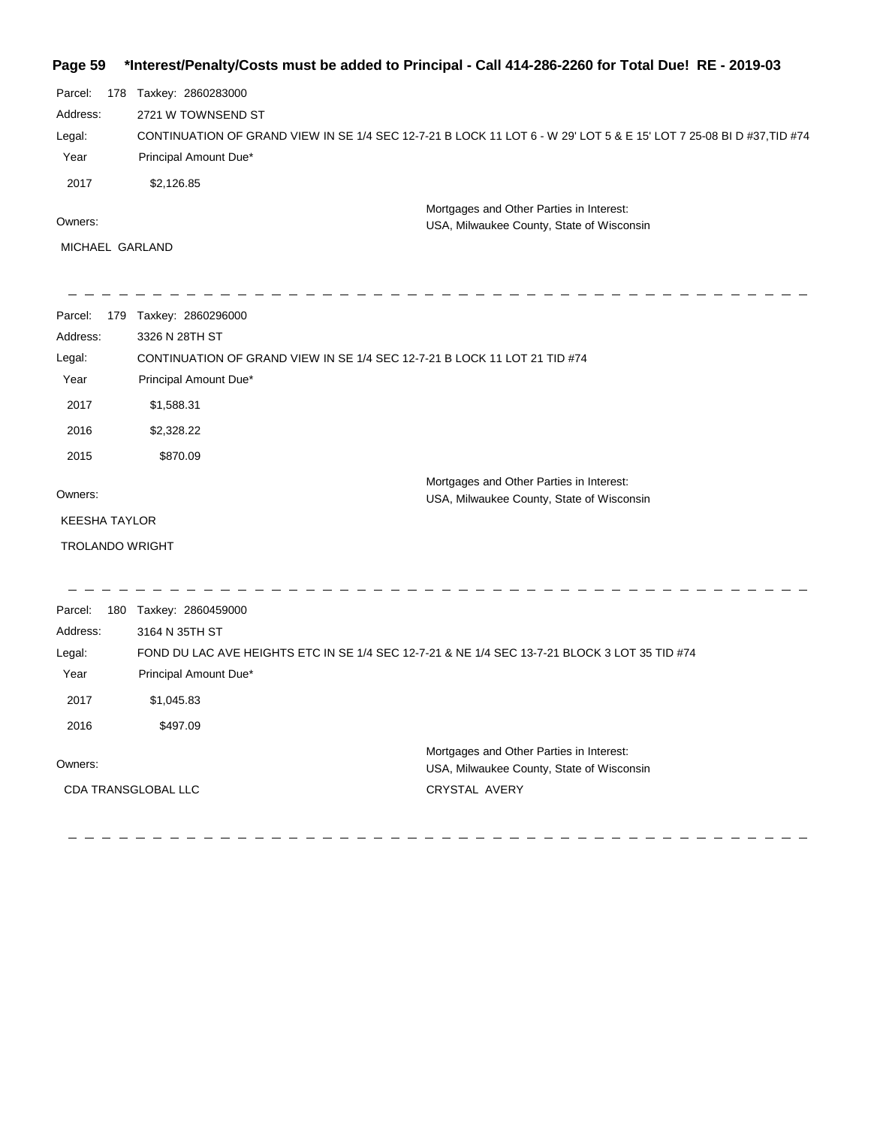|  | Page 59 *Interest/Penalty/Costs must be added to Principal - Call 414-286-2260 for Total Due! RE - 2019-03 |  |  |  |  |
|--|------------------------------------------------------------------------------------------------------------|--|--|--|--|
|--|------------------------------------------------------------------------------------------------------------|--|--|--|--|

| Parcel:  | 178 | Taxkey: 2860283000                                                                                                  |
|----------|-----|---------------------------------------------------------------------------------------------------------------------|
| Address: |     | 2721 W TOWNSEND ST                                                                                                  |
| Legal:   |     | CONTINUATION OF GRAND VIEW IN SE 1/4 SEC 12-7-21 B LOCK 11 LOT 6 - W 29' LOT 5 & E 15' LOT 7 25-08 BI D #37,TID #74 |
| Year     |     | Principal Amount Due*                                                                                               |
| 2017     |     | \$2,126.85                                                                                                          |
|          |     | Mortgages and Other Parties in Interest:                                                                            |
| Owners:  |     | USA, Milwaukee County, State of Wisconsin                                                                           |

MICHAEL GARLAND

| Parcel:<br>179         | Taxkey: 2860296000                                                                            |                                                                                       |
|------------------------|-----------------------------------------------------------------------------------------------|---------------------------------------------------------------------------------------|
| Address:               | 3326 N 28TH ST                                                                                |                                                                                       |
| Legal:                 | CONTINUATION OF GRAND VIEW IN SE 1/4 SEC 12-7-21 B LOCK 11 LOT 21 TID #74                     |                                                                                       |
| Year                   | Principal Amount Due*                                                                         |                                                                                       |
| 2017                   | \$1,588.31                                                                                    |                                                                                       |
| 2016                   | \$2,328.22                                                                                    |                                                                                       |
| 2015                   | \$870.09                                                                                      |                                                                                       |
| Owners:                |                                                                                               | Mortgages and Other Parties in Interest:<br>USA, Milwaukee County, State of Wisconsin |
| <b>KEESHA TAYLOR</b>   |                                                                                               |                                                                                       |
| <b>TROLANDO WRIGHT</b> |                                                                                               |                                                                                       |
|                        |                                                                                               |                                                                                       |
| Parcel:                | 180 Taxkey: 2860459000                                                                        |                                                                                       |
| Address:               | 3164 N 35TH ST                                                                                |                                                                                       |
| Legal:                 | FOND DU LAC AVE HEIGHTS ETC IN SE 1/4 SEC 12-7-21 & NE 1/4 SEC 13-7-21 BLOCK 3 LOT 35 TID #74 |                                                                                       |
| Year                   | Principal Amount Due*                                                                         |                                                                                       |
| 2017                   | \$1,045.83                                                                                    |                                                                                       |
| 2016                   | \$497.09                                                                                      |                                                                                       |
| Owners:                |                                                                                               | Mortgages and Other Parties in Interest:<br>USA, Milwaukee County, State of Wisconsin |
|                        | CDA TRANSGLOBAL LLC                                                                           | <b>CRYSTAL AVERY</b>                                                                  |
|                        |                                                                                               |                                                                                       |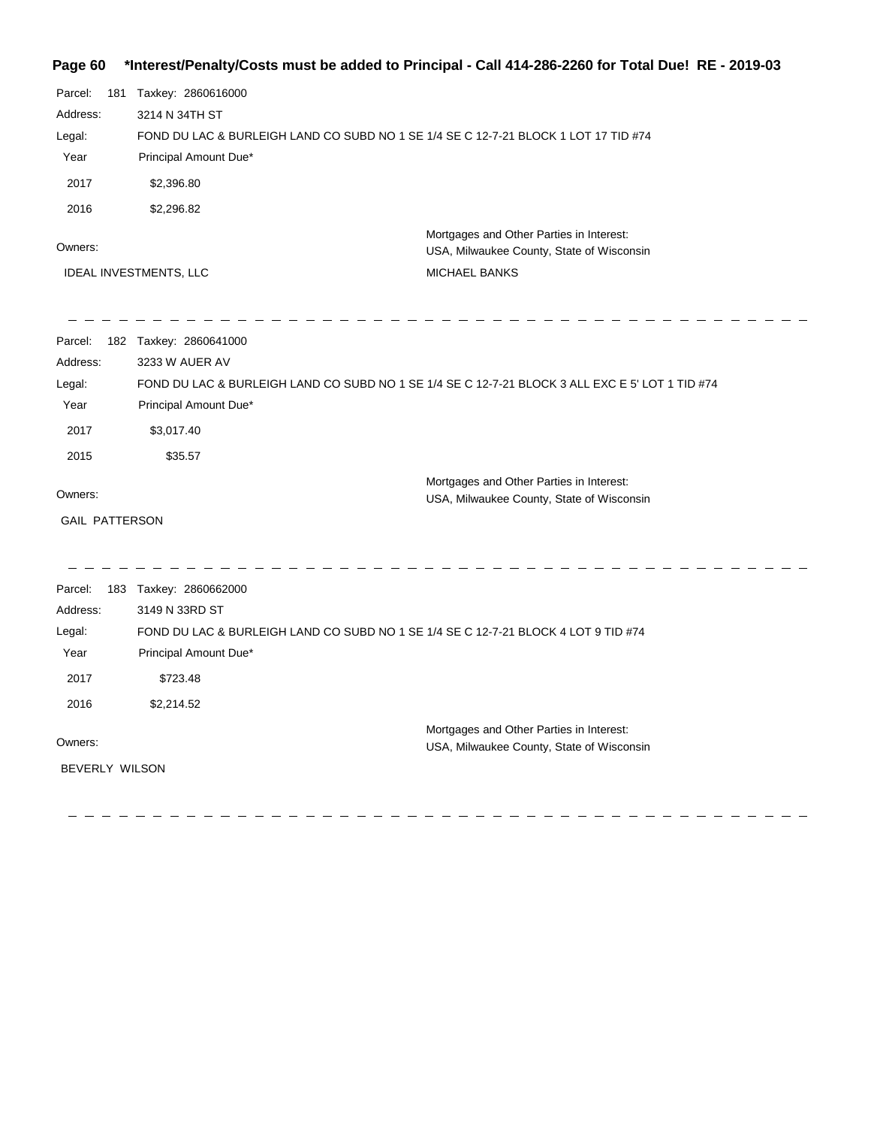## **Page 60 \*Interest/Penalty/Costs must be added to Principal - Call 414-286-2260 for Total Due! RE - 2019-03**

| Parcel:<br>Address:<br>Legal:<br>Year<br>2017<br>2016<br>Owners: | 181 Taxkey: 2860616000<br>3214 N 34TH ST<br>FOND DU LAC & BURLEIGH LAND CO SUBD NO 1 SE 1/4 SE C 12-7-21 BLOCK 1 LOT 17 TID #74<br>Principal Amount Due*<br>\$2,396.80<br>\$2,296.82 | Mortgages and Other Parties in Interest:<br>USA, Milwaukee County, State of Wisconsin           |
|------------------------------------------------------------------|--------------------------------------------------------------------------------------------------------------------------------------------------------------------------------------|-------------------------------------------------------------------------------------------------|
|                                                                  | IDEAL INVESTMENTS, LLC                                                                                                                                                               | MICHAEL BANKS                                                                                   |
| Parcel:<br>Address:<br>Legal:<br>Year<br>2017                    | 182 Taxkey: 2860641000<br>3233 W AUER AV<br>Principal Amount Due*<br>\$3,017.40                                                                                                      | FOND DU LAC & BURLEIGH LAND CO SUBD NO 1 SE 1/4 SE C 12-7-21 BLOCK 3 ALL EXC E 5' LOT 1 TID #74 |
| 2015<br>Owners:<br><b>GAIL PATTERSON</b>                         | \$35.57                                                                                                                                                                              | Mortgages and Other Parties in Interest:<br>USA, Milwaukee County, State of Wisconsin           |
| Parcel:<br>Address:<br>Legal:<br>Year<br>2017<br>2016            | 183 Taxkey: 2860662000<br>3149 N 33RD ST<br>FOND DU LAC & BURLEIGH LAND CO SUBD NO 1 SE 1/4 SE C 12-7-21 BLOCK 4 LOT 9 TID #74<br>Principal Amount Due*<br>\$723.48<br>\$2,214.52    |                                                                                                 |
| Owners:<br>BEVERLY WILSON                                        |                                                                                                                                                                                      | Mortgages and Other Parties in Interest:<br>USA, Milwaukee County, State of Wisconsin           |

 $=$   $-$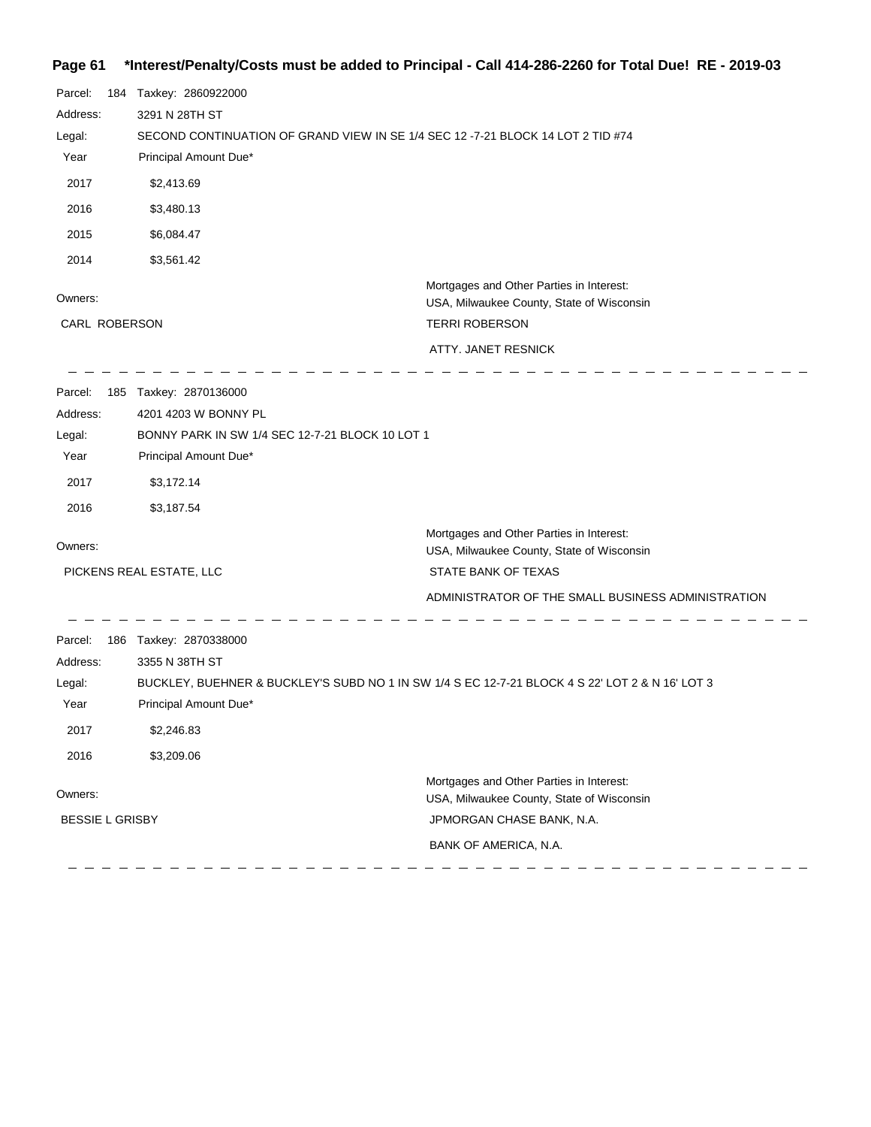# **Page 61 \*Interest/Penalty/Costs must be added to Principal - Call 414-286-2260 for Total Due! RE - 2019-03**

| Parcel:                | 184 Taxkey: 2860922000                                                          |                                                                                                 |  |
|------------------------|---------------------------------------------------------------------------------|-------------------------------------------------------------------------------------------------|--|
| Address:               | 3291 N 28TH ST                                                                  |                                                                                                 |  |
| Legal:                 | SECOND CONTINUATION OF GRAND VIEW IN SE 1/4 SEC 12 -7-21 BLOCK 14 LOT 2 TID #74 |                                                                                                 |  |
| Year                   | Principal Amount Due*                                                           |                                                                                                 |  |
| 2017                   | \$2,413.69                                                                      |                                                                                                 |  |
| 2016                   | \$3,480.13                                                                      |                                                                                                 |  |
| 2015                   | \$6,084.47                                                                      |                                                                                                 |  |
| 2014                   | \$3,561.42                                                                      |                                                                                                 |  |
| Owners:                |                                                                                 | Mortgages and Other Parties in Interest:<br>USA, Milwaukee County, State of Wisconsin           |  |
| CARL ROBERSON          |                                                                                 | <b>TERRI ROBERSON</b>                                                                           |  |
|                        |                                                                                 | ATTY. JANET RESNICK                                                                             |  |
| Parcel:                | 185 Taxkey: 2870136000                                                          |                                                                                                 |  |
| Address:               | 4201 4203 W BONNY PL                                                            |                                                                                                 |  |
| Legal:                 | BONNY PARK IN SW 1/4 SEC 12-7-21 BLOCK 10 LOT 1                                 |                                                                                                 |  |
| Year                   | Principal Amount Due*                                                           |                                                                                                 |  |
| 2017                   | \$3,172.14                                                                      |                                                                                                 |  |
| 2016                   | \$3,187.54                                                                      |                                                                                                 |  |
|                        |                                                                                 | Mortgages and Other Parties in Interest:                                                        |  |
| Owners:                |                                                                                 | USA, Milwaukee County, State of Wisconsin                                                       |  |
|                        | PICKENS REAL ESTATE, LLC                                                        | STATE BANK OF TEXAS                                                                             |  |
|                        |                                                                                 | ADMINISTRATOR OF THE SMALL BUSINESS ADMINISTRATION                                              |  |
| Parcel:                | 186 Taxkey: 2870338000                                                          |                                                                                                 |  |
| Address:               | 3355 N 38TH ST                                                                  |                                                                                                 |  |
| Legal:                 |                                                                                 | BUCKLEY, BUEHNER & BUCKLEY'S SUBD NO 1 IN SW 1/4 S EC 12-7-21 BLOCK 4 S 22' LOT 2 & N 16' LOT 3 |  |
| Year                   | Principal Amount Due*                                                           |                                                                                                 |  |
| 2017                   | \$2,246.83                                                                      |                                                                                                 |  |
| 2016                   | \$3,209.06                                                                      |                                                                                                 |  |
|                        |                                                                                 | Mortgages and Other Parties in Interest:                                                        |  |
| Owners:                |                                                                                 | USA, Milwaukee County, State of Wisconsin                                                       |  |
| <b>BESSIE L GRISBY</b> |                                                                                 | JPMORGAN CHASE BANK, N.A.                                                                       |  |
|                        |                                                                                 | BANK OF AMERICA, N.A.                                                                           |  |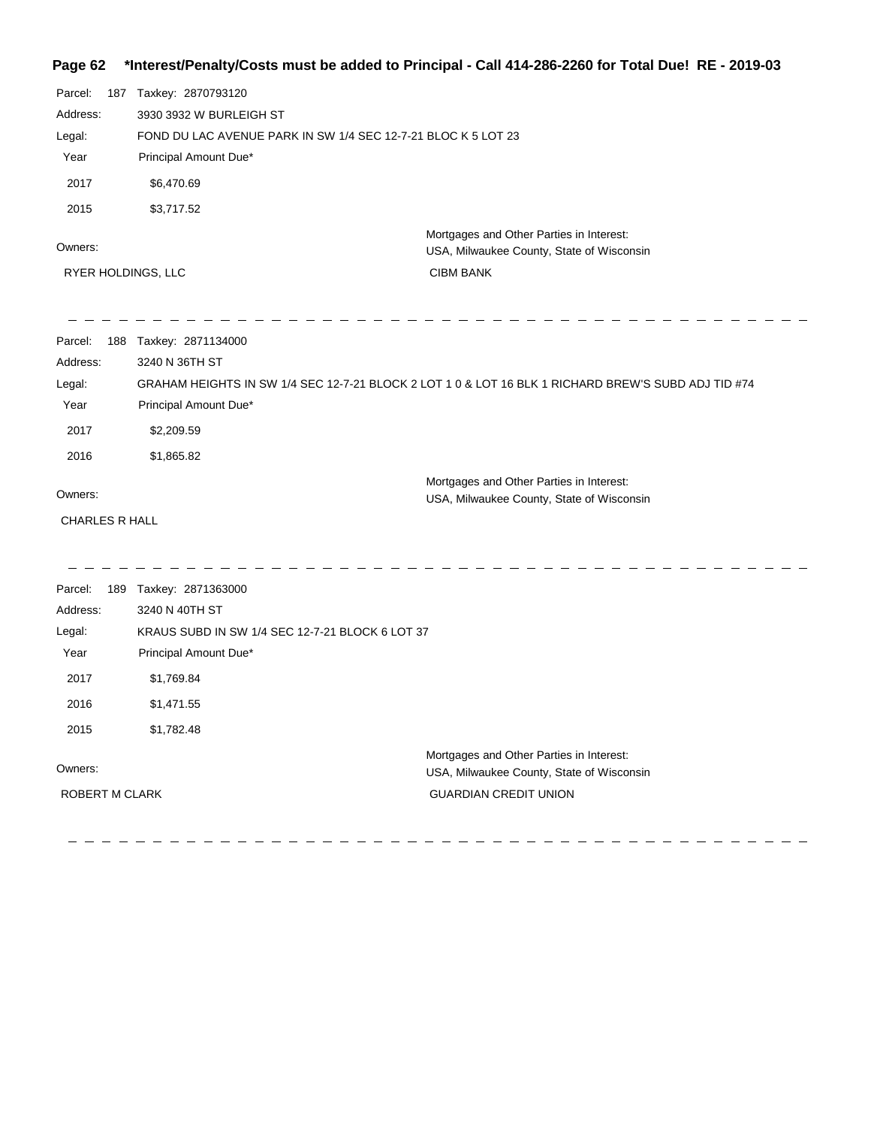## **Page 62 \*Interest/Penalty/Costs must be added to Principal - Call 414-286-2260 for Total Due! RE - 2019-03**

| Parcel:<br>Address:<br>Legal:<br>Year<br>2017<br>2015 | 187 Taxkey: 2870793120<br>3930 3932 W BURLEIGH ST<br>FOND DU LAC AVENUE PARK IN SW 1/4 SEC 12-7-21 BLOC K 5 LOT 23<br>Principal Amount Due*<br>\$6,470.69<br>\$3,717.52 |                                                                                                     |
|-------------------------------------------------------|-------------------------------------------------------------------------------------------------------------------------------------------------------------------------|-----------------------------------------------------------------------------------------------------|
| Owners:                                               |                                                                                                                                                                         | Mortgages and Other Parties in Interest:<br>USA, Milwaukee County, State of Wisconsin               |
|                                                       | RYER HOLDINGS, LLC                                                                                                                                                      | <b>CIBM BANK</b>                                                                                    |
| Parcel:                                               | 188 Taxkey: 2871134000                                                                                                                                                  |                                                                                                     |
| Address:                                              | 3240 N 36TH ST                                                                                                                                                          |                                                                                                     |
| Legal:                                                |                                                                                                                                                                         | GRAHAM HEIGHTS IN SW 1/4 SEC 12-7-21 BLOCK 2 LOT 1 0 & LOT 16 BLK 1 RICHARD BREW'S SUBD ADJ TID #74 |
| Year                                                  | Principal Amount Due*                                                                                                                                                   |                                                                                                     |
| 2017                                                  | \$2,209.59                                                                                                                                                              |                                                                                                     |
| 2016                                                  | \$1,865.82                                                                                                                                                              |                                                                                                     |
| Owners:                                               |                                                                                                                                                                         | Mortgages and Other Parties in Interest:<br>USA, Milwaukee County, State of Wisconsin               |
| <b>CHARLES R HALL</b>                                 |                                                                                                                                                                         |                                                                                                     |
|                                                       |                                                                                                                                                                         |                                                                                                     |
| Parcel:<br>Address:                                   | 189 Taxkey: 2871363000<br>3240 N 40TH ST                                                                                                                                |                                                                                                     |
| Legal:                                                | KRAUS SUBD IN SW 1/4 SEC 12-7-21 BLOCK 6 LOT 37                                                                                                                         |                                                                                                     |
| Year                                                  | Principal Amount Due*                                                                                                                                                   |                                                                                                     |
| 2017                                                  | \$1,769.84                                                                                                                                                              |                                                                                                     |
| 2016                                                  | \$1,471.55                                                                                                                                                              |                                                                                                     |
| 2015                                                  | \$1,782.48                                                                                                                                                              |                                                                                                     |
| Owners:                                               |                                                                                                                                                                         | Mortgages and Other Parties in Interest:<br>USA, Milwaukee County, State of Wisconsin               |
| <b>ROBERT M CLARK</b>                                 |                                                                                                                                                                         | <b>GUARDIAN CREDIT UNION</b>                                                                        |
|                                                       |                                                                                                                                                                         |                                                                                                     |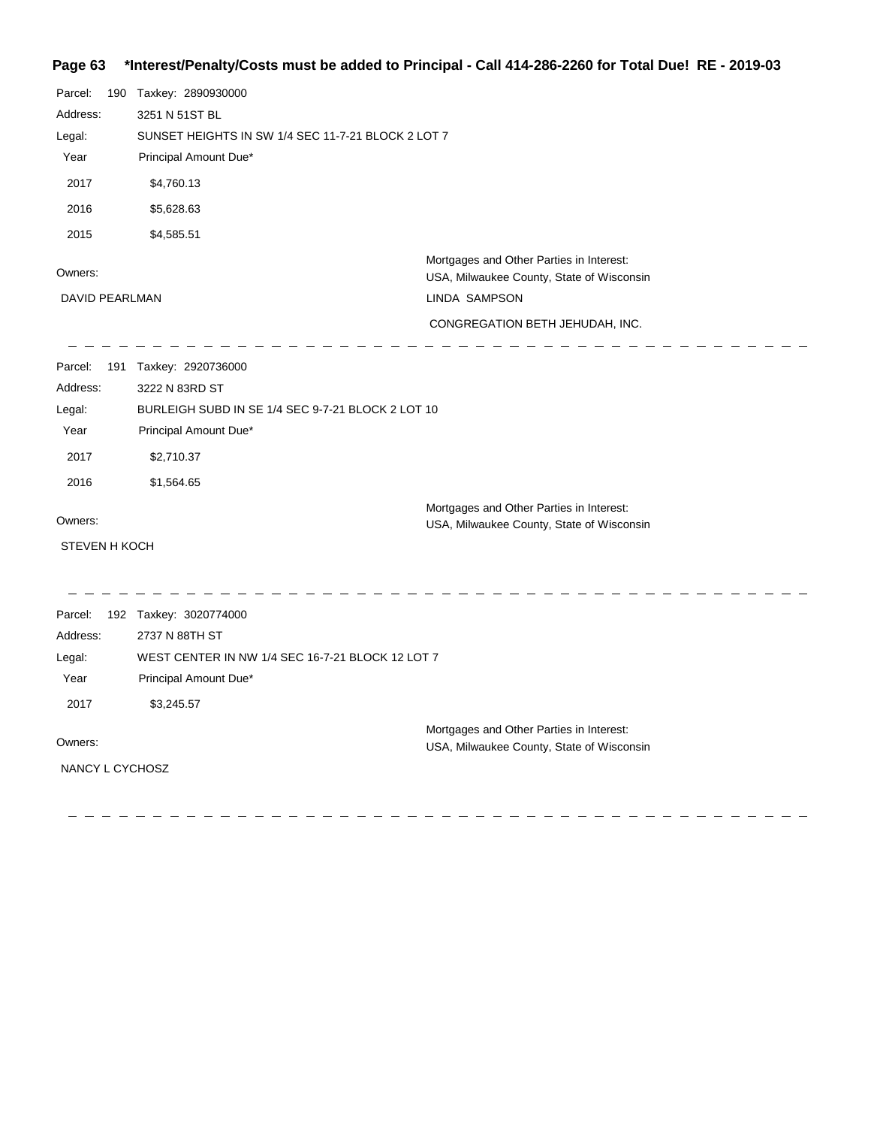## **Page 63 \*Interest/Penalty/Costs must be added to Principal - Call 414-286-2260 for Total Due! RE - 2019-03**

| Parcel:<br>Address:<br>Legal:<br>Year<br>2017<br>2016<br>2015               | 190 Taxkey: 2890930000<br>3251 N 51ST BL<br>SUNSET HEIGHTS IN SW 1/4 SEC 11-7-21 BLOCK 2 LOT 7<br>Principal Amount Due*<br>\$4,760.13<br>\$5,628.63<br>\$4,585.51 |                                                                                                                                           |
|-----------------------------------------------------------------------------|-------------------------------------------------------------------------------------------------------------------------------------------------------------------|-------------------------------------------------------------------------------------------------------------------------------------------|
| Owners:<br>DAVID PEARLMAN                                                   |                                                                                                                                                                   | Mortgages and Other Parties in Interest:<br>USA, Milwaukee County, State of Wisconsin<br>LINDA SAMPSON<br>CONGREGATION BETH JEHUDAH, INC. |
| Parcel:<br>Address:<br>Legal:<br>Year<br>2017<br>2016                       | 191 Taxkey: 2920736000<br>3222 N 83RD ST<br>BURLEIGH SUBD IN SE 1/4 SEC 9-7-21 BLOCK 2 LOT 10<br>Principal Amount Due*<br>\$2,710.37<br>\$1,564.65                |                                                                                                                                           |
| Owners:<br><b>STEVEN H KOCH</b>                                             |                                                                                                                                                                   | Mortgages and Other Parties in Interest:<br>USA, Milwaukee County, State of Wisconsin                                                     |
| Parcel:<br>Address:<br>Legal:<br>Year<br>2017<br>Owners:<br>NANCY L CYCHOSZ | 192 Taxkey: 3020774000<br>2737 N 88TH ST<br>WEST CENTER IN NW 1/4 SEC 16-7-21 BLOCK 12 LOT 7<br>Principal Amount Due*<br>\$3,245.57                               | Mortgages and Other Parties in Interest:<br>USA, Milwaukee County, State of Wisconsin                                                     |

 $\frac{1}{2}$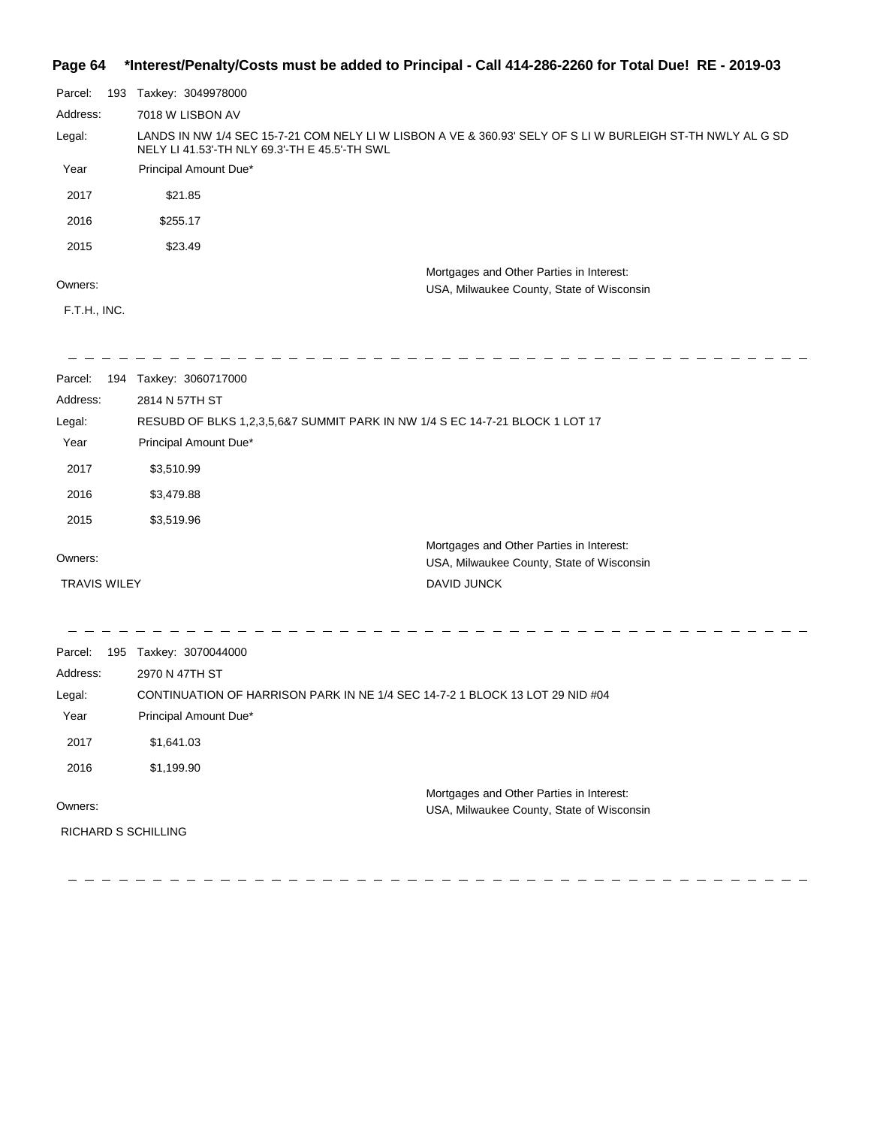#### **Page 64 \*Interest/Penalty/Costs must be added to Principal - Call 414-286-2260 for Total Due! RE - 2019-03**

| Parcel:  | 193 | Taxkey: 3049978000                                                                                                                                          |
|----------|-----|-------------------------------------------------------------------------------------------------------------------------------------------------------------|
| Address: |     | 7018 W LISBON AV                                                                                                                                            |
| Legal:   |     | LANDS IN NW 1/4 SEC 15-7-21 COM NELY LI W LISBON A VE & 360.93' SELY OF S LI W BURLEIGH ST-TH NWLY AL G SD<br>NELY LI 41.53'-TH NLY 69.3'-TH E 45.5'-TH SWL |
| Year     |     | Principal Amount Due*                                                                                                                                       |
| 2017     |     | \$21.85                                                                                                                                                     |
| 2016     |     | \$255.17                                                                                                                                                    |
| 2015     |     | \$23.49                                                                                                                                                     |
|          |     | Mortgages and Other Parties in Interest:                                                                                                                    |
| Owners:  |     | USA, Milwaukee County, State of Wisconsin                                                                                                                   |

#### Owners:

F.T.H., INC.

| Parcel:             |     | 194 Taxkey: 3060717000                                                       |                                                                                       |
|---------------------|-----|------------------------------------------------------------------------------|---------------------------------------------------------------------------------------|
| Address:            |     | 2814 N 57TH ST                                                               |                                                                                       |
| Legal:              |     | RESUBD OF BLKS 1,2,3,5,6&7 SUMMIT PARK IN NW 1/4 S EC 14-7-21 BLOCK 1 LOT 17 |                                                                                       |
| Year                |     | Principal Amount Due*                                                        |                                                                                       |
| 2017                |     | \$3,510.99                                                                   |                                                                                       |
| 2016                |     | \$3,479.88                                                                   |                                                                                       |
| 2015                |     | \$3,519.96                                                                   |                                                                                       |
| Owners:             |     |                                                                              | Mortgages and Other Parties in Interest:<br>USA, Milwaukee County, State of Wisconsin |
| <b>TRAVIS WILEY</b> |     |                                                                              | DAVID JUNCK                                                                           |
|                     |     |                                                                              |                                                                                       |
| Parcel:             | 195 | Taxkey: 3070044000                                                           |                                                                                       |
|                     |     | 2970 N 47TH ST                                                               |                                                                                       |
| Address:            |     |                                                                              |                                                                                       |
| Legal:              |     | CONTINUATION OF HARRISON PARK IN NE 1/4 SEC 14-7-2 1 BLOCK 13 LOT 29 NID #04 |                                                                                       |
| Year                |     | Principal Amount Due*                                                        |                                                                                       |

\_ \_ \_ \_ \_ \_ \_ \_ \_ \_ \_ \_ \_ \_ \_ \_ \_ \_ \_

2017 \$1,641.03 2016 \$1,199.90

Owners:

RICHARD S SCHILLING

 Mortgages and Other Parties in Interest: USA, Milwaukee County, State of Wisconsin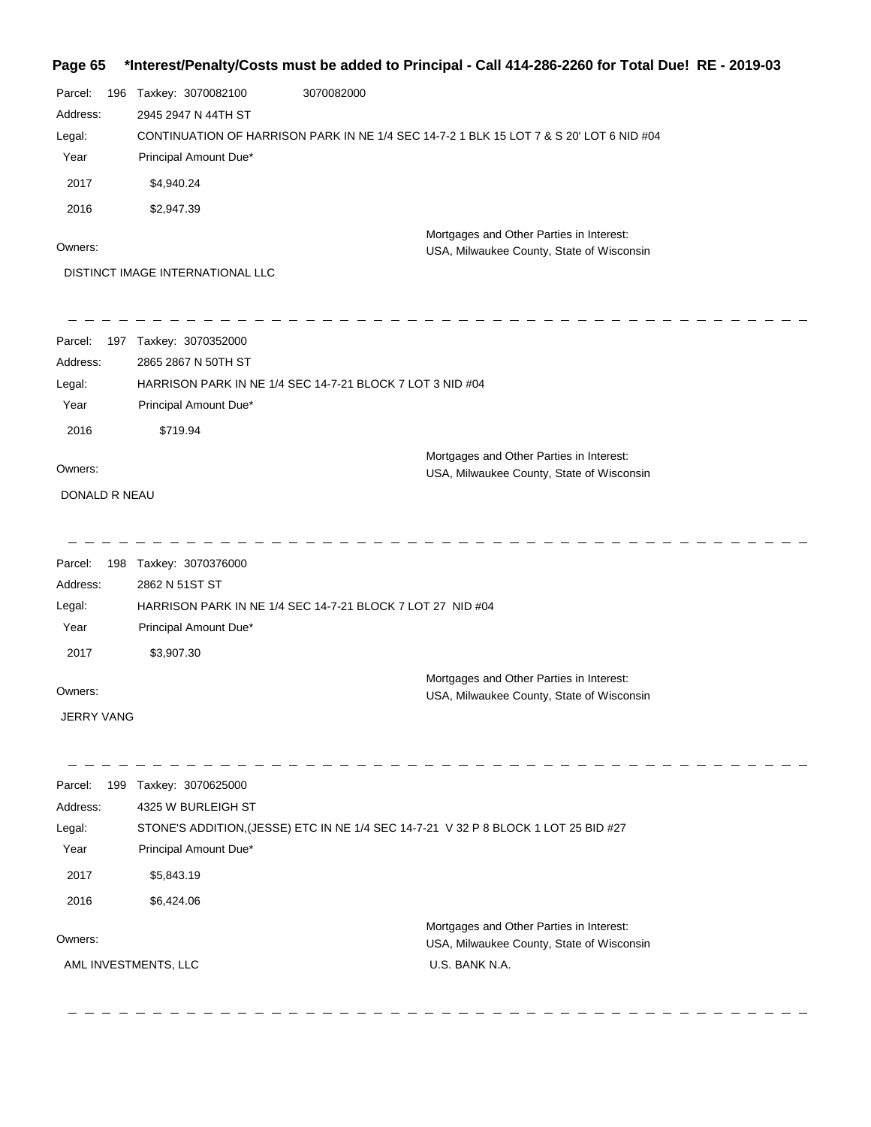#### **Page 65 \*Interest/Penalty/Costs must be added to Principal - Call 414-286-2260 for Total Due! RE - 2019-03**

| Parcel:           | 196 Taxkey: 3070082100           | 3070082000                                                                          |                                                                                         |  |
|-------------------|----------------------------------|-------------------------------------------------------------------------------------|-----------------------------------------------------------------------------------------|--|
| Address:          | 2945 2947 N 44TH ST              |                                                                                     |                                                                                         |  |
| Legal:            |                                  |                                                                                     | CONTINUATION OF HARRISON PARK IN NE 1/4 SEC 14-7-2 1 BLK 15 LOT 7 & S 20' LOT 6 NID #04 |  |
| Year              | Principal Amount Due*            |                                                                                     |                                                                                         |  |
| 2017              | \$4,940.24                       |                                                                                     |                                                                                         |  |
| 2016              | \$2,947.39                       |                                                                                     |                                                                                         |  |
| Owners:           |                                  |                                                                                     | Mortgages and Other Parties in Interest:                                                |  |
|                   | DISTINCT IMAGE INTERNATIONAL LLC |                                                                                     | USA, Milwaukee County, State of Wisconsin                                               |  |
|                   |                                  |                                                                                     |                                                                                         |  |
| Parcel:           | 197 Taxkey: 3070352000           |                                                                                     |                                                                                         |  |
| Address:          | 2865 2867 N 50TH ST              |                                                                                     |                                                                                         |  |
| Legal:            |                                  | HARRISON PARK IN NE 1/4 SEC 14-7-21 BLOCK 7 LOT 3 NID #04                           |                                                                                         |  |
| Year              | Principal Amount Due*            |                                                                                     |                                                                                         |  |
| 2016              | \$719.94                         |                                                                                     |                                                                                         |  |
|                   |                                  |                                                                                     | Mortgages and Other Parties in Interest:                                                |  |
| Owners:           |                                  |                                                                                     | USA, Milwaukee County, State of Wisconsin                                               |  |
| DONALD R NEAU     |                                  |                                                                                     |                                                                                         |  |
|                   |                                  |                                                                                     |                                                                                         |  |
| Parcel:           | 198 Taxkey: 3070376000           |                                                                                     |                                                                                         |  |
| Address:          | 2862 N 51ST ST                   |                                                                                     |                                                                                         |  |
| Legal:            |                                  | HARRISON PARK IN NE 1/4 SEC 14-7-21 BLOCK 7 LOT 27 NID #04                          |                                                                                         |  |
| Year              | Principal Amount Due*            |                                                                                     |                                                                                         |  |
| 2017              | \$3,907.30                       |                                                                                     |                                                                                         |  |
| Owners:           |                                  |                                                                                     | Mortgages and Other Parties in Interest:                                                |  |
|                   |                                  |                                                                                     | USA, Milwaukee County, State of Wisconsin                                               |  |
| <b>JERRY VANG</b> |                                  |                                                                                     |                                                                                         |  |
| Parcel:           | 199 Taxkey: 3070625000           |                                                                                     |                                                                                         |  |
| Address:          | 4325 W BURLEIGH ST               |                                                                                     |                                                                                         |  |
| Legal:            |                                  | STONE'S ADDITION, (JESSE) ETC IN NE 1/4 SEC 14-7-21 V 32 P 8 BLOCK 1 LOT 25 BID #27 |                                                                                         |  |
| Year              | Principal Amount Due*            |                                                                                     |                                                                                         |  |
| 2017              | \$5,843.19                       |                                                                                     |                                                                                         |  |
| 2016              | \$6,424.06                       |                                                                                     |                                                                                         |  |
| Owners:           |                                  |                                                                                     | Mortgages and Other Parties in Interest:                                                |  |
|                   |                                  |                                                                                     | USA, Milwaukee County, State of Wisconsin                                               |  |
|                   | AML INVESTMENTS, LLC             |                                                                                     | U.S. BANK N.A.                                                                          |  |
|                   |                                  |                                                                                     |                                                                                         |  |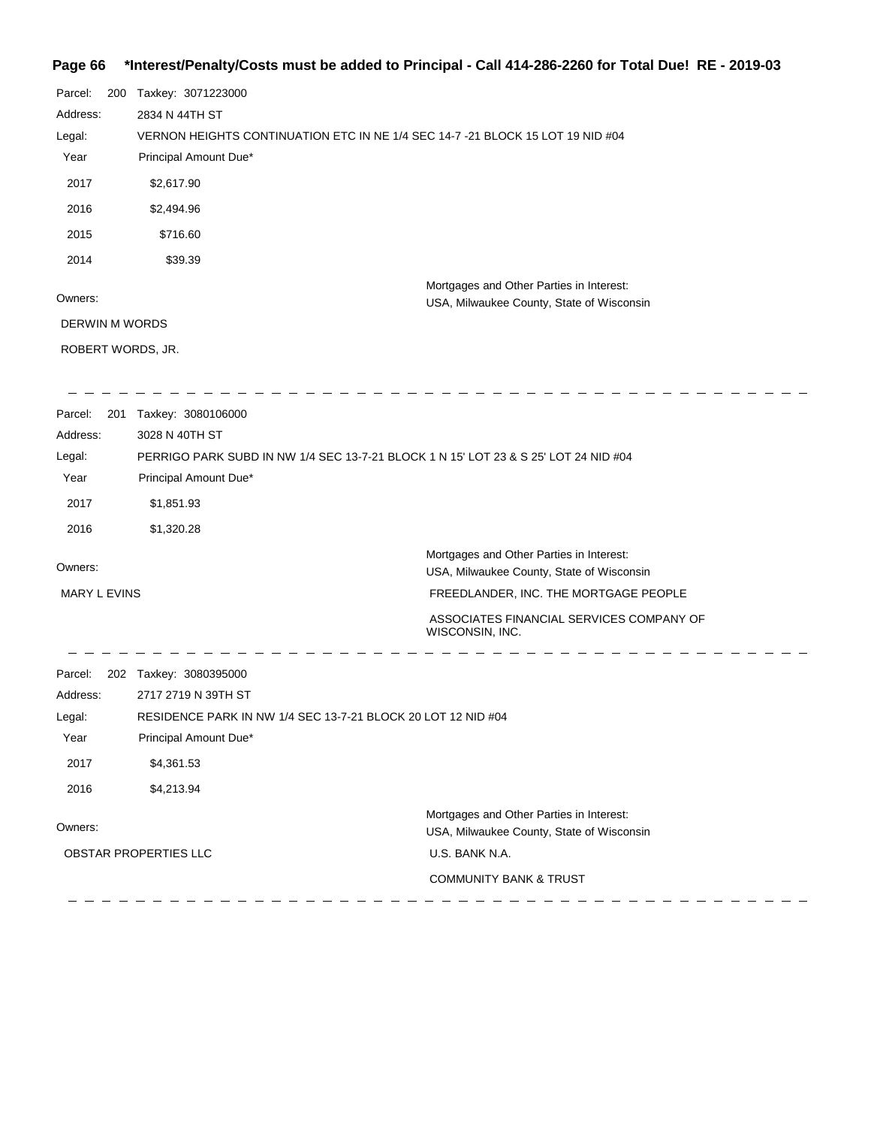# **Page 66 \*Interest/Penalty/Costs must be added to Principal - Call 414-286-2260 for Total Due! RE - 2019-03**

| Parcel:<br>200<br>Address:<br>Legal:<br>Year<br>2017<br>2016<br>2015<br>2014            | Taxkey: 3071223000<br>2834 N 44TH ST<br>VERNON HEIGHTS CONTINUATION ETC IN NE 1/4 SEC 14-7 -21 BLOCK 15 LOT 19 NID #04<br>Principal Amount Due*<br>\$2,617.90<br>\$2,494.96<br>\$716.60<br>\$39.39 |                                                                                                                                                                            |
|-----------------------------------------------------------------------------------------|----------------------------------------------------------------------------------------------------------------------------------------------------------------------------------------------------|----------------------------------------------------------------------------------------------------------------------------------------------------------------------------|
| Owners:<br>DERWIN M WORDS                                                               |                                                                                                                                                                                                    | Mortgages and Other Parties in Interest:<br>USA, Milwaukee County, State of Wisconsin                                                                                      |
| ROBERT WORDS, JR.                                                                       |                                                                                                                                                                                                    |                                                                                                                                                                            |
| Parcel:<br>201<br>Address:<br>Legal:<br>Year<br>2017<br>2016<br>Owners:<br>MARY L EVINS | Taxkey: 3080106000<br>3028 N 40TH ST<br>PERRIGO PARK SUBD IN NW 1/4 SEC 13-7-21 BLOCK 1 N 15' LOT 23 & S 25' LOT 24 NID #04<br>Principal Amount Due*<br>\$1,851.93<br>\$1,320.28                   | Mortgages and Other Parties in Interest:<br>USA, Milwaukee County, State of Wisconsin<br>FREEDLANDER, INC. THE MORTGAGE PEOPLE<br>ASSOCIATES FINANCIAL SERVICES COMPANY OF |
| Parcel:<br>Address:<br>Legal:<br>Year<br>2017<br>2016<br>Owners:                        | 202 Taxkey: 3080395000<br>2717 2719 N 39TH ST<br>RESIDENCE PARK IN NW 1/4 SEC 13-7-21 BLOCK 20 LOT 12 NID #04<br>Principal Amount Due*<br>\$4,361.53<br>\$4,213.94<br>OBSTAR PROPERTIES LLC        | WISCONSIN, INC.<br>Mortgages and Other Parties in Interest:<br>USA, Milwaukee County, State of Wisconsin<br>U.S. BANK N.A.<br><b>COMMUNITY BANK &amp; TRUST</b>            |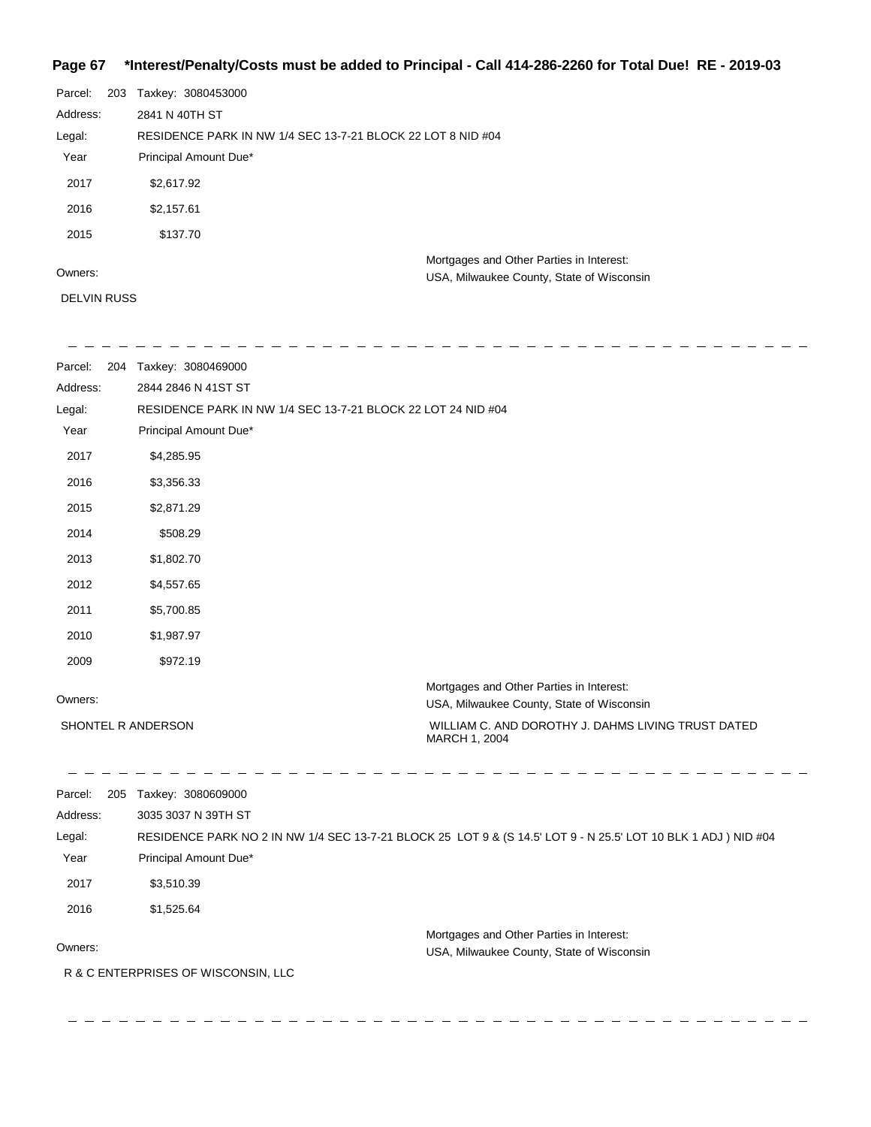## **Page 67 \*Interest/Penalty/Costs must be added to Principal - Call 414-286-2260 for Total Due! RE - 2019-03**

| Parcel:  | 203 | Taxkey: 3080453000                                          |                                                                                       |
|----------|-----|-------------------------------------------------------------|---------------------------------------------------------------------------------------|
| Address: |     | 2841 N 40TH ST                                              |                                                                                       |
| Legal:   |     | RESIDENCE PARK IN NW 1/4 SEC 13-7-21 BLOCK 22 LOT 8 NID #04 |                                                                                       |
| Year     |     | Principal Amount Due*                                       |                                                                                       |
| 2017     |     | \$2,617.92                                                  |                                                                                       |
| 2016     |     | \$2,157.61                                                  |                                                                                       |
| 2015     |     | \$137.70                                                    |                                                                                       |
| Owners:  |     |                                                             | Mortgages and Other Parties in Interest:<br>USA, Milwaukee County, State of Wisconsin |

DELVIN RUSS

| Parcel:            | 204 Taxkey: 3080469000                                       |                                                                                                                |
|--------------------|--------------------------------------------------------------|----------------------------------------------------------------------------------------------------------------|
| Address:           | 2844 2846 N 41ST ST                                          |                                                                                                                |
| Legal:             | RESIDENCE PARK IN NW 1/4 SEC 13-7-21 BLOCK 22 LOT 24 NID #04 |                                                                                                                |
| Year               | Principal Amount Due*                                        |                                                                                                                |
| 2017               | \$4,285.95                                                   |                                                                                                                |
| 2016               | \$3,356.33                                                   |                                                                                                                |
| 2015               | \$2,871.29                                                   |                                                                                                                |
| 2014               | \$508.29                                                     |                                                                                                                |
| 2013               | \$1,802.70                                                   |                                                                                                                |
| 2012               | \$4,557.65                                                   |                                                                                                                |
| 2011               | \$5,700.85                                                   |                                                                                                                |
| 2010               | \$1,987.97                                                   |                                                                                                                |
| 2009               | \$972.19                                                     |                                                                                                                |
| Owners:            |                                                              | Mortgages and Other Parties in Interest:<br>USA, Milwaukee County, State of Wisconsin                          |
| SHONTEL R ANDERSON |                                                              | WILLIAM C. AND DOROTHY J. DAHMS LIVING TRUST DATED<br>MARCH 1, 2004                                            |
| Parcel:            | 205 Taxkey: 3080609000                                       |                                                                                                                |
| Address:           | 3035 3037 N 39TH ST                                          |                                                                                                                |
| Legal:             |                                                              | RESIDENCE PARK NO 2 IN NW 1/4 SEC 13-7-21 BLOCK 25 LOT 9 & (S 14.5' LOT 9 - N 25.5' LOT 10 BLK 1 ADJ ) NID #04 |
| Year               | Principal Amount Due*                                        |                                                                                                                |
| 2017               | \$3,510.39                                                   |                                                                                                                |
| 2016               | \$1,525.64                                                   |                                                                                                                |
|                    |                                                              | Mortgages and Other Parties in Interest:                                                                       |
| Owners:            |                                                              | USA, Milwaukee County, State of Wisconsin                                                                      |
|                    | R & C ENTERPRISES OF WISCONSIN, LLC                          |                                                                                                                |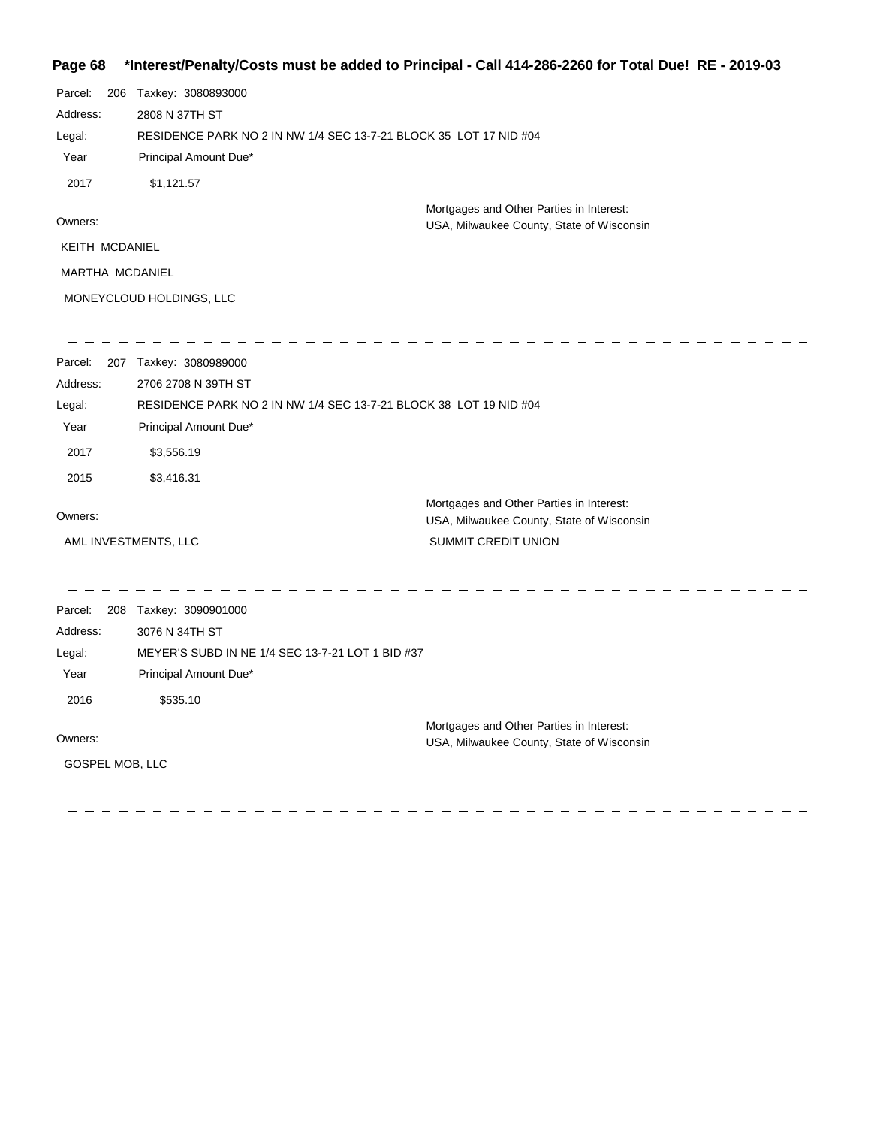### **Page 68 \*Interest/Penalty/Costs must be added to Principal - Call 414-286-2260 for Total Due! RE - 2019-03**

| Parcel:         | 206 Taxkey: 3080893000                                            |                                                                                       |
|-----------------|-------------------------------------------------------------------|---------------------------------------------------------------------------------------|
| Address:        | 2808 N 37TH ST                                                    |                                                                                       |
| Legal:          | RESIDENCE PARK NO 2 IN NW 1/4 SEC 13-7-21 BLOCK 35 LOT 17 NID #04 |                                                                                       |
| Year            | Principal Amount Due*                                             |                                                                                       |
| 2017            | \$1,121.57                                                        |                                                                                       |
| Owners:         |                                                                   | Mortgages and Other Parties in Interest:<br>USA, Milwaukee County, State of Wisconsin |
| KEITH MCDANIEL  |                                                                   |                                                                                       |
| MARTHA MCDANIEL |                                                                   |                                                                                       |
|                 | MONEYCLOUD HOLDINGS, LLC                                          |                                                                                       |
| Parcel:         | 207 Taxkey: 3080989000                                            |                                                                                       |
| Address:        | 2706 2708 N 39TH ST                                               |                                                                                       |
| Legal:          | RESIDENCE PARK NO 2 IN NW 1/4 SEC 13-7-21 BLOCK 38 LOT 19 NID #04 |                                                                                       |
| Year            | Principal Amount Due*                                             |                                                                                       |
| 2017            | \$3,556.19                                                        |                                                                                       |
| 2015            | \$3,416.31                                                        |                                                                                       |
| Owners:         |                                                                   | Mortgages and Other Parties in Interest:                                              |
|                 | AML INVESTMENTS, LLC                                              | USA, Milwaukee County, State of Wisconsin<br>SUMMIT CREDIT UNION                      |
|                 |                                                                   |                                                                                       |
| Parcel:         | 208 Taxkey: 3090901000                                            |                                                                                       |
| Address:        | 3076 N 34TH ST                                                    |                                                                                       |
| Legal:          | MEYER'S SUBD IN NE 1/4 SEC 13-7-21 LOT 1 BID #37                  |                                                                                       |
| Year            | Principal Amount Due*                                             |                                                                                       |
| 2016            | \$535.10                                                          |                                                                                       |
|                 |                                                                   | Mortgages and Other Parties in Interest:                                              |
| Owners:         |                                                                   | USA, Milwaukee County, State of Wisconsin                                             |
| GOSPEL MOB, LLC |                                                                   |                                                                                       |
|                 |                                                                   |                                                                                       |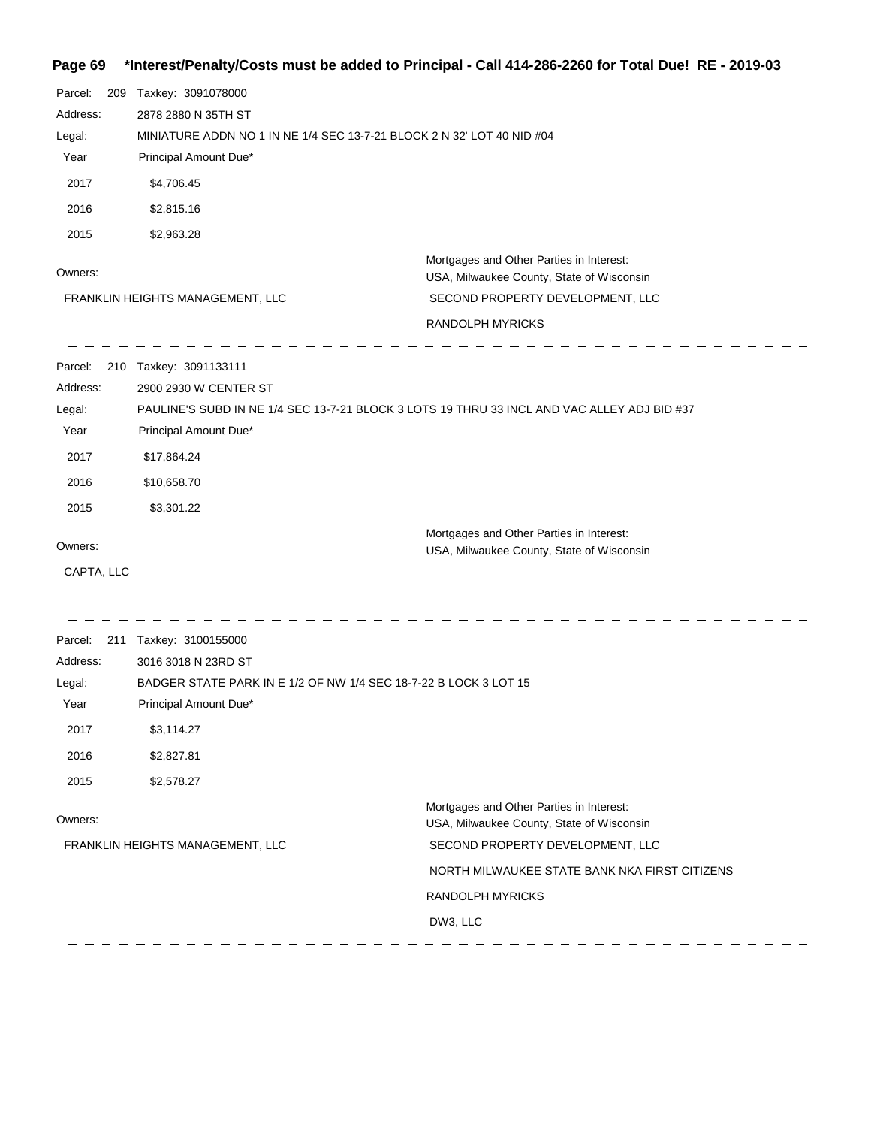## **Page 69 \*Interest/Penalty/Costs must be added to Principal - Call 414-286-2260 for Total Due! RE - 2019-03**

| Parcel:    | 209 Taxkey: 3091078000                                                 |                                                                                             |
|------------|------------------------------------------------------------------------|---------------------------------------------------------------------------------------------|
| Address:   | 2878 2880 N 35TH ST                                                    |                                                                                             |
| Legal:     | MINIATURE ADDN NO 1 IN NE 1/4 SEC 13-7-21 BLOCK 2 N 32' LOT 40 NID #04 |                                                                                             |
| Year       | Principal Amount Due*                                                  |                                                                                             |
| 2017       | \$4,706.45                                                             |                                                                                             |
| 2016       | \$2,815.16                                                             |                                                                                             |
| 2015       | \$2,963.28                                                             |                                                                                             |
|            |                                                                        | Mortgages and Other Parties in Interest:                                                    |
| Owners:    |                                                                        | USA, Milwaukee County, State of Wisconsin                                                   |
|            | FRANKLIN HEIGHTS MANAGEMENT, LLC                                       | SECOND PROPERTY DEVELOPMENT, LLC                                                            |
|            |                                                                        | RANDOLPH MYRICKS                                                                            |
| Parcel:    | 210 Taxkey: 3091133111                                                 |                                                                                             |
| Address:   | 2900 2930 W CENTER ST                                                  |                                                                                             |
| Legal:     |                                                                        | PAULINE'S SUBD IN NE 1/4 SEC 13-7-21 BLOCK 3 LOTS 19 THRU 33 INCL AND VAC ALLEY ADJ BID #37 |
| Year       | Principal Amount Due*                                                  |                                                                                             |
| 2017       | \$17,864.24                                                            |                                                                                             |
| 2016       | \$10,658.70                                                            |                                                                                             |
| 2015       | \$3,301.22                                                             |                                                                                             |
| Owners:    |                                                                        | Mortgages and Other Parties in Interest:                                                    |
|            |                                                                        | USA, Milwaukee County, State of Wisconsin                                                   |
| CAPTA, LLC |                                                                        |                                                                                             |
|            | Parcel: 211 Taxkey: 3100155000                                         |                                                                                             |
| Address:   | 3016 3018 N 23RD ST                                                    |                                                                                             |
| Legal:     | BADGER STATE PARK IN E 1/2 OF NW 1/4 SEC 18-7-22 B LOCK 3 LOT 15       |                                                                                             |
| Year       | Principal Amount Due*                                                  |                                                                                             |
| 2017       | \$3,114.27                                                             |                                                                                             |
| 2016       | \$2,827.81                                                             |                                                                                             |
| 2015       | \$2,578.27                                                             |                                                                                             |
| Owners:    |                                                                        | Mortgages and Other Parties in Interest:                                                    |
|            |                                                                        | USA, Milwaukee County, State of Wisconsin                                                   |
|            | FRANKLIN HEIGHTS MANAGEMENT, LLC                                       | SECOND PROPERTY DEVELOPMENT, LLC                                                            |
|            |                                                                        | NORTH MILWAUKEE STATE BANK NKA FIRST CITIZENS                                               |
|            |                                                                        | RANDOLPH MYRICKS                                                                            |
|            |                                                                        | DW3, LLC                                                                                    |
|            |                                                                        |                                                                                             |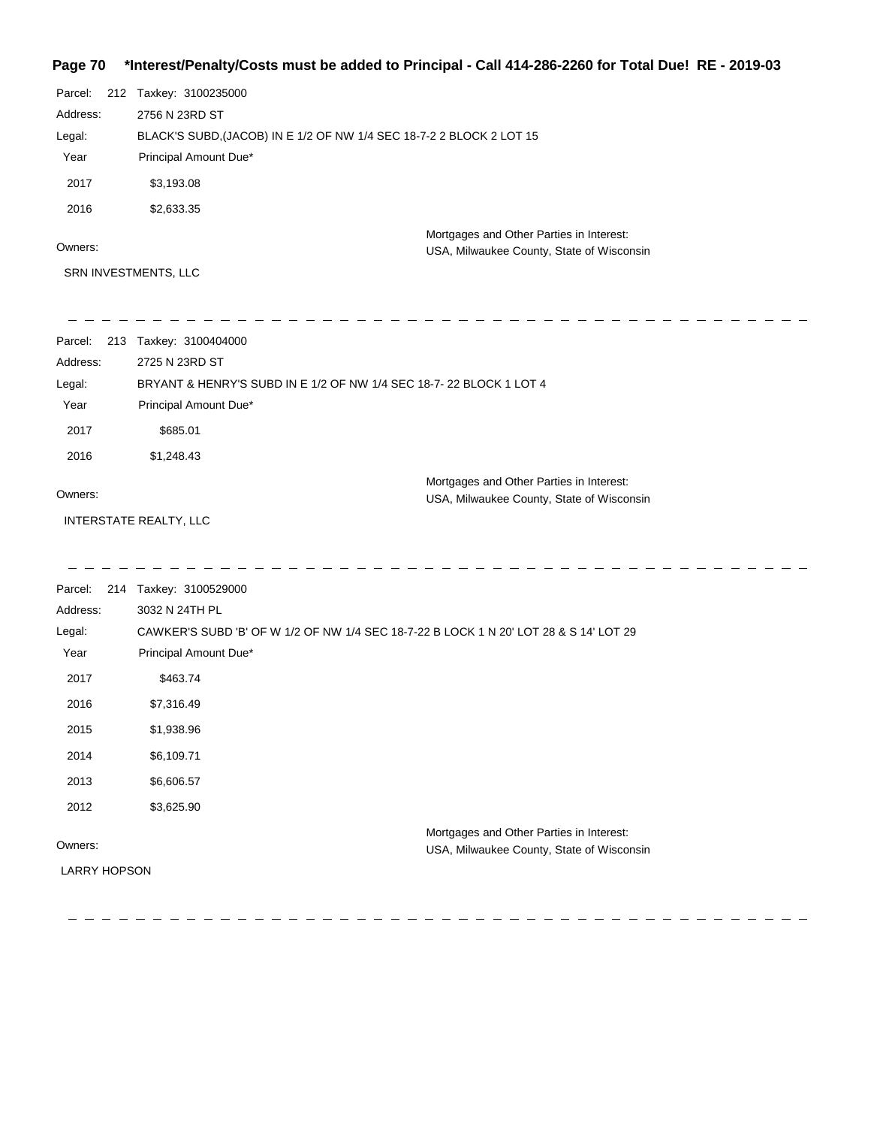### **Page 70 \*Interest/Penalty/Costs must be added to Principal - Call 414-286-2260 for Total Due! RE - 2019-03**

| Parcel:  | 212 Taxkey: 3100235000                                               |                                                                                       |
|----------|----------------------------------------------------------------------|---------------------------------------------------------------------------------------|
| Address: | 2756 N 23RD ST                                                       |                                                                                       |
| Legal:   | BLACK'S SUBD, (JACOB) IN E 1/2 OF NW 1/4 SEC 18-7-2 2 BLOCK 2 LOT 15 |                                                                                       |
| Year     | Principal Amount Due*                                                |                                                                                       |
| 2017     | \$3,193.08                                                           |                                                                                       |
| 2016     | \$2,633.35                                                           |                                                                                       |
| Owners:  |                                                                      | Mortgages and Other Parties in Interest:<br>USA, Milwaukee County, State of Wisconsin |
|          | SRN INVESTMENTS, LLC                                                 |                                                                                       |

| Parcel:  | 213 Taxkey: 3100404000                                             |                                                                                       |
|----------|--------------------------------------------------------------------|---------------------------------------------------------------------------------------|
| Address: | 2725 N 23RD ST                                                     |                                                                                       |
| Legal:   | BRYANT & HENRY'S SUBD IN E 1/2 OF NW 1/4 SEC 18-7-22 BLOCK 1 LOT 4 |                                                                                       |
| Year     | Principal Amount Due*                                              |                                                                                       |
| 2017     | \$685.01                                                           |                                                                                       |
| 2016     | \$1,248.43                                                         |                                                                                       |
| Owners:  |                                                                    | Mortgages and Other Parties in Interest:<br>USA, Milwaukee County, State of Wisconsin |

INTERSTATE REALTY, LLC

| Parcel:             | 214 Taxkey: 3100529000                                                                |
|---------------------|---------------------------------------------------------------------------------------|
| Address:            | 3032 N 24TH PL                                                                        |
| Legal:              | CAWKER'S SUBD 'B' OF W 1/2 OF NW 1/4 SEC 18-7-22 B LOCK 1 N 20' LOT 28 & S 14' LOT 29 |
| Year                | Principal Amount Due*                                                                 |
| 2017                | \$463.74                                                                              |
| 2016                | \$7,316.49                                                                            |
| 2015                | \$1,938.96                                                                            |
| 2014                | \$6,109.71                                                                            |
| 2013                | \$6,606.57                                                                            |
| 2012                | \$3,625.90                                                                            |
|                     | Mortgages and Other Parties in Interest:                                              |
| Owners:             | USA, Milwaukee County, State of Wisconsin                                             |
| <b>LARRY HOPSON</b> |                                                                                       |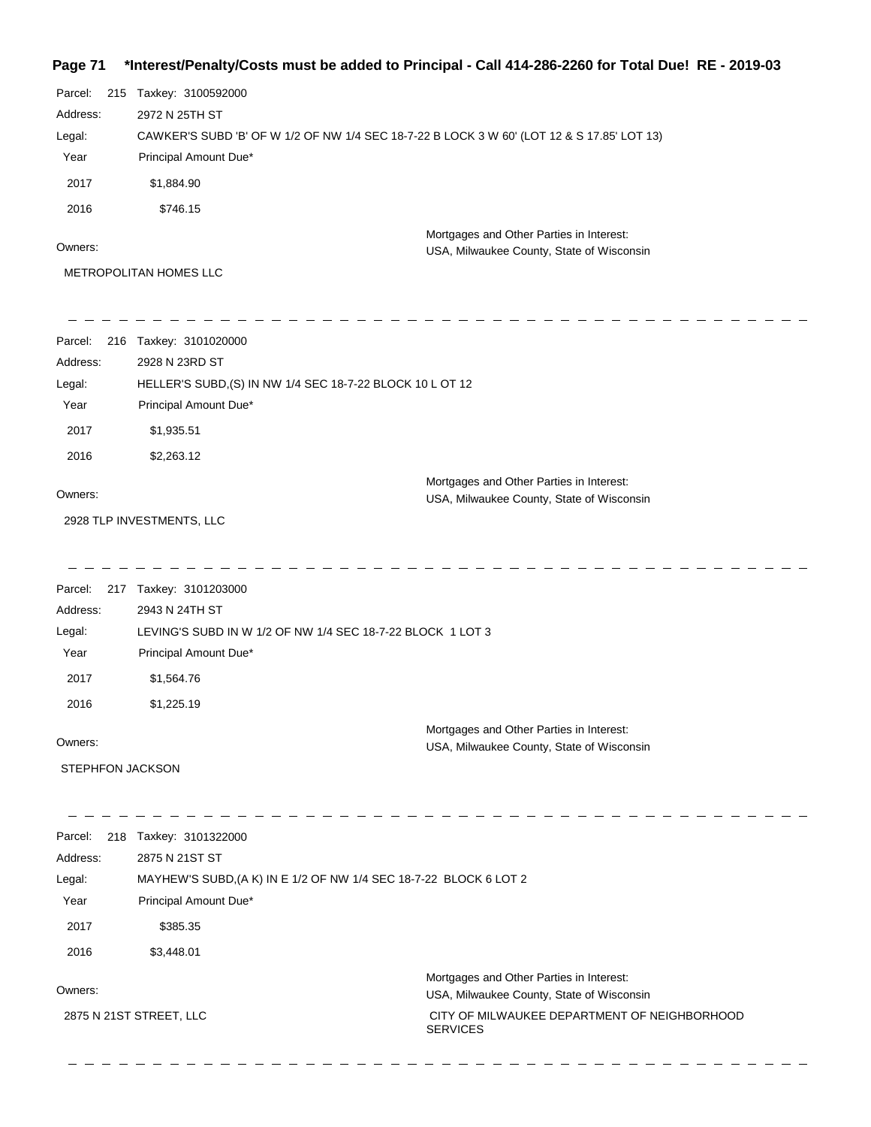#### **Page 71 \*Interest/Penalty/Costs must be added to Principal - Call 414-286-2260 for Total Due! RE - 2019-03**

| Page 71             | 1019-1010 non-2260-2260 nust be added to Principal - Call 414-286-2260 for Total Due!  RE - 2019-03- |                                                                                       |
|---------------------|------------------------------------------------------------------------------------------------------|---------------------------------------------------------------------------------------|
| Parcel:             | 215 Taxkey: 3100592000                                                                               |                                                                                       |
| Address:            | 2972 N 25TH ST                                                                                       |                                                                                       |
| Legal:              | CAWKER'S SUBD 'B' OF W 1/2 OF NW 1/4 SEC 18-7-22 B LOCK 3 W 60' (LOT 12 & S 17.85' LOT 13)           |                                                                                       |
| Year                | Principal Amount Due*                                                                                |                                                                                       |
| 2017                | \$1,884.90                                                                                           |                                                                                       |
| 2016                | \$746.15                                                                                             |                                                                                       |
| Owners:             |                                                                                                      | Mortgages and Other Parties in Interest:<br>USA, Milwaukee County, State of Wisconsin |
|                     | METROPOLITAN HOMES LLC                                                                               |                                                                                       |
| Parcel:             | 216 Taxkey: 3101020000                                                                               |                                                                                       |
| Address:            | 2928 N 23RD ST                                                                                       |                                                                                       |
| Legal:              | HELLER'S SUBD, (S) IN NW 1/4 SEC 18-7-22 BLOCK 10 L OT 12                                            |                                                                                       |
| Year                | Principal Amount Due*                                                                                |                                                                                       |
| 2017                | \$1,935.51                                                                                           |                                                                                       |
| 2016                | \$2,263.12                                                                                           |                                                                                       |
| Owners:             |                                                                                                      | Mortgages and Other Parties in Interest:<br>USA, Milwaukee County, State of Wisconsin |
|                     | 2928 TLP INVESTMENTS, LLC                                                                            |                                                                                       |
|                     |                                                                                                      |                                                                                       |
| Parcel:<br>Address: | 217 Taxkey: 3101203000<br>2943 N 24TH ST                                                             |                                                                                       |
| Legal:              | LEVING'S SUBD IN W 1/2 OF NW 1/4 SEC 18-7-22 BLOCK 1 LOT 3                                           |                                                                                       |
|                     |                                                                                                      |                                                                                       |

Year Principal Amount Due\*

2017 \$1,564.76

2016 \$1,225.19

Owners:

STEPHFON JACKSON

| 218<br>Parcel:          | Taxkey: 3101322000                                                |                                                                 |
|-------------------------|-------------------------------------------------------------------|-----------------------------------------------------------------|
| Address:                | 2875 N 21ST ST                                                    |                                                                 |
| Legal:                  | MAYHEW'S SUBD, (A K) IN E 1/2 OF NW 1/4 SEC 18-7-22 BLOCK 6 LOT 2 |                                                                 |
| Year                    | Principal Amount Due*                                             |                                                                 |
| 2017                    | \$385.35                                                          |                                                                 |
| 2016                    | \$3,448.01                                                        |                                                                 |
|                         |                                                                   | Mortgages and Other Parties in Interest:                        |
| Owners:                 |                                                                   | USA, Milwaukee County, State of Wisconsin                       |
| 2875 N 21ST STREET, LLC |                                                                   | CITY OF MILWAUKEE DEPARTMENT OF NEIGHBORHOOD<br><b>SERVICES</b> |
|                         |                                                                   |                                                                 |

Mortgages and Other Parties in Interest:

USA, Milwaukee County, State of Wisconsin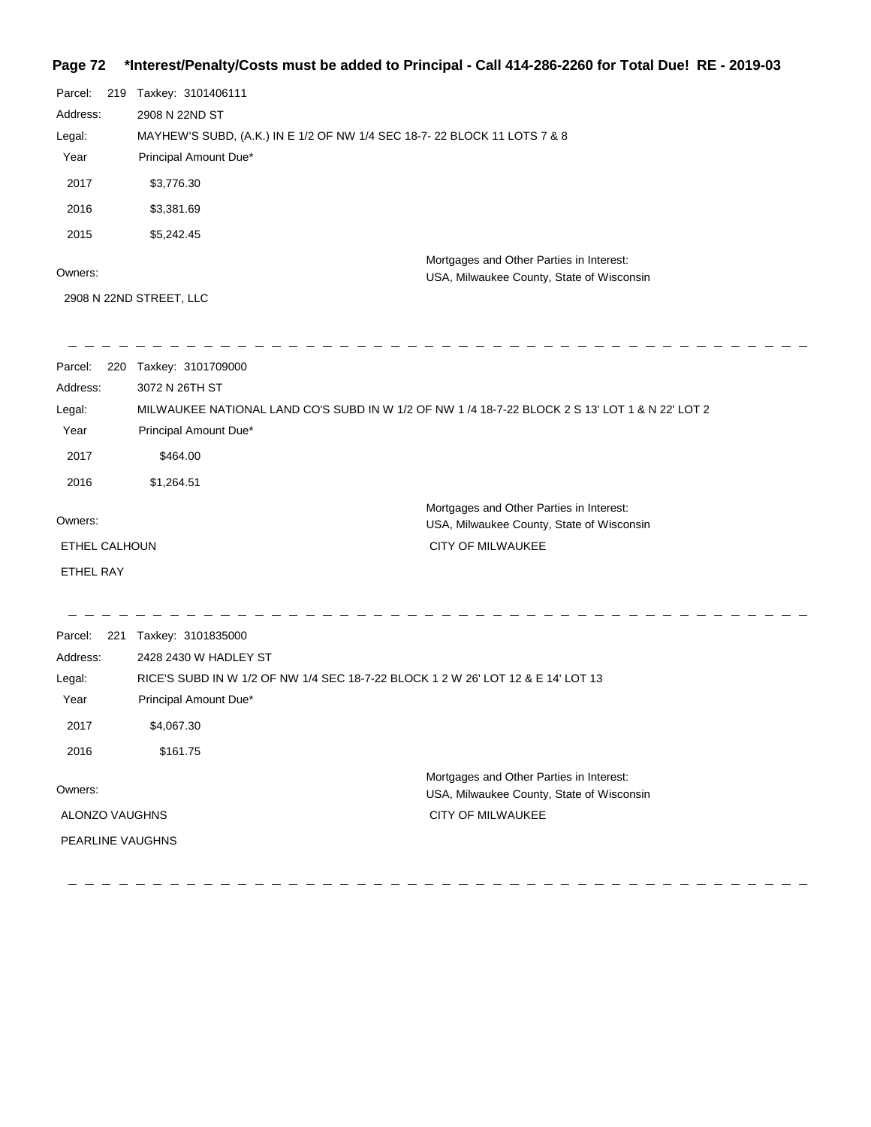## **Page 72 \*Interest/Penalty/Costs must be added to Principal - Call 414-286-2260 for Total Due! RE - 2019-03**

| Parcel:  | 219 Taxkey: 3101406111                                                   |                                                                                       |
|----------|--------------------------------------------------------------------------|---------------------------------------------------------------------------------------|
| Address: | 2908 N 22ND ST                                                           |                                                                                       |
| Legal:   | MAYHEW'S SUBD, (A.K.) IN E 1/2 OF NW 1/4 SEC 18-7-22 BLOCK 11 LOTS 7 & 8 |                                                                                       |
| Year     | Principal Amount Due*                                                    |                                                                                       |
| 2017     | \$3,776.30                                                               |                                                                                       |
| 2016     | \$3,381.69                                                               |                                                                                       |
| 2015     | \$5,242.45                                                               |                                                                                       |
| Owners:  |                                                                          | Mortgages and Other Parties in Interest:<br>USA, Milwaukee County, State of Wisconsin |

2908 N 22ND STREET, LLC

| Parcel:<br>220          | Taxkey: 3101709000                                                                              |                                                                                       |
|-------------------------|-------------------------------------------------------------------------------------------------|---------------------------------------------------------------------------------------|
| Address:                | 3072 N 26TH ST                                                                                  |                                                                                       |
| Legal:                  | MILWAUKEE NATIONAL LAND CO'S SUBD IN W 1/2 OF NW 1 /4 18-7-22 BLOCK 2 S 13' LOT 1 & N 22' LOT 2 |                                                                                       |
| Year                    | Principal Amount Due*                                                                           |                                                                                       |
| 2017                    | \$464.00                                                                                        |                                                                                       |
| 2016                    | \$1,264.51                                                                                      |                                                                                       |
| Owners:                 |                                                                                                 | Mortgages and Other Parties in Interest:<br>USA, Milwaukee County, State of Wisconsin |
| ETHEL CALHOUN           |                                                                                                 | <b>CITY OF MILWAUKEE</b>                                                              |
| <b>ETHEL RAY</b>        |                                                                                                 |                                                                                       |
|                         |                                                                                                 |                                                                                       |
| Parcel:<br>221          | Taxkey: 3101835000                                                                              |                                                                                       |
| Address:                | 2428 2430 W HADLEY ST                                                                           |                                                                                       |
| Legal:                  | RICE'S SUBD IN W 1/2 OF NW 1/4 SEC 18-7-22 BLOCK 1 2 W 26' LOT 12 & E 14' LOT 13                |                                                                                       |
| Year                    | Principal Amount Due*                                                                           |                                                                                       |
| 2017                    | \$4,067.30                                                                                      |                                                                                       |
| 2016                    | \$161.75                                                                                        |                                                                                       |
| Owners:                 |                                                                                                 | Mortgages and Other Parties in Interest:<br>USA, Milwaukee County, State of Wisconsin |
| ALONZO VAUGHNS          |                                                                                                 | <b>CITY OF MILWAUKEE</b>                                                              |
| <b>PEARLINE VAUGHNS</b> |                                                                                                 |                                                                                       |
|                         |                                                                                                 |                                                                                       |

 $\sim$ 

----------------------------------- - - - - - - - - - -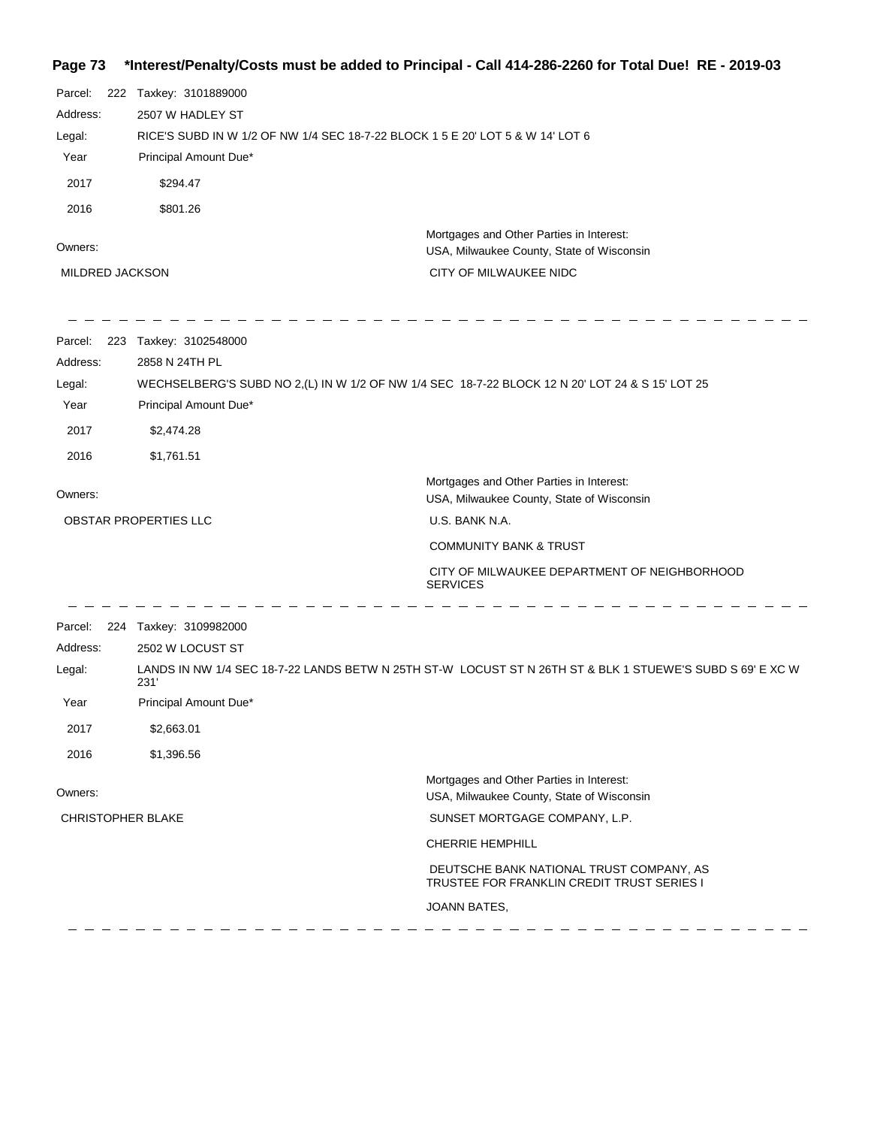# **Page 73 \*Interest/Penalty/Costs must be added to Principal - Call 414-286-2260 for Total Due! RE - 2019-03**

| Parcel:<br>Address:<br>Legal:<br>Year<br>2017<br>2016<br>Owners: | 222 Taxkey: 3101889000<br>2507 W HADLEY ST<br>Principal Amount Due*<br>\$294.47<br>\$801.26                                                                                                                               | RICE'S SUBD IN W 1/2 OF NW 1/4 SEC 18-7-22 BLOCK 1 5 E 20' LOT 5 & W 14' LOT 6<br>Mortgages and Other Parties in Interest:<br>USA, Milwaukee County, State of Wisconsin                                                                                     |
|------------------------------------------------------------------|---------------------------------------------------------------------------------------------------------------------------------------------------------------------------------------------------------------------------|-------------------------------------------------------------------------------------------------------------------------------------------------------------------------------------------------------------------------------------------------------------|
| <b>MILDRED JACKSON</b>                                           |                                                                                                                                                                                                                           | CITY OF MILWAUKEE NIDC                                                                                                                                                                                                                                      |
| Parcel:<br>Address:<br>Legal:<br>Year<br>2017<br>2016            | 223 Taxkey: 3102548000<br>2858 N 24TH PL<br>Principal Amount Due*<br>\$2,474.28<br>\$1,761.51                                                                                                                             | WECHSELBERG'S SUBD NO 2,(L) IN W 1/2 OF NW 1/4 SEC 18-7-22 BLOCK 12 N 20' LOT 24 & S 15' LOT 25                                                                                                                                                             |
| Owners:                                                          | OBSTAR PROPERTIES LLC                                                                                                                                                                                                     | Mortgages and Other Parties in Interest:<br>USA, Milwaukee County, State of Wisconsin<br>U.S. BANK N.A.<br><b>COMMUNITY BANK &amp; TRUST</b><br>CITY OF MILWAUKEE DEPARTMENT OF NEIGHBORHOOD                                                                |
| Parcel:<br>Address:<br>Legal:<br>Year<br>2017<br>2016            | <b>SERVICES</b><br>224 Taxkey: 3109982000<br>2502 W LOCUST ST<br>LANDS IN NW 1/4 SEC 18-7-22 LANDS BETW N 25TH ST-W LOCUST ST N 26TH ST & BLK 1 STUEWE'S SUBD S 69' E XC W<br>231'<br>Principal Amount Due*<br>\$2,663.01 |                                                                                                                                                                                                                                                             |
| Owners:<br><b>CHRISTOPHER BLAKE</b>                              | \$1,396.56                                                                                                                                                                                                                | Mortgages and Other Parties in Interest:<br>USA, Milwaukee County, State of Wisconsin<br>SUNSET MORTGAGE COMPANY, L.P.<br><b>CHERRIE HEMPHILL</b><br>DEUTSCHE BANK NATIONAL TRUST COMPANY, AS<br>TRUSTEE FOR FRANKLIN CREDIT TRUST SERIES I<br>JOANN BATES, |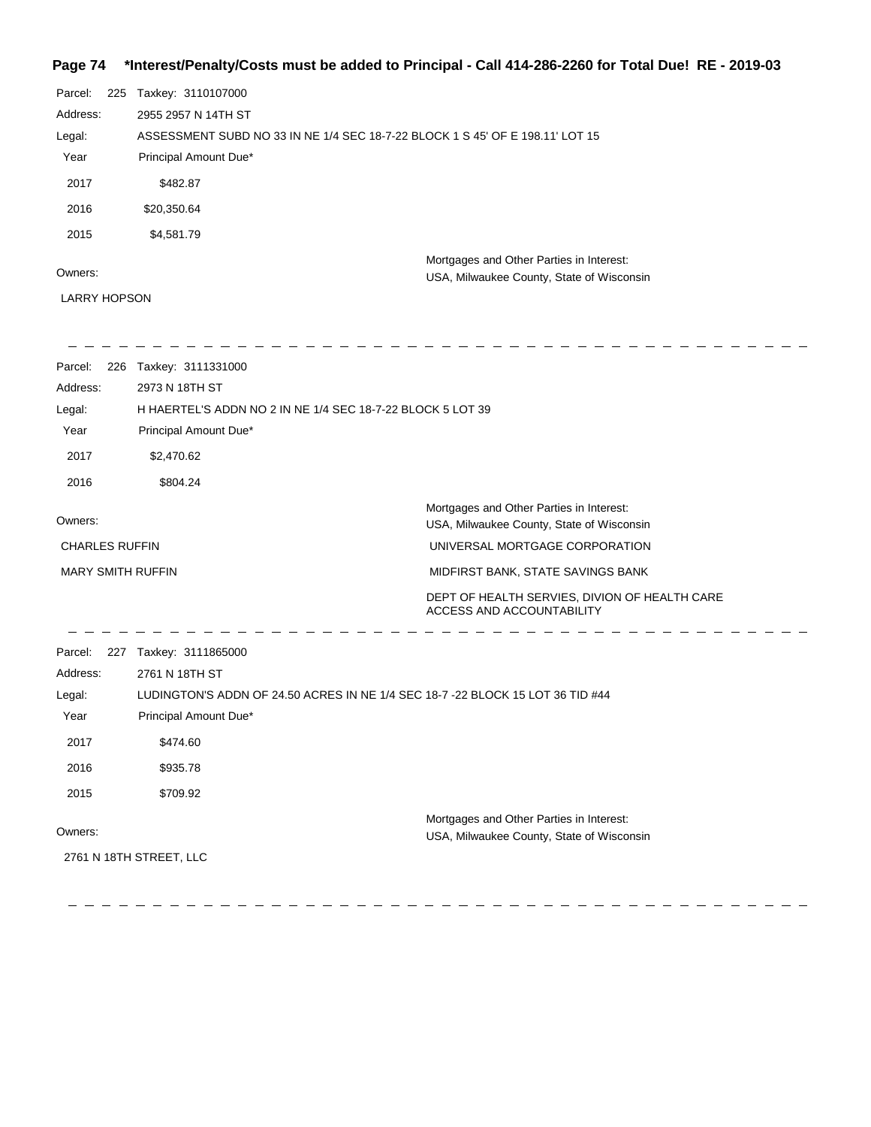## **Page 74 \*Interest/Penalty/Costs must be added to Principal - Call 414-286-2260 for Total Due! RE - 2019-03**

| Parcel:  | 225 | Taxkey: 3110107000                                                            |  |
|----------|-----|-------------------------------------------------------------------------------|--|
| Address: |     | 2955 2957 N 14TH ST                                                           |  |
| Legal:   |     | ASSESSMENT SUBD NO 33 IN NE 1/4 SEC 18-7-22 BLOCK 1 S 45' OF E 198.11' LOT 15 |  |
| Year     |     | Principal Amount Due*                                                         |  |
| 2017     |     | \$482.87                                                                      |  |
| 2016     |     | \$20,350.64                                                                   |  |
| 2015     |     | \$4,581.79                                                                    |  |
|          |     | Mortgages and Other Parties in Interest:                                      |  |
| Owners:  |     | USA, Milwaukee County, State of Wisconsin                                     |  |

LARRY HOPSON

| Parcel:                  | 226 Taxkey: 3111331000                                                        |                                                                                       |
|--------------------------|-------------------------------------------------------------------------------|---------------------------------------------------------------------------------------|
| Address:                 | 2973 N 18TH ST                                                                |                                                                                       |
| Legal:                   | H HAERTEL'S ADDN NO 2 IN NE 1/4 SEC 18-7-22 BLOCK 5 LOT 39                    |                                                                                       |
| Year                     | Principal Amount Due*                                                         |                                                                                       |
| 2017                     | \$2,470.62                                                                    |                                                                                       |
| 2016                     | \$804.24                                                                      |                                                                                       |
|                          |                                                                               | Mortgages and Other Parties in Interest:                                              |
| Owners:                  |                                                                               | USA, Milwaukee County, State of Wisconsin                                             |
| <b>CHARLES RUFFIN</b>    |                                                                               | UNIVERSAL MORTGAGE CORPORATION                                                        |
| <b>MARY SMITH RUFFIN</b> |                                                                               | MIDFIRST BANK, STATE SAVINGS BANK                                                     |
|                          |                                                                               | DEPT OF HEALTH SERVIES, DIVION OF HEALTH CARE<br><b>ACCESS AND ACCOUNTABILITY</b>     |
| Parcel:                  | 227 Taxkey: 3111865000                                                        |                                                                                       |
| Address:                 | 2761 N 18TH ST                                                                |                                                                                       |
| Legal:                   | LUDINGTON'S ADDN OF 24.50 ACRES IN NE 1/4 SEC 18-7-22 BLOCK 15 LOT 36 TID #44 |                                                                                       |
| Year                     | Principal Amount Due*                                                         |                                                                                       |
| 2017                     | \$474.60                                                                      |                                                                                       |
| 2016                     | \$935.78                                                                      |                                                                                       |
| 2015                     | \$709.92                                                                      |                                                                                       |
| Owners:                  | 2761 N 18TH STREET, LLC                                                       | Mortgages and Other Parties in Interest:<br>USA, Milwaukee County, State of Wisconsin |
|                          |                                                                               |                                                                                       |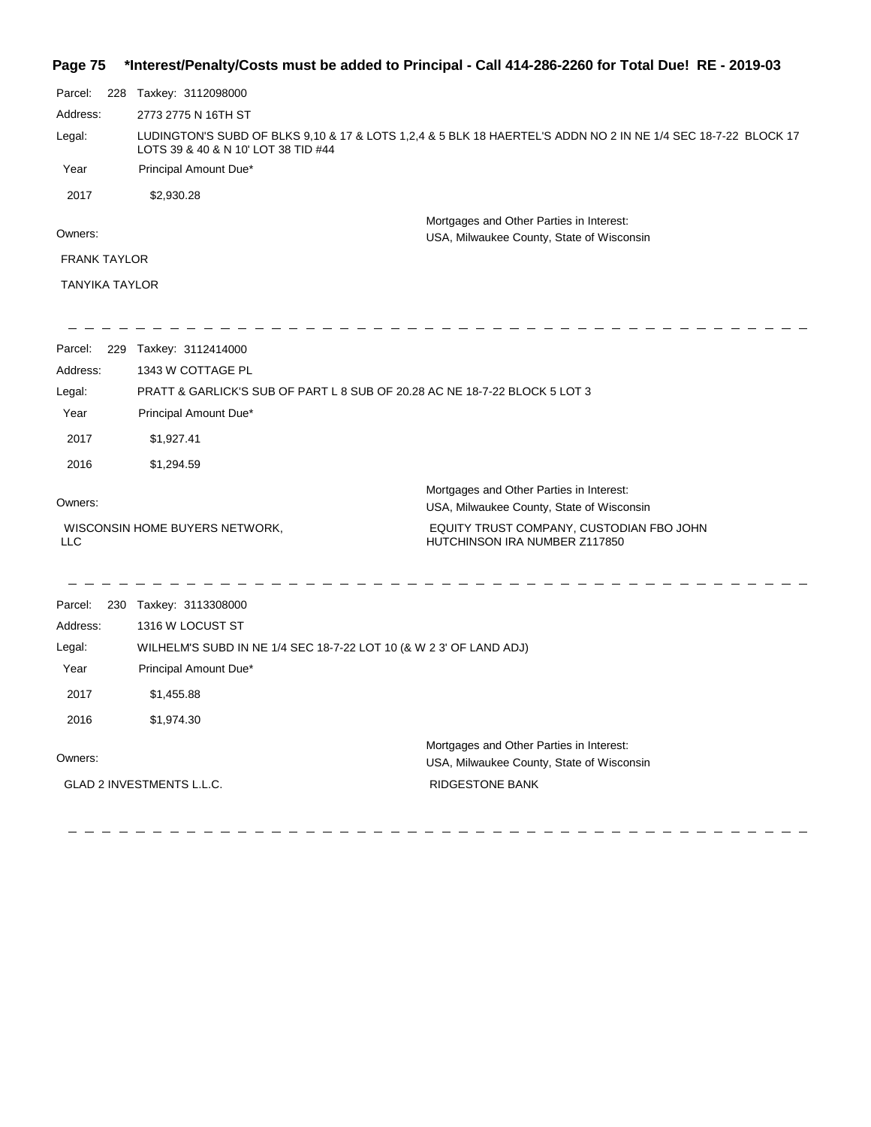#### **Page 75 \*Interest/Penalty/Costs must be added to Principal - Call 414-286-2260 for Total Due! RE - 2019-03**

| Parcel:               | 228 | Taxkey: 3112098000                                                                                                                                   |  |
|-----------------------|-----|------------------------------------------------------------------------------------------------------------------------------------------------------|--|
| Address:              |     | 2773 2775 N 16TH ST                                                                                                                                  |  |
| Legal:                |     | LUDINGTON'S SUBD OF BLKS 9,10 & 17 & LOTS 1,2,4 & 5 BLK 18 HAERTEL'S ADDN NO 2 IN NE 1/4 SEC 18-7-22 BLOCK 17<br>LOTS 39 & 40 & N 10' LOT 38 TID #44 |  |
| Year                  |     | Principal Amount Due*                                                                                                                                |  |
| 2017                  |     | \$2,930.28                                                                                                                                           |  |
| Owners:               |     | Mortgages and Other Parties in Interest:<br>USA, Milwaukee County, State of Wisconsin                                                                |  |
| <b>FRANK TAYLOR</b>   |     |                                                                                                                                                      |  |
| <b>TANYIKA TAYLOR</b> |     |                                                                                                                                                      |  |
|                       |     |                                                                                                                                                      |  |
| Parcel:               | 229 | Taxkey: 3112414000                                                                                                                                   |  |
| Address:              |     | 1343 W COTTAGE PL                                                                                                                                    |  |
| Legal:                |     | PRATT & GARLICK'S SUB OF PART L 8 SUB OF 20.28 AC NE 18-7-22 BLOCK 5 LOT 3                                                                           |  |

| Year | Principal Amount Due* |  |
|------|-----------------------|--|
| 2017 | \$1.927.41            |  |
| 2016 | \$1.294.59            |  |

#### Owners:

WISCONSIN HOME BUYERS NETWORK,

- - - - - - - - - - -

USA, Milwaukee County, State of Wisconsin EQUITY TRUST COMPANY, CUSTODIAN FBO JOHN

Mortgages and Other Parties in Interest:

HUTCHINSON IRA NUMBER Z117850

LLC

Parcel: 230 Taxkey: 3113308000 Owners: Mortgages and Other Parties in Interest: Year Principal Amount Due\* USA, Milwaukee County, State of Wisconsin WILHELM'S SUBD IN NE 1/4 SEC 18-7-22 LOT 10 (& W 2 3' OF LAND ADJ) 1316 W LOCUST ST Address: Legal: RIDGESTONE BANK 2017 \$1,455.88 2016 \$1,974.30 GLAD 2 INVESTMENTS L.L.C.

 $\frac{1}{2}$ 

 $\equiv$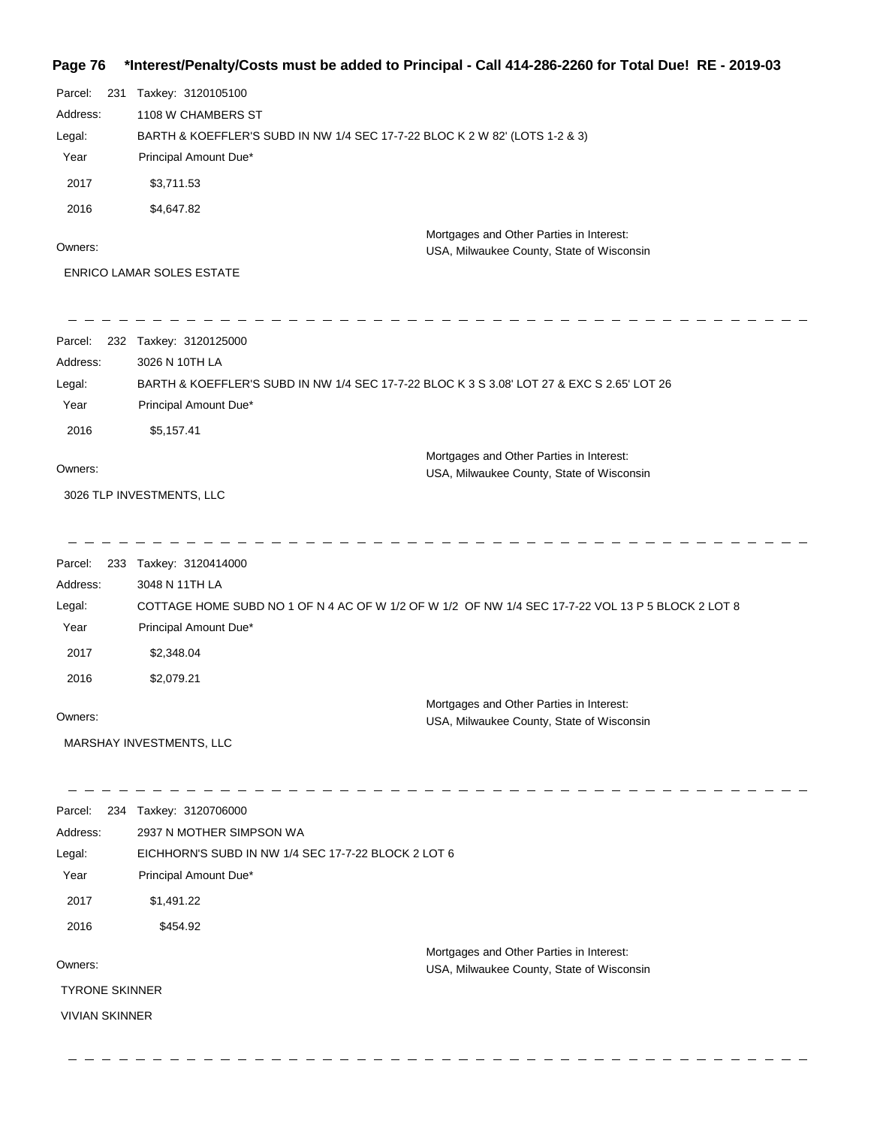## **Page 76 \*Interest/Penalty/Costs must be added to Principal - Call 414-286-2260 for Total Due! RE - 2019-03**

| Parcel:<br>231<br>Address: | Taxkey: 3120105100<br>1108 W CHAMBERS ST                                                                                   |                                                                                       |
|----------------------------|----------------------------------------------------------------------------------------------------------------------------|---------------------------------------------------------------------------------------|
| Legal:                     | BARTH & KOEFFLER'S SUBD IN NW 1/4 SEC 17-7-22 BLOC K 2 W 82' (LOTS 1-2 & 3)                                                |                                                                                       |
| Year                       | Principal Amount Due*                                                                                                      |                                                                                       |
| 2017                       | \$3,711.53                                                                                                                 |                                                                                       |
| 2016                       | \$4,647.82                                                                                                                 |                                                                                       |
|                            |                                                                                                                            | Mortgages and Other Parties in Interest:                                              |
| Owners:                    |                                                                                                                            | USA, Milwaukee County, State of Wisconsin                                             |
|                            | <b>ENRICO LAMAR SOLES ESTATE</b>                                                                                           |                                                                                       |
| Parcel:                    | 232 Taxkey: 3120125000                                                                                                     |                                                                                       |
| Address:                   | 3026 N 10TH LA                                                                                                             |                                                                                       |
| Legal:                     | BARTH & KOEFFLER'S SUBD IN NW 1/4 SEC 17-7-22 BLOC K 3 S 3.08' LOT 27 & EXC S 2.65' LOT 26                                 |                                                                                       |
| Year                       | Principal Amount Due*                                                                                                      |                                                                                       |
| 2016                       | \$5,157.41                                                                                                                 |                                                                                       |
| Owners:                    |                                                                                                                            | Mortgages and Other Parties in Interest:<br>USA, Milwaukee County, State of Wisconsin |
|                            | 3026 TLP INVESTMENTS, LLC                                                                                                  |                                                                                       |
|                            |                                                                                                                            |                                                                                       |
| Parcel:                    | 233 Taxkey: 3120414000                                                                                                     |                                                                                       |
| Address:                   | 3048 N 11TH LA                                                                                                             |                                                                                       |
| Legal:<br>Year             | COTTAGE HOME SUBD NO 1 OF N 4 AC OF W 1/2 OF W 1/2 OF NW 1/4 SEC 17-7-22 VOL 13 P 5 BLOCK 2 LOT 8<br>Principal Amount Due* |                                                                                       |
| 2017                       | \$2,348.04                                                                                                                 |                                                                                       |
| 2016                       | \$2,079.21                                                                                                                 |                                                                                       |
|                            |                                                                                                                            |                                                                                       |
| Owners:                    |                                                                                                                            | Mortgages and Other Parties in Interest:<br>USA, Milwaukee County, State of Wisconsin |
|                            | MARSHAY INVESTMENTS, LLC                                                                                                   |                                                                                       |
|                            | Parcel: 234 Taxkey: 3120706000                                                                                             |                                                                                       |
| Address:                   | 2937 N MOTHER SIMPSON WA                                                                                                   |                                                                                       |
| Legal:                     | EICHHORN'S SUBD IN NW 1/4 SEC 17-7-22 BLOCK 2 LOT 6                                                                        |                                                                                       |
| Year                       | Principal Amount Due*                                                                                                      |                                                                                       |
| 2017                       | \$1,491.22                                                                                                                 |                                                                                       |
| 2016                       | \$454.92                                                                                                                   |                                                                                       |
| Owners:                    |                                                                                                                            | Mortgages and Other Parties in Interest:<br>USA, Milwaukee County, State of Wisconsin |
| <b>TYRONE SKINNER</b>      |                                                                                                                            |                                                                                       |
| <b>VIVIAN SKINNER</b>      |                                                                                                                            |                                                                                       |
|                            |                                                                                                                            |                                                                                       |

 $\equiv$ 

 $\qquad \qquad - \qquad -$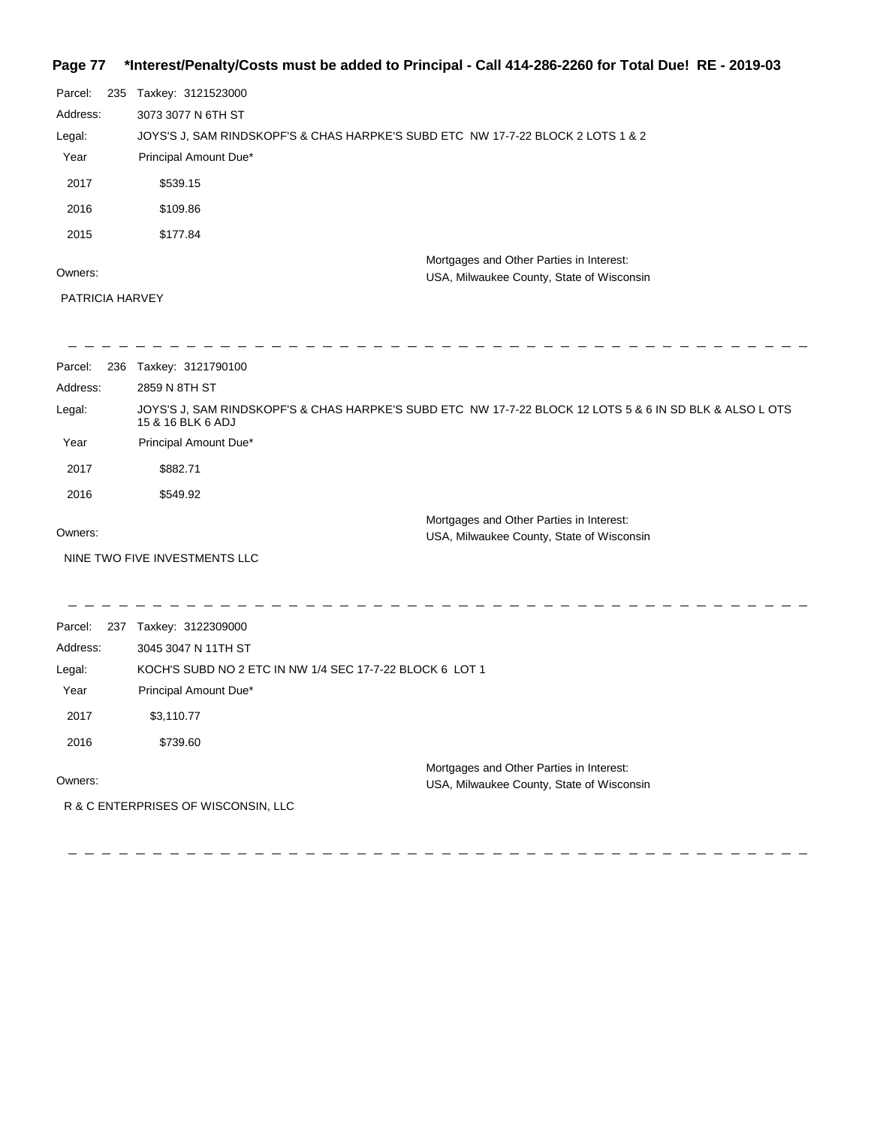### **Page 77 \*Interest/Penalty/Costs must be added to Principal - Call 414-286-2260 for Total Due! RE - 2019-03**

| Parcel:  | 235 | Taxkey: 3121523000                                                                    |  |
|----------|-----|---------------------------------------------------------------------------------------|--|
| Address: |     | 3073 3077 N 6TH ST                                                                    |  |
| Legal:   |     | JOYS'S J, SAM RINDSKOPF'S & CHAS HARPKE'S SUBD ETC NW 17-7-22 BLOCK 2 LOTS 1 & 2      |  |
| Year     |     | Principal Amount Due*                                                                 |  |
| 2017     |     | \$539.15                                                                              |  |
| 2016     |     | \$109.86                                                                              |  |
| 2015     |     | \$177.84                                                                              |  |
| Owners:  |     | Mortgages and Other Parties in Interest:<br>USA, Milwaukee County, State of Wisconsin |  |

PATRICIA HARVEY

 $\frac{1}{2}$ 

| Parcel:<br>236 | Taxkey: 3121790100                                                                                                            |
|----------------|-------------------------------------------------------------------------------------------------------------------------------|
| Address:       | 2859 N 8TH ST                                                                                                                 |
| Legal:         | JOYS'S J. SAM RINDSKOPF'S & CHAS HARPKE'S SUBD ETC NW 17-7-22 BLOCK 12 LOTS 5 & 6 IN SD BLK & ALSO L OTS<br>15 & 16 BLK 6 ADJ |
| Year           | Principal Amount Due*                                                                                                         |
| 2017           | \$882.71                                                                                                                      |
| 2016           | \$549.92                                                                                                                      |
| Owners:        | Mortgages and Other Parties in Interest:<br>USA, Milwaukee County, State of Wisconsin                                         |
|                | NINE TWO FIVE INVESTMENTS LLC                                                                                                 |
|                |                                                                                                                               |

Parcel: 237 Taxkey: 3122309000 Owners: Mortgages and Other Parties in Interest: Year Principal Amount Due\* USA, Milwaukee County, State of Wisconsin KOCH'S SUBD NO 2 ETC IN NW 1/4 SEC 17-7-22 BLOCK 6 LOT 1 3045 3047 N 11TH ST Address: Legal: 2017 \$3,110.77 2016 \$739.60 R & C ENTERPRISES OF WISCONSIN, LLC

- - - - - - - -

- - - - - - - - - - -

\_\_\_\_\_\_\_\_\_\_\_\_\_\_\_\_\_\_\_\_\_\_\_\_\_\_\_\_\_\_\_\_\_\_\_\_\_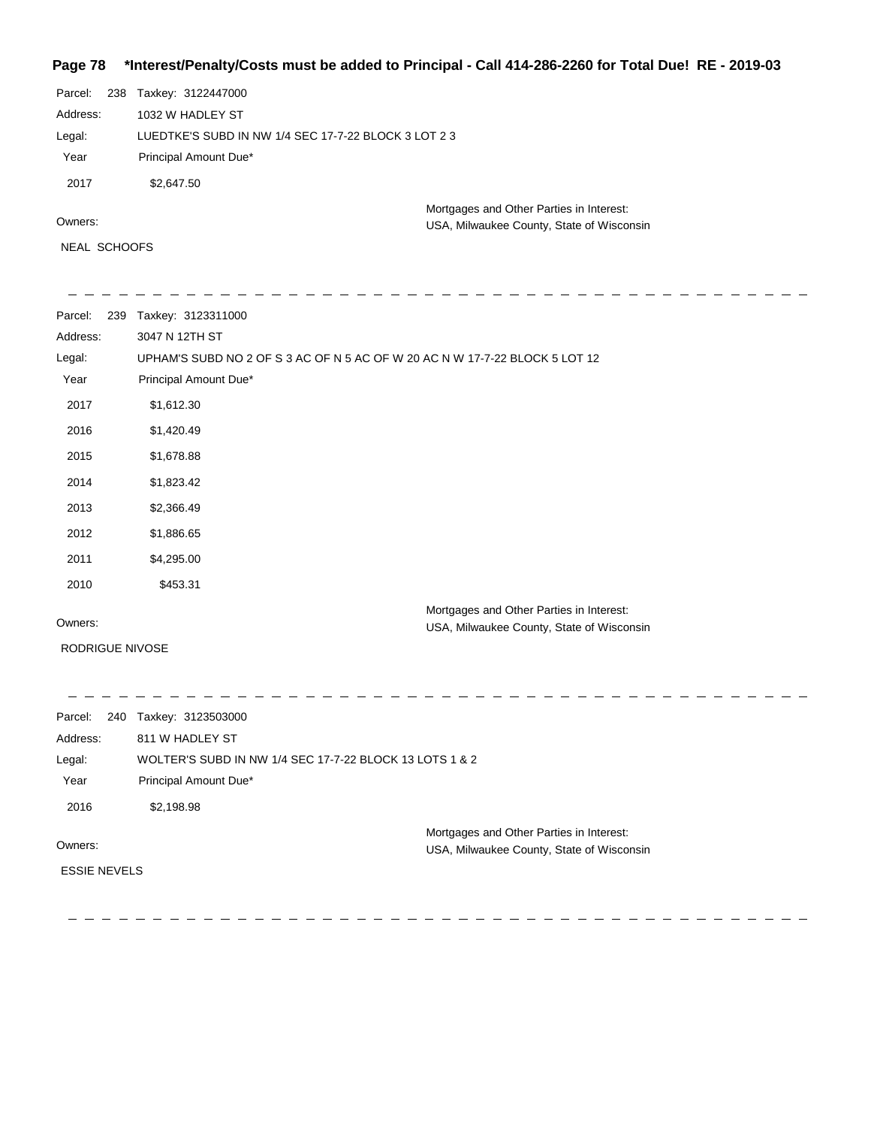#### **Page 78 \*Interest/Penalty/Costs must be added to Principal - Call 414-286-2260 for Total Due! RE - 2019-03**

| Parcel:  |  | 238 Taxkey: 3122447000                               |
|----------|--|------------------------------------------------------|
| Address: |  | 1032 W HADLEY ST                                     |
| Legal:   |  | LUEDTKE'S SUBD IN NW 1/4 SEC 17-7-22 BLOCK 3 LOT 2 3 |
| Year     |  | Principal Amount Due*                                |
| 2017     |  | \$2,647.50                                           |
| Owners:  |  | Mortgages and Other Parties in Interest:             |
|          |  | USA, Milwaukee County, State of Wisconsin            |

NEAL SCHOOFS

 $\equiv$  $\overline{\phantom{a}}$ 

 $- - - - - -$ Parcel: 239 Taxkey: 3123311000 3047 N 12TH ST Address: UPHAM'S SUBD NO 2 OF S 3 AC OF N 5 AC OF W 20 AC N W 17-7-22 BLOCK 5 LOT 12 Legal: Year Principal Amount Due\* 2017 \$1,612.30 2016 \$1,420.49 2015 \$1,678.88 2014 \$1,823.42 2013 \$2,366.49 2012 \$1,886.65 2011 \$4,295.00 2010 \$453.31 Mortgages and Other Parties in Interest: Owners:

RODRIGUE NIVOSE

USA, Milwaukee County, State of Wisconsin

 $\frac{1}{2}$  $\frac{1}{2} \frac{1}{2} \frac{1}{2} \frac{1}{2} \frac{1}{2} \frac{1}{2} \frac{1}{2} \frac{1}{2} \frac{1}{2} \frac{1}{2} \frac{1}{2} \frac{1}{2} \frac{1}{2} \frac{1}{2} \frac{1}{2} \frac{1}{2} \frac{1}{2} \frac{1}{2} \frac{1}{2} \frac{1}{2} \frac{1}{2} \frac{1}{2} \frac{1}{2} \frac{1}{2} \frac{1}{2} \frac{1}{2} \frac{1}{2} \frac{1}{2} \frac{1}{2} \frac{1}{2} \frac{1}{2} \frac{$ Parcel: 240 Taxkey: 3123503000 811 W HADLEY ST Address: WOLTER'S SUBD IN NW 1/4 SEC 17-7-22 BLOCK 13 LOTS 1 & 2 Legal: Year Principal Amount Due\* 2016 \$2,198.98 Mortgages and Other Parties in Interest: Owners: USA, Milwaukee County, State of Wisconsin ESSIE NEVELS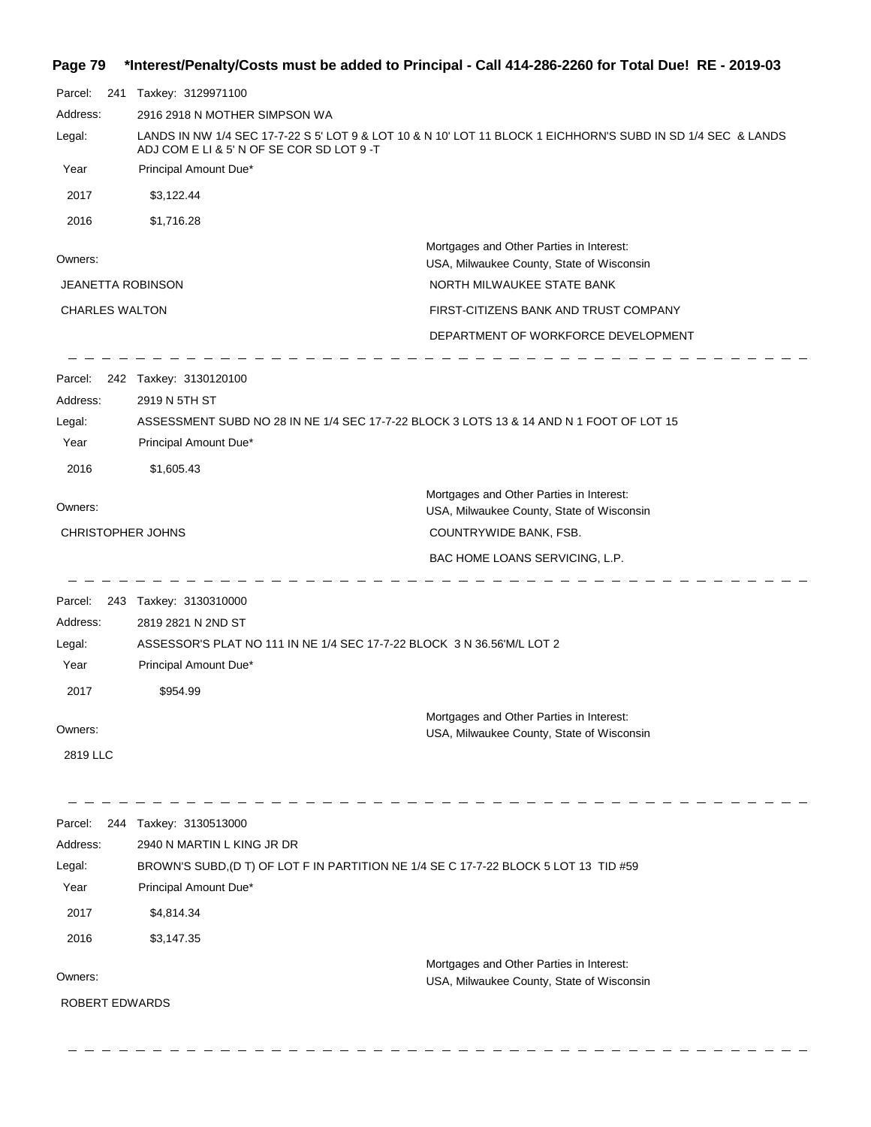## **Page 79 \*Interest/Penalty/Costs must be added to Principal - Call 414-286-2260 for Total Due! RE - 2019-03**

| Parcel:<br>241           | Taxkey: 3129971100                                                                                                                                        |                                                                                         |  |  |
|--------------------------|-----------------------------------------------------------------------------------------------------------------------------------------------------------|-----------------------------------------------------------------------------------------|--|--|
| Address:                 | 2916 2918 N MOTHER SIMPSON WA                                                                                                                             |                                                                                         |  |  |
| Legal:                   | LANDS IN NW 1/4 SEC 17-7-22 S 5' LOT 9 & LOT 10 & N 10' LOT 11 BLOCK 1 EICHHORN'S SUBD IN SD 1/4 SEC & LANDS<br>ADJ COM E LI & 5' N OF SE COR SD LOT 9 -T |                                                                                         |  |  |
| Year                     | Principal Amount Due*                                                                                                                                     |                                                                                         |  |  |
| 2017                     | \$3,122.44                                                                                                                                                |                                                                                         |  |  |
| 2016                     | \$1,716.28                                                                                                                                                |                                                                                         |  |  |
|                          |                                                                                                                                                           | Mortgages and Other Parties in Interest:                                                |  |  |
| Owners:                  |                                                                                                                                                           | USA, Milwaukee County, State of Wisconsin                                               |  |  |
| <b>JEANETTA ROBINSON</b> |                                                                                                                                                           | NORTH MILWAUKEE STATE BANK                                                              |  |  |
| <b>CHARLES WALTON</b>    |                                                                                                                                                           | FIRST-CITIZENS BANK AND TRUST COMPANY                                                   |  |  |
|                          |                                                                                                                                                           | DEPARTMENT OF WORKFORCE DEVELOPMENT                                                     |  |  |
|                          | Parcel: 242 Taxkey: 3130120100                                                                                                                            |                                                                                         |  |  |
| Address:                 | 2919 N 5TH ST                                                                                                                                             |                                                                                         |  |  |
| Legal:                   |                                                                                                                                                           | ASSESSMENT SUBD NO 28 IN NE 1/4 SEC 17-7-22 BLOCK 3 LOTS 13 & 14 AND N 1 FOOT OF LOT 15 |  |  |
| Year                     | Principal Amount Due*                                                                                                                                     |                                                                                         |  |  |
| 2016                     | \$1,605.43                                                                                                                                                |                                                                                         |  |  |
|                          |                                                                                                                                                           | Mortgages and Other Parties in Interest:                                                |  |  |
| Owners:                  |                                                                                                                                                           | USA, Milwaukee County, State of Wisconsin                                               |  |  |
| <b>CHRISTOPHER JOHNS</b> |                                                                                                                                                           | COUNTRYWIDE BANK, FSB.                                                                  |  |  |
|                          |                                                                                                                                                           | BAC HOME LOANS SERVICING, L.P.                                                          |  |  |
| Parcel:                  | 243 Taxkey: 3130310000                                                                                                                                    |                                                                                         |  |  |
| Address:                 | 2819 2821 N 2ND ST                                                                                                                                        |                                                                                         |  |  |
| Legal:                   |                                                                                                                                                           | ASSESSOR'S PLAT NO 111 IN NE 1/4 SEC 17-7-22 BLOCK 3 N 36.56'M/L LOT 2                  |  |  |
| Year                     | Principal Amount Due*                                                                                                                                     |                                                                                         |  |  |
| 2017                     | \$954.99                                                                                                                                                  |                                                                                         |  |  |
|                          |                                                                                                                                                           | Mortgages and Other Parties in Interest:                                                |  |  |
| Owners:                  |                                                                                                                                                           | USA, Milwaukee County, State of Wisconsin                                               |  |  |
| 2819 LLC                 |                                                                                                                                                           |                                                                                         |  |  |
|                          |                                                                                                                                                           |                                                                                         |  |  |
| Parcel:<br>244           | Taxkey: 3130513000                                                                                                                                        |                                                                                         |  |  |
| Address:<br>Legal:       | 2940 N MARTIN L KING JR DR                                                                                                                                | BROWN'S SUBD, (D T) OF LOT F IN PARTITION NE 1/4 SE C 17-7-22 BLOCK 5 LOT 13 TID #59    |  |  |
| Year                     | Principal Amount Due*                                                                                                                                     |                                                                                         |  |  |
| 2017                     | \$4,814.34                                                                                                                                                |                                                                                         |  |  |
| 2016                     | \$3,147.35                                                                                                                                                |                                                                                         |  |  |
|                          |                                                                                                                                                           | Mortgages and Other Parties in Interest:                                                |  |  |
| Owners:                  |                                                                                                                                                           | USA, Milwaukee County, State of Wisconsin                                               |  |  |
| ROBERT EDWARDS           |                                                                                                                                                           |                                                                                         |  |  |
|                          |                                                                                                                                                           |                                                                                         |  |  |
|                          |                                                                                                                                                           |                                                                                         |  |  |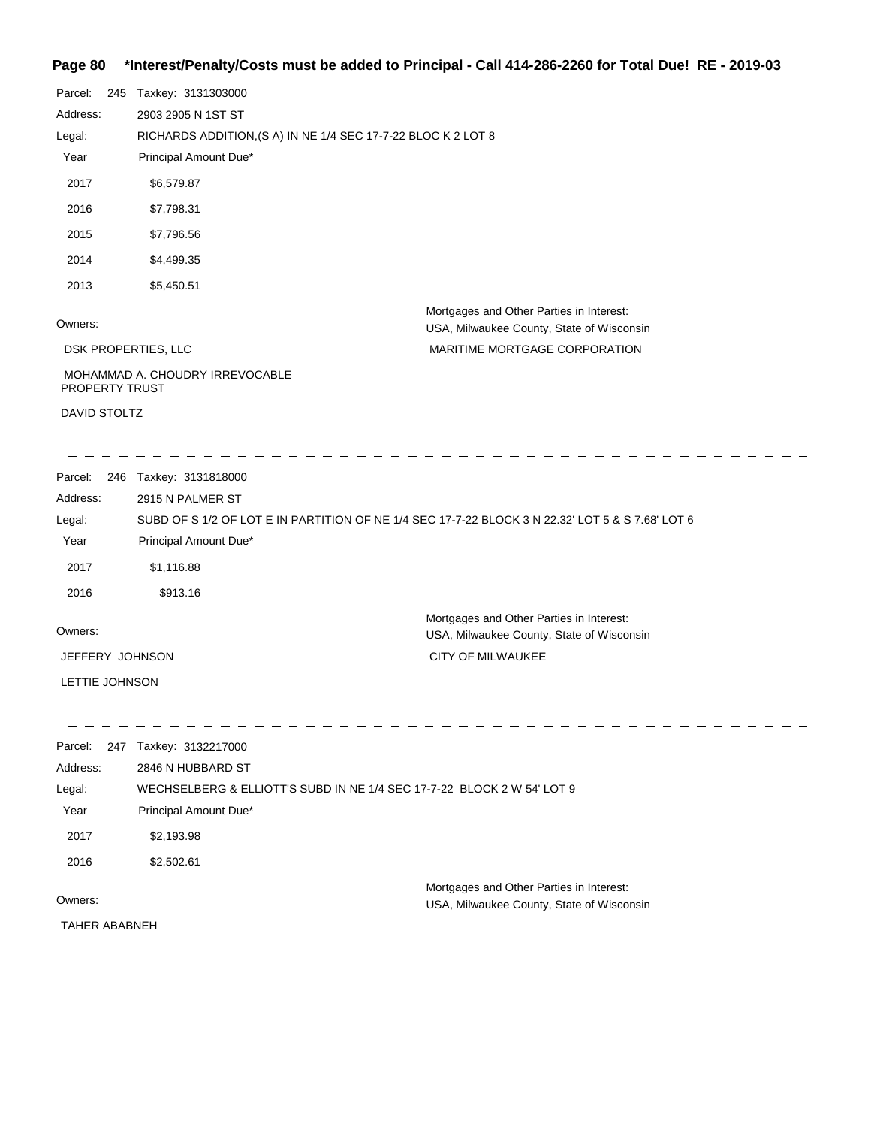### **Page 80 \*Interest/Penalty/Costs must be added to Principal - Call 414-286-2260 for Total Due! RE - 2019-03**

| Parcel:               | 245 Taxkey: 3131303000                                        |                                                                                       |
|-----------------------|---------------------------------------------------------------|---------------------------------------------------------------------------------------|
| Address:              | 2903 2905 N 1ST ST                                            |                                                                                       |
| Legal:                | RICHARDS ADDITION, (S A) IN NE 1/4 SEC 17-7-22 BLOC K 2 LOT 8 |                                                                                       |
| Year                  | Principal Amount Due*                                         |                                                                                       |
| 2017                  | \$6,579.87                                                    |                                                                                       |
| 2016                  | \$7,798.31                                                    |                                                                                       |
| 2015                  | \$7,796.56                                                    |                                                                                       |
| 2014                  | \$4,499.35                                                    |                                                                                       |
| 2013                  | \$5,450.51                                                    |                                                                                       |
| Owners:               |                                                               | Mortgages and Other Parties in Interest:<br>USA, Milwaukee County, State of Wisconsin |
|                       | DSK PROPERTIES, LLC                                           | MARITIME MORTGAGE CORPORATION                                                         |
| <b>PROPERTY TRUST</b> | MOHAMMAD A. CHOUDRY IRREVOCABLE                               |                                                                                       |

DAVID STOLTZ

. . . . . . . . . . . . . . . .

 $\equiv$   $\equiv$   $\equiv$ 

Parcel: 246 Taxkey: 3131818000 Owners: Mortgages and Other Parties in Interest: Year Principal Amount Due\* USA, Milwaukee County, State of Wisconsin SUBD OF S 1/2 OF LOT E IN PARTITION OF NE 1/4 SEC 17-7-22 BLOCK 3 N 22.32' LOT 5 & S 7.68' LOT 6 2915 N PALMER ST Address: Legal: CITY OF MILWAUKEE 2017 \$1,116.88 2016 \$913.16 JEFFERY JOHNSON LETTIE JOHNSON

| Parcel:<br>247       | Taxkey: 3132217000                                                     |
|----------------------|------------------------------------------------------------------------|
| Address:             | 2846 N HUBBARD ST                                                      |
| Legal:               | WECHSELBERG & ELLIOTT'S SUBD IN NE 1/4 SEC 17-7-22 BLOCK 2 W 54' LOT 9 |
| Year                 | Principal Amount Due*                                                  |
| 2017                 | \$2,193.98                                                             |
| 2016                 | \$2.502.61                                                             |
|                      | Mortgages and Other Parties in Interest:                               |
| Owners:              | USA, Milwaukee County, State of Wisconsin                              |
| <b>TAHER ABABNEH</b> |                                                                        |
|                      |                                                                        |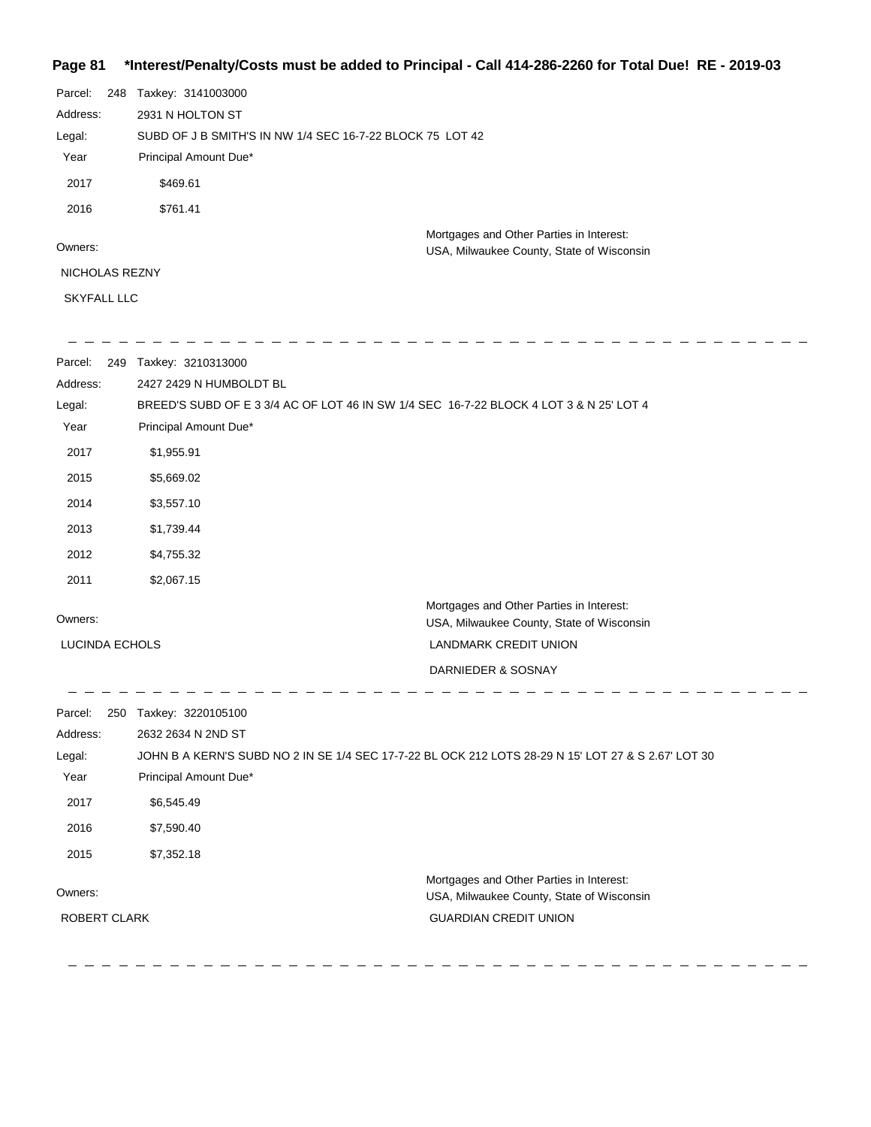## **Page 81 \*Interest/Penalty/Costs must be added to Principal - Call 414-286-2260 for Total Due! RE - 2019-03**

| Parcel:        | 248 | Taxkey: 3141003000                                        |                                           |  |
|----------------|-----|-----------------------------------------------------------|-------------------------------------------|--|
| Address:       |     | 2931 N HOLTON ST                                          |                                           |  |
| Legal:         |     | SUBD OF J B SMITH'S IN NW 1/4 SEC 16-7-22 BLOCK 75 LOT 42 |                                           |  |
| Year           |     | Principal Amount Due*                                     |                                           |  |
| 2017           |     | \$469.61                                                  |                                           |  |
| 2016           |     | \$761.41                                                  |                                           |  |
|                |     |                                                           | Mortgages and Other Parties in Interest:  |  |
| Owners:        |     |                                                           | USA, Milwaukee County, State of Wisconsin |  |
| NICHOLAS REZNY |     |                                                           |                                           |  |
|                |     |                                                           |                                           |  |

SKYFALL LLC

| Parcel:        | 249 Taxkey: 3210313000                                                                                          |                                                                                       |  |  |
|----------------|-----------------------------------------------------------------------------------------------------------------|---------------------------------------------------------------------------------------|--|--|
| Address:       | 2427 2429 N HUMBOLDT BL                                                                                         |                                                                                       |  |  |
| Legal:<br>Year | BREED'S SUBD OF E 3 3/4 AC OF LOT 46 IN SW 1/4 SEC 16-7-22 BLOCK 4 LOT 3 & N 25' LOT 4<br>Principal Amount Due* |                                                                                       |  |  |
|                |                                                                                                                 |                                                                                       |  |  |
| 2017           | \$1,955.91                                                                                                      |                                                                                       |  |  |
| 2015           | \$5,669.02                                                                                                      |                                                                                       |  |  |
| 2014           | \$3,557.10                                                                                                      |                                                                                       |  |  |
| 2013           | \$1,739.44                                                                                                      |                                                                                       |  |  |
| 2012           | \$4,755.32                                                                                                      |                                                                                       |  |  |
| 2011           | \$2,067.15                                                                                                      |                                                                                       |  |  |
| Owners:        |                                                                                                                 | Mortgages and Other Parties in Interest:<br>USA, Milwaukee County, State of Wisconsin |  |  |
| LUCINDA ECHOLS |                                                                                                                 | <b>LANDMARK CREDIT UNION</b>                                                          |  |  |
|                |                                                                                                                 | DARNIEDER & SOSNAY                                                                    |  |  |
| Parcel:        | 250 Taxkey: 3220105100                                                                                          |                                                                                       |  |  |
| Address:       | 2632 2634 N 2ND ST                                                                                              |                                                                                       |  |  |
| Legal:         | JOHN B A KERN'S SUBD NO 2 IN SE 1/4 SEC 17-7-22 BL OCK 212 LOTS 28-29 N 15' LOT 27 & S 2.67' LOT 30             |                                                                                       |  |  |
| Year           | Principal Amount Due*                                                                                           |                                                                                       |  |  |
| 2017           | \$6,545.49                                                                                                      |                                                                                       |  |  |
| 2016           | \$7,590.40                                                                                                      |                                                                                       |  |  |
| 2015           | \$7,352.18                                                                                                      |                                                                                       |  |  |
| Owners:        |                                                                                                                 | Mortgages and Other Parties in Interest:                                              |  |  |
|                |                                                                                                                 | USA, Milwaukee County, State of Wisconsin                                             |  |  |
| ROBERT CLARK   |                                                                                                                 | <b>GUARDIAN CREDIT UNION</b>                                                          |  |  |
|                |                                                                                                                 |                                                                                       |  |  |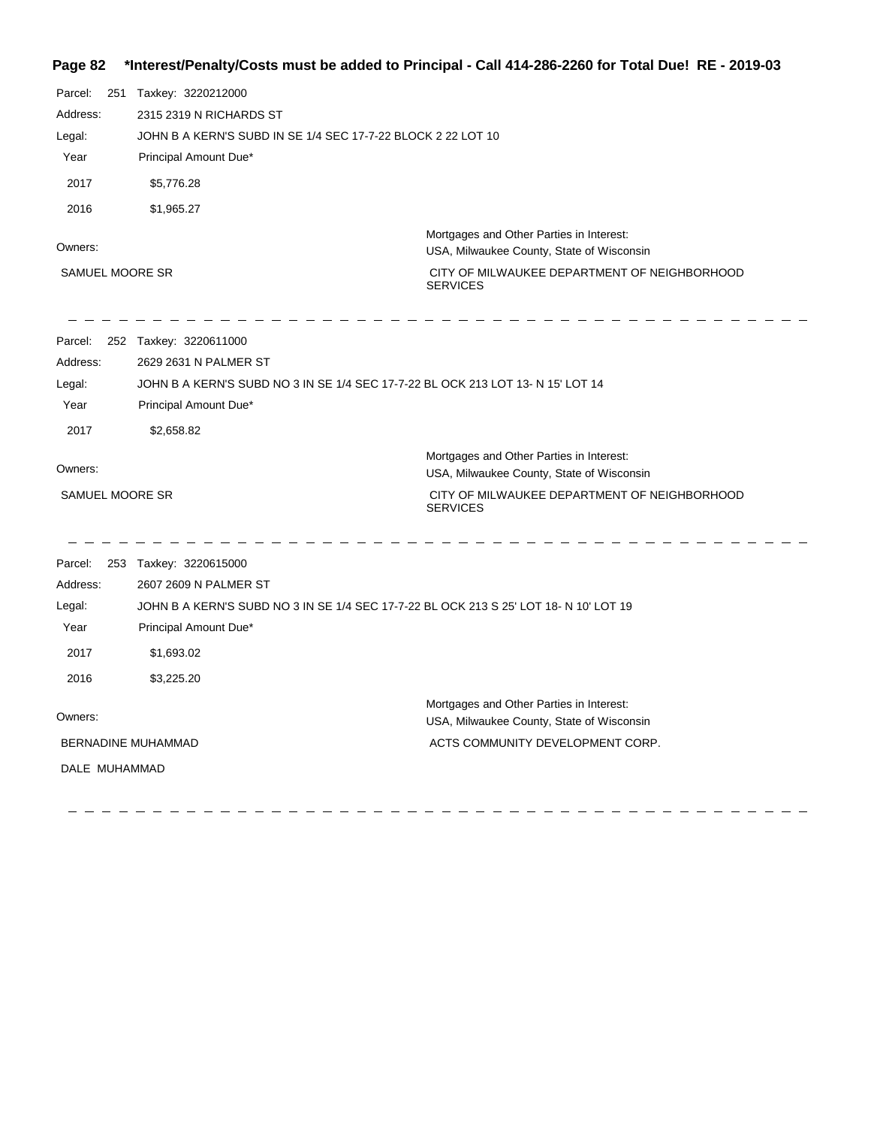## **Page 82 \*Interest/Penalty/Costs must be added to Principal - Call 414-286-2260 for Total Due! RE - 2019-03**

| Parcel:<br>251  | Taxkey: 3220212000                                                                    |                                                                                       |  |
|-----------------|---------------------------------------------------------------------------------------|---------------------------------------------------------------------------------------|--|
| Address:        | 2315 2319 N RICHARDS ST                                                               |                                                                                       |  |
| Legal:          | JOHN B A KERN'S SUBD IN SE 1/4 SEC 17-7-22 BLOCK 2 22 LOT 10                          |                                                                                       |  |
| Year            | Principal Amount Due*                                                                 |                                                                                       |  |
| 2017            | \$5,776.28                                                                            |                                                                                       |  |
| 2016            | \$1,965.27                                                                            |                                                                                       |  |
| Owners:         |                                                                                       | Mortgages and Other Parties in Interest:<br>USA, Milwaukee County, State of Wisconsin |  |
| SAMUEL MOORE SR |                                                                                       | CITY OF MILWAUKEE DEPARTMENT OF NEIGHBORHOOD<br><b>SERVICES</b>                       |  |
| Parcel:         | 252 Taxkey: 3220611000                                                                |                                                                                       |  |
| Address:        | 2629 2631 N PALMER ST                                                                 |                                                                                       |  |
| Legal:          | JOHN B A KERN'S SUBD NO 3 IN SE 1/4 SEC 17-7-22 BL OCK 213 LOT 13- N 15' LOT 14       |                                                                                       |  |
| Year            | Principal Amount Due*                                                                 |                                                                                       |  |
| 2017            | \$2,658.82                                                                            |                                                                                       |  |
| Owners:         |                                                                                       | Mortgages and Other Parties in Interest:<br>USA, Milwaukee County, State of Wisconsin |  |
| SAMUEL MOORE SR |                                                                                       | CITY OF MILWAUKEE DEPARTMENT OF NEIGHBORHOOD<br><b>SERVICES</b>                       |  |
| Parcel:         | 253 Taxkey: 3220615000                                                                |                                                                                       |  |
| Address:        | 2607 2609 N PALMER ST                                                                 |                                                                                       |  |
| Legal:          | JOHN B A KERN'S SUBD NO 3 IN SE 1/4 SEC 17-7-22 BL OCK 213 S 25' LOT 18- N 10' LOT 19 |                                                                                       |  |
| Year            | Principal Amount Due*                                                                 |                                                                                       |  |
| 2017            | \$1,693.02                                                                            |                                                                                       |  |
| 2016            | \$3,225.20                                                                            |                                                                                       |  |
| Owners:         |                                                                                       | Mortgages and Other Parties in Interest:<br>USA, Milwaukee County, State of Wisconsin |  |
|                 | BERNADINE MUHAMMAD                                                                    | ACTS COMMUNITY DEVELOPMENT CORP.                                                      |  |
| DALE MUHAMMAD   |                                                                                       |                                                                                       |  |
|                 |                                                                                       |                                                                                       |  |
|                 |                                                                                       |                                                                                       |  |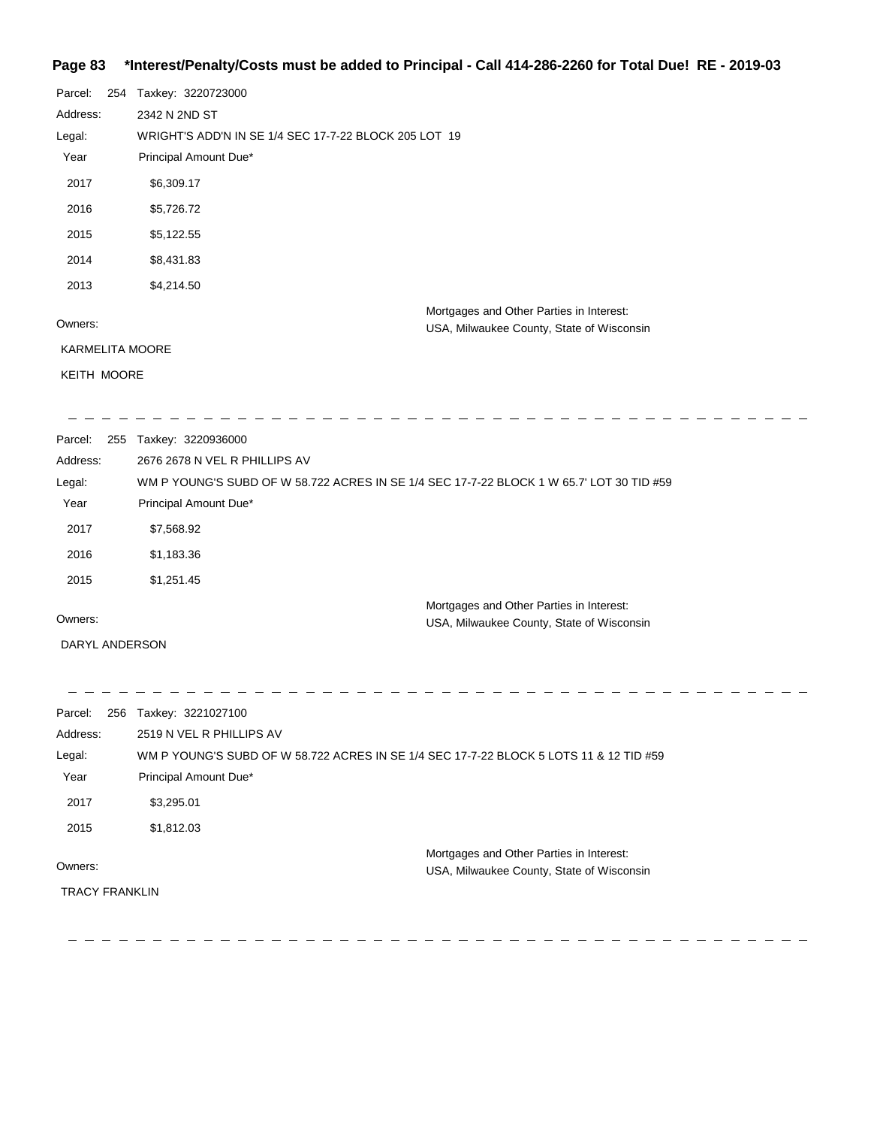## **Page 83 \*Interest/Penalty/Costs must be added to Principal - Call 414-286-2260 for Total Due! RE - 2019-03**

| Parcel:            | 254 | Taxkey: 3220723000                                    |  |
|--------------------|-----|-------------------------------------------------------|--|
| Address:           |     | 2342 N 2ND ST                                         |  |
| Legal:             |     | WRIGHT'S ADD'N IN SE 1/4 SEC 17-7-22 BLOCK 205 LOT 19 |  |
| Year               |     | Principal Amount Due*                                 |  |
| 2017               |     | \$6,309.17                                            |  |
| 2016               |     | \$5,726.72                                            |  |
| 2015               |     | \$5,122.55                                            |  |
| 2014               |     | \$8,431.83                                            |  |
| 2013               |     | \$4,214.50                                            |  |
|                    |     | Mortgages and Other Parties in Interest:              |  |
| Owners:            |     | USA, Milwaukee County, State of Wisconsin             |  |
|                    |     | <b>KARMELITA MOORE</b>                                |  |
| <b>KEITH MOORE</b> |     |                                                       |  |

| Parcel:  | 255 | Taxkey: 3220936000                                                                       |
|----------|-----|------------------------------------------------------------------------------------------|
| Address: |     | 2676 2678 N VEL R PHILLIPS AV                                                            |
| Legal:   |     | WM P YOUNG'S SUBD OF W 58.722 ACRES IN SE 1/4 SEC 17-7-22 BLOCK 1 W 65.7' LOT 30 TID #59 |
| Year     |     | Principal Amount Due*                                                                    |
| 2017     |     | \$7,568.92                                                                               |
| 2016     |     | \$1,183.36                                                                               |
| 2015     |     | \$1,251.45                                                                               |
|          |     | Mortgages and Other Parties in Interest:                                                 |

Owners:

DARYL ANDERSON

 $\sim$ 

 $\mathop{\mathrm{rgage}}\nolimits$ USA, Milwaukee County, State of Wisconsin

 $\overline{\phantom{a}}$ 

| Parcel:  |                       | 256 Taxkey: 3221027100                                                                 |  |  |
|----------|-----------------------|----------------------------------------------------------------------------------------|--|--|
| Address: |                       | 2519 N VEL R PHILLIPS AV                                                               |  |  |
| Legal:   |                       | WM P YOUNG'S SUBD OF W 58.722 ACRES IN SE 1/4 SEC 17-7-22 BLOCK 5 LOTS 11 & 12 TID #59 |  |  |
| Year     |                       | Principal Amount Due*                                                                  |  |  |
| 2017     |                       | \$3,295.01                                                                             |  |  |
| 2015     |                       | \$1,812.03                                                                             |  |  |
| Owners:  |                       | Mortgages and Other Parties in Interest:<br>USA, Milwaukee County, State of Wisconsin  |  |  |
|          | <b>TRACY FRANKLIN</b> |                                                                                        |  |  |

 $- - - - - - - - -$ ------------------------------------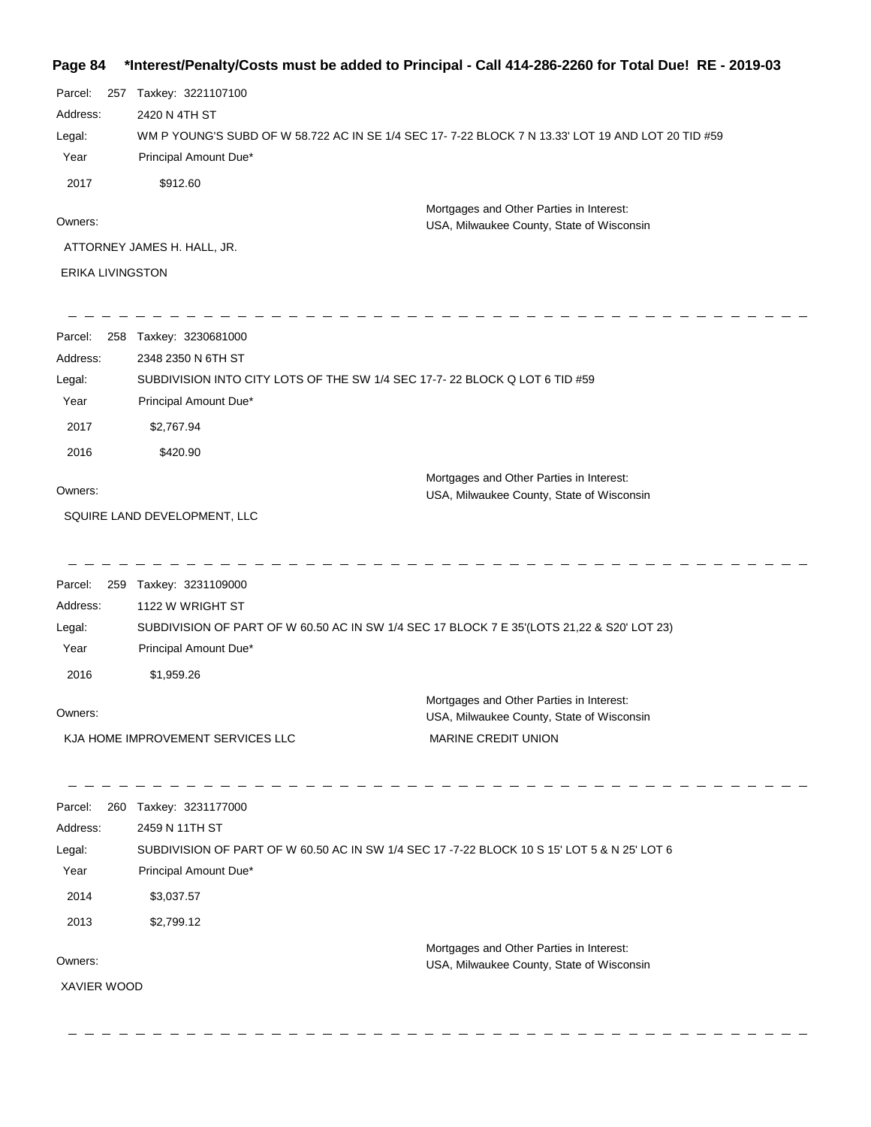# **Page 84 \*Interest/Penalty/Costs must be added to Principal - Call 414-286-2260 for Total Due! RE - 2019-03**

| Parcel:                     | 257 | Taxkey: 3221107100                                                                                |
|-----------------------------|-----|---------------------------------------------------------------------------------------------------|
| Address:                    |     | 2420 N 4TH ST                                                                                     |
| Legal:                      |     | WM P YOUNG'S SUBD OF W 58.722 AC IN SE 1/4 SEC 17-7-22 BLOCK 7 N 13.33' LOT 19 AND LOT 20 TID #59 |
| Year                        |     | Principal Amount Due*                                                                             |
| 2017                        |     | \$912.60                                                                                          |
| Owners:                     |     | Mortgages and Other Parties in Interest:<br>USA, Milwaukee County, State of Wisconsin             |
| ATTORNEY JAMES H. HALL, JR. |     |                                                                                                   |
| <b>ERIKA LIVINGSTON</b>     |     |                                                                                                   |

 $\hspace{0.1cm}$   $\hspace{0.1cm}$   $\hspace{0.1cm}$   $\hspace{0.1cm}$   $\hspace{0.1cm}$ 

-------------------------------

-----------

 $\hspace{0.1em}$   $\hspace{0.1em}$   $\hspace{0.1em}$   $\hspace{0.1em}$   $\hspace{0.1em}$ 

 $\sim$ 

| Parcel:     | 258 Taxkey: 3230681000                                                                      |                                                                                       |
|-------------|---------------------------------------------------------------------------------------------|---------------------------------------------------------------------------------------|
| Address:    | 2348 2350 N 6TH ST                                                                          |                                                                                       |
| Legal:      | SUBDIVISION INTO CITY LOTS OF THE SW 1/4 SEC 17-7- 22 BLOCK Q LOT 6 TID #59                 |                                                                                       |
| Year        | Principal Amount Due*                                                                       |                                                                                       |
| 2017        | \$2,767.94                                                                                  |                                                                                       |
| 2016        | \$420.90                                                                                    |                                                                                       |
| Owners:     |                                                                                             | Mortgages and Other Parties in Interest:<br>USA, Milwaukee County, State of Wisconsin |
|             | SQUIRE LAND DEVELOPMENT, LLC                                                                |                                                                                       |
|             |                                                                                             |                                                                                       |
| Parcel:     | 259 Taxkey: 3231109000                                                                      |                                                                                       |
| Address:    | 1122 W WRIGHT ST                                                                            |                                                                                       |
| Legal:      | SUBDIVISION OF PART OF W 60.50 AC IN SW 1/4 SEC 17 BLOCK 7 E 35'(LOTS 21,22 & S20' LOT 23)  |                                                                                       |
| Year        | Principal Amount Due*                                                                       |                                                                                       |
| 2016        | \$1,959.26                                                                                  |                                                                                       |
| Owners:     |                                                                                             | Mortgages and Other Parties in Interest:                                              |
|             |                                                                                             | USA, Milwaukee County, State of Wisconsin                                             |
|             | KJA HOME IMPROVEMENT SERVICES LLC                                                           | MARINE CREDIT UNION                                                                   |
|             |                                                                                             |                                                                                       |
| Parcel:     | 260 Taxkey: 3231177000                                                                      |                                                                                       |
| Address:    | 2459 N 11TH ST                                                                              |                                                                                       |
| Legal:      | SUBDIVISION OF PART OF W 60.50 AC IN SW 1/4 SEC 17 -7-22 BLOCK 10 S 15' LOT 5 & N 25' LOT 6 |                                                                                       |
| Year        | Principal Amount Due*                                                                       |                                                                                       |
| 2014        | \$3,037.57                                                                                  |                                                                                       |
| 2013        | \$2,799.12                                                                                  |                                                                                       |
|             |                                                                                             | Mortgages and Other Parties in Interest:                                              |
| Owners:     |                                                                                             | USA, Milwaukee County, State of Wisconsin                                             |
| XAVIER WOOD |                                                                                             |                                                                                       |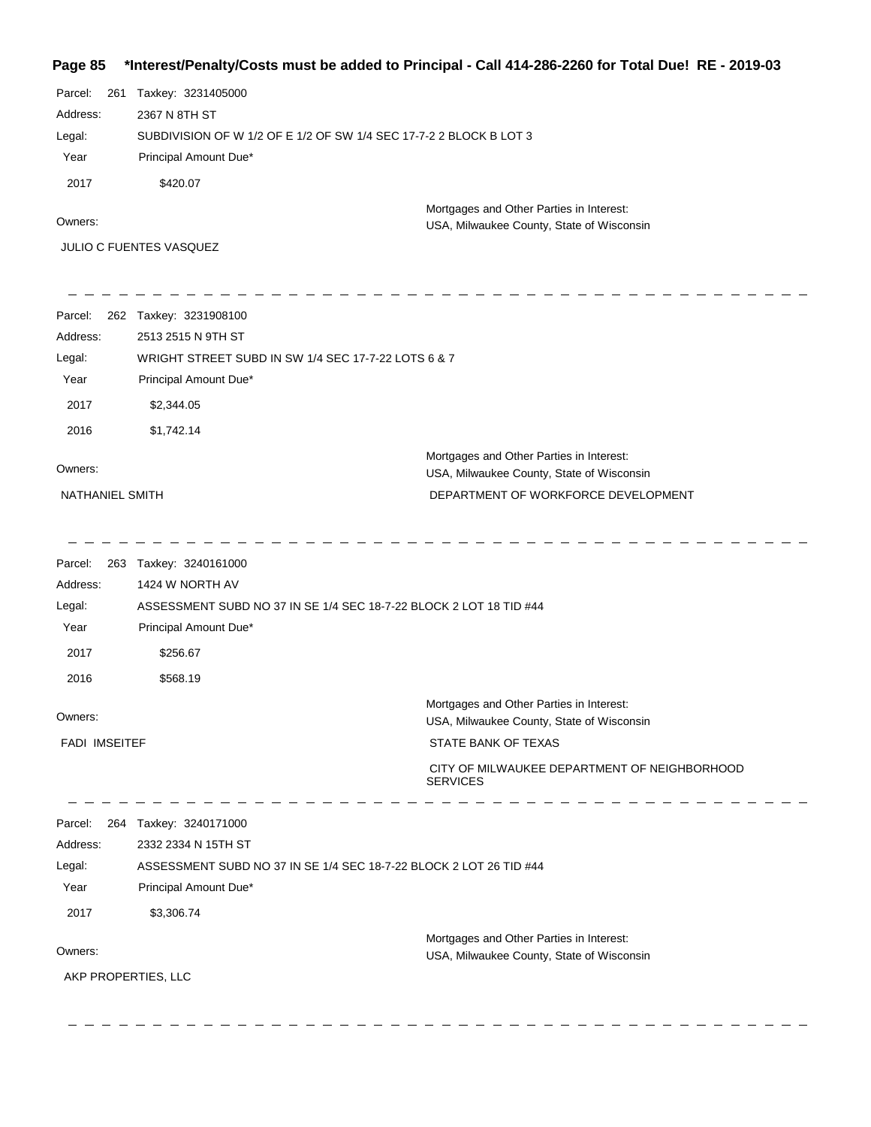## **Page 85 \*Interest/Penalty/Costs must be added to Principal - Call 414-286-2260 for Total Due! RE - 2019-03**

| Parcel: 261 | Taxkey: 3231405000                                                 |
|-------------|--------------------------------------------------------------------|
| Address:    | 2367 N 8TH ST                                                      |
| Legal:      | SUBDIVISION OF W 1/2 OF E 1/2 OF SW 1/4 SEC 17-7-2 2 BLOCK B LOT 3 |
| Year        | Principal Amount Due*                                              |
| 2017        | \$420.07                                                           |
|             | Mortgages and Other Parties in Interest:                           |

USA, Milwaukee County, State of Wisconsin

Owners:

JULIO C FUENTES VASQUEZ

| Parcel:<br>262  | Taxkey: 3231908100                                  |                                                                                       |  |
|-----------------|-----------------------------------------------------|---------------------------------------------------------------------------------------|--|
| Address:        | 2513 2515 N 9TH ST                                  |                                                                                       |  |
| Legal:          | WRIGHT STREET SUBD IN SW 1/4 SEC 17-7-22 LOTS 6 & 7 |                                                                                       |  |
| Year            | Principal Amount Due*                               |                                                                                       |  |
| 2017            | \$2,344.05                                          |                                                                                       |  |
| 2016            | \$1,742.14                                          |                                                                                       |  |
| Owners:         |                                                     | Mortgages and Other Parties in Interest:<br>USA, Milwaukee County, State of Wisconsin |  |
| NATHANIEL SMITH |                                                     | DEPARTMENT OF WORKFORCE DEVELOPMENT                                                   |  |
|                 |                                                     |                                                                                       |  |

| Parcel:                                                                      | 263 Taxkey: 3240161000                                             |                                                                                       |
|------------------------------------------------------------------------------|--------------------------------------------------------------------|---------------------------------------------------------------------------------------|
| Address:                                                                     | 1424 W NORTH AV                                                    |                                                                                       |
| ASSESSMENT SUBD NO 37 IN SE 1/4 SEC 18-7-22 BLOCK 2 LOT 18 TID #44<br>Legal: |                                                                    |                                                                                       |
| Year                                                                         | Principal Amount Due*                                              |                                                                                       |
| 2017                                                                         | \$256.67                                                           |                                                                                       |
| 2016                                                                         | \$568.19                                                           |                                                                                       |
| Owners:                                                                      |                                                                    | Mortgages and Other Parties in Interest:<br>USA, Milwaukee County, State of Wisconsin |
| <b>FADI IMSEITEF</b>                                                         |                                                                    | STATE BANK OF TEXAS                                                                   |
|                                                                              |                                                                    | CITY OF MILWAUKEE DEPARTMENT OF NEIGHBORHOOD<br><b>SERVICES</b>                       |
| Parcel:                                                                      | 264 Taxkey: 3240171000                                             |                                                                                       |
| Address:                                                                     | 2332 2334 N 15TH ST                                                |                                                                                       |
| Legal:                                                                       | ASSESSMENT SUBD NO 37 IN SE 1/4 SEC 18-7-22 BLOCK 2 LOT 26 TID #44 |                                                                                       |
| Year                                                                         | Principal Amount Due*                                              |                                                                                       |
| 2017                                                                         | \$3,306.74                                                         |                                                                                       |
| Owners:                                                                      |                                                                    | Mortgages and Other Parties in Interest:<br>USA, Milwaukee County, State of Wisconsin |
| AKP PROPERTIES, LLC                                                          |                                                                    |                                                                                       |
|                                                                              |                                                                    |                                                                                       |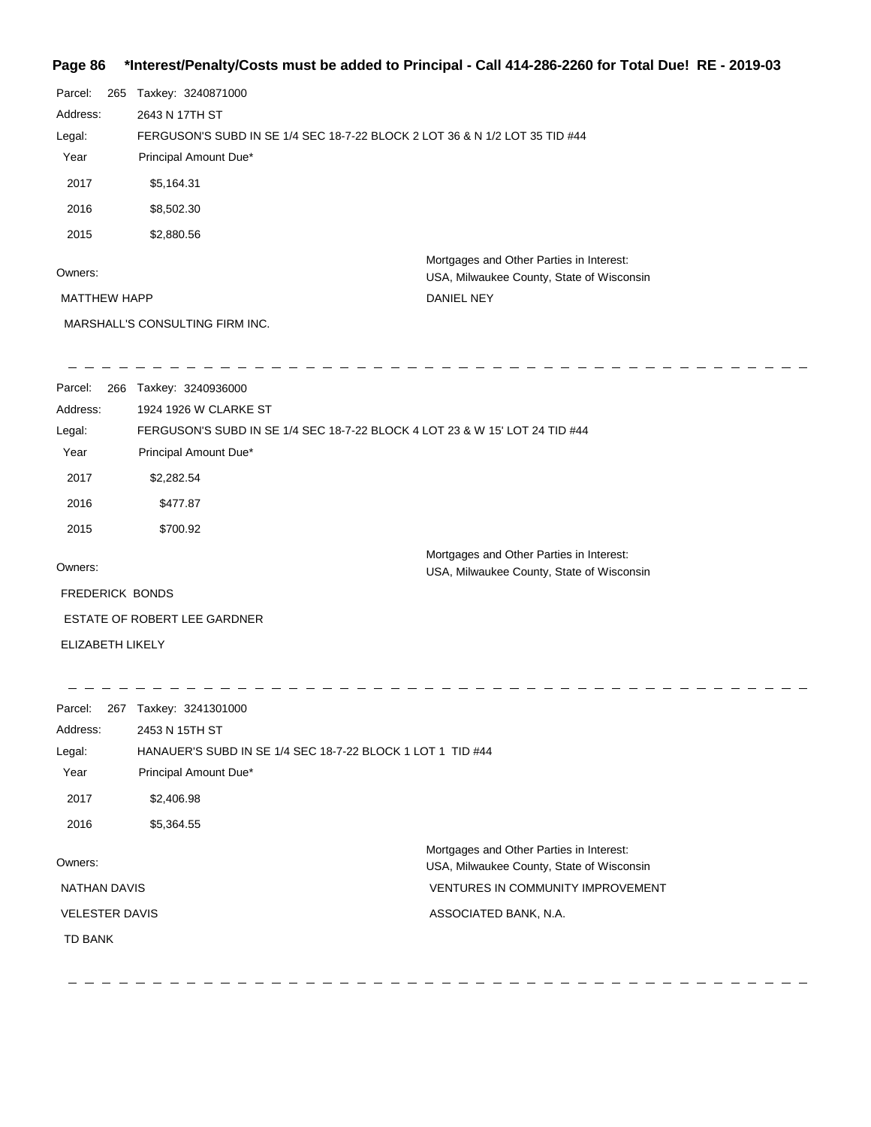# **Page 86 \*Interest/Penalty/Costs must be added to Principal - Call 414-286-2260 for Total Due! RE - 2019-03**

| Parcel:<br>265<br>Address: | Taxkey: 3240871000<br>2643 N 17TH ST<br>FERGUSON'S SUBD IN SE 1/4 SEC 18-7-22 BLOCK 2 LOT 36 & N 1/2 LOT 35 TID #44<br>Principal Amount Due* |                                                                                       |  |  |
|----------------------------|----------------------------------------------------------------------------------------------------------------------------------------------|---------------------------------------------------------------------------------------|--|--|
|                            |                                                                                                                                              |                                                                                       |  |  |
| Legal:<br>Year             |                                                                                                                                              |                                                                                       |  |  |
|                            |                                                                                                                                              |                                                                                       |  |  |
| 2017                       | \$5,164.31                                                                                                                                   |                                                                                       |  |  |
| 2016                       | \$8,502.30                                                                                                                                   |                                                                                       |  |  |
| 2015                       | \$2,880.56                                                                                                                                   |                                                                                       |  |  |
| Owners:                    |                                                                                                                                              | Mortgages and Other Parties in Interest:<br>USA, Milwaukee County, State of Wisconsin |  |  |
| <b>MATTHEW HAPP</b>        |                                                                                                                                              | DANIEL NEY                                                                            |  |  |
|                            | MARSHALL'S CONSULTING FIRM INC.                                                                                                              |                                                                                       |  |  |
| Parcel:                    | 266 Taxkey: 3240936000                                                                                                                       |                                                                                       |  |  |
| Address:                   | 1924 1926 W CLARKE ST                                                                                                                        |                                                                                       |  |  |
| Legal:                     |                                                                                                                                              | FERGUSON'S SUBD IN SE 1/4 SEC 18-7-22 BLOCK 4 LOT 23 & W 15' LOT 24 TID #44           |  |  |
| Year                       | Principal Amount Due*                                                                                                                        |                                                                                       |  |  |
| 2017                       | \$2,282.54                                                                                                                                   |                                                                                       |  |  |
| 2016                       | \$477.87                                                                                                                                     |                                                                                       |  |  |
| 2015                       | \$700.92                                                                                                                                     |                                                                                       |  |  |
|                            |                                                                                                                                              | Mortgages and Other Parties in Interest:                                              |  |  |
| Owners:                    |                                                                                                                                              | USA, Milwaukee County, State of Wisconsin                                             |  |  |
| <b>FREDERICK BONDS</b>     |                                                                                                                                              |                                                                                       |  |  |
|                            | ESTATE OF ROBERT LEE GARDNER                                                                                                                 |                                                                                       |  |  |
| ELIZABETH LIKELY           |                                                                                                                                              |                                                                                       |  |  |
| Parcel:                    | 267 Taxkey: 3241301000                                                                                                                       |                                                                                       |  |  |
| Address:                   | 2453 N 15TH ST                                                                                                                               |                                                                                       |  |  |
| Legal:                     | HANAUER'S SUBD IN SE 1/4 SEC 18-7-22 BLOCK 1 LOT 1 TID #44                                                                                   |                                                                                       |  |  |
| Year                       | Principal Amount Due*                                                                                                                        |                                                                                       |  |  |
| 2017                       | \$2,406.98                                                                                                                                   |                                                                                       |  |  |
| 2016                       | \$5,364.55                                                                                                                                   |                                                                                       |  |  |
| Owners:                    |                                                                                                                                              | Mortgages and Other Parties in Interest:                                              |  |  |
|                            |                                                                                                                                              | USA, Milwaukee County, State of Wisconsin                                             |  |  |
| <b>NATHAN DAVIS</b>        |                                                                                                                                              | VENTURES IN COMMUNITY IMPROVEMENT                                                     |  |  |
| <b>VELESTER DAVIS</b>      |                                                                                                                                              | ASSOCIATED BANK, N.A.                                                                 |  |  |
| <b>TD BANK</b>             |                                                                                                                                              |                                                                                       |  |  |
|                            |                                                                                                                                              |                                                                                       |  |  |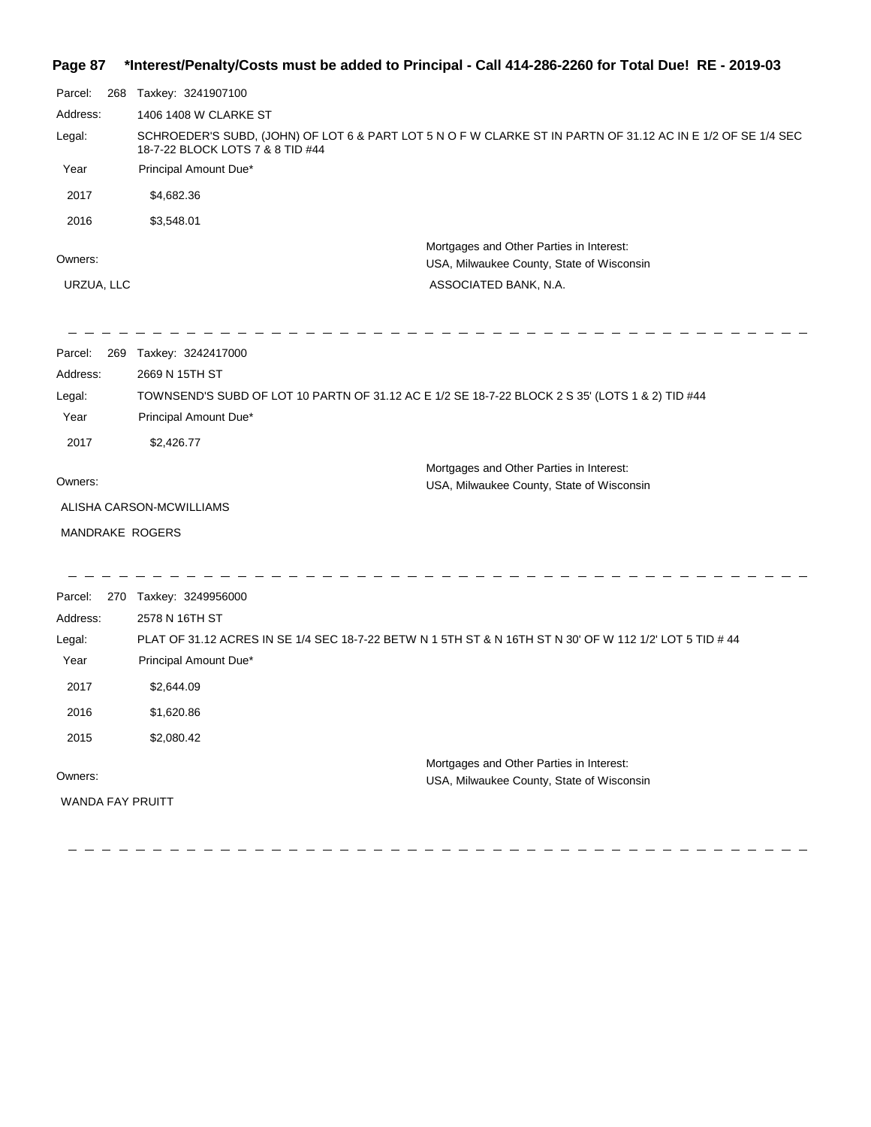## **Page 87 \*Interest/Penalty/Costs must be added to Principal - Call 414-286-2260 for Total Due! RE - 2019-03**

| Parcel:                                                                                                                                                    | 268 | Taxkey: 3241907100       |                                                                                                          |  |
|------------------------------------------------------------------------------------------------------------------------------------------------------------|-----|--------------------------|----------------------------------------------------------------------------------------------------------|--|
| Address:                                                                                                                                                   |     | 1406 1408 W CLARKE ST    |                                                                                                          |  |
| SCHROEDER'S SUBD, (JOHN) OF LOT 6 & PART LOT 5 N O F W CLARKE ST IN PARTN OF 31.12 AC IN E 1/2 OF SE 1/4 SEC<br>Legal:<br>18-7-22 BLOCK LOTS 7 & 8 TID #44 |     |                          |                                                                                                          |  |
| Year                                                                                                                                                       |     | Principal Amount Due*    |                                                                                                          |  |
| 2017                                                                                                                                                       |     | \$4,682.36               |                                                                                                          |  |
| 2016                                                                                                                                                       |     | \$3,548.01               |                                                                                                          |  |
| Owners:                                                                                                                                                    |     |                          | Mortgages and Other Parties in Interest:<br>USA, Milwaukee County, State of Wisconsin                    |  |
| URZUA, LLC                                                                                                                                                 |     |                          | ASSOCIATED BANK, N.A.                                                                                    |  |
|                                                                                                                                                            |     |                          |                                                                                                          |  |
| Parcel:                                                                                                                                                    | 269 | Taxkey: 3242417000       |                                                                                                          |  |
| Address:                                                                                                                                                   |     | 2669 N 15TH ST           |                                                                                                          |  |
| TOWNSEND'S SUBD OF LOT 10 PARTN OF 31.12 AC E 1/2 SE 18-7-22 BLOCK 2 S 35' (LOTS 1 & 2) TID #44<br>Legal:<br>Principal Amount Due*<br>Year                 |     |                          |                                                                                                          |  |
| 2017                                                                                                                                                       |     | \$2,426.77               |                                                                                                          |  |
|                                                                                                                                                            |     |                          | Mortgages and Other Parties in Interest:                                                                 |  |
| Owners:                                                                                                                                                    |     |                          | USA, Milwaukee County, State of Wisconsin                                                                |  |
|                                                                                                                                                            |     | ALISHA CARSON-MCWILLIAMS |                                                                                                          |  |
|                                                                                                                                                            |     | <b>MANDRAKE ROGERS</b>   |                                                                                                          |  |
| Parcel:                                                                                                                                                    |     | 270 Taxkey: 3249956000   |                                                                                                          |  |
| Address:                                                                                                                                                   |     | 2578 N 16TH ST           |                                                                                                          |  |
| Legal:                                                                                                                                                     |     |                          | PLAT OF 31.12 ACRES IN SE 1/4 SEC 18-7-22 BETW N 1 5TH ST & N 16TH ST N 30' OF W 112 1/2' LOT 5 TID # 44 |  |
| Year                                                                                                                                                       |     | Principal Amount Due*    |                                                                                                          |  |
| 2017                                                                                                                                                       |     | \$2,644.09               |                                                                                                          |  |
| 2016                                                                                                                                                       |     | \$1,620.86               |                                                                                                          |  |
|                                                                                                                                                            |     |                          |                                                                                                          |  |
| 2015                                                                                                                                                       |     | \$2,080.42               |                                                                                                          |  |
|                                                                                                                                                            |     |                          | Mortgages and Other Parties in Interest:                                                                 |  |
| Owners:                                                                                                                                                    |     | <b>WANDA FAY PRUITT</b>  | USA, Milwaukee County, State of Wisconsin                                                                |  |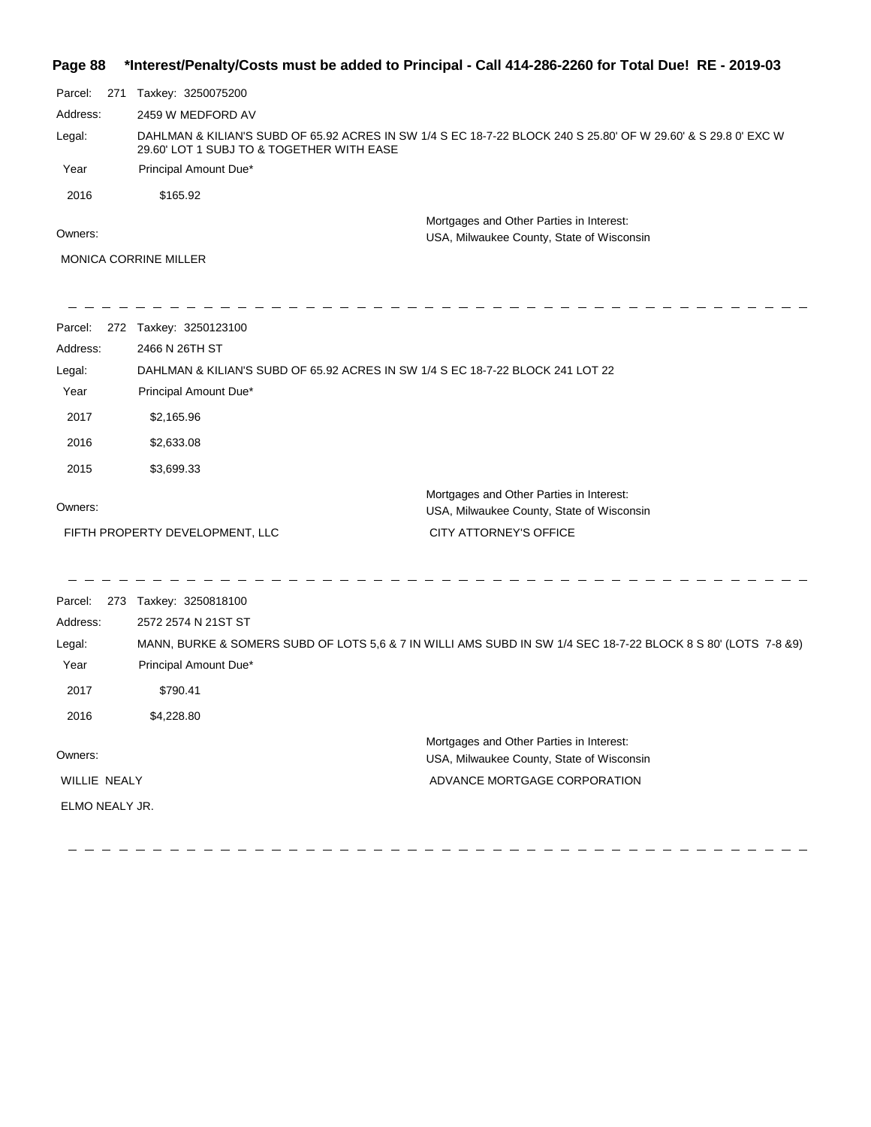| Page 88        |                                                                                | *Interest/Penalty/Costs must be added to Principal - Call 414-286-2260 for Total Due! RE - 2019-03             |
|----------------|--------------------------------------------------------------------------------|----------------------------------------------------------------------------------------------------------------|
| Parcel:        | 271 Taxkey: 3250075200                                                         |                                                                                                                |
| Address:       | 2459 W MEDFORD AV                                                              |                                                                                                                |
| Legal:         | 29.60' LOT 1 SUBJ TO & TOGETHER WITH EASE                                      | DAHLMAN & KILIAN'S SUBD OF 65.92 ACRES IN SW 1/4 S EC 18-7-22 BLOCK 240 S 25.80' OF W 29.60' & S 29.8 0' EXC W |
| Year           | Principal Amount Due*                                                          |                                                                                                                |
| 2016           | \$165.92                                                                       |                                                                                                                |
| Owners:        |                                                                                | Mortgages and Other Parties in Interest:<br>USA, Milwaukee County, State of Wisconsin                          |
|                | <b>MONICA CORRINE MILLER</b>                                                   |                                                                                                                |
| Parcel:        | 272 Taxkey: 3250123100                                                         |                                                                                                                |
| Address:       | 2466 N 26TH ST                                                                 |                                                                                                                |
| Legal:         | DAHLMAN & KILIAN'S SUBD OF 65.92 ACRES IN SW 1/4 S EC 18-7-22 BLOCK 241 LOT 22 |                                                                                                                |
| Year           | Principal Amount Due*                                                          |                                                                                                                |
| 2017           | \$2,165.96                                                                     |                                                                                                                |
| 2016           | \$2,633.08                                                                     |                                                                                                                |
| 2015           | \$3,699.33                                                                     |                                                                                                                |
|                |                                                                                | Mortgages and Other Parties in Interest:                                                                       |
| Owners:        |                                                                                | USA, Milwaukee County, State of Wisconsin                                                                      |
|                | FIFTH PROPERTY DEVELOPMENT, LLC                                                | CITY ATTORNEY'S OFFICE                                                                                         |
| Parcel:        | 273 Taxkey: 3250818100                                                         |                                                                                                                |
| Address:       | 2572 2574 N 21ST ST                                                            |                                                                                                                |
| Legal:         |                                                                                | MANN, BURKE & SOMERS SUBD OF LOTS 5,6 & 7 IN WILLI AMS SUBD IN SW 1/4 SEC 18-7-22 BLOCK 8 S 80' (LOTS 7-8 &9)  |
| Year           | Principal Amount Due*                                                          |                                                                                                                |
| 2017           | \$790.41                                                                       |                                                                                                                |
| 2016           | \$4,228.80                                                                     |                                                                                                                |
|                |                                                                                | Mortgages and Other Parties in Interest:                                                                       |
| Owners:        |                                                                                | USA, Milwaukee County, State of Wisconsin                                                                      |
| WILLIE NEALY   |                                                                                | ADVANCE MORTGAGE CORPORATION                                                                                   |
| ELMO NEALY JR. |                                                                                |                                                                                                                |
|                |                                                                                |                                                                                                                |

 $=$   $-$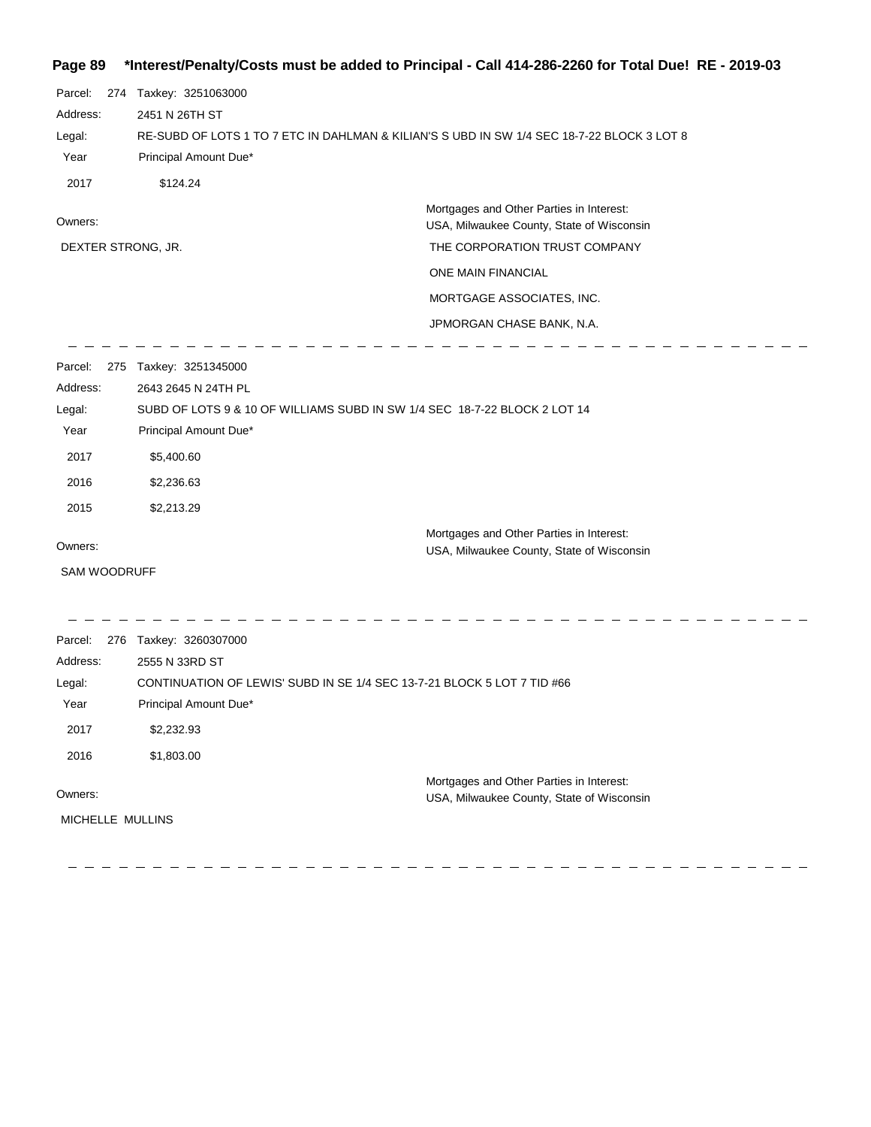## **Page 89 \*Interest/Penalty/Costs must be added to Principal - Call 414-286-2260 for Total Due! RE - 2019-03**

| Parcel:<br>274<br>Address:<br>Legal:<br>Year<br>2017 | Taxkey: 3251063000<br>2451 N 26TH ST<br>RE-SUBD OF LOTS 1 TO 7 ETC IN DAHLMAN & KILIAN'S S UBD IN SW 1/4 SEC 18-7-22 BLOCK 3 LOT 8<br>Principal Amount Due*<br>\$124.24 |                                                                           |  |
|------------------------------------------------------|-------------------------------------------------------------------------------------------------------------------------------------------------------------------------|---------------------------------------------------------------------------|--|
|                                                      |                                                                                                                                                                         | Mortgages and Other Parties in Interest:                                  |  |
| Owners:                                              |                                                                                                                                                                         | USA, Milwaukee County, State of Wisconsin                                 |  |
| DEXTER STRONG, JR.                                   |                                                                                                                                                                         | THE CORPORATION TRUST COMPANY                                             |  |
|                                                      |                                                                                                                                                                         | ONE MAIN FINANCIAL                                                        |  |
|                                                      |                                                                                                                                                                         | MORTGAGE ASSOCIATES, INC.                                                 |  |
|                                                      |                                                                                                                                                                         | JPMORGAN CHASE BANK, N.A.                                                 |  |
| Parcel:                                              | 275 Taxkey: 3251345000                                                                                                                                                  |                                                                           |  |
| Address:                                             | 2643 2645 N 24TH PL                                                                                                                                                     |                                                                           |  |
| Legal:                                               |                                                                                                                                                                         | SUBD OF LOTS 9 & 10 OF WILLIAMS SUBD IN SW 1/4 SEC 18-7-22 BLOCK 2 LOT 14 |  |
| Year                                                 | Principal Amount Due*                                                                                                                                                   |                                                                           |  |
| 2017                                                 | \$5,400.60                                                                                                                                                              |                                                                           |  |
| 2016                                                 | \$2,236.63                                                                                                                                                              |                                                                           |  |
| 2015                                                 | \$2,213.29                                                                                                                                                              |                                                                           |  |
|                                                      |                                                                                                                                                                         | Mortgages and Other Parties in Interest:                                  |  |
| Owners:                                              |                                                                                                                                                                         | USA, Milwaukee County, State of Wisconsin                                 |  |
| <b>SAM WOODRUFF</b>                                  |                                                                                                                                                                         |                                                                           |  |
| Parcel:                                              | 276 Taxkey: 3260307000                                                                                                                                                  |                                                                           |  |
| Address:                                             | 2555 N 33RD ST                                                                                                                                                          |                                                                           |  |
| Legal:                                               | CONTINUATION OF LEWIS' SUBD IN SE 1/4 SEC 13-7-21 BLOCK 5 LOT 7 TID #66                                                                                                 |                                                                           |  |
| Year                                                 | Principal Amount Due*                                                                                                                                                   |                                                                           |  |
| 2017                                                 | \$2,232.93                                                                                                                                                              |                                                                           |  |
| 2016                                                 | \$1,803.00                                                                                                                                                              |                                                                           |  |
| Owners:                                              |                                                                                                                                                                         | Mortgages and Other Parties in Interest:                                  |  |
| MICHELLE MULLINS                                     |                                                                                                                                                                         | USA, Milwaukee County, State of Wisconsin                                 |  |
|                                                      |                                                                                                                                                                         |                                                                           |  |
|                                                      |                                                                                                                                                                         |                                                                           |  |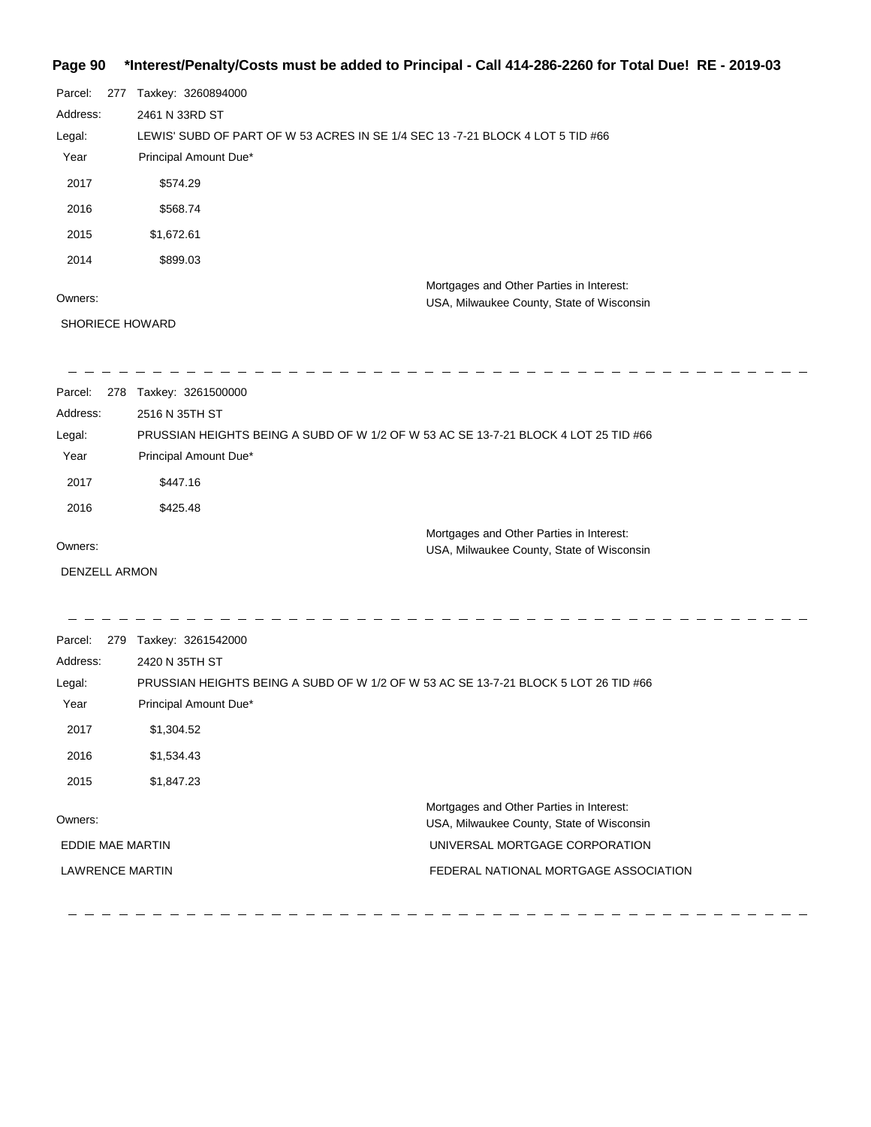## **Page 90 \*Interest/Penalty/Costs must be added to Principal - Call 414-286-2260 for Total Due! RE - 2019-03**

| Parcel:  | 277 | Taxkey: 3260894000                                                             |
|----------|-----|--------------------------------------------------------------------------------|
| Address: |     | 2461 N 33RD ST                                                                 |
| Legal:   |     | LEWIS' SUBD OF PART OF W 53 ACRES IN SE 1/4 SEC 13 -7-21 BLOCK 4 LOT 5 TID #66 |
| Year     |     | Principal Amount Due*                                                          |
| 2017     |     | \$574.29                                                                       |
| 2016     |     | \$568.74                                                                       |
| 2015     |     | \$1,672.61                                                                     |
| 2014     |     | \$899.03                                                                       |
|          |     | Mortgages and Other Parties in Interest:                                       |
| Owners:  |     | USA, Milwaukee County, State of Wisconsin                                      |

### Owners:

SHORIECE HOWARD

 $\frac{1}{2}$  $\overline{\phantom{a}}$  $\overline{\phantom{a}}$  $\sim$   $\overline{\phantom{a}}$ 

| Parcel:<br>278       | Taxkey: 3261500000    |                                                                                     |  |
|----------------------|-----------------------|-------------------------------------------------------------------------------------|--|
| Address:             | 2516 N 35TH ST        |                                                                                     |  |
| Legal:               |                       | PRUSSIAN HEIGHTS BEING A SUBD OF W 1/2 OF W 53 AC SE 13-7-21 BLOCK 4 LOT 25 TID #66 |  |
| Year                 | Principal Amount Due* |                                                                                     |  |
| 2017                 | \$447.16              |                                                                                     |  |
| 2016                 | \$425.48              |                                                                                     |  |
|                      |                       | Mortgages and Other Parties in Interest:                                            |  |
| Owners:              |                       | USA, Milwaukee County, State of Wisconsin                                           |  |
| <b>DENZELL ARMON</b> |                       |                                                                                     |  |
|                      |                       |                                                                                     |  |
|                      |                       |                                                                                     |  |

| Parcel:                | 279 | Taxkey: 3261542000                                                                  |                                                                                       |
|------------------------|-----|-------------------------------------------------------------------------------------|---------------------------------------------------------------------------------------|
| Address:               |     | 2420 N 35TH ST                                                                      |                                                                                       |
| Legal:                 |     | PRUSSIAN HEIGHTS BEING A SUBD OF W 1/2 OF W 53 AC SE 13-7-21 BLOCK 5 LOT 26 TID #66 |                                                                                       |
| Year                   |     | Principal Amount Due*                                                               |                                                                                       |
| 2017                   |     | \$1,304.52                                                                          |                                                                                       |
| 2016                   |     | \$1,534.43                                                                          |                                                                                       |
| 2015                   |     | \$1,847.23                                                                          |                                                                                       |
| Owners:                |     |                                                                                     | Mortgages and Other Parties in Interest:<br>USA, Milwaukee County, State of Wisconsin |
| EDDIE MAE MARTIN       |     |                                                                                     | UNIVERSAL MORTGAGE CORPORATION                                                        |
| <b>LAWRENCE MARTIN</b> |     |                                                                                     | FEDERAL NATIONAL MORTGAGE ASSOCIATION                                                 |

 $= -$ 

 $\sim \frac{1}{2}$  $\frac{1}{2}$  ------------------------------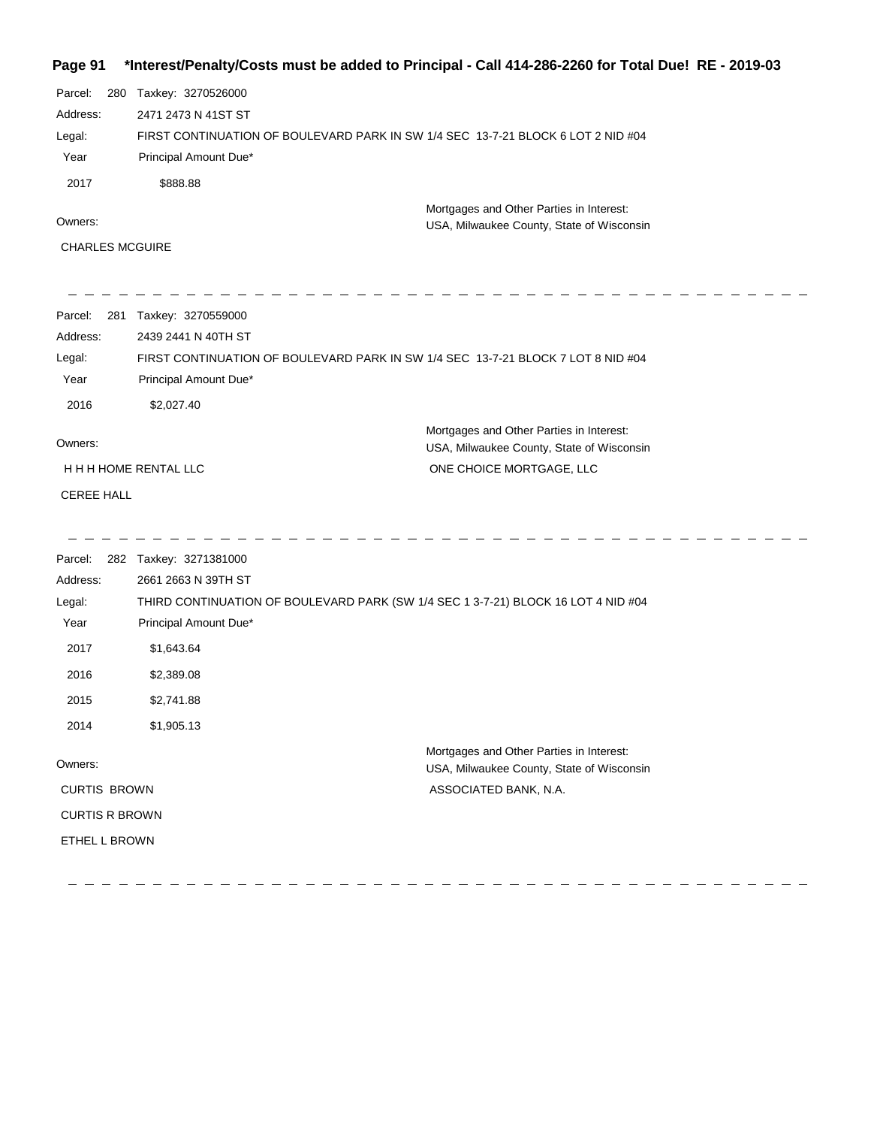## **Page 91 \*Interest/Penalty/Costs must be added to Principal - Call 414-286-2260 for Total Due! RE - 2019-03**

| Parcel:<br>280         | Taxkey: 3270526000                                                               |                                           |
|------------------------|----------------------------------------------------------------------------------|-------------------------------------------|
| Address:               | 2471 2473 N 41ST ST                                                              |                                           |
| Legal:                 | FIRST CONTINUATION OF BOULEVARD PARK IN SW 1/4 SEC 13-7-21 BLOCK 6 LOT 2 NID #04 |                                           |
| Year                   | Principal Amount Due*                                                            |                                           |
| 2017                   | \$888.88                                                                         |                                           |
| Owners:                |                                                                                  | Mortgages and Other Parties in Interest:  |
|                        |                                                                                  | USA, Milwaukee County, State of Wisconsin |
| <b>CHARLES MCGUIRE</b> |                                                                                  |                                           |
|                        |                                                                                  |                                           |
|                        |                                                                                  |                                           |
| Parcel:<br>281         | Taxkey: 3270559000                                                               |                                           |
| Address:               | 2439 2441 N 40TH ST                                                              |                                           |
| Legal:                 | FIRST CONTINUATION OF BOULEVARD PARK IN SW 1/4 SEC 13-7-21 BLOCK 7 LOT 8 NID #04 |                                           |
| Year                   | Principal Amount Due*                                                            |                                           |
| 2016                   | \$2,027.40                                                                       |                                           |
|                        |                                                                                  | Mortgages and Other Parties in Interest:  |
| Owners:                |                                                                                  | USA, Milwaukee County, State of Wisconsin |
| H H H HOME RENTAL LLC  |                                                                                  | ONE CHOICE MORTGAGE, LLC                  |
| <b>CEREE HALL</b>      |                                                                                  |                                           |
|                        |                                                                                  |                                           |
|                        |                                                                                  |                                           |
|                        |                                                                                  |                                           |

 $\overline{\phantom{0}}$ 

 $\overline{\phantom{0}}$ 

 $\overline{\phantom{a}}$ 

| Parcel:               | 282 Taxkey: 3271381000                                                            |                                                                                       |
|-----------------------|-----------------------------------------------------------------------------------|---------------------------------------------------------------------------------------|
| Address:              | 2661 2663 N 39TH ST                                                               |                                                                                       |
| Legal:                | THIRD CONTINUATION OF BOULEVARD PARK (SW 1/4 SEC 1 3-7-21) BLOCK 16 LOT 4 NID #04 |                                                                                       |
| Year                  | Principal Amount Due*                                                             |                                                                                       |
| 2017                  | \$1,643.64                                                                        |                                                                                       |
| 2016                  | \$2,389.08                                                                        |                                                                                       |
| 2015                  | \$2,741.88                                                                        |                                                                                       |
| 2014                  | \$1,905.13                                                                        |                                                                                       |
| Owners:               |                                                                                   | Mortgages and Other Parties in Interest:<br>USA, Milwaukee County, State of Wisconsin |
| <b>CURTIS BROWN</b>   |                                                                                   | ASSOCIATED BANK, N.A.                                                                 |
| <b>CURTIS R BROWN</b> |                                                                                   |                                                                                       |
| ETHEL L BROWN         |                                                                                   |                                                                                       |
|                       |                                                                                   |                                                                                       |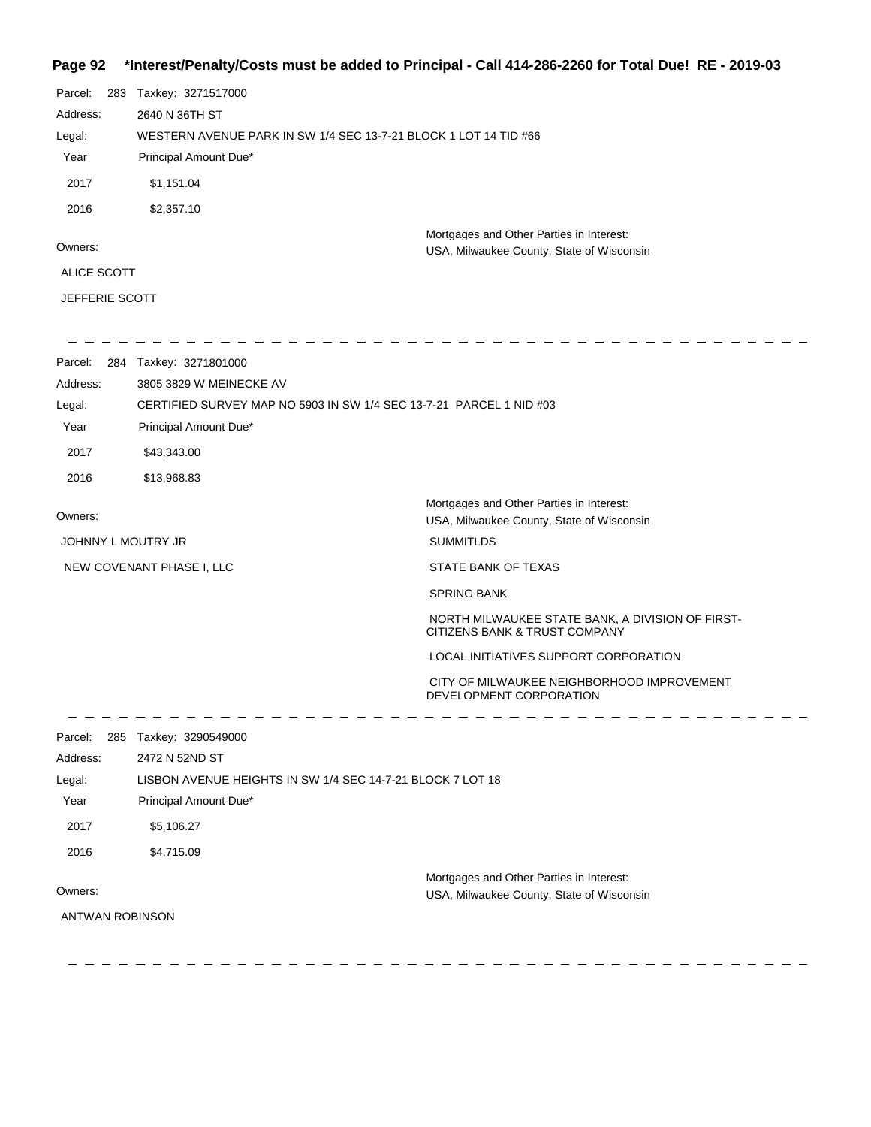## **Page 92 \*Interest/Penalty/Costs must be added to Principal - Call 414-286-2260 for Total Due! RE - 2019-03**

| Page 92            |                                                                  | "interest/Penaity/Costs must be added to Principal - Call 414-286-2260 for Total Due! RE - 2019-03 |  |  |
|--------------------|------------------------------------------------------------------|----------------------------------------------------------------------------------------------------|--|--|
| Parcel:            | 283 Taxkey: 3271517000                                           |                                                                                                    |  |  |
| Address:           | 2640 N 36TH ST                                                   |                                                                                                    |  |  |
| Legal:             | WESTERN AVENUE PARK IN SW 1/4 SEC 13-7-21 BLOCK 1 LOT 14 TID #66 |                                                                                                    |  |  |
| Year               | Principal Amount Due*                                            |                                                                                                    |  |  |
| 2017               | \$1,151.04                                                       |                                                                                                    |  |  |
| 2016               | \$2,357.10                                                       |                                                                                                    |  |  |
|                    |                                                                  | Mortgages and Other Parties in Interest:                                                           |  |  |
| Owners:            |                                                                  | USA, Milwaukee County, State of Wisconsin                                                          |  |  |
| <b>ALICE SCOTT</b> |                                                                  |                                                                                                    |  |  |
| JEFFERIE SCOTT     |                                                                  |                                                                                                    |  |  |
|                    | Parcel: 284 Taxkey: 3271801000                                   |                                                                                                    |  |  |
| Address:           | 3805 3829 W MEINECKE AV                                          |                                                                                                    |  |  |
| Legal:             |                                                                  | CERTIFIED SURVEY MAP NO 5903 IN SW 1/4 SEC 13-7-21 PARCEL 1 NID #03                                |  |  |
| Year               | Principal Amount Due*                                            |                                                                                                    |  |  |
| 2017               | \$43,343.00                                                      |                                                                                                    |  |  |
| 2016               | \$13,968.83                                                      |                                                                                                    |  |  |
| Owners:            |                                                                  | Mortgages and Other Parties in Interest:<br>USA, Milwaukee County, State of Wisconsin              |  |  |
| JOHNNY L MOUTRY JR |                                                                  | <b>SUMMITLDS</b>                                                                                   |  |  |
|                    | NEW COVENANT PHASE I, LLC                                        | STATE BANK OF TEXAS                                                                                |  |  |
|                    |                                                                  | <b>SPRING BANK</b>                                                                                 |  |  |
|                    |                                                                  | NORTH MILWAUKEE STATE BANK, A DIVISION OF FIRST-<br>CITIZENS BANK & TRUST COMPANY                  |  |  |
|                    |                                                                  | LOCAL INITIATIVES SUPPORT CORPORATION                                                              |  |  |
|                    |                                                                  | CITY OF MILWAUKEE NEIGHBORHOOD IMPROVEMENT<br>DEVELOPMENT CORPORATION                              |  |  |
| Parcel:            | 285 Taxkey: 3290549000                                           |                                                                                                    |  |  |
| Address:           | 2472 N 52ND ST                                                   |                                                                                                    |  |  |
| Legal:             | LISBON AVENUE HEIGHTS IN SW 1/4 SEC 14-7-21 BLOCK 7 LOT 18       |                                                                                                    |  |  |
| Year               | Principal Amount Due*                                            |                                                                                                    |  |  |
| 2017               | \$5,106.27                                                       |                                                                                                    |  |  |
| 2016               | \$4,715.09                                                       |                                                                                                    |  |  |
|                    |                                                                  | Mortgages and Other Parties in Interest:                                                           |  |  |

#### Owners:

ANTWAN ROBINSON

 $\frac{1}{2} \frac{1}{2} \frac{1}{2} \frac{1}{2} \frac{1}{2} \frac{1}{2} \frac{1}{2} \frac{1}{2} \frac{1}{2} \frac{1}{2} \frac{1}{2} \frac{1}{2} \frac{1}{2} \frac{1}{2} \frac{1}{2} \frac{1}{2} \frac{1}{2} \frac{1}{2} \frac{1}{2} \frac{1}{2} \frac{1}{2} \frac{1}{2} \frac{1}{2} \frac{1}{2} \frac{1}{2} \frac{1}{2} \frac{1}{2} \frac{1}{2} \frac{1}{2} \frac{1}{2} \frac{1}{2} \frac{$ 

USA, Milwaukee County, State of Wisconsin

- - - - - - - - - - -

- - -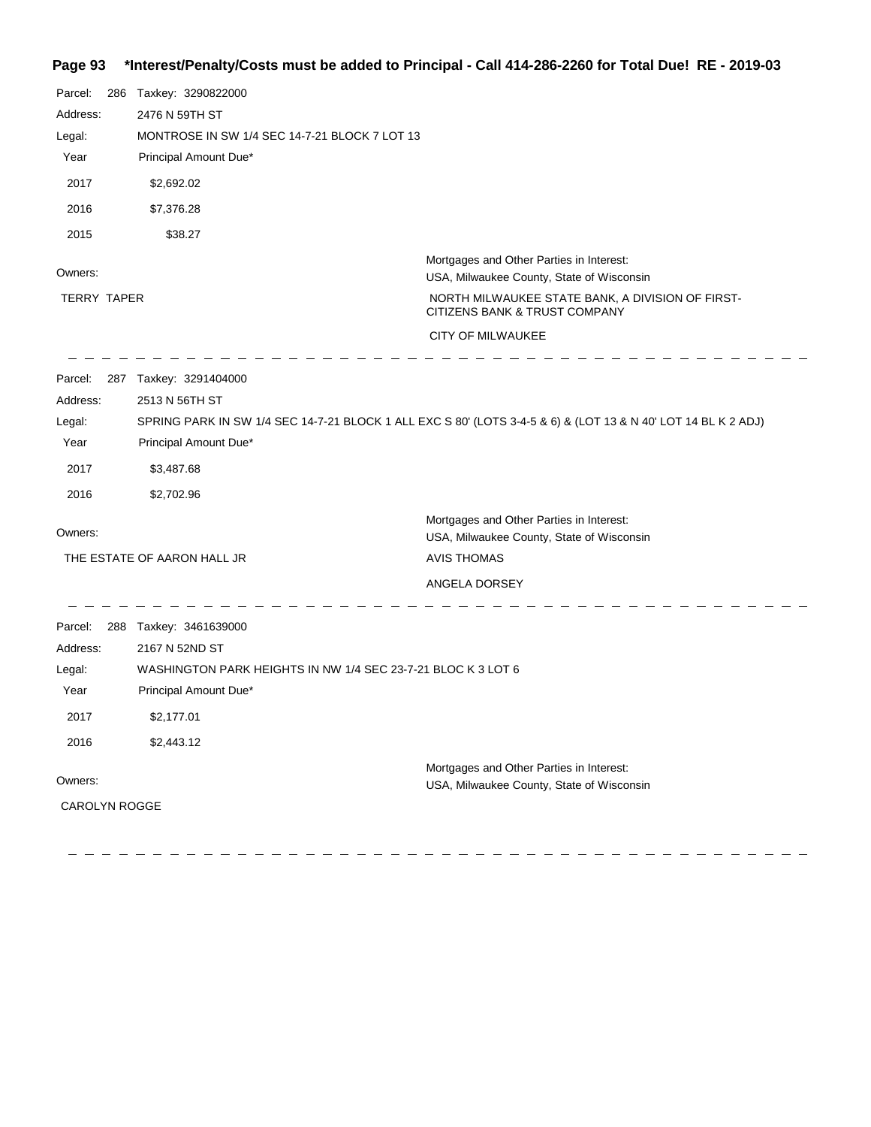## **Page 93 \*Interest/Penalty/Costs must be added to Principal - Call 414-286-2260 for Total Due! RE - 2019-03**

| Parcel:<br>Address:<br>Legal:<br>Year<br>2017<br>2016<br>2015 | 286 | Taxkey: 3290822000<br>2476 N 59TH ST<br>MONTROSE IN SW 1/4 SEC 14-7-21 BLOCK 7 LOT 13<br>Principal Amount Due*<br>\$2,692.02<br>\$7,376.28<br>\$38.27         |                                                                                                                                |
|---------------------------------------------------------------|-----|---------------------------------------------------------------------------------------------------------------------------------------------------------------|--------------------------------------------------------------------------------------------------------------------------------|
| Owners:                                                       |     |                                                                                                                                                               | Mortgages and Other Parties in Interest:                                                                                       |
| TERRY TAPER                                                   |     |                                                                                                                                                               | USA, Milwaukee County, State of Wisconsin<br>NORTH MILWAUKEE STATE BANK, A DIVISION OF FIRST-<br>CITIZENS BANK & TRUST COMPANY |
|                                                               |     |                                                                                                                                                               | CITY OF MILWAUKEE                                                                                                              |
| Parcel:<br>Address:<br>Legal:<br>Year<br>2017<br>2016         |     | 287 Taxkey: 3291404000<br>2513 N 56TH ST<br>Principal Amount Due*<br>\$3,487.68<br>\$2,702.96                                                                 | SPRING PARK IN SW 1/4 SEC 14-7-21 BLOCK 1 ALL EXC S 80' (LOTS 3-4-5 & 6) & (LOT 13 & N 40' LOT 14 BL K 2 ADJ)                  |
| Owners:                                                       |     |                                                                                                                                                               | Mortgages and Other Parties in Interest:                                                                                       |
|                                                               |     | THE ESTATE OF AARON HALL JR                                                                                                                                   | USA, Milwaukee County, State of Wisconsin<br><b>AVIS THOMAS</b>                                                                |
|                                                               |     |                                                                                                                                                               | ANGELA DORSEY                                                                                                                  |
| Parcel:<br>Address:<br>Legal:<br>Year<br>2017<br>2016         |     | 288 Taxkey: 3461639000<br>2167 N 52ND ST<br>WASHINGTON PARK HEIGHTS IN NW 1/4 SEC 23-7-21 BLOC K 3 LOT 6<br>Principal Amount Due*<br>\$2,177.01<br>\$2,443.12 |                                                                                                                                |
| Owners:                                                       |     |                                                                                                                                                               | Mortgages and Other Parties in Interest:<br>USA, Milwaukee County, State of Wisconsin                                          |
| <b>CAROLYN ROGGE</b>                                          |     |                                                                                                                                                               |                                                                                                                                |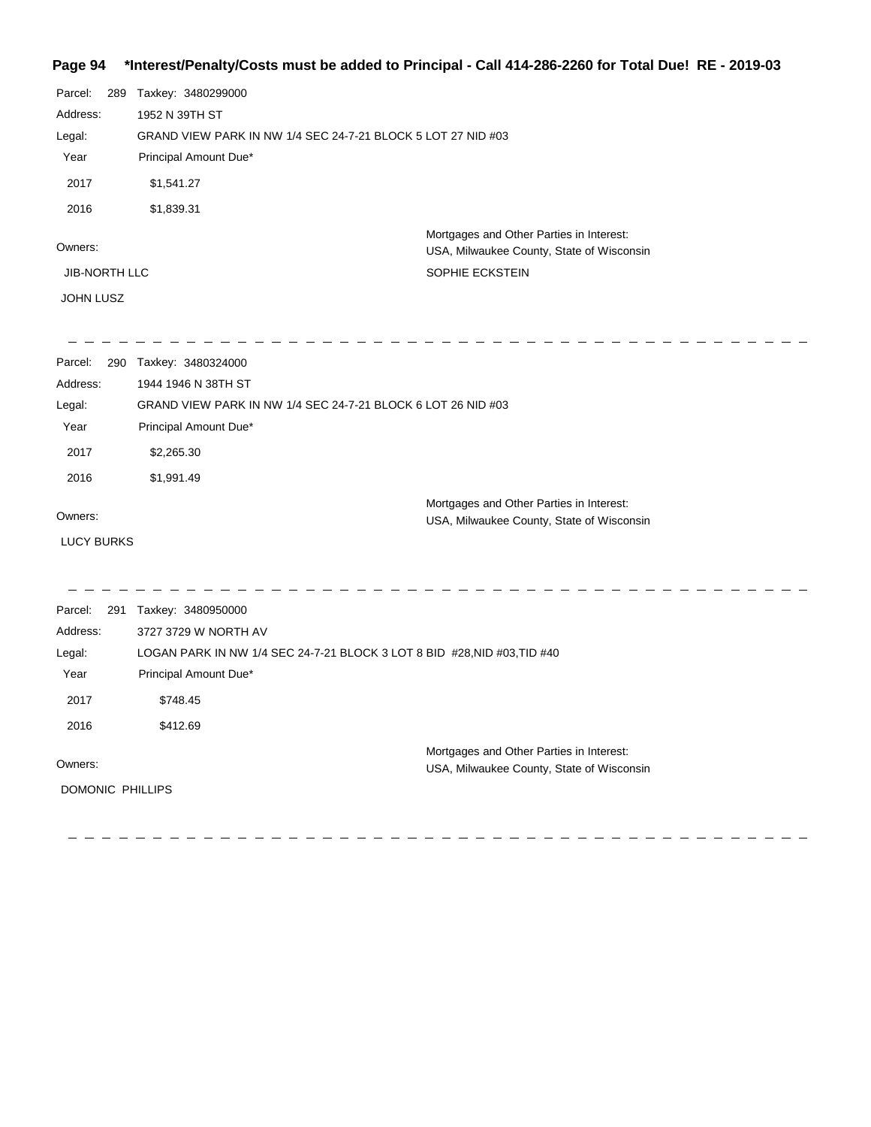### **Page 94 \*Interest/Penalty/Costs must be added to Principal - Call 414-286-2260 for Total Due! RE - 2019-03**

| Parcel:           | 289 Taxkey: 3480299000                                                   |                                                                                       |  |
|-------------------|--------------------------------------------------------------------------|---------------------------------------------------------------------------------------|--|
| Address:          | 1952 N 39TH ST                                                           |                                                                                       |  |
| Legal:            | GRAND VIEW PARK IN NW 1/4 SEC 24-7-21 BLOCK 5 LOT 27 NID #03             |                                                                                       |  |
| Year              | Principal Amount Due*                                                    |                                                                                       |  |
| 2017              | \$1,541.27                                                               |                                                                                       |  |
| 2016              | \$1,839.31                                                               |                                                                                       |  |
| Owners:           |                                                                          | Mortgages and Other Parties in Interest:<br>USA, Milwaukee County, State of Wisconsin |  |
| JIB-NORTH LLC     |                                                                          | SOPHIE ECKSTEIN                                                                       |  |
| JOHN LUSZ         |                                                                          |                                                                                       |  |
|                   |                                                                          |                                                                                       |  |
| Parcel:           | 290 Taxkey: 3480324000                                                   |                                                                                       |  |
| Address:          | 1944 1946 N 38TH ST                                                      |                                                                                       |  |
| Legal:            | GRAND VIEW PARK IN NW 1/4 SEC 24-7-21 BLOCK 6 LOT 26 NID #03             |                                                                                       |  |
| Year              | Principal Amount Due*                                                    |                                                                                       |  |
| 2017              | \$2,265.30                                                               |                                                                                       |  |
| 2016              | \$1,991.49                                                               |                                                                                       |  |
| Owners:           |                                                                          | Mortgages and Other Parties in Interest:                                              |  |
|                   |                                                                          | USA, Milwaukee County, State of Wisconsin                                             |  |
| <b>LUCY BURKS</b> |                                                                          |                                                                                       |  |
| Parcel:           | 291 Taxkey: 3480950000                                                   |                                                                                       |  |
| Address:          | 3727 3729 W NORTH AV                                                     |                                                                                       |  |
| Legal:            | LOGAN PARK IN NW 1/4 SEC 24-7-21 BLOCK 3 LOT 8 BID #28, NID #03, TID #40 |                                                                                       |  |
| Year              | Principal Amount Due*                                                    |                                                                                       |  |
| 2017              | \$748.45                                                                 |                                                                                       |  |
| 2016              | \$412.69                                                                 |                                                                                       |  |
| Owners:           |                                                                          | Mortgages and Other Parties in Interest:                                              |  |
|                   |                                                                          | USA, Milwaukee County, State of Wisconsin                                             |  |
| DOMONIC PHILLIPS  |                                                                          |                                                                                       |  |
|                   |                                                                          |                                                                                       |  |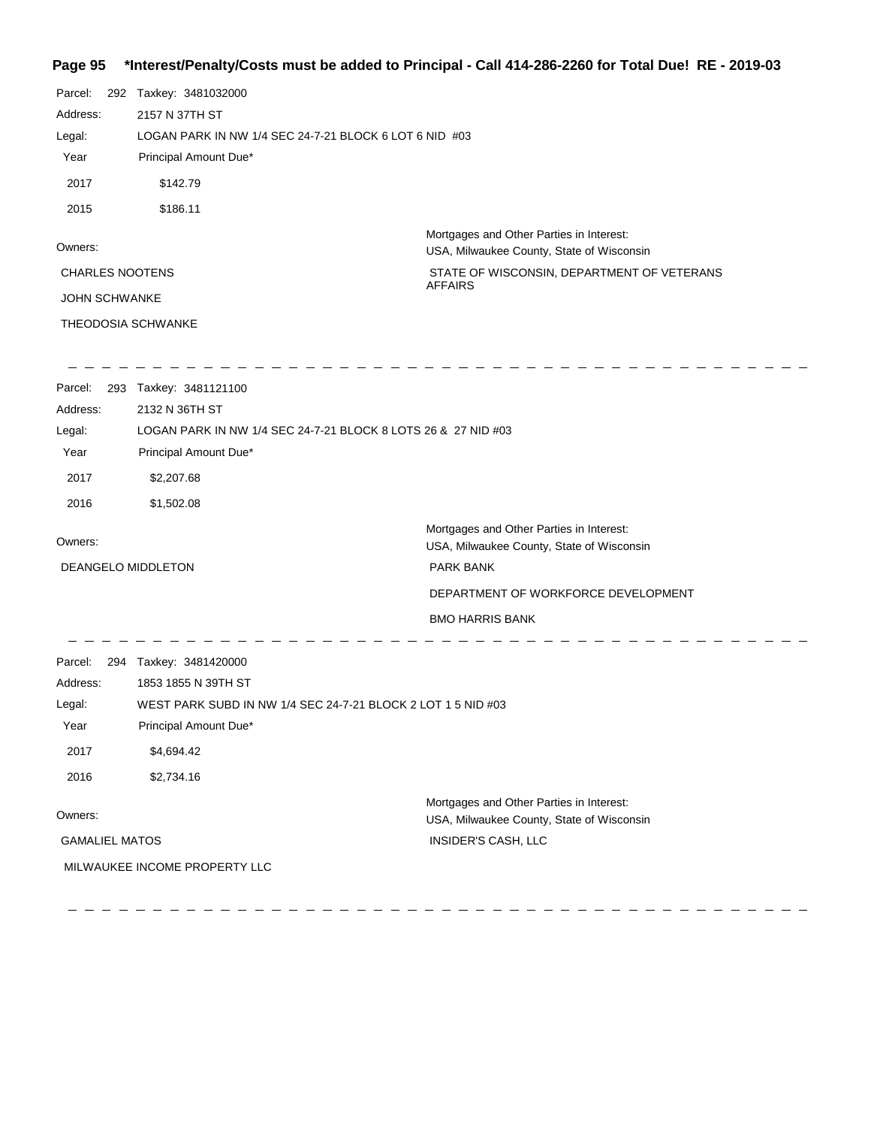## **Page 95 \*Interest/Penalty/Costs must be added to Principal - Call 414-286-2260 for Total Due! RE - 2019-03**

| Parcel:<br>Address:<br>Legal:<br>Year | 292 Taxkey: 3481032000<br>2157 N 37TH ST<br>LOGAN PARK IN NW 1/4 SEC 24-7-21 BLOCK 6 LOT 6 NID #03<br>Principal Amount Due* |                                                                                       |
|---------------------------------------|-----------------------------------------------------------------------------------------------------------------------------|---------------------------------------------------------------------------------------|
| 2017                                  | \$142.79                                                                                                                    |                                                                                       |
| 2015                                  | \$186.11                                                                                                                    |                                                                                       |
| Owners:                               |                                                                                                                             | Mortgages and Other Parties in Interest:<br>USA, Milwaukee County, State of Wisconsin |
| <b>CHARLES NOOTENS</b>                |                                                                                                                             | STATE OF WISCONSIN, DEPARTMENT OF VETERANS<br><b>AFFAIRS</b>                          |
| JOHN SCHWANKE                         |                                                                                                                             |                                                                                       |
| THEODOSIA SCHWANKE                    |                                                                                                                             |                                                                                       |
|                                       | Parcel: 293 Taxkey: 3481121100                                                                                              |                                                                                       |
| Address:                              | 2132 N 36TH ST                                                                                                              |                                                                                       |
| Legal:                                | LOGAN PARK IN NW 1/4 SEC 24-7-21 BLOCK 8 LOTS 26 & 27 NID #03                                                               |                                                                                       |
| Year                                  | Principal Amount Due*                                                                                                       |                                                                                       |
| 2017                                  | \$2,207.68                                                                                                                  |                                                                                       |
| 2016                                  | \$1,502.08                                                                                                                  |                                                                                       |
| Owners:                               |                                                                                                                             | Mortgages and Other Parties in Interest:                                              |
| DEANGELO MIDDLETON                    |                                                                                                                             | USA, Milwaukee County, State of Wisconsin<br>PARK BANK                                |
|                                       |                                                                                                                             | DEPARTMENT OF WORKFORCE DEVELOPMENT                                                   |
|                                       |                                                                                                                             | <b>BMO HARRIS BANK</b>                                                                |
|                                       |                                                                                                                             |                                                                                       |
|                                       | Parcel: 294 Taxkey: 3481420000                                                                                              |                                                                                       |
| Address:                              | 1853 1855 N 39TH ST<br>WEST PARK SUBD IN NW 1/4 SEC 24-7-21 BLOCK 2 LOT 1 5 NID #03                                         |                                                                                       |
| Legal:<br>Year                        | Principal Amount Due*                                                                                                       |                                                                                       |
| 2017                                  | \$4,694.42                                                                                                                  |                                                                                       |
|                                       |                                                                                                                             |                                                                                       |
| 2016                                  | \$2,734.16                                                                                                                  |                                                                                       |
| Owners:                               |                                                                                                                             | Mortgages and Other Parties in Interest:<br>USA, Milwaukee County, State of Wisconsin |
| <b>GAMALIEL MATOS</b>                 |                                                                                                                             | INSIDER'S CASH, LLC                                                                   |
|                                       | MILWAUKEE INCOME PROPERTY LLC                                                                                               |                                                                                       |
|                                       |                                                                                                                             |                                                                                       |

 $\qquad \qquad -$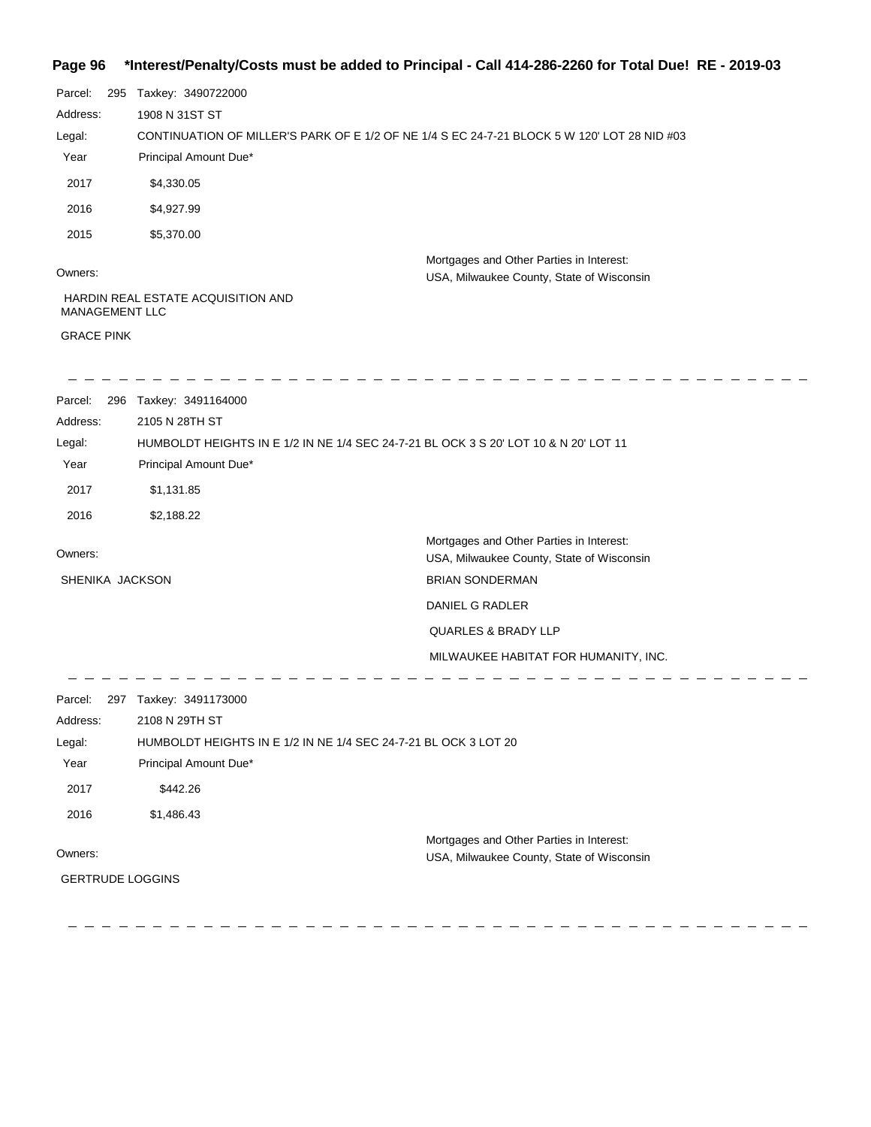### **Page 96 \*Interest/Penalty/Costs must be added to Principal - Call 414-286-2260 for Total Due! RE - 2019-03**

| Parcel:<br>295          | Taxkey: 3490722000                                                                                            |                                                                                       |  |
|-------------------------|---------------------------------------------------------------------------------------------------------------|---------------------------------------------------------------------------------------|--|
| Address:                | 1908 N 31ST ST<br>CONTINUATION OF MILLER'S PARK OF E 1/2 OF NE 1/4 S EC 24-7-21 BLOCK 5 W 120' LOT 28 NID #03 |                                                                                       |  |
| Legal:                  |                                                                                                               |                                                                                       |  |
| Year                    | Principal Amount Due*                                                                                         |                                                                                       |  |
| 2017                    | \$4,330.05                                                                                                    |                                                                                       |  |
| 2016                    | \$4,927.99                                                                                                    |                                                                                       |  |
| 2015                    | \$5,370.00                                                                                                    |                                                                                       |  |
| Owners:                 |                                                                                                               | Mortgages and Other Parties in Interest:<br>USA, Milwaukee County, State of Wisconsin |  |
| MANAGEMENT LLC          | HARDIN REAL ESTATE ACQUISITION AND                                                                            |                                                                                       |  |
| <b>GRACE PINK</b>       |                                                                                                               |                                                                                       |  |
| Parcel:                 | 296 Taxkey: 3491164000                                                                                        |                                                                                       |  |
| Address:                | 2105 N 28TH ST                                                                                                |                                                                                       |  |
| Legal:                  |                                                                                                               | HUMBOLDT HEIGHTS IN E 1/2 IN NE 1/4 SEC 24-7-21 BL OCK 3 S 20' LOT 10 & N 20' LOT 11  |  |
| Year                    | Principal Amount Due*                                                                                         |                                                                                       |  |
| 2017                    | \$1,131.85                                                                                                    |                                                                                       |  |
| 2016                    | \$2,188.22                                                                                                    |                                                                                       |  |
| Owners:                 |                                                                                                               | Mortgages and Other Parties in Interest:<br>USA, Milwaukee County, State of Wisconsin |  |
| SHENIKA JACKSON         |                                                                                                               | <b>BRIAN SONDERMAN</b>                                                                |  |
|                         |                                                                                                               | DANIEL G RADLER                                                                       |  |
|                         |                                                                                                               | QUARLES & BRADY LLP                                                                   |  |
|                         |                                                                                                               | MILWAUKEE HABITAT FOR HUMANITY, INC.                                                  |  |
| Parcel:                 | 297 Taxkey: 3491173000                                                                                        |                                                                                       |  |
| Address:                | 2108 N 29TH ST                                                                                                |                                                                                       |  |
| Legal:                  |                                                                                                               | HUMBOLDT HEIGHTS IN E 1/2 IN NE 1/4 SEC 24-7-21 BL OCK 3 LOT 20                       |  |
| Year                    | Principal Amount Due*                                                                                         |                                                                                       |  |
| 2017                    | \$442.26                                                                                                      |                                                                                       |  |
| 2016                    | \$1,486.43                                                                                                    |                                                                                       |  |
|                         |                                                                                                               | Mortgages and Other Parties in Interest:                                              |  |
| Owners:                 |                                                                                                               | USA, Milwaukee County, State of Wisconsin                                             |  |
| <b>GERTRUDE LOGGINS</b> |                                                                                                               |                                                                                       |  |
|                         |                                                                                                               |                                                                                       |  |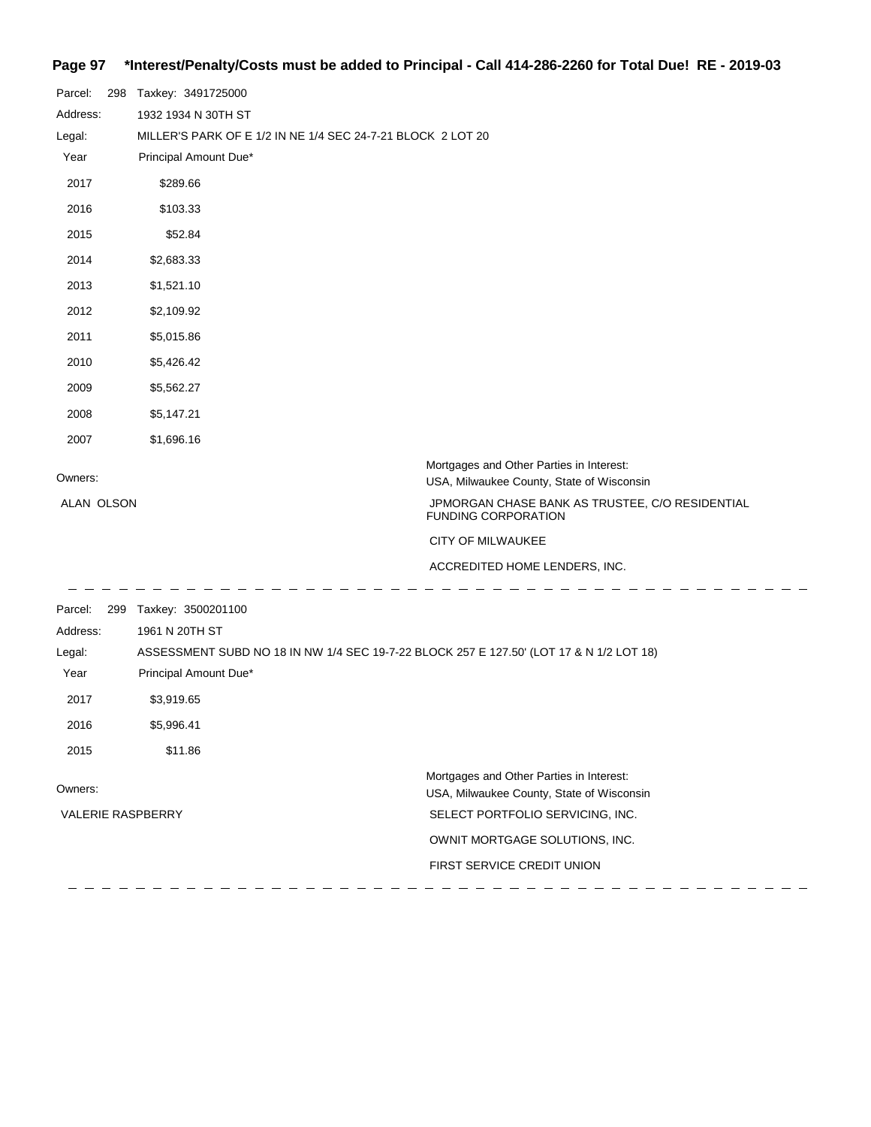## **Page 97 \*Interest/Penalty/Costs must be added to Principal - Call 414-286-2260 for Total Due! RE - 2019-03**

| Parcel:<br>298           | Taxkey: 3491725000                                                                      |                                                                                       |
|--------------------------|-----------------------------------------------------------------------------------------|---------------------------------------------------------------------------------------|
| Address:                 | 1932 1934 N 30TH ST                                                                     |                                                                                       |
| Legal:                   | MILLER'S PARK OF E 1/2 IN NE 1/4 SEC 24-7-21 BLOCK 2 LOT 20                             |                                                                                       |
| Year                     | Principal Amount Due*                                                                   |                                                                                       |
| 2017                     | \$289.66                                                                                |                                                                                       |
| 2016                     | \$103.33                                                                                |                                                                                       |
| 2015                     | \$52.84                                                                                 |                                                                                       |
| 2014                     | \$2,683.33                                                                              |                                                                                       |
| 2013                     | \$1,521.10                                                                              |                                                                                       |
| 2012                     | \$2,109.92                                                                              |                                                                                       |
| 2011                     | \$5,015.86                                                                              |                                                                                       |
| 2010                     | \$5,426.42                                                                              |                                                                                       |
| 2009                     | \$5,562.27                                                                              |                                                                                       |
| 2008                     | \$5,147.21                                                                              |                                                                                       |
| 2007                     | \$1,696.16                                                                              |                                                                                       |
| Owners:                  |                                                                                         | Mortgages and Other Parties in Interest:                                              |
|                          |                                                                                         | USA, Milwaukee County, State of Wisconsin                                             |
| ALAN OLSON               |                                                                                         | JPMORGAN CHASE BANK AS TRUSTEE, C/O RESIDENTIAL<br>FUNDING CORPORATION                |
|                          |                                                                                         | CITY OF MILWAUKEE                                                                     |
|                          |                                                                                         | ACCREDITED HOME LENDERS, INC.                                                         |
| Parcel:<br>299           | Taxkey: 3500201100                                                                      |                                                                                       |
| Address:                 | 1961 N 20TH ST                                                                          |                                                                                       |
| Legal:                   | ASSESSMENT SUBD NO 18 IN NW 1/4 SEC 19-7-22 BLOCK 257 E 127.50' (LOT 17 & N 1/2 LOT 18) |                                                                                       |
| Year                     | Principal Amount Due*                                                                   |                                                                                       |
| 2017                     | \$3,919.65                                                                              |                                                                                       |
| 2016                     | \$5,996.41                                                                              |                                                                                       |
| 2015                     | \$11.86                                                                                 |                                                                                       |
| Owners:                  |                                                                                         | Mortgages and Other Parties in Interest:<br>USA, Milwaukee County, State of Wisconsin |
| <b>VALERIE RASPBERRY</b> |                                                                                         | SELECT PORTFOLIO SERVICING, INC.                                                      |
|                          |                                                                                         | OWNIT MORTGAGE SOLUTIONS, INC.                                                        |
|                          |                                                                                         | FIRST SERVICE CREDIT UNION                                                            |
|                          |                                                                                         |                                                                                       |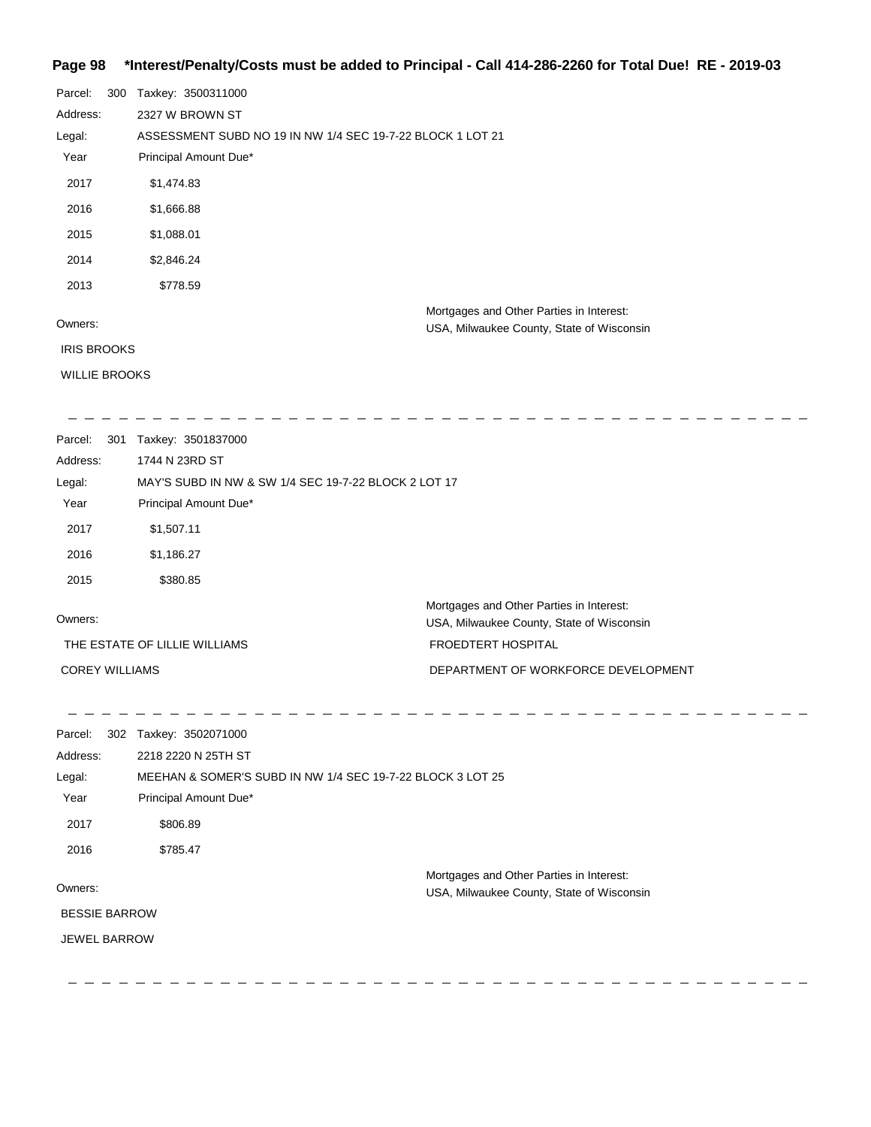### **Page 98 \*Interest/Penalty/Costs must be added to Principal - Call 414-286-2260 for Total Due! RE - 2019-03**

| Parcel:              | 300 | Taxkey: 3500311000                                         |                                           |
|----------------------|-----|------------------------------------------------------------|-------------------------------------------|
| Address:             |     | 2327 W BROWN ST                                            |                                           |
| Legal:               |     | ASSESSMENT SUBD NO 19 IN NW 1/4 SEC 19-7-22 BLOCK 1 LOT 21 |                                           |
| Year                 |     | Principal Amount Due*                                      |                                           |
| 2017                 |     | \$1,474.83                                                 |                                           |
| 2016                 |     | \$1,666.88                                                 |                                           |
| 2015                 |     | \$1,088.01                                                 |                                           |
| 2014                 |     | \$2,846.24                                                 |                                           |
| 2013                 |     | \$778.59                                                   |                                           |
|                      |     |                                                            | Mortgages and Other Parties in Interest:  |
| Owners:              |     |                                                            | USA, Milwaukee County, State of Wisconsin |
| <b>IRIS BROOKS</b>   |     |                                                            |                                           |
| <b>WILLIE BROOKS</b> |     |                                                            |                                           |
|                      |     |                                                            |                                           |

| Parcel:<br>-301       | Taxkey: 3501837000                                   |                                                                                       |
|-----------------------|------------------------------------------------------|---------------------------------------------------------------------------------------|
| Address:              | 1744 N 23RD ST                                       |                                                                                       |
| Legal:                | MAY'S SUBD IN NW & SW 1/4 SEC 19-7-22 BLOCK 2 LOT 17 |                                                                                       |
| Year                  | Principal Amount Due*                                |                                                                                       |
| 2017                  | \$1,507.11                                           |                                                                                       |
| 2016                  | \$1,186.27                                           |                                                                                       |
| 2015                  | \$380.85                                             |                                                                                       |
| Owners:               |                                                      | Mortgages and Other Parties in Interest:<br>USA, Milwaukee County, State of Wisconsin |
|                       | THE ESTATE OF LILLIE WILLIAMS                        | <b>FROEDTERT HOSPITAL</b>                                                             |
| <b>COREY WILLIAMS</b> |                                                      | DEPARTMENT OF WORKFORCE DEVELOPMENT                                                   |

\_ \_ \_ \_ \_ \_ \_ \_ \_ \_  $\begin{array}{cccccccccccccc} \bot & \bot & \bot & \bot & \bot & \bot \end{array}$  $\frac{1}{2}$  . <br>  $\frac{1}{2}$  . <br>  $\frac{1}{2}$  . <br>  $\frac{1}{2}$  . <br>  $\frac{1}{2}$  . <br>  $\frac{1}{2}$  . <br>  $\frac{1}{2}$  . <br>  $\frac{1}{2}$  . <br>  $\frac{1}{2}$  . <br><br><br><br><br><br><br><br><br><br><br><br><br><br><br><br><br><br><br><br><br><br>  $\sim \sim$  $\sim$  $\sim$  $\sim$  $\sim$  100  $\sim$ Parcel: 302 Taxkey: 3502071000 Address: 2218 2220 N 25TH ST MEEHAN & SOMER'S SUBD IN NW 1/4 SEC 19-7-22 BLOCK 3 LOT 25 Legal: Year Principal Amount Due\* 2017 \$806.89 2016 \$785.47 Mortgages and Other Parties in Interest: Owners: USA, Milwaukee County, State of Wisconsin BESSIE BARROW JEWEL BARROW

 $\mathbb{R}$ 

 $\mathbb{R}^2$ 

 $\overline{a}$   $\overline{a}$   $\overline{a}$ 

 $\begin{array}{ccccccccccccc} \multicolumn{2}{c}{} & \multicolumn{2}{c}{} & \multicolumn{2}{c}{} & \multicolumn{2}{c}{} & \multicolumn{2}{c}{} & \multicolumn{2}{c}{} & \multicolumn{2}{c}{} & \multicolumn{2}{c}{} & \multicolumn{2}{c}{} & \multicolumn{2}{c}{} & \multicolumn{2}{c}{} & \multicolumn{2}{c}{} & \multicolumn{2}{c}{} & \multicolumn{2}{c}{} & \multicolumn{2}{c}{} & \multicolumn{2}{c}{} & \multicolumn{2}{c}{} & \multicolumn{2}{c}{} & \multicolumn{2}{c}{} & \$ 

 $\mathbf{r}$ 

\_ \_ \_ \_ \_ \_ \_ \_ \_ \_ \_ \_ \_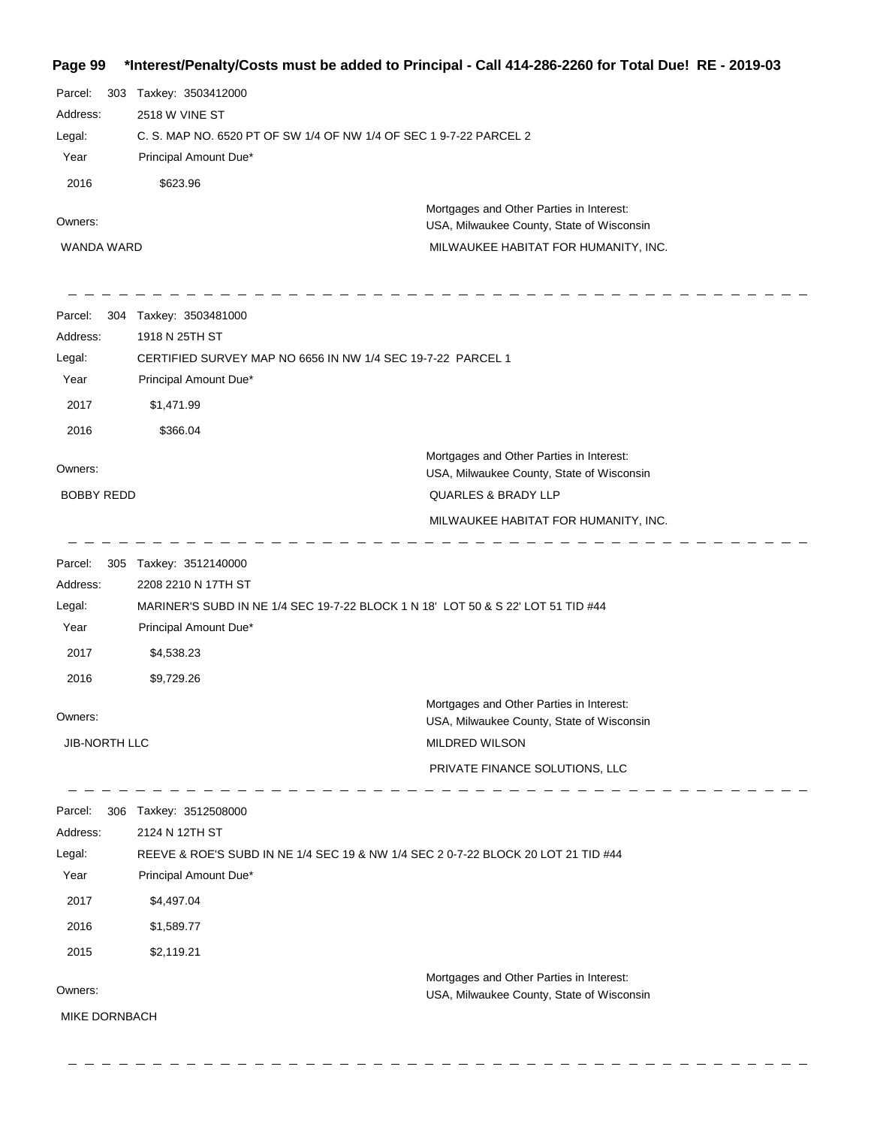**Page 99 \*Interest/Penalty/Costs must be added to Principal - Call 414-286-2260 for Total Due! RE - 2019-03** Parcel: 303 Taxkey: 3503412000 2518 W VINE ST Address: C. S. MAP NO. 6520 PT OF SW 1/4 OF NW 1/4 OF SEC 1 9-7-22 PARCEL 2 Legal: Year Principal Amount Due\* 2016 \$623.96 Mortgages and Other Parties in Interest: Owners: USA, Milwaukee County, State of Wisconsin WANDA WARD MILWAUKEE HABITAT FOR HUMANITY, INC. Parcel: 304 Taxkey: 3503481000 1918 N 25TH ST Address: CERTIFIED SURVEY MAP NO 6656 IN NW 1/4 SEC 19-7-22 PARCEL 1 Legal: Year Principal Amount Due\* 2017 \$1,471.99 2016 \$366.04 Mortgages and Other Parties in Interest: Owners: USA, Milwaukee County, State of Wisconsin BOBBY REDD QUARLES & BRADY LLP MILWAUKEE HABITAT FOR HUMANITY, INC. Parcel: 305 Taxkey: 3512140000 2208 2210 N 17TH ST Address: MARINER'S SUBD IN NE 1/4 SEC 19-7-22 BLOCK 1 N 18' LOT 50 & S 22' LOT 51 TID #44 Legal: Year Principal Amount Due\* 2017 \$4,538.23 2016 \$9,729.26 Mortgages and Other Parties in Interest: Owners: USA, Milwaukee County, State of Wisconsin JIB-NORTH LLC MILDRED WILSON PRIVATE FINANCE SOLUTIONS, LLC  $\overline{\phantom{a}}$  $\frac{1}{2} \frac{1}{2} \frac{1}{2} \frac{1}{2} \frac{1}{2} \frac{1}{2} \frac{1}{2} \frac{1}{2} \frac{1}{2} \frac{1}{2} \frac{1}{2} \frac{1}{2} \frac{1}{2} \frac{1}{2} \frac{1}{2} \frac{1}{2} \frac{1}{2} \frac{1}{2} \frac{1}{2} \frac{1}{2} \frac{1}{2} \frac{1}{2} \frac{1}{2} \frac{1}{2} \frac{1}{2} \frac{1}{2} \frac{1}{2} \frac{1}{2} \frac{1}{2} \frac{1}{2} \frac{1}{2} \frac{$ Parcel: 306 Taxkey: 3512508000 Address: 2124 N 12TH ST REEVE & ROE'S SUBD IN NE 1/4 SEC 19 & NW 1/4 SEC 2 0-7-22 BLOCK 20 LOT 21 TID #44 Legal: Year Principal Amount Due\* 2017 \$4,497.04 2016 \$1,589.77 2015 \$2,119.21 Mortgages and Other Parties in Interest: Owners: USA, Milwaukee County, State of Wisconsin MIKE DORNBACH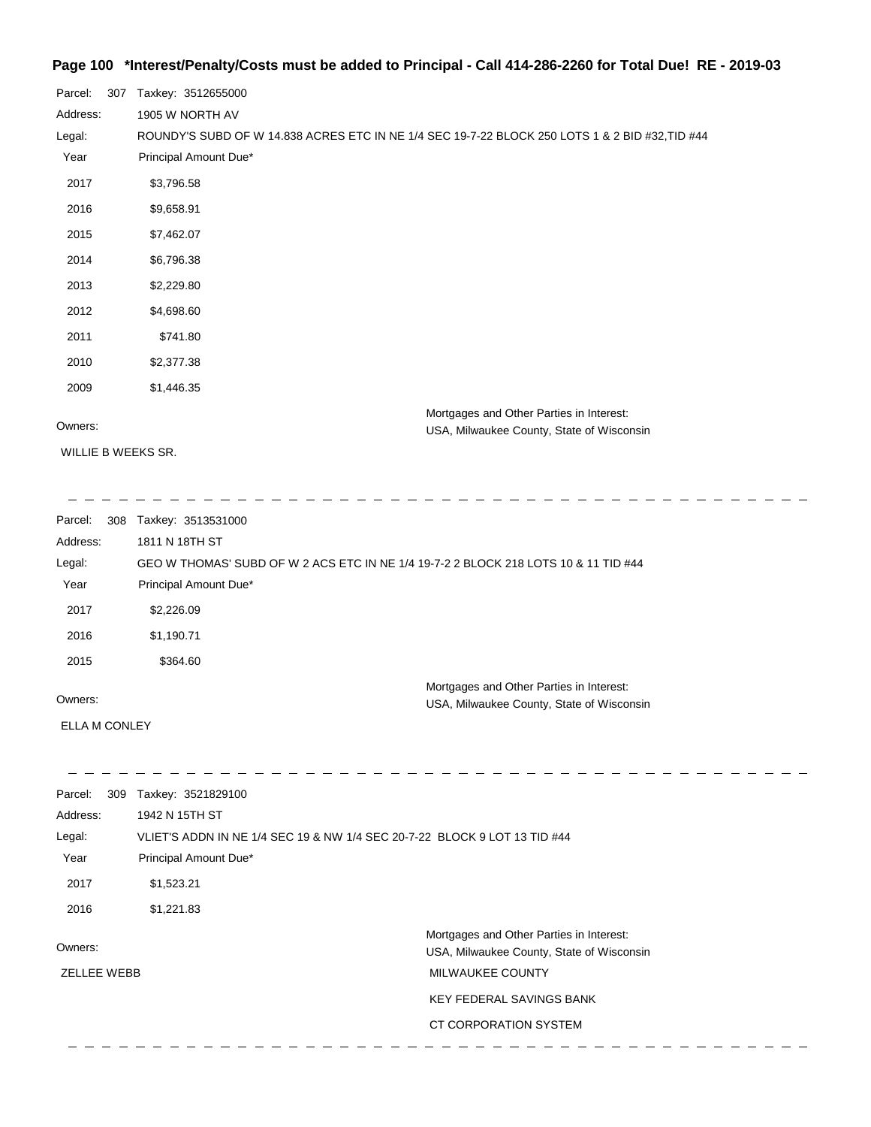## **Page 100 \*Interest/Penalty/Costs must be added to Principal - Call 414-286-2260 for Total Due! RE - 2019-03**

| Parcel:  | 307 | Taxkey: 3512655000                                                                              |
|----------|-----|-------------------------------------------------------------------------------------------------|
| Address: |     | 1905 W NORTH AV                                                                                 |
| Legal:   |     | ROUNDY'S SUBD OF W 14.838 ACRES ETC IN NE 1/4 SEC 19-7-22 BLOCK 250 LOTS 1 & 2 BID #32, TID #44 |
| Year     |     | Principal Amount Due*                                                                           |
| 2017     |     | \$3,796.58                                                                                      |
| 2016     |     | \$9,658.91                                                                                      |
| 2015     |     | \$7,462.07                                                                                      |
| 2014     |     | \$6,796.38                                                                                      |
| 2013     |     | \$2,229.80                                                                                      |
| 2012     |     | \$4,698.60                                                                                      |
| 2011     |     | \$741.80                                                                                        |
| 2010     |     | \$2,377.38                                                                                      |
| 2009     |     | \$1,446.35                                                                                      |
| Owners:  |     | Mortgages and Other Parties in Interest:<br><b>USA Milwaukee County State of Wisconsin</b>      |

WILLIE B WEEKS SR.

USA, Milwaukee County, State of Wisconsin

| Parcel:  | 308 Taxkey: 3513531000                                                              |
|----------|-------------------------------------------------------------------------------------|
| Address: | 1811 N 18TH ST                                                                      |
| Legal:   | GEO W THOMAS' SUBD OF W 2 ACS ETC IN NE 1/4 19-7-2 2 BLOCK 218 LOTS 10 & 11 TID #44 |
| Year     | Principal Amount Due*                                                               |
| 2017     | \$2,226.09                                                                          |
| 2016     | \$1,190.71                                                                          |
| 2015     | \$364.60                                                                            |
|          | Mortgages and Other Parties in Interest:                                            |
| Owners:  | USA, Milwaukee County, State of Wisconsin                                           |

ELLA M CONLEY

| 309<br>Parcel:     | Taxkey: 3521829100                                                        |                                                                                       |
|--------------------|---------------------------------------------------------------------------|---------------------------------------------------------------------------------------|
| Address:           | 1942 N 15TH ST                                                            |                                                                                       |
| Legal:             | VLIET'S ADDN IN NE 1/4 SEC 19 & NW 1/4 SEC 20-7-22 BLOCK 9 LOT 13 TID #44 |                                                                                       |
| Year               | Principal Amount Due*                                                     |                                                                                       |
| 2017               | \$1,523.21                                                                |                                                                                       |
| 2016               | \$1,221.83                                                                |                                                                                       |
| Owners:            |                                                                           | Mortgages and Other Parties in Interest:<br>USA, Milwaukee County, State of Wisconsin |
| <b>ZELLEE WEBB</b> |                                                                           | <b>MILWAUKEE COUNTY</b>                                                               |
|                    |                                                                           | <b>KEY FEDERAL SAVINGS BANK</b>                                                       |
|                    |                                                                           | CT CORPORATION SYSTEM                                                                 |
|                    |                                                                           |                                                                                       |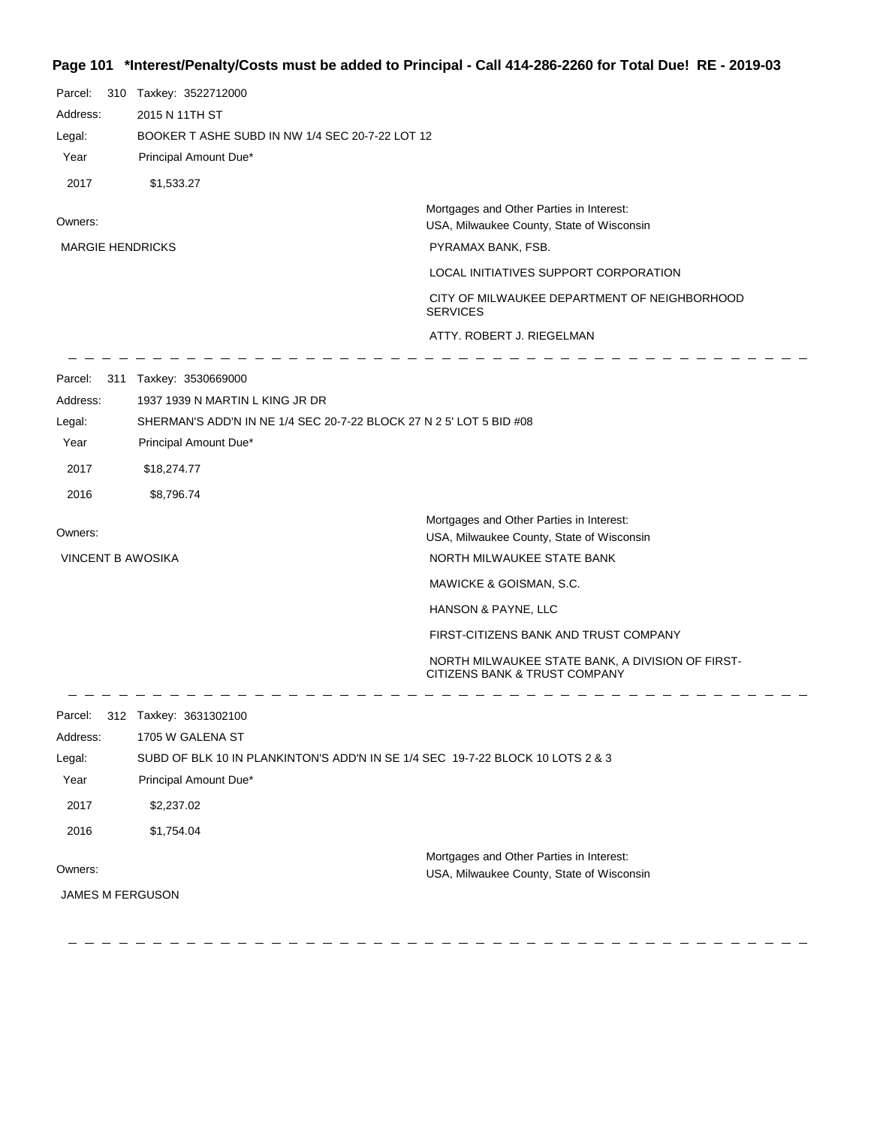# **Page 101 \*Interest/Penalty/Costs must be added to Principal - Call 414-286-2260 for Total Due! RE - 2019-03**

| Parcel:<br>Address:<br>Legal:<br>Year<br>2017         | 310 Taxkey: 3522712000<br>2015 N 11TH ST<br>BOOKER T ASHE SUBD IN NW 1/4 SEC 20-7-22 LOT 12<br>Principal Amount Due*<br>\$1,533.27                                                     |                                                                                                                            |
|-------------------------------------------------------|----------------------------------------------------------------------------------------------------------------------------------------------------------------------------------------|----------------------------------------------------------------------------------------------------------------------------|
| Owners:                                               |                                                                                                                                                                                        | Mortgages and Other Parties in Interest:<br>USA, Milwaukee County, State of Wisconsin                                      |
| <b>MARGIE HENDRICKS</b>                               |                                                                                                                                                                                        | PYRAMAX BANK, FSB.                                                                                                         |
|                                                       |                                                                                                                                                                                        | LOCAL INITIATIVES SUPPORT CORPORATION                                                                                      |
|                                                       |                                                                                                                                                                                        | CITY OF MILWAUKEE DEPARTMENT OF NEIGHBORHOOD<br><b>SERVICES</b>                                                            |
|                                                       |                                                                                                                                                                                        | ATTY. ROBERT J. RIEGELMAN                                                                                                  |
| Parcel:<br>Address:<br>Legal:<br>Year<br>2017<br>2016 | 311 Taxkey: 3530669000<br>1937 1939 N MARTIN L KING JR DR<br>SHERMAN'S ADD'N IN NE 1/4 SEC 20-7-22 BLOCK 27 N 2 5' LOT 5 BID #08<br>Principal Amount Due*<br>\$18,274.77<br>\$8,796.74 |                                                                                                                            |
|                                                       |                                                                                                                                                                                        | Mortgages and Other Parties in Interest:                                                                                   |
| Owners:                                               |                                                                                                                                                                                        | USA, Milwaukee County, State of Wisconsin                                                                                  |
| <b>VINCENT B AWOSIKA</b>                              |                                                                                                                                                                                        | NORTH MILWAUKEE STATE BANK                                                                                                 |
|                                                       |                                                                                                                                                                                        | MAWICKE & GOISMAN, S.C.                                                                                                    |
|                                                       |                                                                                                                                                                                        | HANSON & PAYNE, LLC                                                                                                        |
|                                                       |                                                                                                                                                                                        | FIRST-CITIZENS BANK AND TRUST COMPANY<br>NORTH MILWAUKEE STATE BANK, A DIVISION OF FIRST-<br>CITIZENS BANK & TRUST COMPANY |
| Address:<br>Legal:<br>Year                            | Parcel: 312 Taxkey: 3631302100<br>1705 W GALENA ST<br>SUBD OF BLK 10 IN PLANKINTON'S ADD'N IN SE 1/4 SEC 19-7-22 BLOCK 10 LOTS 2 & 3<br>Principal Amount Due*                          |                                                                                                                            |
| 2017                                                  | \$2,237.02                                                                                                                                                                             |                                                                                                                            |
| 2016                                                  | \$1,754.04                                                                                                                                                                             |                                                                                                                            |
| Owners:                                               |                                                                                                                                                                                        | Mortgages and Other Parties in Interest:<br>USA, Milwaukee County, State of Wisconsin                                      |
| <b>JAMES M FERGUSON</b>                               |                                                                                                                                                                                        |                                                                                                                            |
|                                                       |                                                                                                                                                                                        |                                                                                                                            |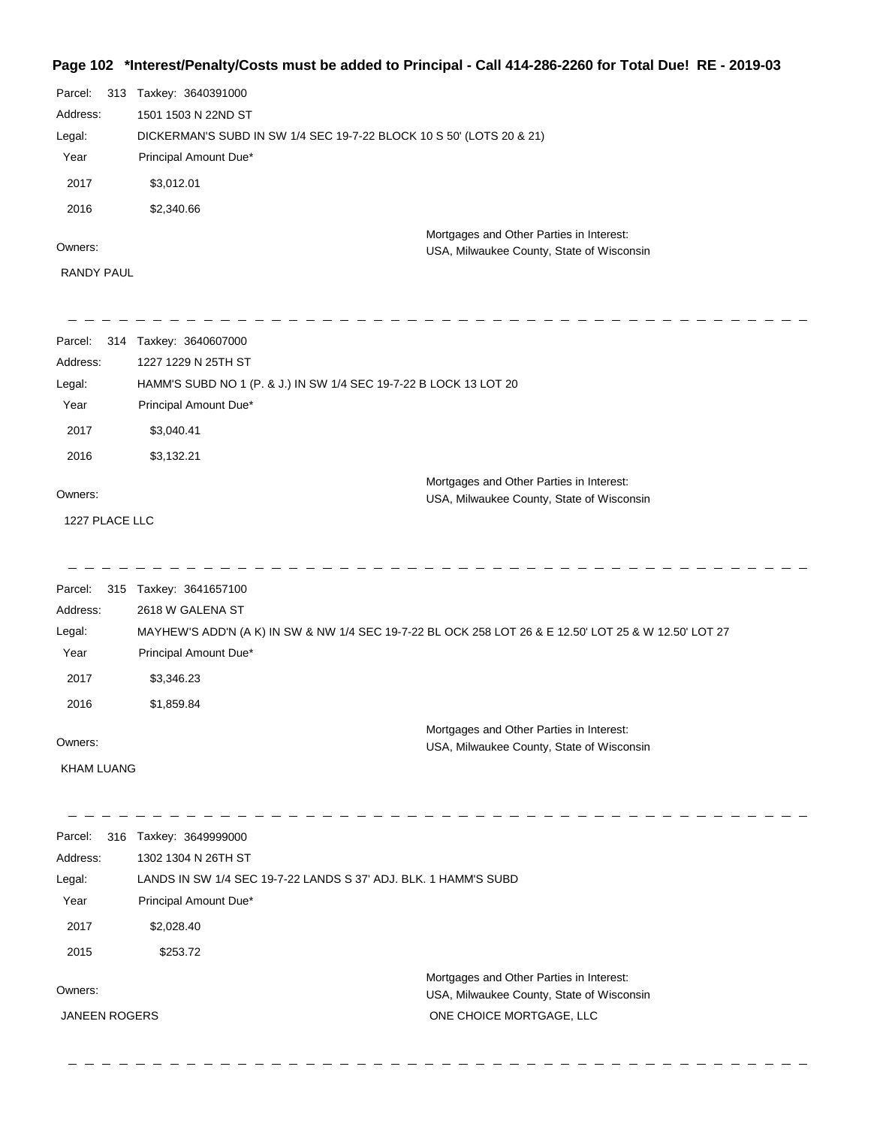## **Page 102 \*Interest/Penalty/Costs must be added to Principal - Call 414-286-2260 for Total Due! RE - 2019-03**

|                   | Parcel: 313 Taxkey: 3640391000                                                        |
|-------------------|---------------------------------------------------------------------------------------|
| Address:          | 1501 1503 N 22ND ST                                                                   |
| Legal:            | DICKERMAN'S SUBD IN SW 1/4 SEC 19-7-22 BLOCK 10 S 50' (LOTS 20 & 21)                  |
| Year              | Principal Amount Due*                                                                 |
| 2017              | \$3,012.01                                                                            |
| 2016              | \$2,340.66                                                                            |
| Owners:           | Mortgages and Other Parties in Interest:<br>USA, Milwaukee County, State of Wisconsin |
| <b>RANDY PAUL</b> |                                                                                       |

| Parcel:           | 314 Taxkey: 3640607000                                                                                |
|-------------------|-------------------------------------------------------------------------------------------------------|
| Address:          | 1227 1229 N 25TH ST                                                                                   |
| Legal:            | HAMM'S SUBD NO 1 (P. & J.) IN SW 1/4 SEC 19-7-22 B LOCK 13 LOT 20                                     |
| Year              | Principal Amount Due*                                                                                 |
| 2017              | \$3,040.41                                                                                            |
| 2016              | \$3,132.21                                                                                            |
| Owners:           | Mortgages and Other Parties in Interest:<br>USA, Milwaukee County, State of Wisconsin                 |
| 1227 PLACE LLC    |                                                                                                       |
|                   |                                                                                                       |
| Parcel:           | 315 Taxkey: 3641657100                                                                                |
| Address:          | 2618 W GALENA ST                                                                                      |
| Legal:            | MAYHEW'S ADD'N (A K) IN SW & NW 1/4 SEC 19-7-22 BL OCK 258 LOT 26 & E 12.50' LOT 25 & W 12.50' LOT 27 |
| Year              | Principal Amount Due*                                                                                 |
| 2017              | \$3,346.23                                                                                            |
| 2016              | \$1,859.84                                                                                            |
|                   | Mortgages and Other Parties in Interest:                                                              |
| Owners:           | USA, Milwaukee County, State of Wisconsin                                                             |
| <b>KHAM LUANG</b> |                                                                                                       |
|                   |                                                                                                       |
| Parcel:           | 316 Taxkey: 3649999000                                                                                |
| Address:          | 1302 1304 N 26TH ST                                                                                   |
| Legal:            | LANDS IN SW 1/4 SEC 19-7-22 LANDS S 37' ADJ. BLK. 1 HAMM'S SUBD                                       |
| Year              | Principal Amount Due*                                                                                 |
| 2017              | \$2,028.40                                                                                            |

2015 \$253.72

Owners:

JANEEN ROGERS

Mortgages and Other Parties in Interest: USA, Milwaukee County, State of Wisconsin ONE CHOICE MORTGAGE, LLC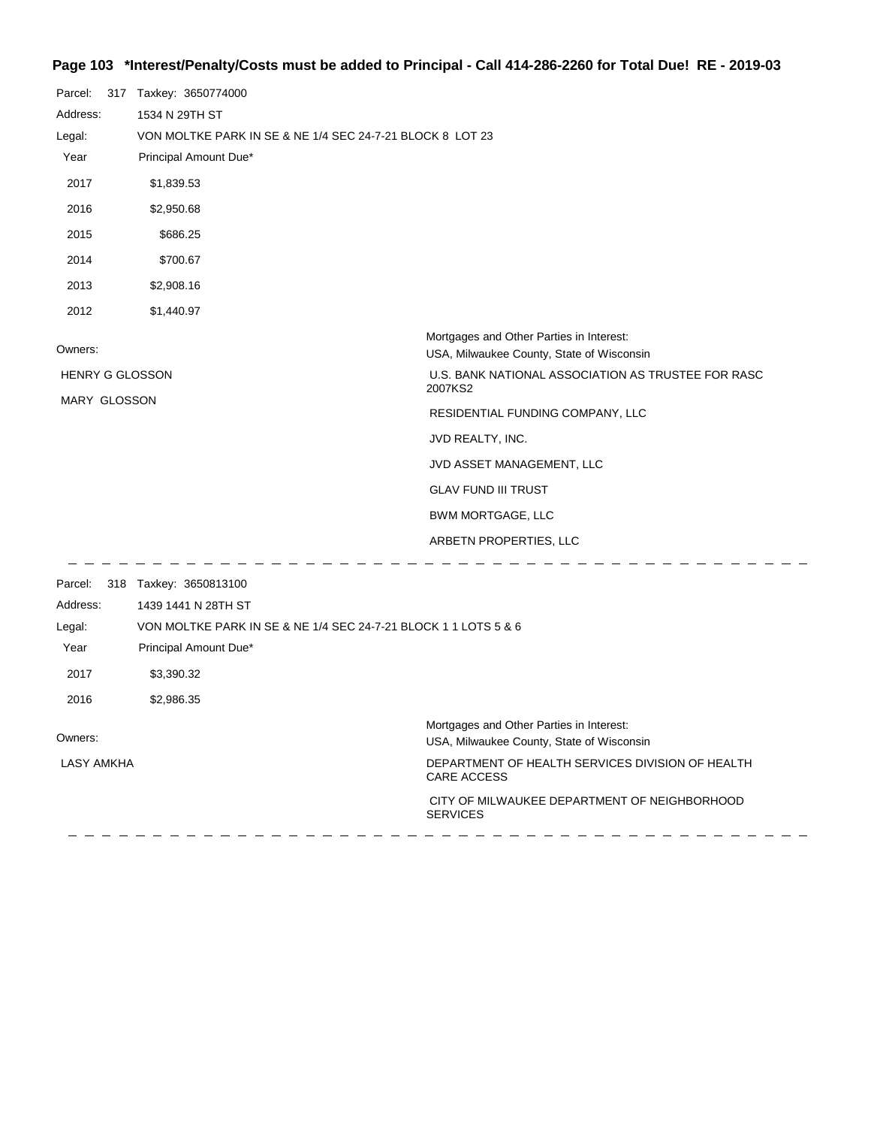## **Page 103 \*Interest/Penalty/Costs must be added to Principal - Call 414-286-2260 for Total Due! RE - 2019-03**

| Parcel:<br>Address:<br>Legal:<br>Year | 317 Taxkey: 3650774000<br>1534 N 29TH ST<br>VON MOLTKE PARK IN SE & NE 1/4 SEC 24-7-21 BLOCK 8 LOT 23<br>Principal Amount Due* |                                                                                       |
|---------------------------------------|--------------------------------------------------------------------------------------------------------------------------------|---------------------------------------------------------------------------------------|
| 2017                                  | \$1,839.53                                                                                                                     |                                                                                       |
| 2016                                  | \$2,950.68                                                                                                                     |                                                                                       |
| 2015                                  | \$686.25                                                                                                                       |                                                                                       |
| 2014                                  | \$700.67                                                                                                                       |                                                                                       |
| 2013                                  | \$2,908.16                                                                                                                     |                                                                                       |
| 2012                                  | \$1,440.97                                                                                                                     |                                                                                       |
| Owners:                               |                                                                                                                                | Mortgages and Other Parties in Interest:<br>USA, Milwaukee County, State of Wisconsin |
| <b>HENRY G GLOSSON</b>                |                                                                                                                                | U.S. BANK NATIONAL ASSOCIATION AS TRUSTEE FOR RASC<br>2007KS2                         |
| MARY GLOSSON                          |                                                                                                                                | RESIDENTIAL FUNDING COMPANY, LLC                                                      |
|                                       |                                                                                                                                | JVD REALTY, INC.                                                                      |
|                                       |                                                                                                                                | JVD ASSET MANAGEMENT, LLC                                                             |
|                                       |                                                                                                                                | <b>GLAV FUND III TRUST</b>                                                            |
|                                       |                                                                                                                                | BWM MORTGAGE, LLC                                                                     |
|                                       |                                                                                                                                | ARBETN PROPERTIES, LLC                                                                |
|                                       | Parcel: 318 Taxkey: 3650813100                                                                                                 |                                                                                       |
| Address:                              | 1439 1441 N 28TH ST                                                                                                            |                                                                                       |
| Legal:<br>Year                        | VON MOLTKE PARK IN SE & NE 1/4 SEC 24-7-21 BLOCK 1 1 LOTS 5 & 6<br>Principal Amount Due*                                       |                                                                                       |
|                                       |                                                                                                                                |                                                                                       |
| 2017                                  | \$3,390.32                                                                                                                     |                                                                                       |
| 2016                                  | \$2,986.35                                                                                                                     |                                                                                       |
| Owners:                               |                                                                                                                                | Mortgages and Other Parties in Interest:<br>USA, Milwaukee County, State of Wisconsin |
| <b>LASY AMKHA</b>                     |                                                                                                                                | DEPARTMENT OF HEALTH SERVICES DIVISION OF HEALTH<br>CARE ACCESS                       |

-------------------------------

 CITY OF MILWAUKEE DEPARTMENT OF NEIGHBORHOOD SERVICES

\_ \_ \_ \_ \_ \_ \_ \_ \_ \_ \_ \_ \_ \_ \_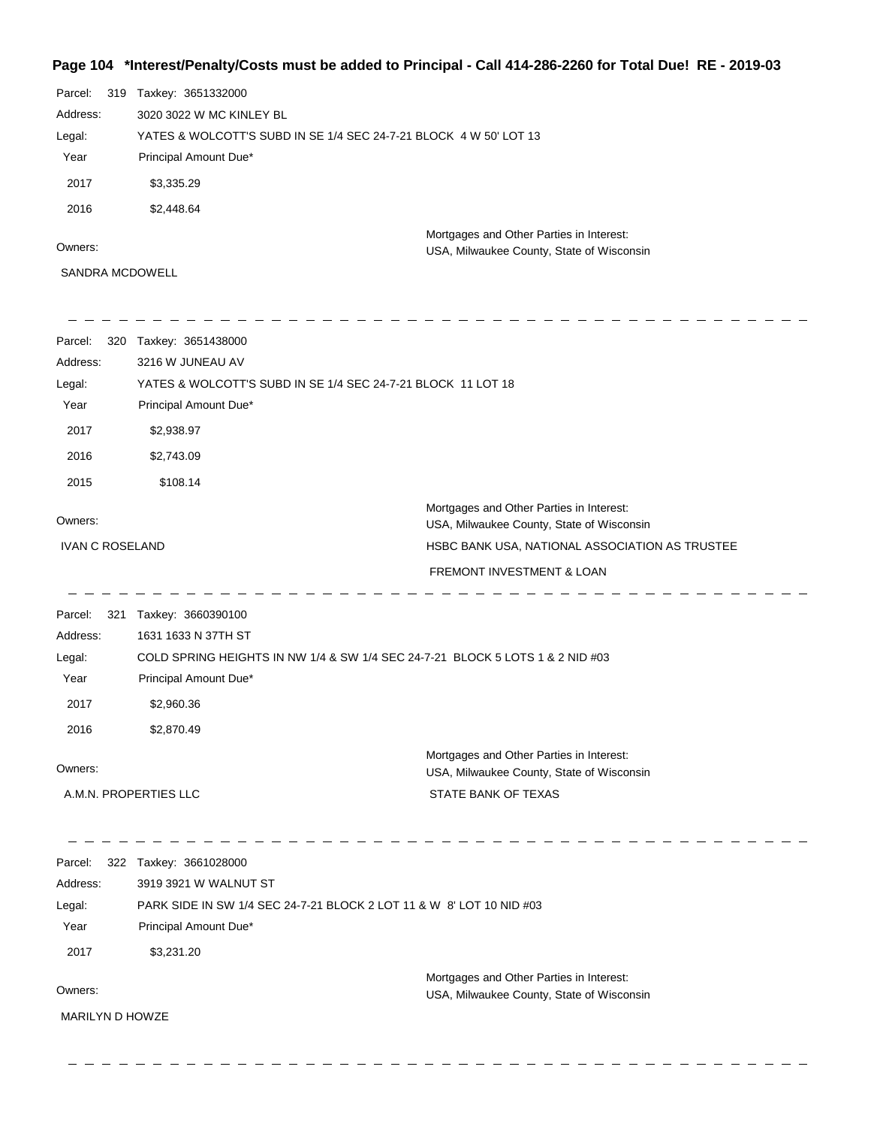## **Page 104 \*Interest/Penalty/Costs must be added to Principal - Call 414-286-2260 for Total Due! RE - 2019-03**

| Parcel:  | 319 | Taxkey: 3651332000                                                                    |
|----------|-----|---------------------------------------------------------------------------------------|
| Address: |     | 3020 3022 W MC KINLEY BL                                                              |
| Legal:   |     | YATES & WOLCOTT'S SUBD IN SE 1/4 SEC 24-7-21 BLOCK 4 W 50' LOT 13                     |
| Year     |     | Principal Amount Due*                                                                 |
| 2017     |     | \$3,335.29                                                                            |
| 2016     |     | \$2,448.64                                                                            |
| Owners:  |     | Mortgages and Other Parties in Interest:<br>USA, Milwaukee County, State of Wisconsin |
|          |     | SANDRA MCDOWELL                                                                       |

| 3216 W JUNEAU AV                                                              |                                                                                                                               |  |
|-------------------------------------------------------------------------------|-------------------------------------------------------------------------------------------------------------------------------|--|
|                                                                               | YATES & WOLCOTT'S SUBD IN SE 1/4 SEC 24-7-21 BLOCK 11 LOT 18                                                                  |  |
| Principal Amount Due*                                                         |                                                                                                                               |  |
| \$2,938.97                                                                    |                                                                                                                               |  |
| \$2,743.09                                                                    |                                                                                                                               |  |
| \$108.14                                                                      |                                                                                                                               |  |
|                                                                               | Mortgages and Other Parties in Interest:<br>USA, Milwaukee County, State of Wisconsin                                         |  |
|                                                                               | HSBC BANK USA, NATIONAL ASSOCIATION AS TRUSTEE                                                                                |  |
|                                                                               | FREMONT INVESTMENT & LOAN                                                                                                     |  |
|                                                                               |                                                                                                                               |  |
| 1631 1633 N 37TH ST                                                           |                                                                                                                               |  |
| COLD SPRING HEIGHTS IN NW 1/4 & SW 1/4 SEC 24-7-21 BLOCK 5 LOTS 1 & 2 NID #03 |                                                                                                                               |  |
| Principal Amount Due*                                                         |                                                                                                                               |  |
| \$2,960.36                                                                    |                                                                                                                               |  |
| \$2,870.49                                                                    |                                                                                                                               |  |
|                                                                               | Mortgages and Other Parties in Interest:<br>USA, Milwaukee County, State of Wisconsin                                         |  |
|                                                                               | STATE BANK OF TEXAS                                                                                                           |  |
|                                                                               |                                                                                                                               |  |
| 0.010000111111111111707                                                       |                                                                                                                               |  |
|                                                                               | 320 Taxkey: 3651438000<br><b>IVAN C ROSELAND</b><br>321 Taxkey: 3660390100<br>A.M.N. PROPERTIES LLC<br>322 Taxkey: 3661028000 |  |

Owners: Mortgages and Other Parties in Interest: Year Principal Amount Due\* USA, Milwaukee County, State of Wisconsin PARK SIDE IN SW 1/4 SEC 24-7-21 BLOCK 2 LOT 11 & W 8' LOT 10 NID #03 3919 3921 W WALNUT ST Address: Legal: 2017 \$3,231.20 MARILYN D HOWZE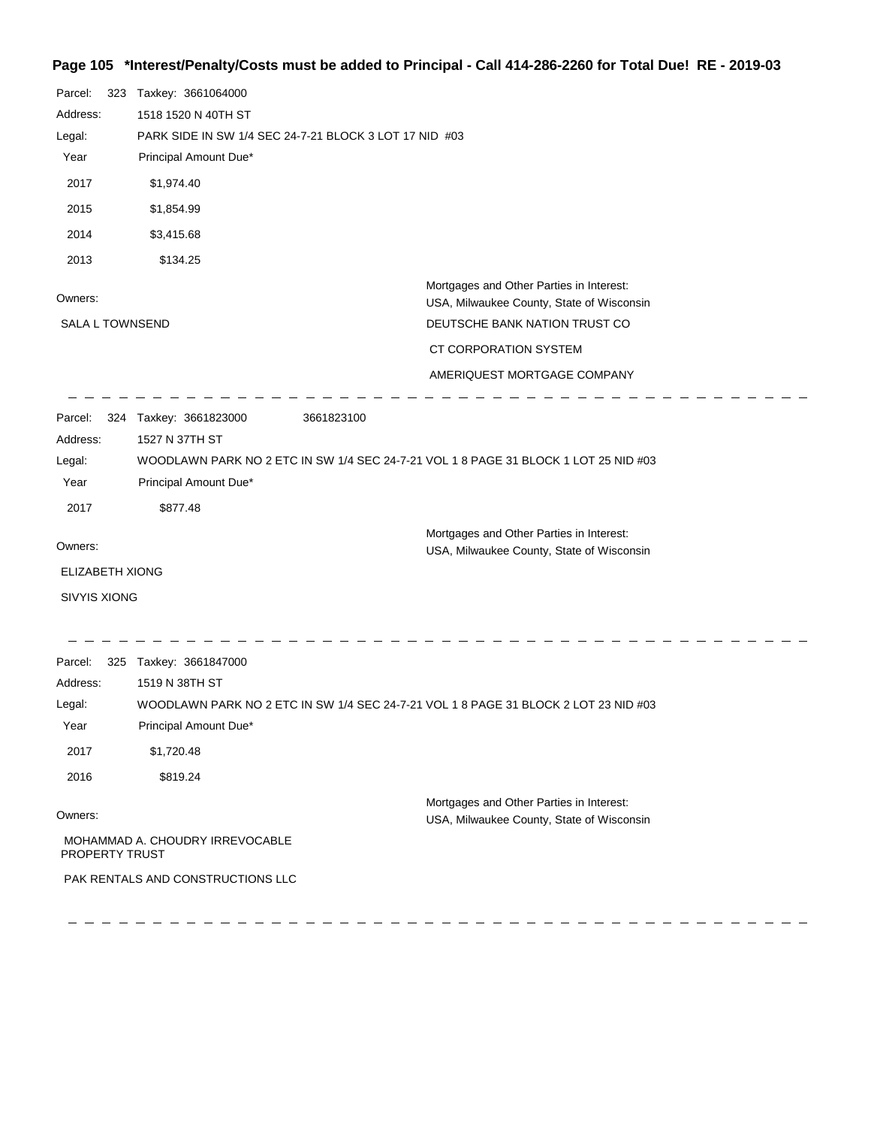## **Page 105 \*Interest/Penalty/Costs must be added to Principal - Call 414-286-2260 for Total Due! RE - 2019-03**

| Parcel:<br>323         | Taxkey: 3661064000                |                                                        |                                                                                       |  |  |  |
|------------------------|-----------------------------------|--------------------------------------------------------|---------------------------------------------------------------------------------------|--|--|--|
| Address:               | 1518 1520 N 40TH ST               |                                                        |                                                                                       |  |  |  |
| Legal:                 |                                   | PARK SIDE IN SW 1/4 SEC 24-7-21 BLOCK 3 LOT 17 NID #03 |                                                                                       |  |  |  |
| Year                   | Principal Amount Due*             |                                                        |                                                                                       |  |  |  |
| 2017                   | \$1,974.40                        |                                                        |                                                                                       |  |  |  |
| 2015                   | \$1,854.99                        |                                                        |                                                                                       |  |  |  |
| 2014                   | \$3,415.68                        |                                                        |                                                                                       |  |  |  |
| 2013                   | \$134.25                          |                                                        |                                                                                       |  |  |  |
| Owners:                |                                   |                                                        | Mortgages and Other Parties in Interest:<br>USA, Milwaukee County, State of Wisconsin |  |  |  |
| <b>SALA L TOWNSEND</b> |                                   |                                                        | DEUTSCHE BANK NATION TRUST CO                                                         |  |  |  |
|                        |                                   |                                                        | CT CORPORATION SYSTEM                                                                 |  |  |  |
|                        |                                   |                                                        | AMERIQUEST MORTGAGE COMPANY                                                           |  |  |  |
| Parcel:                | 324 Taxkey: 3661823000            | 3661823100                                             |                                                                                       |  |  |  |
| Address:               | 1527 N 37TH ST                    |                                                        |                                                                                       |  |  |  |
| Legal:                 |                                   |                                                        | WOODLAWN PARK NO 2 ETC IN SW 1/4 SEC 24-7-21 VOL 1 8 PAGE 31 BLOCK 1 LOT 25 NID #03   |  |  |  |
| Year                   | Principal Amount Due*             |                                                        |                                                                                       |  |  |  |
| 2017                   | \$877.48                          |                                                        |                                                                                       |  |  |  |
|                        |                                   |                                                        | Mortgages and Other Parties in Interest:                                              |  |  |  |
| Owners:                |                                   |                                                        | USA, Milwaukee County, State of Wisconsin                                             |  |  |  |
| <b>ELIZABETH XIONG</b> |                                   |                                                        |                                                                                       |  |  |  |
| SIVYIS XIONG           |                                   |                                                        |                                                                                       |  |  |  |
| Parcel:                | 325 Taxkey: 3661847000            |                                                        |                                                                                       |  |  |  |
| Address:               | 1519 N 38TH ST                    |                                                        |                                                                                       |  |  |  |
| Legal:                 |                                   |                                                        | WOODLAWN PARK NO 2 ETC IN SW 1/4 SEC 24-7-21 VOL 1 8 PAGE 31 BLOCK 2 LOT 23 NID #03   |  |  |  |
| Year                   | Principal Amount Due*             |                                                        |                                                                                       |  |  |  |
| 2017                   | \$1,720.48                        |                                                        |                                                                                       |  |  |  |
| 2016                   | \$819.24                          |                                                        |                                                                                       |  |  |  |
| Owners:                |                                   |                                                        | Mortgages and Other Parties in Interest:<br>USA, Milwaukee County, State of Wisconsin |  |  |  |
| PROPERTY TRUST         | MOHAMMAD A. CHOUDRY IRREVOCABLE   |                                                        |                                                                                       |  |  |  |
|                        | PAK RENTALS AND CONSTRUCTIONS LLC |                                                        |                                                                                       |  |  |  |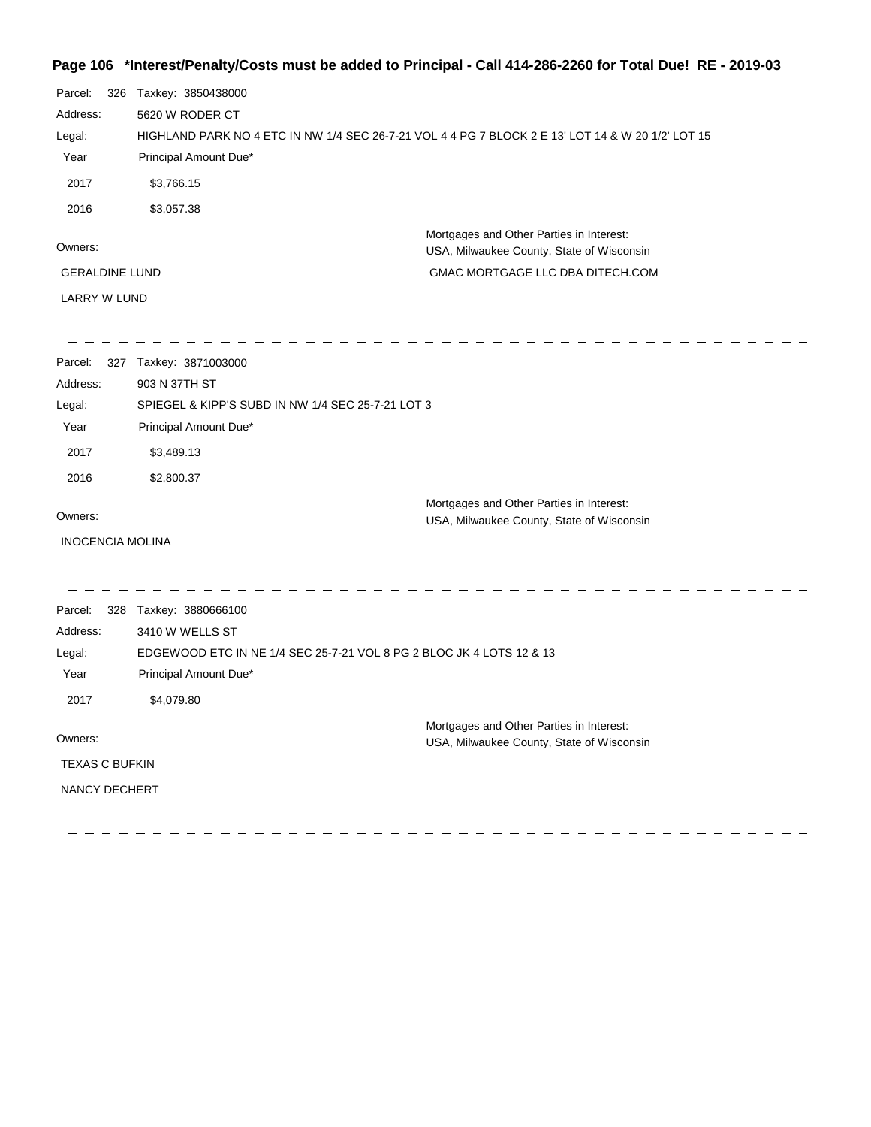## **Page 106 \*Interest/Penalty/Costs must be added to Principal - Call 414-286-2260 for Total Due! RE - 2019-03**

| Parcel:<br>326          | Taxkey: 3850438000                                                                                |                                                                                       |  |  |  |
|-------------------------|---------------------------------------------------------------------------------------------------|---------------------------------------------------------------------------------------|--|--|--|
| Address:                | 5620 W RODER CT                                                                                   |                                                                                       |  |  |  |
| Legal:                  | HIGHLAND PARK NO 4 ETC IN NW 1/4 SEC 26-7-21 VOL 4 4 PG 7 BLOCK 2 E 13' LOT 14 & W 20 1/2' LOT 15 |                                                                                       |  |  |  |
| Year                    | Principal Amount Due*                                                                             |                                                                                       |  |  |  |
| 2017                    | \$3,766.15                                                                                        |                                                                                       |  |  |  |
| 2016                    | \$3,057.38                                                                                        |                                                                                       |  |  |  |
| Owners:                 |                                                                                                   | Mortgages and Other Parties in Interest:<br>USA, Milwaukee County, State of Wisconsin |  |  |  |
| <b>GERALDINE LUND</b>   |                                                                                                   | GMAC MORTGAGE LLC DBA DITECH.COM                                                      |  |  |  |
| LARRY W LUND            |                                                                                                   |                                                                                       |  |  |  |
|                         |                                                                                                   |                                                                                       |  |  |  |
| Parcel:                 | 327 Taxkey: 3871003000                                                                            |                                                                                       |  |  |  |
| Address:                | 903 N 37TH ST                                                                                     |                                                                                       |  |  |  |
| Legal:                  | SPIEGEL & KIPP'S SUBD IN NW 1/4 SEC 25-7-21 LOT 3                                                 |                                                                                       |  |  |  |
| Year                    | Principal Amount Due*                                                                             |                                                                                       |  |  |  |
| 2017                    | \$3,489.13                                                                                        |                                                                                       |  |  |  |
| 2016                    | \$2,800.37                                                                                        |                                                                                       |  |  |  |
|                         |                                                                                                   | Mortgages and Other Parties in Interest:                                              |  |  |  |
| Owners:                 |                                                                                                   | USA, Milwaukee County, State of Wisconsin                                             |  |  |  |
| <b>INOCENCIA MOLINA</b> |                                                                                                   |                                                                                       |  |  |  |
|                         |                                                                                                   |                                                                                       |  |  |  |
| Parcel:<br>Address:     | 328 Taxkey: 3880666100                                                                            |                                                                                       |  |  |  |
| Legal:                  | 3410 W WELLS ST                                                                                   |                                                                                       |  |  |  |
| Year                    | EDGEWOOD ETC IN NE 1/4 SEC 25-7-21 VOL 8 PG 2 BLOC JK 4 LOTS 12 & 13<br>Principal Amount Due*     |                                                                                       |  |  |  |
| 2017                    | \$4,079.80                                                                                        |                                                                                       |  |  |  |
|                         |                                                                                                   |                                                                                       |  |  |  |
| Owners:                 |                                                                                                   | Mortgages and Other Parties in Interest:<br>USA, Milwaukee County, State of Wisconsin |  |  |  |
| <b>TEXAS C BUFKIN</b>   |                                                                                                   |                                                                                       |  |  |  |
| NANCY DECHERT           |                                                                                                   |                                                                                       |  |  |  |
|                         |                                                                                                   |                                                                                       |  |  |  |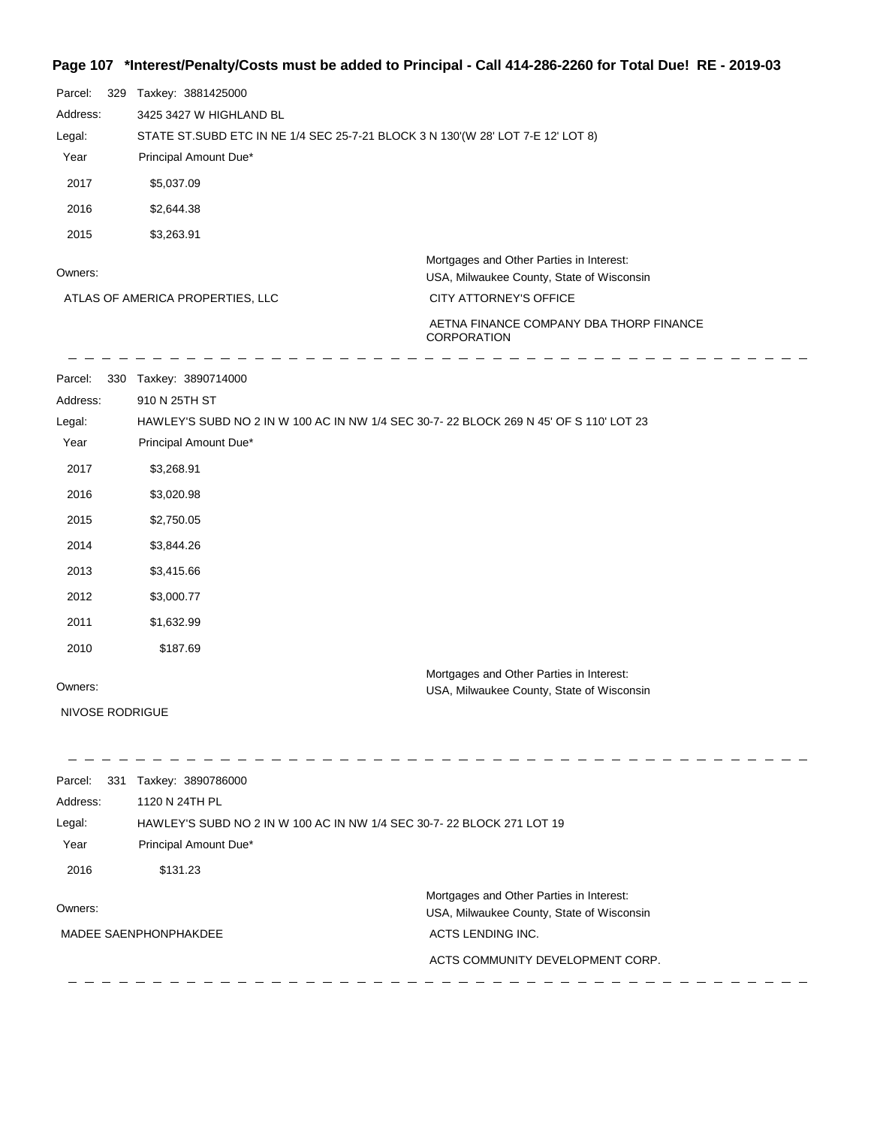## **Page 107 \*Interest/Penalty/Costs must be added to Principal - Call 414-286-2260 for Total Due! RE - 2019-03**

| Parcel:<br>329<br>Address:<br>Legal:<br>Year<br>2017<br>2016<br>2015 | Taxkey: 3881425000<br>3425 3427 W HIGHLAND BL<br>STATE ST.SUBD ETC IN NE 1/4 SEC 25-7-21 BLOCK 3 N 130'(W 28' LOT 7-E 12' LOT 8)<br>Principal Amount Due*<br>\$5,037.09<br>\$2,644.38 |                                                                                       |  |
|----------------------------------------------------------------------|---------------------------------------------------------------------------------------------------------------------------------------------------------------------------------------|---------------------------------------------------------------------------------------|--|
|                                                                      | \$3,263.91                                                                                                                                                                            | Mortgages and Other Parties in Interest:                                              |  |
| Owners:                                                              |                                                                                                                                                                                       | USA, Milwaukee County, State of Wisconsin                                             |  |
|                                                                      | ATLAS OF AMERICA PROPERTIES, LLC                                                                                                                                                      | CITY ATTORNEY'S OFFICE                                                                |  |
|                                                                      |                                                                                                                                                                                       | AETNA FINANCE COMPANY DBA THORP FINANCE<br><b>CORPORATION</b>                         |  |
| Parcel:                                                              | 330 Taxkey: 3890714000                                                                                                                                                                |                                                                                       |  |
| Address:                                                             | 910 N 25TH ST                                                                                                                                                                         |                                                                                       |  |
| Legal:                                                               | HAWLEY'S SUBD NO 2 IN W 100 AC IN NW 1/4 SEC 30-7-22 BLOCK 269 N 45' OF S 110' LOT 23                                                                                                 |                                                                                       |  |
| Year                                                                 | Principal Amount Due*                                                                                                                                                                 |                                                                                       |  |
| 2017                                                                 | \$3,268.91                                                                                                                                                                            |                                                                                       |  |
| 2016                                                                 | \$3,020.98                                                                                                                                                                            |                                                                                       |  |
| 2015                                                                 | \$2,750.05                                                                                                                                                                            |                                                                                       |  |
| 2014                                                                 | \$3,844.26                                                                                                                                                                            |                                                                                       |  |
| 2013                                                                 | \$3,415.66                                                                                                                                                                            |                                                                                       |  |
| 2012                                                                 | \$3,000.77                                                                                                                                                                            |                                                                                       |  |
| 2011                                                                 | \$1,632.99                                                                                                                                                                            |                                                                                       |  |
| 2010                                                                 | \$187.69                                                                                                                                                                              |                                                                                       |  |
|                                                                      |                                                                                                                                                                                       | Mortgages and Other Parties in Interest:                                              |  |
| Owners:                                                              |                                                                                                                                                                                       | USA, Milwaukee County, State of Wisconsin                                             |  |
| NIVOSE RODRIGUE                                                      |                                                                                                                                                                                       |                                                                                       |  |
| Parcel:                                                              | 331 Taxkey: 3890786000                                                                                                                                                                |                                                                                       |  |
| Address:<br>Legal:                                                   | 1120 N 24TH PL                                                                                                                                                                        |                                                                                       |  |
| Year                                                                 | HAWLEY'S SUBD NO 2 IN W 100 AC IN NW 1/4 SEC 30-7-22 BLOCK 271 LOT 19<br>Principal Amount Due*                                                                                        |                                                                                       |  |
| 2016                                                                 | \$131.23                                                                                                                                                                              |                                                                                       |  |
| Owners:                                                              |                                                                                                                                                                                       | Mortgages and Other Parties in Interest:<br>USA, Milwaukee County, State of Wisconsin |  |
| MADEE SAENPHONPHAKDEE                                                |                                                                                                                                                                                       | ACTS LENDING INC.                                                                     |  |
|                                                                      |                                                                                                                                                                                       | ACTS COMMUNITY DEVELOPMENT CORP.                                                      |  |
|                                                                      |                                                                                                                                                                                       |                                                                                       |  |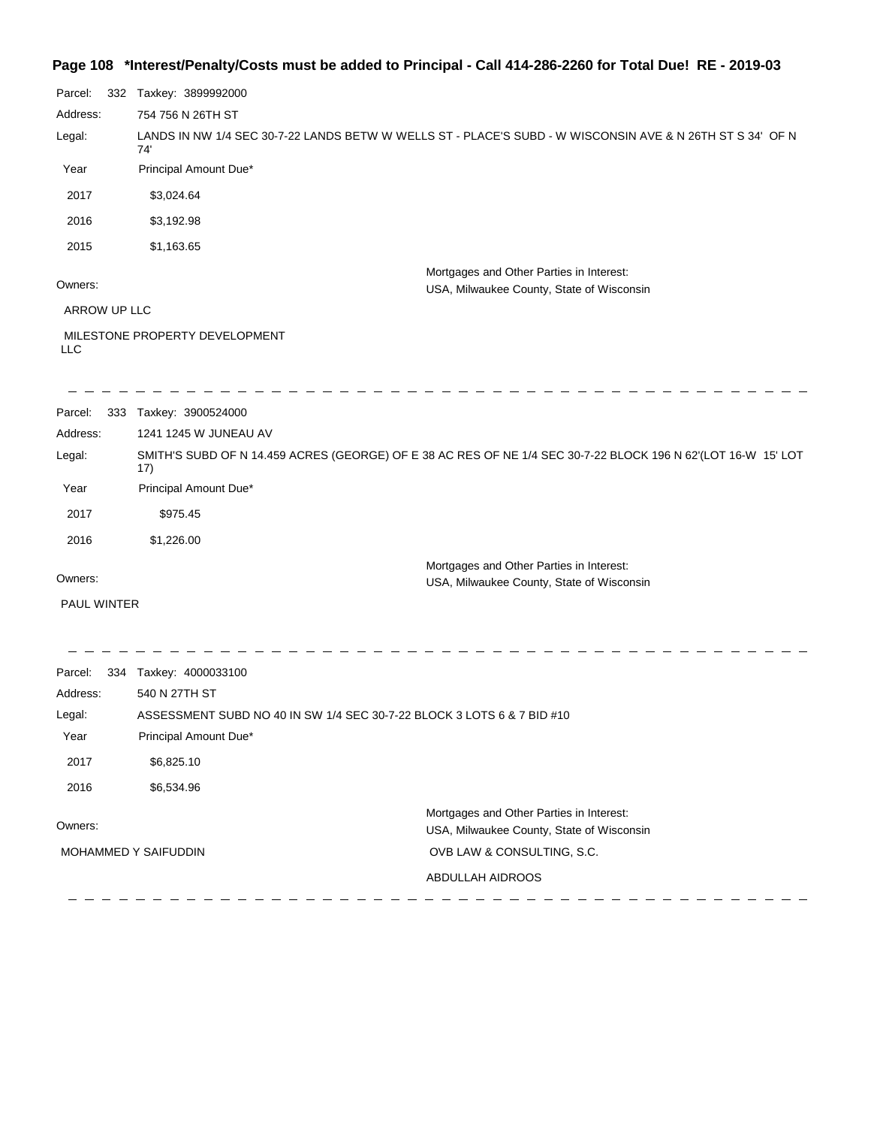### **Page 108 \*Interest/Penalty/Costs must be added to Principal - Call 414-286-2260 for Total Due! RE - 2019-03**

| Parcel:      | 332 Taxkey: 3899992000                                                                                               |  |  |  |
|--------------|----------------------------------------------------------------------------------------------------------------------|--|--|--|
| Address:     | 754 756 N 26TH ST                                                                                                    |  |  |  |
| Legal:       | LANDS IN NW 1/4 SEC 30-7-22 LANDS BETW W WELLS ST - PLACE'S SUBD - W WISCONSIN AVE & N 26TH ST S 34' OF N<br>74'     |  |  |  |
| Year         | Principal Amount Due*                                                                                                |  |  |  |
| 2017         | \$3,024.64                                                                                                           |  |  |  |
| 2016         | \$3,192.98                                                                                                           |  |  |  |
| 2015         | \$1,163.65                                                                                                           |  |  |  |
| Owners:      | Mortgages and Other Parties in Interest:<br>USA, Milwaukee County, State of Wisconsin                                |  |  |  |
| ARROW UP LLC |                                                                                                                      |  |  |  |
| <b>LLC</b>   | MILESTONE PROPERTY DEVELOPMENT                                                                                       |  |  |  |
| Parcel:      | 333 Taxkey: 3900524000                                                                                               |  |  |  |
| Address:     | 1241 1245 W JUNEAU AV                                                                                                |  |  |  |
| Legal:       | SMITH'S SUBD OF N 14.459 ACRES (GEORGE) OF E 38 AC RES OF NE 1/4 SEC 30-7-22 BLOCK 196 N 62'(LOT 16-W 15' LOT<br>17) |  |  |  |
| Year         | Principal Amount Due*                                                                                                |  |  |  |
| 2017         | \$975.45                                                                                                             |  |  |  |
| 2016         | \$1,226.00                                                                                                           |  |  |  |
| Owners:      | Mortgages and Other Parties in Interest:<br>USA, Milwaukee County, State of Wisconsin                                |  |  |  |
| PAUL WINTER  |                                                                                                                      |  |  |  |
|              |                                                                                                                      |  |  |  |
| Parcel:      | 334 Taxkey: 4000033100                                                                                               |  |  |  |
| Address:     | 540 N 27TH ST                                                                                                        |  |  |  |
| Legal:       | ASSESSMENT SUBD NO 40 IN SW 1/4 SEC 30-7-22 BLOCK 3 LOTS 6 & 7 BID #10                                               |  |  |  |
| Year         | Principal Amount Due*                                                                                                |  |  |  |

2016 \$6,534.96 Mortgages and Other Parties in Interest: Owners: USA, Milwaukee County, State of Wisconsin MOHAMMED Y SAIFUDDIN OVB LAW & CONSULTING, S.C. ABDULLAH AIDROOS  $-$  - - - - - - $\frac{1}{2}$  $\frac{1}{2}$  $\overline{\phantom{a}}$  $\overline{\phantom{a}}$  $\overline{\phantom{a}}$ 

2017 \$6,825.10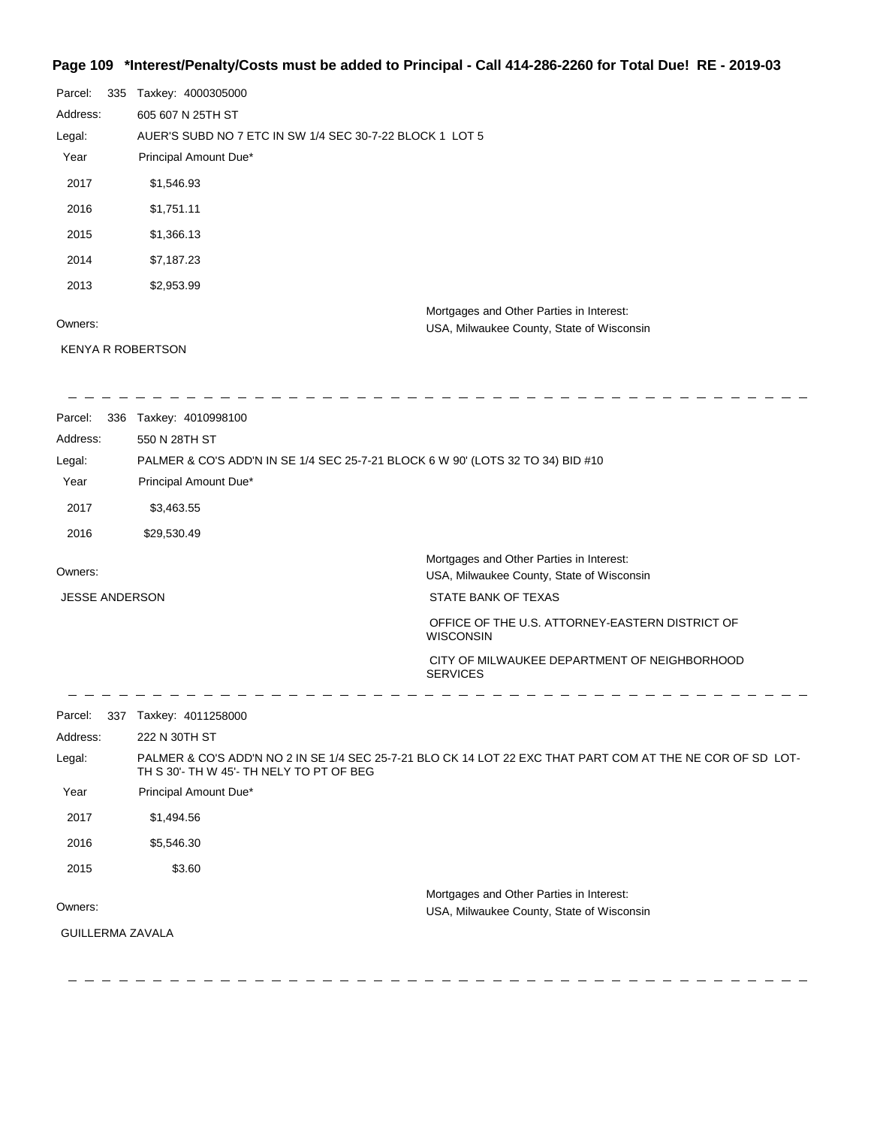## **Page 109 \*Interest/Penalty/Costs must be added to Principal - Call 414-286-2260 for Total Due! RE - 2019-03**

| 335 | Taxkey: 4000305000                                                                    |
|-----|---------------------------------------------------------------------------------------|
|     | 605 607 N 25TH ST                                                                     |
|     | AUER'S SUBD NO 7 ETC IN SW 1/4 SEC 30-7-22 BLOCK 1 LOT 5                              |
|     | Principal Amount Due*                                                                 |
|     | \$1,546.93                                                                            |
|     | \$1,751.11                                                                            |
|     | \$1,366.13                                                                            |
|     | \$7,187.23                                                                            |
|     | \$2,953.99                                                                            |
|     | Mortgages and Other Parties in Interest:<br>USA, Milwaukee County, State of Wisconsin |
|     | <b>KENYA R ROBERTSON</b>                                                              |
|     |                                                                                       |

| Parcel:               | 336 Taxkey: 4010998100                                                          |                                                                                                            |
|-----------------------|---------------------------------------------------------------------------------|------------------------------------------------------------------------------------------------------------|
| Address:              | 550 N 28TH ST                                                                   |                                                                                                            |
| Legal:                | PALMER & CO'S ADD'N IN SE 1/4 SEC 25-7-21 BLOCK 6 W 90' (LOTS 32 TO 34) BID #10 |                                                                                                            |
| Year                  | Principal Amount Due*                                                           |                                                                                                            |
| 2017                  | \$3,463.55                                                                      |                                                                                                            |
| 2016                  | \$29,530.49                                                                     |                                                                                                            |
| Owners:               |                                                                                 | Mortgages and Other Parties in Interest:<br>USA, Milwaukee County, State of Wisconsin                      |
| <b>JESSE ANDERSON</b> |                                                                                 | STATE BANK OF TEXAS                                                                                        |
|                       |                                                                                 | OFFICE OF THE U.S. ATTORNEY-EASTERN DISTRICT OF<br><b>WISCONSIN</b>                                        |
|                       |                                                                                 | CITY OF MILWAUKEE DEPARTMENT OF NEIGHBORHOOD<br><b>SERVICES</b>                                            |
| Parcel:               | 337 Taxkey: 4011258000                                                          |                                                                                                            |
| Address:              | 222 N 30TH ST                                                                   |                                                                                                            |
| Legal:                | TH S 30'- TH W 45'- TH NELY TO PT OF BEG                                        | PALMER & CO'S ADD'N NO 2 IN SE 1/4 SEC 25-7-21 BLO CK 14 LOT 22 EXC THAT PART COM AT THE NE COR OF SD LOT- |
| Year                  | Principal Amount Due*                                                           |                                                                                                            |
| 2017                  | \$1,494.56                                                                      |                                                                                                            |
| 2016                  | \$5,546.30                                                                      |                                                                                                            |
| 2015                  | \$3.60                                                                          |                                                                                                            |
| Owners:               |                                                                                 | Mortgages and Other Parties in Interest:<br>USA, Milwaukee County, State of Wisconsin                      |
|                       | <b>GUILLERMA ZAVALA</b>                                                         |                                                                                                            |
|                       |                                                                                 |                                                                                                            |
|                       |                                                                                 |                                                                                                            |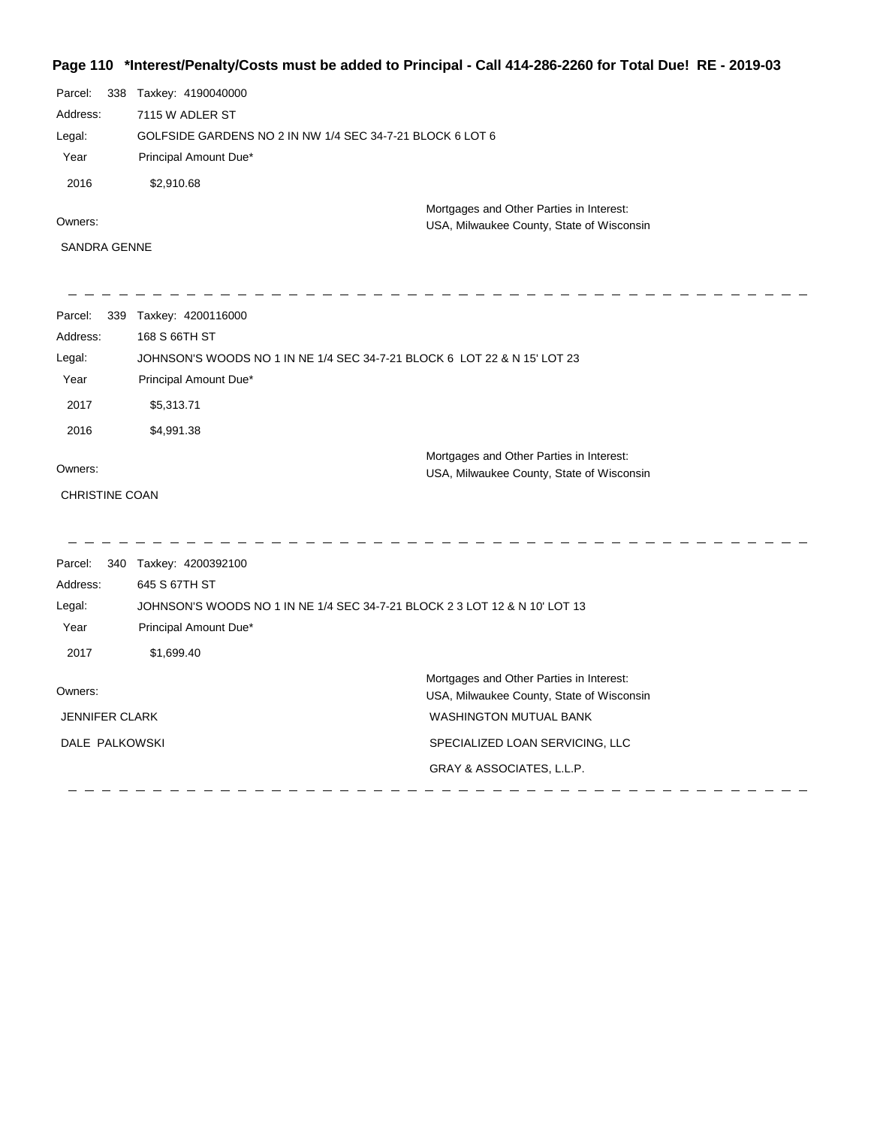# **Page 110 \*Interest/Penalty/Costs must be added to Principal - Call 414-286-2260 for Total Due! RE - 2019-03**

| Parcel:<br>338        | Taxkey: 4190040000     |                                                                                       |
|-----------------------|------------------------|---------------------------------------------------------------------------------------|
| Address:              | 7115 W ADLER ST        |                                                                                       |
| Legal:                |                        | GOLFSIDE GARDENS NO 2 IN NW 1/4 SEC 34-7-21 BLOCK 6 LOT 6                             |
| Year                  | Principal Amount Due*  |                                                                                       |
| 2016                  | \$2,910.68             |                                                                                       |
| Owners:               |                        | Mortgages and Other Parties in Interest:<br>USA, Milwaukee County, State of Wisconsin |
| <b>SANDRA GENNE</b>   |                        |                                                                                       |
|                       |                        |                                                                                       |
| Parcel:               | 339 Taxkey: 4200116000 |                                                                                       |
| Address:              | 168 S 66TH ST          |                                                                                       |
| Legal:                |                        | JOHNSON'S WOODS NO 1 IN NE 1/4 SEC 34-7-21 BLOCK 6 LOT 22 & N 15' LOT 23              |
| Year                  | Principal Amount Due*  |                                                                                       |
| 2017                  | \$5,313.71             |                                                                                       |
| 2016                  | \$4,991.38             |                                                                                       |
| Owners:               |                        | Mortgages and Other Parties in Interest:                                              |
|                       |                        | USA, Milwaukee County, State of Wisconsin                                             |
| <b>CHRISTINE COAN</b> |                        |                                                                                       |
| Parcel:               | 340 Taxkey: 4200392100 |                                                                                       |
| Address:              | 645 S 67TH ST          |                                                                                       |
| Legal:                |                        | JOHNSON'S WOODS NO 1 IN NE 1/4 SEC 34-7-21 BLOCK 2 3 LOT 12 & N 10' LOT 13            |
| Year                  | Principal Amount Due*  |                                                                                       |
| 2017                  | \$1,699.40             |                                                                                       |
| Owners:               |                        | Mortgages and Other Parties in Interest:<br>USA, Milwaukee County, State of Wisconsin |
| <b>JENNIFER CLARK</b> |                        | <b>WASHINGTON MUTUAL BANK</b>                                                         |
| DALE PALKOWSKI        |                        |                                                                                       |
|                       |                        | SPECIALIZED LOAN SERVICING, LLC<br>GRAY & ASSOCIATES, L.L.P.                          |
|                       |                        |                                                                                       |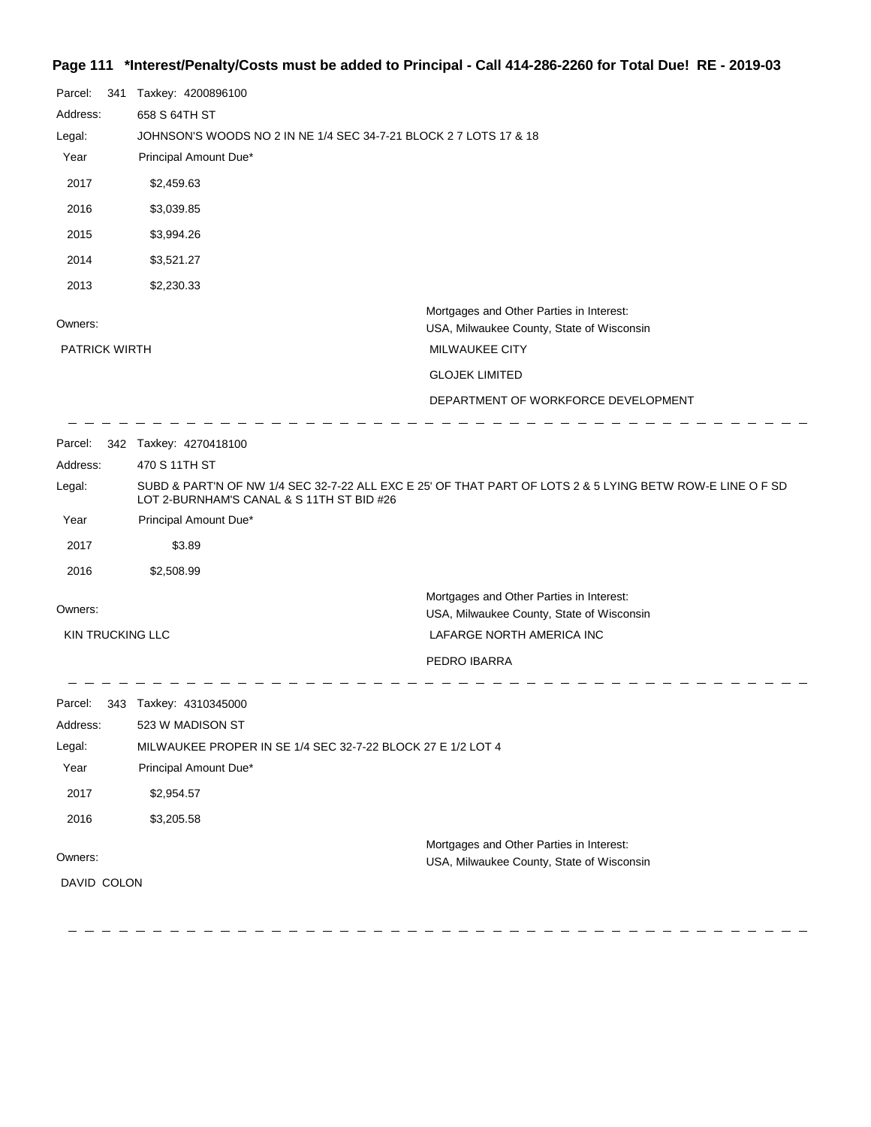## **Page 111 \*Interest/Penalty/Costs must be added to Principal - Call 414-286-2260 for Total Due! RE - 2019-03**

| Parcel:                         | 341 | Taxkey: 4200896100                                                |                                                                                                           |
|---------------------------------|-----|-------------------------------------------------------------------|-----------------------------------------------------------------------------------------------------------|
| Address:                        |     | 658 S 64TH ST                                                     |                                                                                                           |
| Legal:                          |     | JOHNSON'S WOODS NO 2 IN NE 1/4 SEC 34-7-21 BLOCK 2 7 LOTS 17 & 18 |                                                                                                           |
| Year                            |     | Principal Amount Due*                                             |                                                                                                           |
| 2017                            |     | \$2,459.63                                                        |                                                                                                           |
| 2016                            |     | \$3,039.85                                                        |                                                                                                           |
| 2015                            |     | \$3,994.26                                                        |                                                                                                           |
| 2014                            |     | \$3,521.27                                                        |                                                                                                           |
| 2013                            |     | \$2,230.33                                                        |                                                                                                           |
| Owners:<br><b>PATRICK WIRTH</b> |     |                                                                   | Mortgages and Other Parties in Interest:<br>USA, Milwaukee County, State of Wisconsin<br>MILWAUKEE CITY   |
|                                 |     |                                                                   | <b>GLOJEK LIMITED</b>                                                                                     |
|                                 |     |                                                                   | DEPARTMENT OF WORKFORCE DEVELOPMENT                                                                       |
|                                 |     |                                                                   |                                                                                                           |
|                                 |     | Parcel: 342 Taxkey: 4270418100                                    |                                                                                                           |
| Address:                        |     | 470 S 11TH ST                                                     |                                                                                                           |
| Legal:                          |     | LOT 2-BURNHAM'S CANAL & S 11TH ST BID #26                         | SUBD & PART'N OF NW 1/4 SEC 32-7-22 ALL EXC E 25' OF THAT PART OF LOTS 2 & 5 LYING BETW ROW-E LINE O F SD |
| Year                            |     | Principal Amount Due*                                             |                                                                                                           |
| 2017                            |     | \$3.89                                                            |                                                                                                           |
| 2016                            |     | \$2,508.99                                                        |                                                                                                           |
| Owners:                         |     |                                                                   | Mortgages and Other Parties in Interest:                                                                  |
| <b>KIN TRUCKING LLC</b>         |     |                                                                   | USA, Milwaukee County, State of Wisconsin<br>LAFARGE NORTH AMERICA INC                                    |
|                                 |     |                                                                   | PEDRO IBARRA                                                                                              |
|                                 |     |                                                                   |                                                                                                           |
| Parcel:                         |     | 343 Taxkey: 4310345000                                            |                                                                                                           |
| Address:                        |     | 523 W MADISON ST                                                  |                                                                                                           |
| Legal:                          |     | MILWAUKEE PROPER IN SE 1/4 SEC 32-7-22 BLOCK 27 E 1/2 LOT 4       |                                                                                                           |
| Year                            |     | Principal Amount Due*                                             |                                                                                                           |
| 2017                            |     | \$2,954.57                                                        |                                                                                                           |
| 2016                            |     | \$3,205.58                                                        |                                                                                                           |
|                                 |     |                                                                   | Mortgages and Other Parties in Interest:                                                                  |
| Owners:                         |     |                                                                   | USA, Milwaukee County, State of Wisconsin                                                                 |
| DAVID COLON                     |     |                                                                   |                                                                                                           |
|                                 |     |                                                                   |                                                                                                           |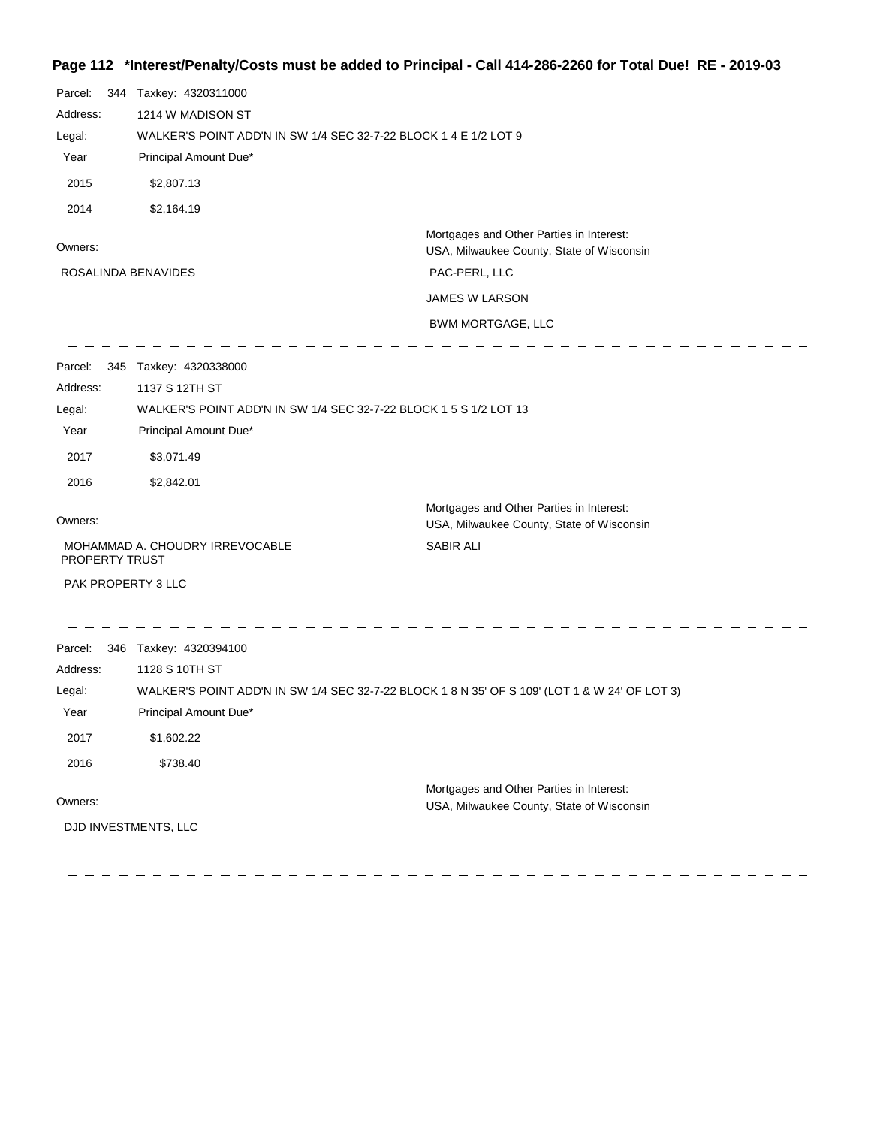## **Page 112 \*Interest/Penalty/Costs must be added to Principal - Call 414-286-2260 for Total Due! RE - 2019-03**

| Parcel:<br>Address:<br>Legal:<br>Year<br>2015 | 344 Taxkey: 4320311000<br>1214 W MADISON ST<br>WALKER'S POINT ADD'N IN SW 1/4 SEC 32-7-22 BLOCK 1 4 E 1/2 LOT 9<br>Principal Amount Due* |                                                                                       |
|-----------------------------------------------|------------------------------------------------------------------------------------------------------------------------------------------|---------------------------------------------------------------------------------------|
| 2014                                          | \$2,807.13<br>\$2,164.19                                                                                                                 |                                                                                       |
|                                               |                                                                                                                                          | Mortgages and Other Parties in Interest:                                              |
| Owners:                                       |                                                                                                                                          | USA, Milwaukee County, State of Wisconsin                                             |
| ROSALINDA BENAVIDES                           |                                                                                                                                          | PAC-PERL, LLC                                                                         |
|                                               |                                                                                                                                          | JAMES W LARSON                                                                        |
|                                               |                                                                                                                                          | <b>BWM MORTGAGE, LLC</b>                                                              |
| Parcel:                                       | 345 Taxkey: 4320338000                                                                                                                   |                                                                                       |
| Address:                                      | 1137 S 12TH ST                                                                                                                           |                                                                                       |
| Legal:                                        | WALKER'S POINT ADD'N IN SW 1/4 SEC 32-7-22 BLOCK 1 5 S 1/2 LOT 13                                                                        |                                                                                       |
| Year                                          | Principal Amount Due*                                                                                                                    |                                                                                       |
| 2017                                          | \$3,071.49                                                                                                                               |                                                                                       |
| 2016                                          | \$2,842.01                                                                                                                               |                                                                                       |
| Owners:                                       |                                                                                                                                          | Mortgages and Other Parties in Interest:<br>USA, Milwaukee County, State of Wisconsin |
| PROPERTY TRUST                                | MOHAMMAD A. CHOUDRY IRREVOCABLE                                                                                                          | <b>SABIR ALI</b>                                                                      |
| PAK PROPERTY 3 LLC                            |                                                                                                                                          |                                                                                       |
| Parcel:                                       | 346 Taxkey: 4320394100                                                                                                                   |                                                                                       |
| Address:                                      | 1128 S 10TH ST                                                                                                                           |                                                                                       |
| Legal:                                        | WALKER'S POINT ADD'N IN SW 1/4 SEC 32-7-22 BLOCK 1 8 N 35' OF S 109' (LOT 1 & W 24' OF LOT 3)                                            |                                                                                       |
| Year                                          | Principal Amount Due*                                                                                                                    |                                                                                       |
| 2017                                          | \$1,602.22                                                                                                                               |                                                                                       |
| 2016                                          | \$738.40                                                                                                                                 |                                                                                       |
| Owners:                                       |                                                                                                                                          | Mortgages and Other Parties in Interest:<br>USA, Milwaukee County, State of Wisconsin |
| DJD INVESTMENTS, LLC                          |                                                                                                                                          |                                                                                       |
|                                               |                                                                                                                                          |                                                                                       |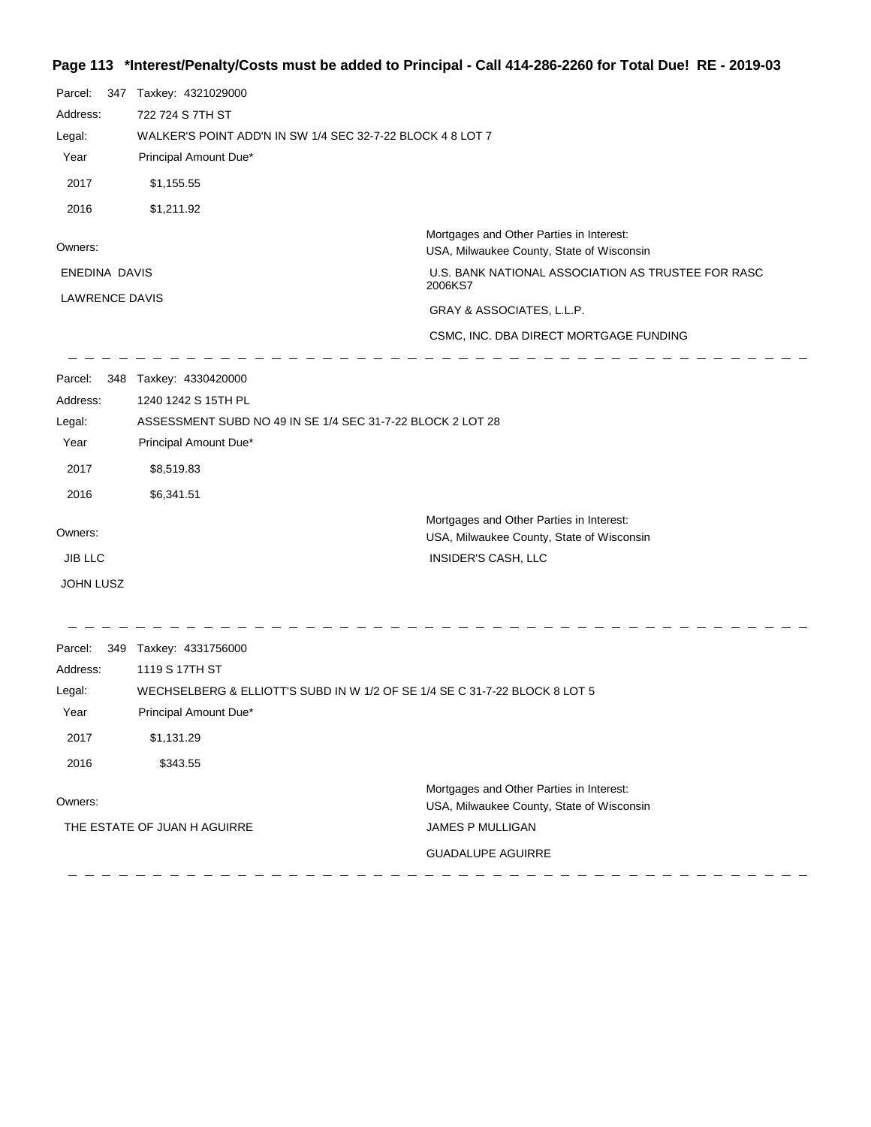# **Page 113 \*Interest/Penalty/Costs must be added to Principal - Call 414-286-2260 for Total Due! RE - 2019-03**

| Parcel:<br>Address:<br>Legal:<br>Year<br>2017         | 347 Taxkey: 4321029000<br>722 724 S 7TH ST<br>WALKER'S POINT ADD'N IN SW 1/4 SEC 32-7-22 BLOCK 4 8 LOT 7<br>Principal Amount Due*<br>\$1,155.55                           |                                                                                                                                                                                                                               |
|-------------------------------------------------------|---------------------------------------------------------------------------------------------------------------------------------------------------------------------------|-------------------------------------------------------------------------------------------------------------------------------------------------------------------------------------------------------------------------------|
| 2016                                                  | \$1,211.92                                                                                                                                                                |                                                                                                                                                                                                                               |
| Owners:<br>ENEDINA DAVIS<br><b>LAWRENCE DAVIS</b>     |                                                                                                                                                                           | Mortgages and Other Parties in Interest:<br>USA, Milwaukee County, State of Wisconsin<br>U.S. BANK NATIONAL ASSOCIATION AS TRUSTEE FOR RASC<br>2006KS7<br>GRAY & ASSOCIATES, L.L.P.<br>CSMC, INC. DBA DIRECT MORTGAGE FUNDING |
| Parcel:<br>Address:<br>Legal:<br>Year<br>2017<br>2016 | 348 Taxkey: 4330420000<br>1240 1242 S 15TH PL<br>ASSESSMENT SUBD NO 49 IN SE 1/4 SEC 31-7-22 BLOCK 2 LOT 28<br>Principal Amount Due*<br>\$8,519.83<br>\$6,341.51          |                                                                                                                                                                                                                               |
| Owners:<br><b>JIB LLC</b><br>JOHN LUSZ                |                                                                                                                                                                           | Mortgages and Other Parties in Interest:<br>USA, Milwaukee County, State of Wisconsin<br>INSIDER'S CASH, LLC                                                                                                                  |
| Parcel:<br>Address:<br>Legal:<br>Year<br>2017<br>2016 | 349 Taxkey: 4331756000<br>1119 S 17TH ST<br>WECHSELBERG & ELLIOTT'S SUBD IN W 1/2 OF SE 1/4 SE C 31-7-22 BLOCK 8 LOT 5<br>Principal Amount Due*<br>\$1,131.29<br>\$343.55 |                                                                                                                                                                                                                               |
| Owners:                                               | THE ESTATE OF JUAN H AGUIRRE                                                                                                                                              | Mortgages and Other Parties in Interest:<br>USA, Milwaukee County, State of Wisconsin<br>JAMES P MULLIGAN<br><b>GUADALUPE AGUIRRE</b>                                                                                         |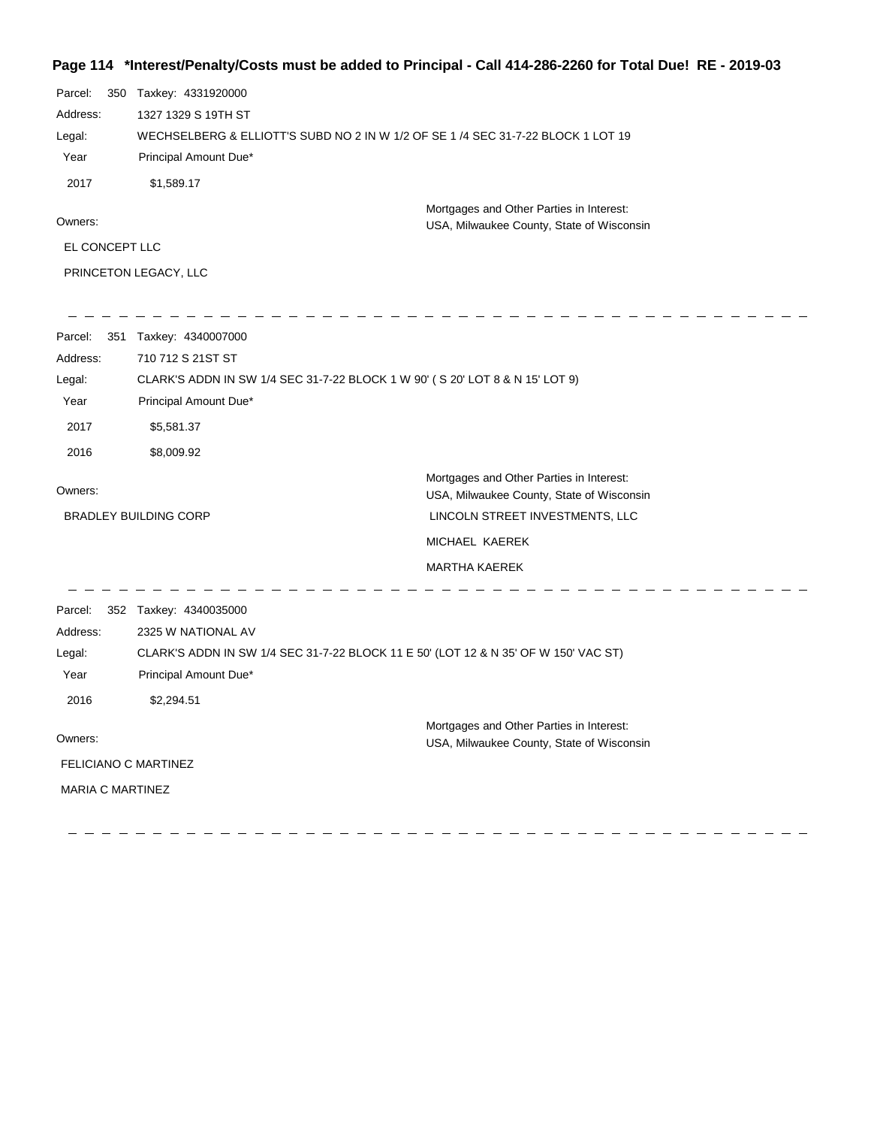## **Page 114 \*Interest/Penalty/Costs must be added to Principal - Call 414-286-2260 for Total Due! RE - 2019-03**

| Parcel:        | 350 Taxkey: 4331920000                                                                |  |
|----------------|---------------------------------------------------------------------------------------|--|
| Address:       | 1327 1329 S 19TH ST                                                                   |  |
| Legal:         | WECHSELBERG & ELLIOTT'S SUBD NO 2 IN W 1/2 OF SE 1 /4 SEC 31-7-22 BLOCK 1 LOT 19      |  |
| Year           | Principal Amount Due*                                                                 |  |
| 2017           | \$1.589.17                                                                            |  |
| Owners:        | Mortgages and Other Parties in Interest:<br>USA, Milwaukee County, State of Wisconsin |  |
| EL CONCEPT LLC |                                                                                       |  |
|                | <b>PRINCETON LEGACY, LLC</b>                                                          |  |

| 351<br>Parcel:          | Taxkey: 4340007000                                                                  |                                                                                       |
|-------------------------|-------------------------------------------------------------------------------------|---------------------------------------------------------------------------------------|
| Address:                | 710 712 S 21ST ST                                                                   |                                                                                       |
| Legal:                  | CLARK'S ADDN IN SW 1/4 SEC 31-7-22 BLOCK 1 W 90' (S 20' LOT 8 & N 15' LOT 9)        |                                                                                       |
| Year                    | Principal Amount Due*                                                               |                                                                                       |
| 2017                    | \$5,581.37                                                                          |                                                                                       |
| 2016                    | \$8,009.92                                                                          |                                                                                       |
| Owners:                 |                                                                                     | Mortgages and Other Parties in Interest:<br>USA, Milwaukee County, State of Wisconsin |
|                         | <b>BRADLEY BUILDING CORP</b>                                                        | LINCOLN STREET INVESTMENTS, LLC                                                       |
|                         |                                                                                     | MICHAEL KAEREK                                                                        |
|                         |                                                                                     | <b>MARTHA KAEREK</b>                                                                  |
| Parcel:                 | 352 Taxkey: 4340035000                                                              |                                                                                       |
| Address:                | 2325 W NATIONAL AV                                                                  |                                                                                       |
| Legal:                  | CLARK'S ADDN IN SW 1/4 SEC 31-7-22 BLOCK 11 E 50' (LOT 12 & N 35' OF W 150' VAC ST) |                                                                                       |
| Year                    | Principal Amount Due*                                                               |                                                                                       |
| 2016                    | \$2,294.51                                                                          |                                                                                       |
| Owners:                 |                                                                                     | Mortgages and Other Parties in Interest:                                              |
|                         |                                                                                     | USA, Milwaukee County, State of Wisconsin                                             |
| FELICIANO C MARTINEZ    |                                                                                     |                                                                                       |
| <b>MARIA C MARTINEZ</b> |                                                                                     |                                                                                       |
|                         |                                                                                     |                                                                                       |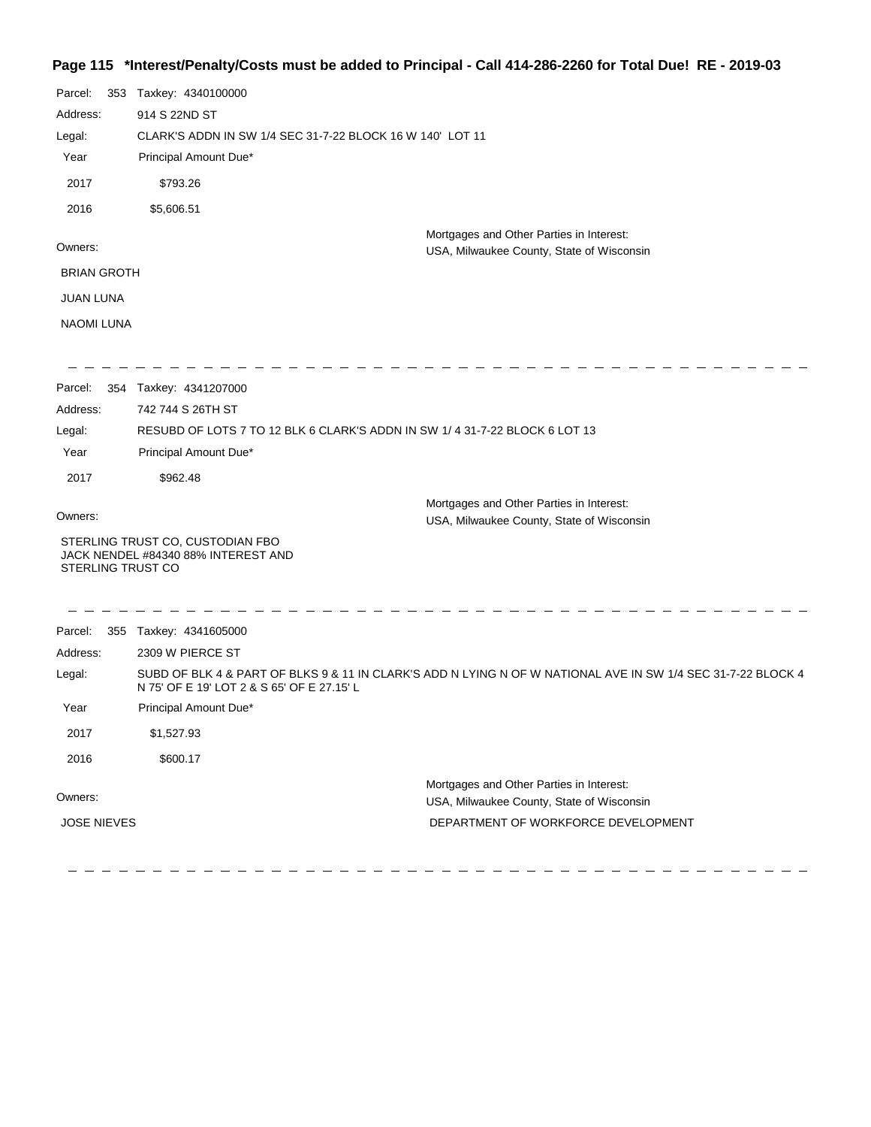## **Page 115 \*Interest/Penalty/Costs must be added to Principal - Call 414-286-2260 for Total Due! RE - 2019-03**

| Parcel:<br>Address:<br>Legal:<br>Year | 353 Taxkey: 4340100000<br>914 S 22ND ST<br>CLARK'S ADDN IN SW 1/4 SEC 31-7-22 BLOCK 16 W 140' LOT 11<br>Principal Amount Due* |                                                                                                              |
|---------------------------------------|-------------------------------------------------------------------------------------------------------------------------------|--------------------------------------------------------------------------------------------------------------|
| 2017                                  | \$793.26                                                                                                                      |                                                                                                              |
| 2016                                  | \$5,606.51                                                                                                                    |                                                                                                              |
| Owners:                               |                                                                                                                               | Mortgages and Other Parties in Interest:<br>USA, Milwaukee County, State of Wisconsin                        |
| <b>BRIAN GROTH</b>                    |                                                                                                                               |                                                                                                              |
| JUAN LUNA                             |                                                                                                                               |                                                                                                              |
| <b>NAOMI LUNA</b>                     |                                                                                                                               |                                                                                                              |
| Parcel:                               | 354 Taxkey: 4341207000                                                                                                        |                                                                                                              |
| Address:                              | 742 744 S 26TH ST                                                                                                             |                                                                                                              |
| Legal:                                | RESUBD OF LOTS 7 TO 12 BLK 6 CLARK'S ADDN IN SW 1/4 31-7-22 BLOCK 6 LOT 13                                                    |                                                                                                              |
| Year                                  | Principal Amount Due*                                                                                                         |                                                                                                              |
| 2017                                  | \$962.48                                                                                                                      |                                                                                                              |
| Owners:                               |                                                                                                                               | Mortgages and Other Parties in Interest:<br>USA, Milwaukee County, State of Wisconsin                        |
| STERLING TRUST CO                     | STERLING TRUST CO, CUSTODIAN FBO<br>JACK NENDEL #84340 88% INTEREST AND                                                       |                                                                                                              |
| Parcel:                               | 355 Taxkey: 4341605000                                                                                                        |                                                                                                              |
| Address:                              | 2309 W PIERCE ST                                                                                                              |                                                                                                              |
| Legal:                                | N 75' OF E 19' LOT 2 & S 65' OF E 27.15' L                                                                                    | SUBD OF BLK 4 & PART OF BLKS 9 & 11 IN CLARK'S ADD N LYING N OF W NATIONAL AVE IN SW 1/4 SEC 31-7-22 BLOCK 4 |
| Year                                  | Principal Amount Due*                                                                                                         |                                                                                                              |
| 2017                                  | \$1,527.93                                                                                                                    |                                                                                                              |
| 2016                                  | \$600.17                                                                                                                      |                                                                                                              |
| Owners:                               |                                                                                                                               | Mortgages and Other Parties in Interest:<br>USA, Milwaukee County, State of Wisconsin                        |
| <b>JOSE NIEVES</b>                    |                                                                                                                               | DEPARTMENT OF WORKFORCE DEVELOPMENT                                                                          |
|                                       |                                                                                                                               |                                                                                                              |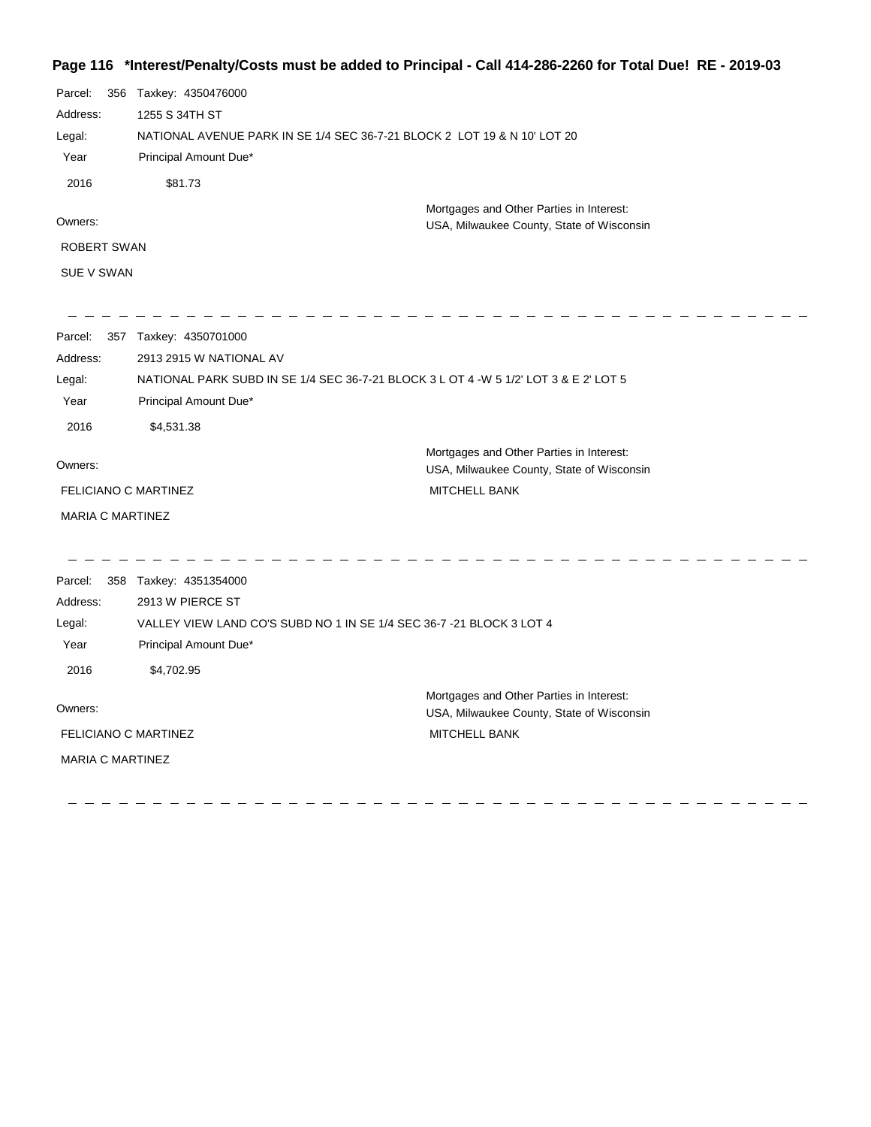### **Page 116 \*Interest/Penalty/Costs must be added to Principal - Call 414-286-2260 for Total Due! RE - 2019-03**

| Parcel:     | 356 | Taxkey: 4350476000                                                       |
|-------------|-----|--------------------------------------------------------------------------|
| Address:    |     | 1255 S 34TH ST                                                           |
| Legal:      |     | NATIONAL AVENUE PARK IN SE 1/4 SEC 36-7-21 BLOCK 2 LOT 19 & N 10' LOT 20 |
| Year        |     | Principal Amount Due*                                                    |
| 2016        |     | \$81.73                                                                  |
|             |     | Mortgages and Other Parties in Interest:                                 |
| Owners:     |     | USA, Milwaukee County, State of Wisconsin                                |
| ROBERT SWAN |     |                                                                          |
| SUE V SWAN  |     |                                                                          |

| Parcel:<br>357              | Taxkey: 4350701000                                                                   |                                           |
|-----------------------------|--------------------------------------------------------------------------------------|-------------------------------------------|
| Address:                    | 2913 2915 W NATIONAL AV                                                              |                                           |
| Legal:                      | NATIONAL PARK SUBD IN SE 1/4 SEC 36-7-21 BLOCK 3 L OT 4 -W 5 1/2' LOT 3 & E 2' LOT 5 |                                           |
| Year                        | Principal Amount Due*                                                                |                                           |
| 2016                        | \$4,531.38                                                                           |                                           |
|                             |                                                                                      | Mortgages and Other Parties in Interest:  |
| Owners:                     |                                                                                      | USA, Milwaukee County, State of Wisconsin |
| <b>FELICIANO C MARTINEZ</b> |                                                                                      | <b>MITCHELL BANK</b>                      |
| <b>MARIA C MARTINEZ</b>     |                                                                                      |                                           |
|                             |                                                                                      |                                           |
| Parcel:<br>358              | Taxkey: 4351354000                                                                   |                                           |
| Address:                    | 2913 W PIERCE ST                                                                     |                                           |
| Legal:                      | VALLEY VIEW LAND CO'S SUBD NO 1 IN SE 1/4 SEC 36-7 -21 BLOCK 3 LOT 4                 |                                           |
| Year                        | Principal Amount Due*                                                                |                                           |
| 2016                        | \$4,702.95                                                                           |                                           |
|                             |                                                                                      | Mortgages and Other Parties in Interest:  |
| Owners:                     |                                                                                      | USA, Milwaukee County, State of Wisconsin |

FELICIANO C MARTINEZ

MARIA C MARTINEZ

MITCHELL BANK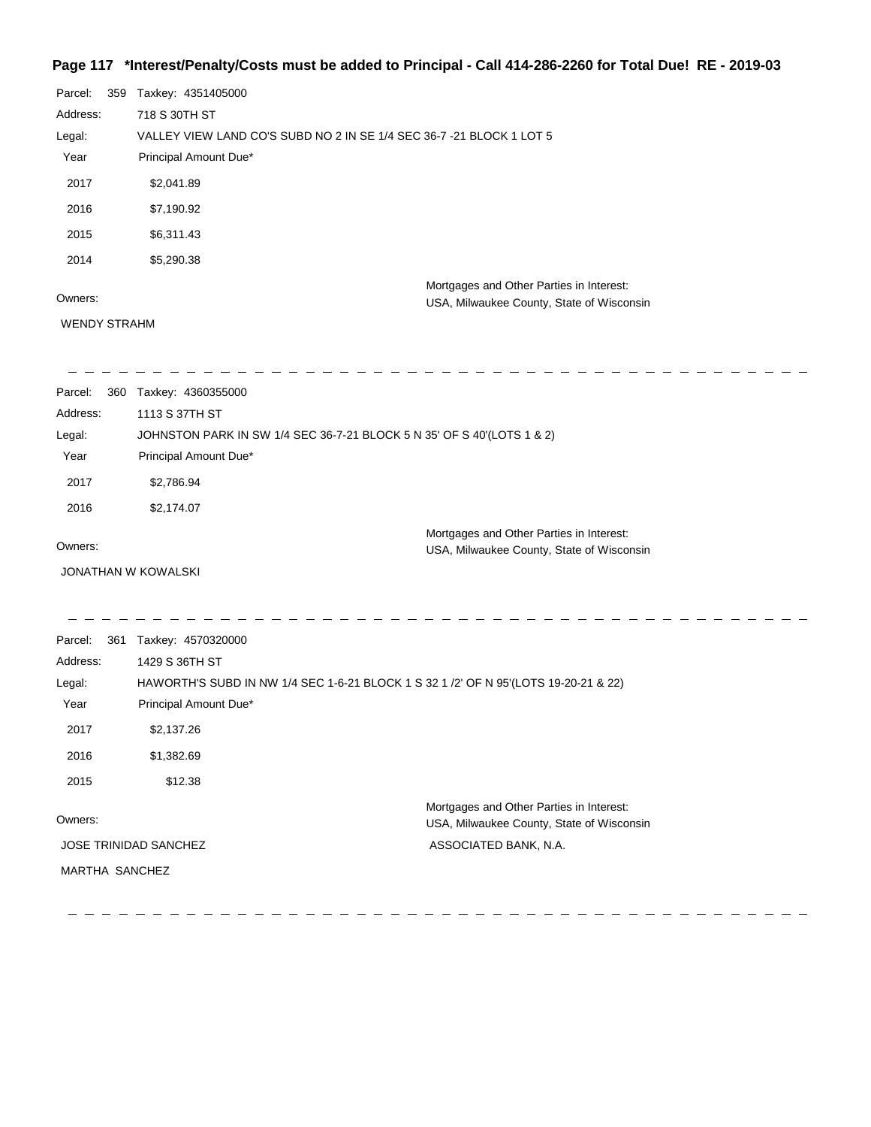### **Page 117 \*Interest/Penalty/Costs must be added to Principal - Call 414-286-2260 for Total Due! RE - 2019-03**

| Parcel:  | 359 | Taxkey: 4351405000                                                   |
|----------|-----|----------------------------------------------------------------------|
| Address: |     | 718 S 30TH ST                                                        |
| Legal:   |     | VALLEY VIEW LAND CO'S SUBD NO 2 IN SE 1/4 SEC 36-7 -21 BLOCK 1 LOT 5 |
| Year     |     | Principal Amount Due*                                                |
| 2017     |     | \$2,041.89                                                           |
| 2016     |     | \$7,190.92                                                           |
| 2015     |     | \$6,311.43                                                           |
| 2014     |     | \$5,290.38                                                           |
|          |     | Mortgages and Other Parties in Interest:                             |
| Owners:  |     | USA, Milwaukee County, State of Wisconsin                            |

#### Owners:

WENDY STRAHM

| Parcel:<br>360 | Taxkey: 4360355000                                                                    |
|----------------|---------------------------------------------------------------------------------------|
| Address:       | 1113 S 37TH ST                                                                        |
| Legal:         | JOHNSTON PARK IN SW 1/4 SEC 36-7-21 BLOCK 5 N 35' OF S 40'(LOTS 1 & 2)                |
| Year           | Principal Amount Due*                                                                 |
| 2017           | \$2,786.94                                                                            |
| 2016           | \$2,174.07                                                                            |
| Owners:        | Mortgages and Other Parties in Interest:<br>USA, Milwaukee County, State of Wisconsin |
|                | JONATHAN W KOWALSKI                                                                   |
|                |                                                                                       |
| Parcel:<br>361 | Taxkey: 4570320000                                                                    |
| Address:       | 1429 S 36TH ST                                                                        |
| Legal:         | HAWORTH'S SUBD IN NW 1/4 SEC 1-6-21 BLOCK 1 S 32 1 /2' OF N 95'(LOTS 19-20-21 & 22)   |
| Year           | Principal Amount Due*                                                                 |
| 2017           | \$2,137.26                                                                            |

2016 \$1,382.69 2015 \$12.38

Owners: JOSE TRINIDAD SANCHEZ MARTHA SANCHEZ

Mortgages and Other Parties in Interest: USA, Milwaukee County, State of Wisconsin ASSOCIATED BANK, N.A.

<u> La La La La La L</u>

 $\overline{\phantom{a}}$  $\equiv$ 

 $\overline{\phantom{a}}$  $\overline{\phantom{a}}$  $\equiv$ 

 $= \overline{\phantom{0}}$  $\frac{1}{2}$  $\sim$  $\frac{1}{2}$  $\sim -$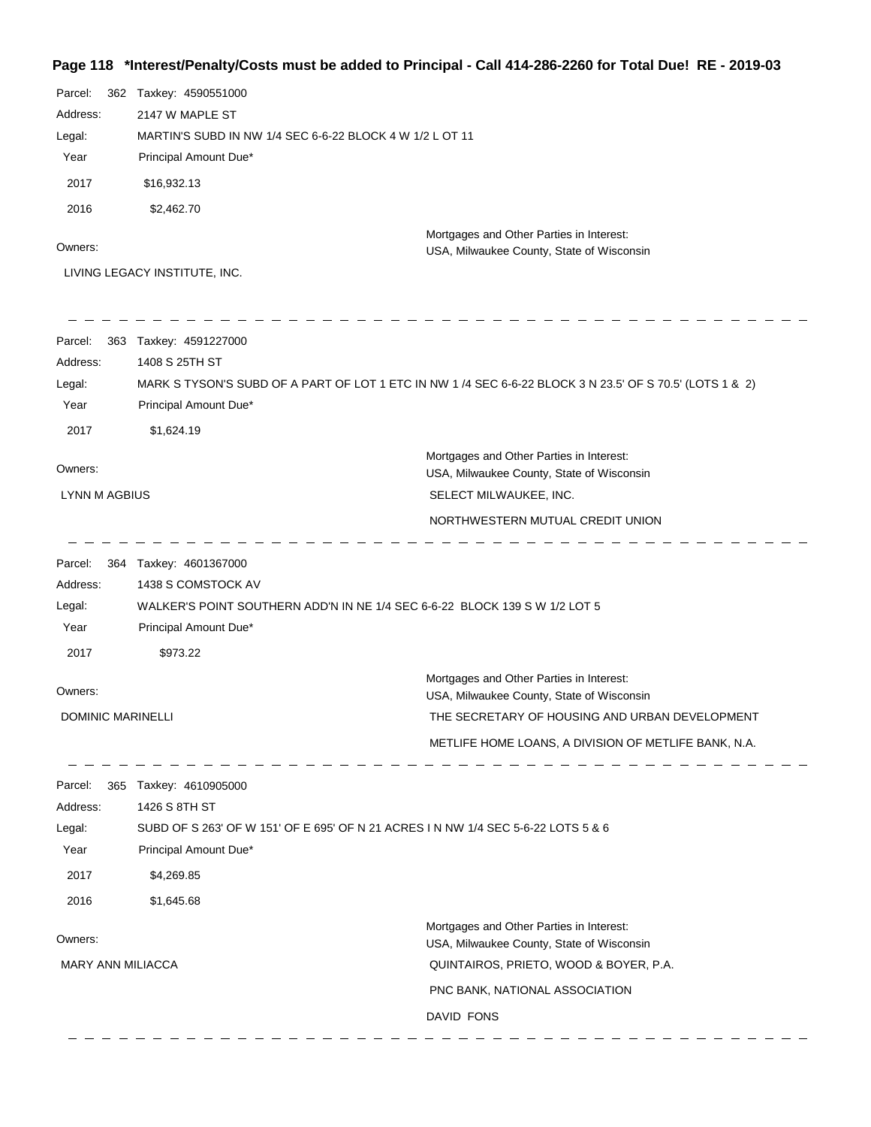# **Page 118 \*Interest/Penalty/Costs must be added to Principal - Call 414-286-2260 for Total Due! RE - 2019-03**

| Parcel:<br>Address:<br>Legal:<br>Year<br>2017<br>2016<br>Owners: | 362 Taxkey: 4590551000<br>2147 W MAPLE ST<br>MARTIN'S SUBD IN NW 1/4 SEC 6-6-22 BLOCK 4 W 1/2 L OT 11<br>Principal Amount Due*<br>\$16,932.13<br>\$2,462.70<br>LIVING LEGACY INSTITUTE, INC. | Mortgages and Other Parties in Interest:<br>USA, Milwaukee County, State of Wisconsin                    |
|------------------------------------------------------------------|----------------------------------------------------------------------------------------------------------------------------------------------------------------------------------------------|----------------------------------------------------------------------------------------------------------|
| Parcel:<br>Address:<br>Legal:<br>Year<br>2017                    | 363 Taxkey: 4591227000<br>1408 S 25TH ST<br>Principal Amount Due*<br>\$1,624.19                                                                                                              | MARK S TYSON'S SUBD OF A PART OF LOT 1 ETC IN NW 1 /4 SEC 6-6-22 BLOCK 3 N 23.5' OF S 70.5' (LOTS 1 & 2) |
| Owners:                                                          |                                                                                                                                                                                              | Mortgages and Other Parties in Interest:<br>USA, Milwaukee County, State of Wisconsin                    |
| <b>LYNN M AGBIUS</b>                                             |                                                                                                                                                                                              | SELECT MILWAUKEE, INC.                                                                                   |
|                                                                  |                                                                                                                                                                                              | NORTHWESTERN MUTUAL CREDIT UNION                                                                         |
| Parcel:<br>Address:<br>Legal:<br>Year<br>2017                    | 364 Taxkey: 4601367000<br>1438 S COMSTOCK AV<br>WALKER'S POINT SOUTHERN ADD'N IN NE 1/4 SEC 6-6-22 BLOCK 139 S W 1/2 LOT 5<br>Principal Amount Due*<br>\$973.22                              |                                                                                                          |
|                                                                  |                                                                                                                                                                                              | Mortgages and Other Parties in Interest:                                                                 |
| Owners:                                                          |                                                                                                                                                                                              | USA, Milwaukee County, State of Wisconsin                                                                |
| DOMINIC MARINELLI                                                |                                                                                                                                                                                              | THE SECRETARY OF HOUSING AND URBAN DEVELOPMENT<br>METLIFE HOME LOANS, A DIVISION OF METLIFE BANK, N.A.   |
| Parcel:<br>Address:<br>Legal:<br>Year<br>2017<br>2016            | 365 Taxkey: 4610905000<br>1426 S 8TH ST<br>SUBD OF S 263' OF W 151' OF E 695' OF N 21 ACRES I N NW 1/4 SEC 5-6-22 LOTS 5 & 6<br>Principal Amount Due*<br>\$4,269.85<br>\$1,645.68            |                                                                                                          |
|                                                                  |                                                                                                                                                                                              | Mortgages and Other Parties in Interest:                                                                 |
| Owners:                                                          |                                                                                                                                                                                              | USA, Milwaukee County, State of Wisconsin                                                                |
| <b>MARY ANN MILIACCA</b>                                         |                                                                                                                                                                                              | QUINTAIROS, PRIETO, WOOD & BOYER, P.A.                                                                   |
|                                                                  |                                                                                                                                                                                              | PNC BANK, NATIONAL ASSOCIATION                                                                           |
|                                                                  |                                                                                                                                                                                              | DAVID FONS                                                                                               |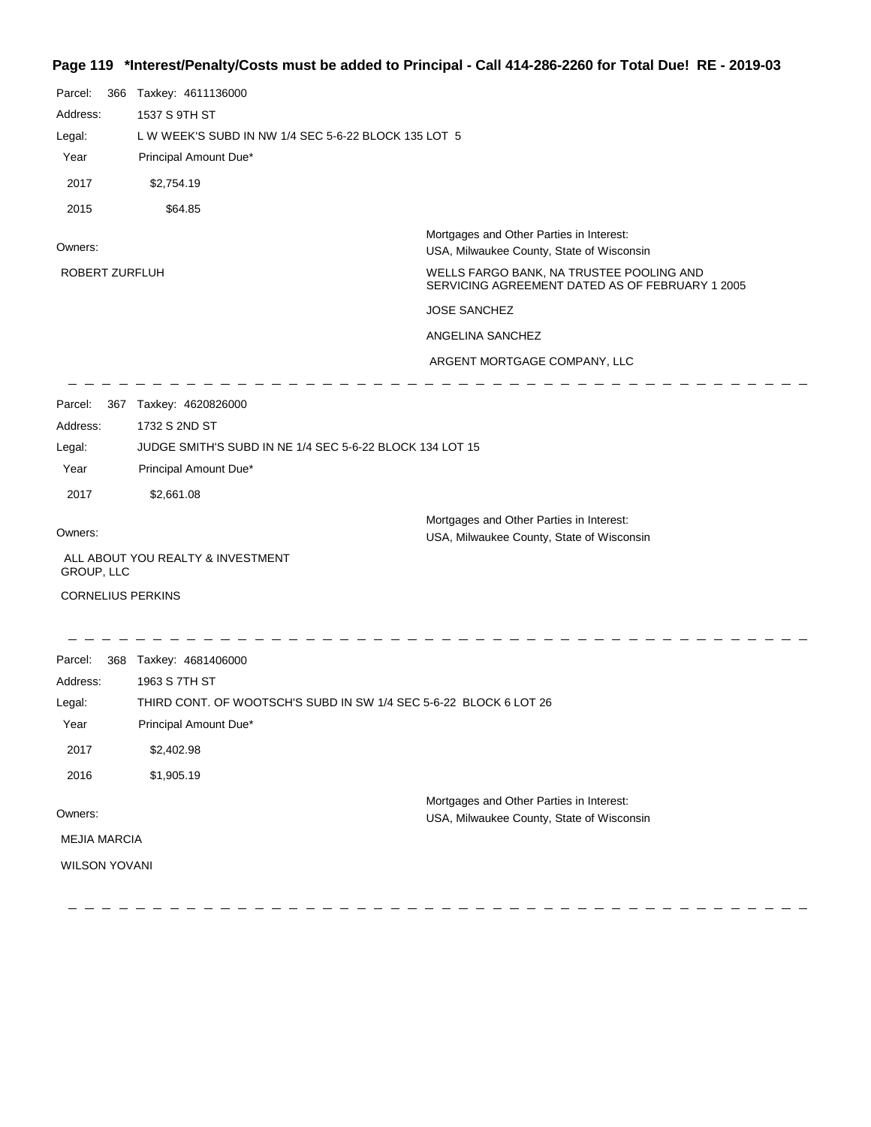## **Page 119 \*Interest/Penalty/Costs must be added to Principal - Call 414-286-2260 for Total Due! RE - 2019-03**

| Parcel:<br>Address:<br>Legal:<br>Year<br>2017<br>2015    | 366 | Taxkey: 4611136000<br>1537 S 9TH ST<br>L W WEEK'S SUBD IN NW 1/4 SEC 5-6-22 BLOCK 135 LOT 5<br>Principal Amount Due*<br>\$2,754.19<br>\$64.85                                   |                                                                                                                                                                                                                                                                 |
|----------------------------------------------------------|-----|---------------------------------------------------------------------------------------------------------------------------------------------------------------------------------|-----------------------------------------------------------------------------------------------------------------------------------------------------------------------------------------------------------------------------------------------------------------|
| Owners:<br>ROBERT ZURFLUH                                |     |                                                                                                                                                                                 | Mortgages and Other Parties in Interest:<br>USA, Milwaukee County, State of Wisconsin<br>WELLS FARGO BANK, NA TRUSTEE POOLING AND<br>SERVICING AGREEMENT DATED AS OF FEBRUARY 1 2005<br><b>JOSE SANCHEZ</b><br>ANGELINA SANCHEZ<br>ARGENT MORTGAGE COMPANY, LLC |
| Parcel:<br>Address:<br>Legal:<br>Year<br>2017<br>Owners: |     | 367 Taxkey: 4620826000<br>1732 S 2ND ST<br>JUDGE SMITH'S SUBD IN NE 1/4 SEC 5-6-22 BLOCK 134 LOT 15<br>Principal Amount Due*<br>\$2,661.08<br>ALL ABOUT YOU REALTY & INVESTMENT | Mortgages and Other Parties in Interest:<br>USA, Milwaukee County, State of Wisconsin                                                                                                                                                                           |
| GROUP, LLC<br><b>CORNELIUS PERKINS</b>                   |     |                                                                                                                                                                                 |                                                                                                                                                                                                                                                                 |
| Parcel:<br>Address:<br>Legal:<br>Year<br>2017<br>2016    |     | 368 Taxkey: 4681406000<br>1963 S 7TH ST<br>THIRD CONT. OF WOOTSCH'S SUBD IN SW 1/4 SEC 5-6-22 BLOCK 6 LOT 26<br>Principal Amount Due*<br>\$2,402.98<br>\$1,905.19               |                                                                                                                                                                                                                                                                 |
| Owners:<br><b>MEJIA MARCIA</b><br><b>WILSON YOVANI</b>   |     |                                                                                                                                                                                 | Mortgages and Other Parties in Interest:<br>USA, Milwaukee County, State of Wisconsin                                                                                                                                                                           |

--------------

 $\equiv$  $\longrightarrow$   $\qquad \qquad - \ - \ -$ 

 $\longrightarrow$ 

 $\qquad \qquad -$ 

 $\hspace{0.1cm} \hspace{0.1cm} \hspace{0.1cm} \hspace{0.1cm} \hspace{0.1cm} \hspace{0.1cm} \hspace{0.1cm} \hspace{0.1cm} \hspace{0.1cm} \hspace{0.1cm} \hspace{0.1cm} \hspace{0.1cm} \hspace{0.1cm} \hspace{0.1cm} \hspace{0.1cm} \hspace{0.1cm} \hspace{0.1cm} \hspace{0.1cm} \hspace{0.1cm} \hspace{0.1cm} \hspace{0.1cm} \hspace{0.1cm} \hspace{0.1cm} \hspace{0.1cm} \hspace{$ 

 $\overline{\phantom{m}}$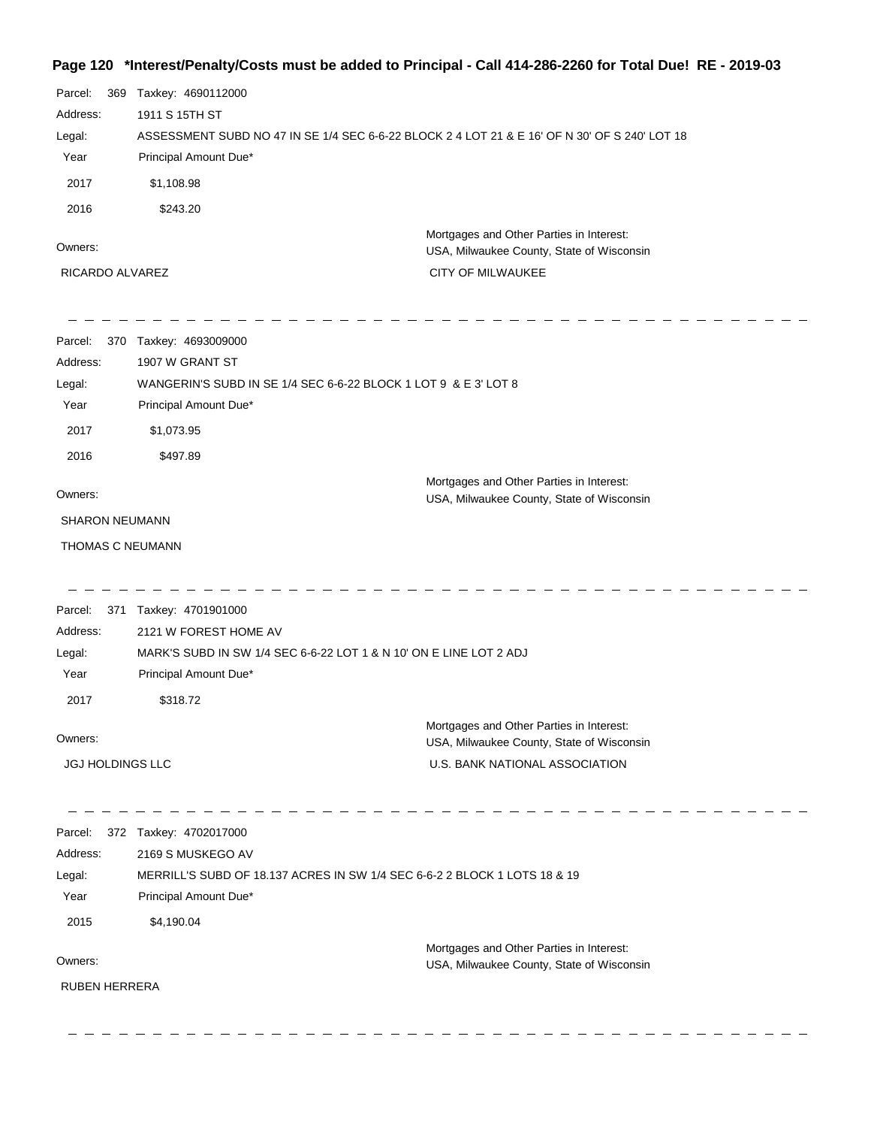#### **Page 120 \*Interest/Penalty/Costs must be added to Principal - Call 414-286-2260 for Total Due! RE - 2019-03**

| Parcel:<br>369          | Taxkey: 4690112000                                                        |                                                                                               |
|-------------------------|---------------------------------------------------------------------------|-----------------------------------------------------------------------------------------------|
| Address:                | 1911 S 15TH ST                                                            |                                                                                               |
| Legal:                  |                                                                           | ASSESSMENT SUBD NO 47 IN SE 1/4 SEC 6-6-22 BLOCK 2 4 LOT 21 & E 16' OF N 30' OF S 240' LOT 18 |
| Year                    | Principal Amount Due*                                                     |                                                                                               |
| 2017                    | \$1,108.98                                                                |                                                                                               |
| 2016                    | \$243.20                                                                  |                                                                                               |
|                         |                                                                           | Mortgages and Other Parties in Interest:                                                      |
| Owners:                 |                                                                           | USA, Milwaukee County, State of Wisconsin                                                     |
| RICARDO ALVAREZ         |                                                                           | CITY OF MILWAUKEE                                                                             |
| 370<br>Parcel:          | Taxkey: 4693009000                                                        |                                                                                               |
| Address:                | 1907 W GRANT ST                                                           |                                                                                               |
| Legal:                  | WANGERIN'S SUBD IN SE 1/4 SEC 6-6-22 BLOCK 1 LOT 9 & E 3' LOT 8           |                                                                                               |
| Year                    | Principal Amount Due*                                                     |                                                                                               |
| 2017                    | \$1,073.95                                                                |                                                                                               |
| 2016                    | \$497.89                                                                  |                                                                                               |
|                         |                                                                           | Mortgages and Other Parties in Interest:                                                      |
| Owners:                 |                                                                           | USA, Milwaukee County, State of Wisconsin                                                     |
| <b>SHARON NEUMANN</b>   |                                                                           |                                                                                               |
| THOMAS C NEUMANN        |                                                                           |                                                                                               |
| Parcel:                 | 371 Taxkey: 4701901000                                                    |                                                                                               |
| Address:                | 2121 W FOREST HOME AV                                                     |                                                                                               |
| Legal:                  | MARK'S SUBD IN SW 1/4 SEC 6-6-22 LOT 1 & N 10' ON E LINE LOT 2 ADJ        |                                                                                               |
| Year                    | Principal Amount Due*                                                     |                                                                                               |
| 2017                    | \$318.72                                                                  |                                                                                               |
|                         |                                                                           | Mortgages and Other Parties in Interest:                                                      |
| Owners:                 |                                                                           | USA, Milwaukee County, State of Wisconsin                                                     |
| <b>JGJ HOLDINGS LLC</b> |                                                                           | U.S. BANK NATIONAL ASSOCIATION                                                                |
| Parcel:                 | 372 Taxkey: 4702017000                                                    |                                                                                               |
| Address:                | 2169 S MUSKEGO AV                                                         |                                                                                               |
| Legal:                  | MERRILL'S SUBD OF 18.137 ACRES IN SW 1/4 SEC 6-6-2 2 BLOCK 1 LOTS 18 & 19 |                                                                                               |
| Year                    | Principal Amount Due*                                                     |                                                                                               |
| 2015                    | \$4,190.04                                                                |                                                                                               |
|                         |                                                                           |                                                                                               |
| Owners:                 |                                                                           | Mortgages and Other Parties in Interest:<br>USA, Milwaukee County, State of Wisconsin         |
| <b>RUBEN HERRERA</b>    |                                                                           |                                                                                               |
|                         |                                                                           |                                                                                               |

-----------------

\_\_\_\_\_\_\_\_\_\_\_\_\_\_\_\_\_\_\_\_\_\_\_\_\_\_\_\_\_\_\_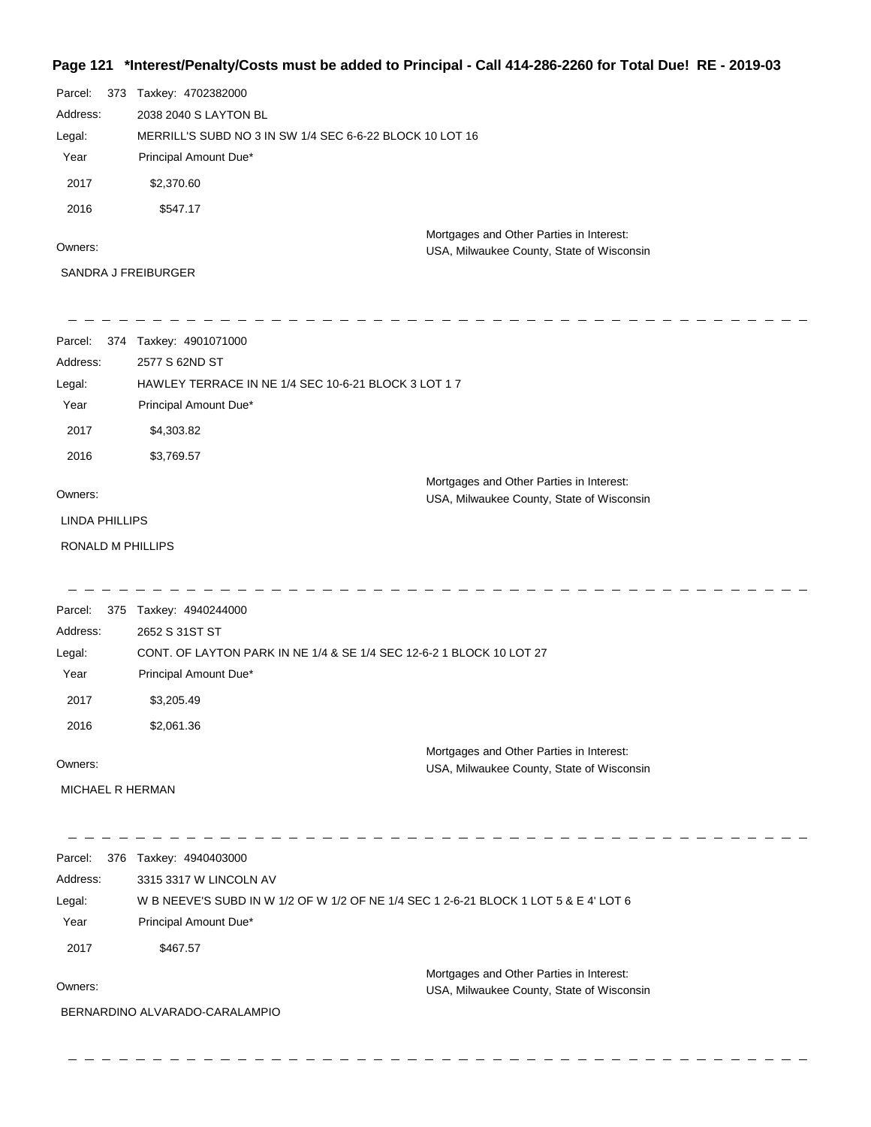## **Page 121 \*Interest/Penalty/Costs must be added to Principal - Call 414-286-2260 for Total Due! RE - 2019-03**

| Parcel:<br>373<br>Address: | Taxkey: 4702382000<br>2038 2040 S LAYTON BL                                   |                                                                                       |
|----------------------------|-------------------------------------------------------------------------------|---------------------------------------------------------------------------------------|
| Legal:                     | MERRILL'S SUBD NO 3 IN SW 1/4 SEC 6-6-22 BLOCK 10 LOT 16                      |                                                                                       |
| Year                       | Principal Amount Due*                                                         |                                                                                       |
| 2017                       | \$2,370.60                                                                    |                                                                                       |
| 2016                       | \$547.17                                                                      |                                                                                       |
| Owners:                    |                                                                               | Mortgages and Other Parties in Interest:<br>USA, Milwaukee County, State of Wisconsin |
| SANDRA J FREIBURGER        |                                                                               |                                                                                       |
| Parcel:                    | 374 Taxkey: 4901071000                                                        |                                                                                       |
| Address:                   | 2577 S 62ND ST                                                                |                                                                                       |
| Legal:<br>Year             | HAWLEY TERRACE IN NE 1/4 SEC 10-6-21 BLOCK 3 LOT 1 7<br>Principal Amount Due* |                                                                                       |
| 2017                       | \$4,303.82                                                                    |                                                                                       |
| 2016                       | \$3,769.57                                                                    |                                                                                       |
| Owners:                    |                                                                               | Mortgages and Other Parties in Interest:<br>USA, Milwaukee County, State of Wisconsin |
| <b>LINDA PHILLIPS</b>      |                                                                               |                                                                                       |
| RONALD M PHILLIPS          |                                                                               |                                                                                       |
| Parcel:                    | 375 Taxkey: 4940244000                                                        |                                                                                       |
| Address:                   | 2652 S 31ST ST                                                                |                                                                                       |
| Legal:                     |                                                                               | CONT. OF LAYTON PARK IN NE 1/4 & SE 1/4 SEC 12-6-2 1 BLOCK 10 LOT 27                  |
| Year                       | Principal Amount Due*                                                         |                                                                                       |
| 2017                       | \$3,205.49                                                                    |                                                                                       |
| 2016                       | \$2,061.36                                                                    |                                                                                       |
| Owners:                    |                                                                               | Mortgages and Other Parties in Interest:<br>USA, Milwaukee County, State of Wisconsin |
| MICHAEL R HERMAN           |                                                                               |                                                                                       |
| Parcel:                    | 376 Taxkey: 4940403000                                                        |                                                                                       |
| Address:                   | 3315 3317 W LINCOLN AV                                                        |                                                                                       |
| Legal:                     |                                                                               | W B NEEVE'S SUBD IN W 1/2 OF W 1/2 OF NE 1/4 SEC 1 2-6-21 BLOCK 1 LOT 5 & E 4' LOT 6  |
| Year                       | Principal Amount Due*                                                         |                                                                                       |
| 2017                       | \$467.57                                                                      |                                                                                       |
| Owners:                    |                                                                               | Mortgages and Other Parties in Interest:<br>USA, Milwaukee County, State of Wisconsin |
|                            | BERNARDINO ALVARADO-CARALAMPIO                                                |                                                                                       |
|                            |                                                                               |                                                                                       |

 $-$ 

 $-$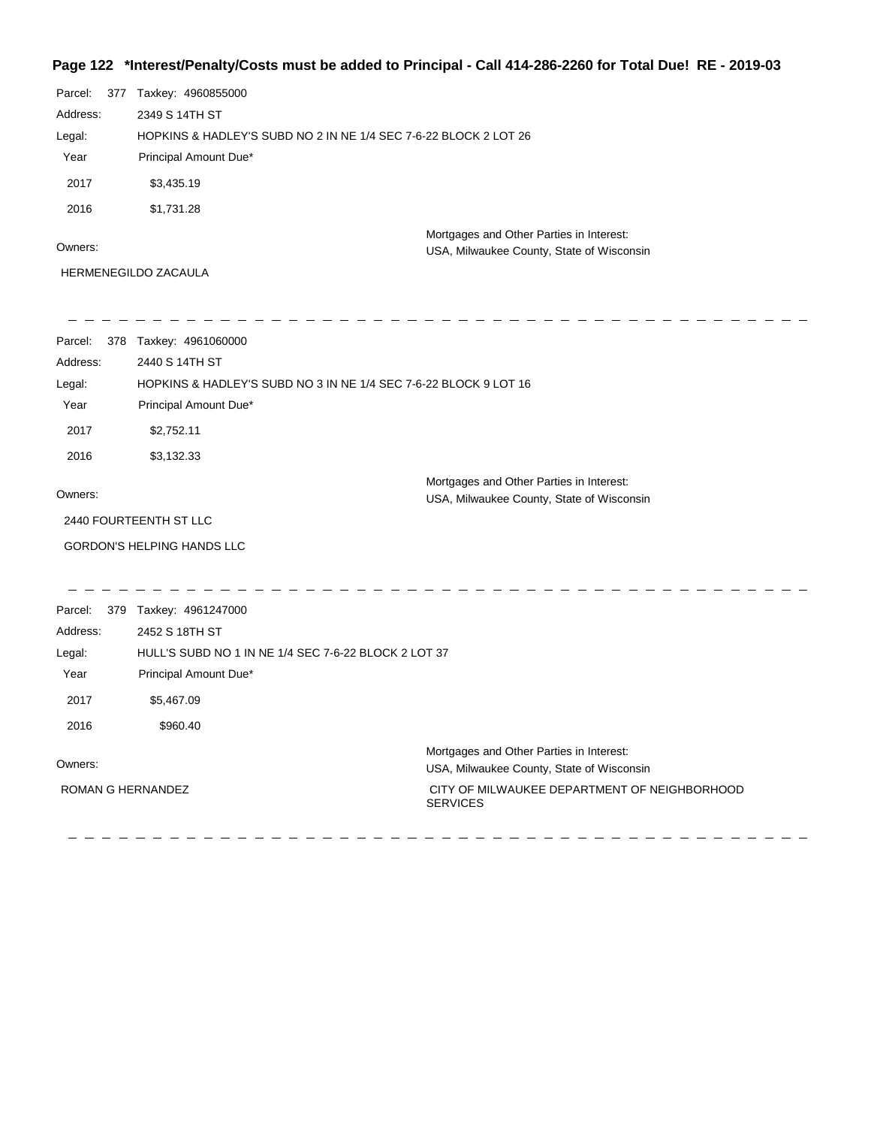## **Page 122 \*Interest/Penalty/Costs must be added to Principal - Call 414-286-2260 for Total Due! RE - 2019-03**

| Parcel:  | 377 | Taxkey: 4960855000                                               |                                                                                       |
|----------|-----|------------------------------------------------------------------|---------------------------------------------------------------------------------------|
| Address: |     | 2349 S 14TH ST                                                   |                                                                                       |
| Legal:   |     | HOPKINS & HADLEY'S SUBD NO 2 IN NE 1/4 SEC 7-6-22 BLOCK 2 LOT 26 |                                                                                       |
| Year     |     | Principal Amount Due*                                            |                                                                                       |
| 2017     |     | \$3,435.19                                                       |                                                                                       |
| 2016     |     | \$1.731.28                                                       |                                                                                       |
| Owners:  |     |                                                                  | Mortgages and Other Parties in Interest:<br>USA, Milwaukee County, State of Wisconsin |
|          |     | <b>HERMENEGILDO ZACAULA</b>                                      |                                                                                       |

| Parcel:<br>Address:<br>Legal:<br>Year | 378 Taxkey: 4961060000<br>2440 S 14TH ST<br>HOPKINS & HADLEY'S SUBD NO 3 IN NE 1/4 SEC 7-6-22 BLOCK 9 LOT 16<br>Principal Amount Due* |                                                                                                                                                          |
|---------------------------------------|---------------------------------------------------------------------------------------------------------------------------------------|----------------------------------------------------------------------------------------------------------------------------------------------------------|
| 2017                                  | \$2,752.11                                                                                                                            |                                                                                                                                                          |
| 2016                                  | \$3,132.33                                                                                                                            |                                                                                                                                                          |
| Owners:                               |                                                                                                                                       | Mortgages and Other Parties in Interest:<br>USA, Milwaukee County, State of Wisconsin                                                                    |
|                                       | 2440 FOURTEENTH ST LLC                                                                                                                |                                                                                                                                                          |
|                                       | <b>GORDON'S HELPING HANDS LLC</b>                                                                                                     |                                                                                                                                                          |
|                                       |                                                                                                                                       |                                                                                                                                                          |
| Parcel:                               | 379 Taxkey: 4961247000                                                                                                                |                                                                                                                                                          |
| Address:                              | 2452 S 18TH ST                                                                                                                        |                                                                                                                                                          |
| Legal:                                | HULL'S SUBD NO 1 IN NE 1/4 SEC 7-6-22 BLOCK 2 LOT 37                                                                                  |                                                                                                                                                          |
| Year                                  | Principal Amount Due*                                                                                                                 |                                                                                                                                                          |
| 2017                                  | \$5,467.09                                                                                                                            |                                                                                                                                                          |
| 2016                                  | \$960.40                                                                                                                              |                                                                                                                                                          |
| Owners:<br><b>ROMAN G HERNANDEZ</b>   |                                                                                                                                       | Mortgages and Other Parties in Interest:<br>USA, Milwaukee County, State of Wisconsin<br>CITY OF MILWAUKEE DEPARTMENT OF NEIGHBORHOOD<br><b>SERVICES</b> |
|                                       |                                                                                                                                       |                                                                                                                                                          |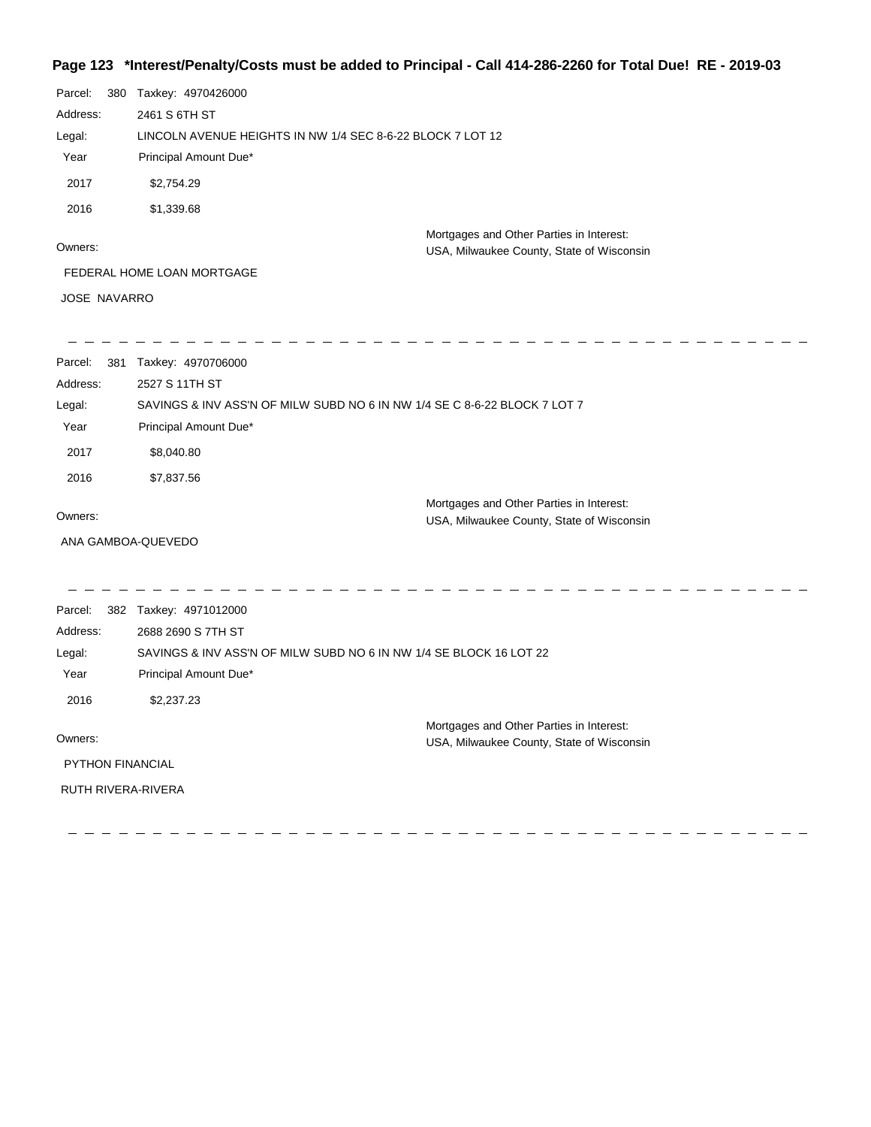### **Page 123 \*Interest/Penalty/Costs must be added to Principal - Call 414-286-2260 for Total Due! RE - 2019-03**

| Parcel:             | 380 Taxkey: 4970426000     |                                                                                       |
|---------------------|----------------------------|---------------------------------------------------------------------------------------|
| Address:            | 2461 S 6TH ST              |                                                                                       |
| Legal:              |                            | LINCOLN AVENUE HEIGHTS IN NW 1/4 SEC 8-6-22 BLOCK 7 LOT 12                            |
| Year                | Principal Amount Due*      |                                                                                       |
| 2017                | \$2,754.29                 |                                                                                       |
| 2016                | \$1,339.68                 |                                                                                       |
| Owners:             |                            | Mortgages and Other Parties in Interest:<br>USA, Milwaukee County, State of Wisconsin |
|                     | FEDERAL HOME LOAN MORTGAGE |                                                                                       |
| <b>JOSE NAVARRO</b> |                            |                                                                                       |
|                     |                            |                                                                                       |
| Parcel:<br>381      | Taxkey: 4970706000         |                                                                                       |
| Address:            | 2527 S 11TH ST             |                                                                                       |
| Legal:              |                            | SAVINGS & INV ASS'N OF MILW SUBD NO 6 IN NW 1/4 SE C 8-6-22 BLOCK 7 LOT 7             |
| Year                | Principal Amount Due*      |                                                                                       |
| 2017                | \$8,040.80                 |                                                                                       |
| 2016                | \$7,837.56                 |                                                                                       |
|                     |                            | Mortgages and Other Parties in Interest:                                              |
| Owners:             |                            | USA, Milwaukee County, State of Wisconsin                                             |
|                     | ANA GAMBOA-QUEVEDO         |                                                                                       |
| Parcel:             | 382 Taxkey: 4971012000     |                                                                                       |
| Address:            | 2688 2690 S 7TH ST         |                                                                                       |
| Legal:              |                            | SAVINGS & INV ASS'N OF MILW SUBD NO 6 IN NW 1/4 SE BLOCK 16 LOT 22                    |
| Year                | Principal Amount Due*      |                                                                                       |
| 2016                | \$2,237.23                 |                                                                                       |
|                     |                            | Mortgages and Other Parties in Interest:                                              |
| Owners:             |                            | USA, Milwaukee County, State of Wisconsin                                             |
| PYTHON FINANCIAL    |                            |                                                                                       |
| RUTH RIVERA-RIVERA  |                            |                                                                                       |
|                     |                            |                                                                                       |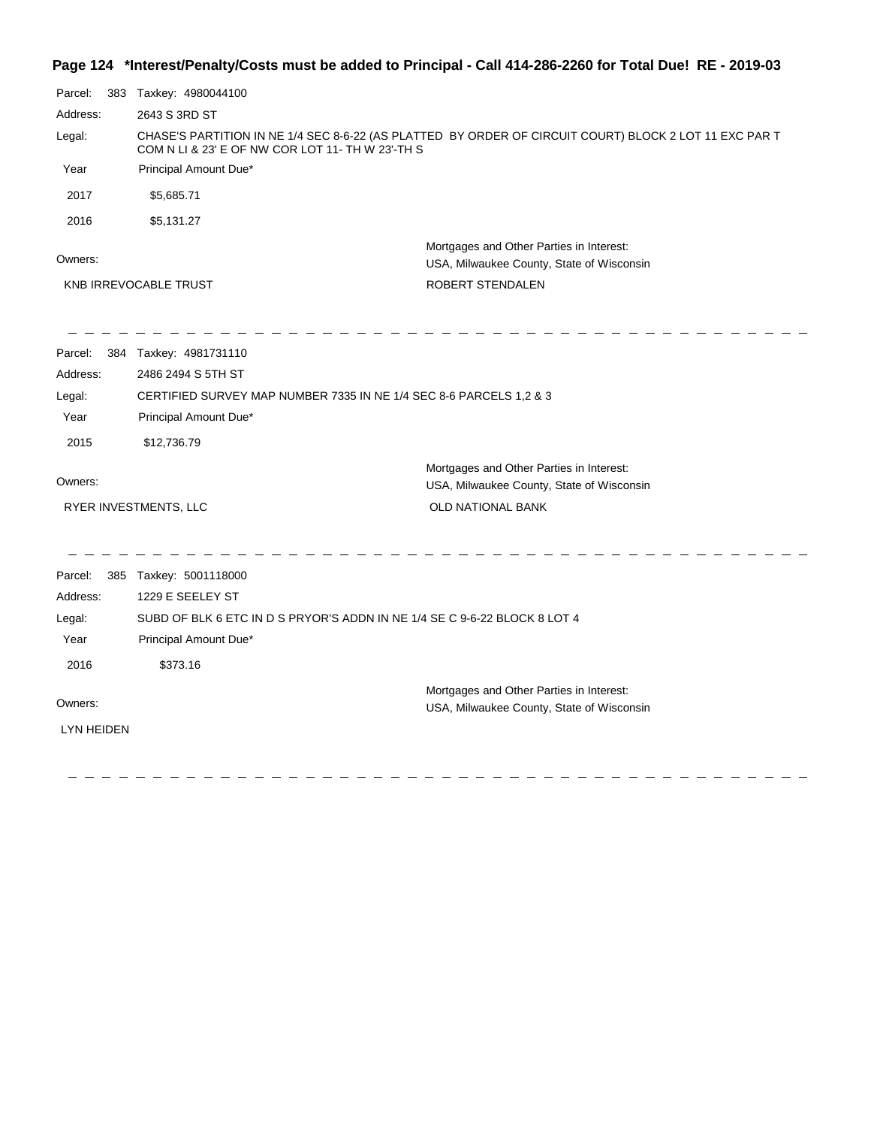## **Page 124 \*Interest/Penalty/Costs must be added to Principal - Call 414-286-2260 for Total Due! RE - 2019-03**

| Parcel:           | 383 Taxkey: 4980044100                                                    |                                                                                                        |  |
|-------------------|---------------------------------------------------------------------------|--------------------------------------------------------------------------------------------------------|--|
| Address:          | 2643 S 3RD ST                                                             |                                                                                                        |  |
| Legal:            | COM N LI & 23' E OF NW COR LOT 11- TH W 23'-TH S                          | CHASE'S PARTITION IN NE 1/4 SEC 8-6-22 (AS PLATTED BY ORDER OF CIRCUIT COURT) BLOCK 2 LOT 11 EXC PAR T |  |
| Year              | Principal Amount Due*                                                     |                                                                                                        |  |
| 2017              | \$5,685.71                                                                |                                                                                                        |  |
| 2016              | \$5,131.27                                                                |                                                                                                        |  |
| Owners:           |                                                                           | Mortgages and Other Parties in Interest:<br>USA, Milwaukee County, State of Wisconsin                  |  |
|                   | KNB IRREVOCABLE TRUST                                                     | ROBERT STENDALEN                                                                                       |  |
|                   |                                                                           |                                                                                                        |  |
| Parcel:           | 384 Taxkey: 4981731110                                                    |                                                                                                        |  |
| Address:          | 2486 2494 S 5TH ST                                                        |                                                                                                        |  |
| Legal:            | CERTIFIED SURVEY MAP NUMBER 7335 IN NE 1/4 SEC 8-6 PARCELS 1,2 & 3        |                                                                                                        |  |
| Year              | Principal Amount Due*                                                     |                                                                                                        |  |
| 2015              | \$12,736.79                                                               |                                                                                                        |  |
|                   |                                                                           | Mortgages and Other Parties in Interest:                                                               |  |
| Owners:           |                                                                           | USA, Milwaukee County, State of Wisconsin                                                              |  |
|                   | RYER INVESTMENTS, LLC                                                     | OLD NATIONAL BANK                                                                                      |  |
| Parcel:           | 385 Taxkey: 5001118000                                                    |                                                                                                        |  |
| Address:          | 1229 E SEELEY ST                                                          |                                                                                                        |  |
| Legal:            | SUBD OF BLK 6 ETC IN D S PRYOR'S ADDN IN NE 1/4 SE C 9-6-22 BLOCK 8 LOT 4 |                                                                                                        |  |
| Year              | Principal Amount Due*                                                     |                                                                                                        |  |
| 2016              | \$373.16                                                                  |                                                                                                        |  |
|                   |                                                                           | Mortgages and Other Parties in Interest:                                                               |  |
| Owners:           |                                                                           | USA, Milwaukee County, State of Wisconsin                                                              |  |
| <b>LYN HEIDEN</b> |                                                                           |                                                                                                        |  |
|                   |                                                                           |                                                                                                        |  |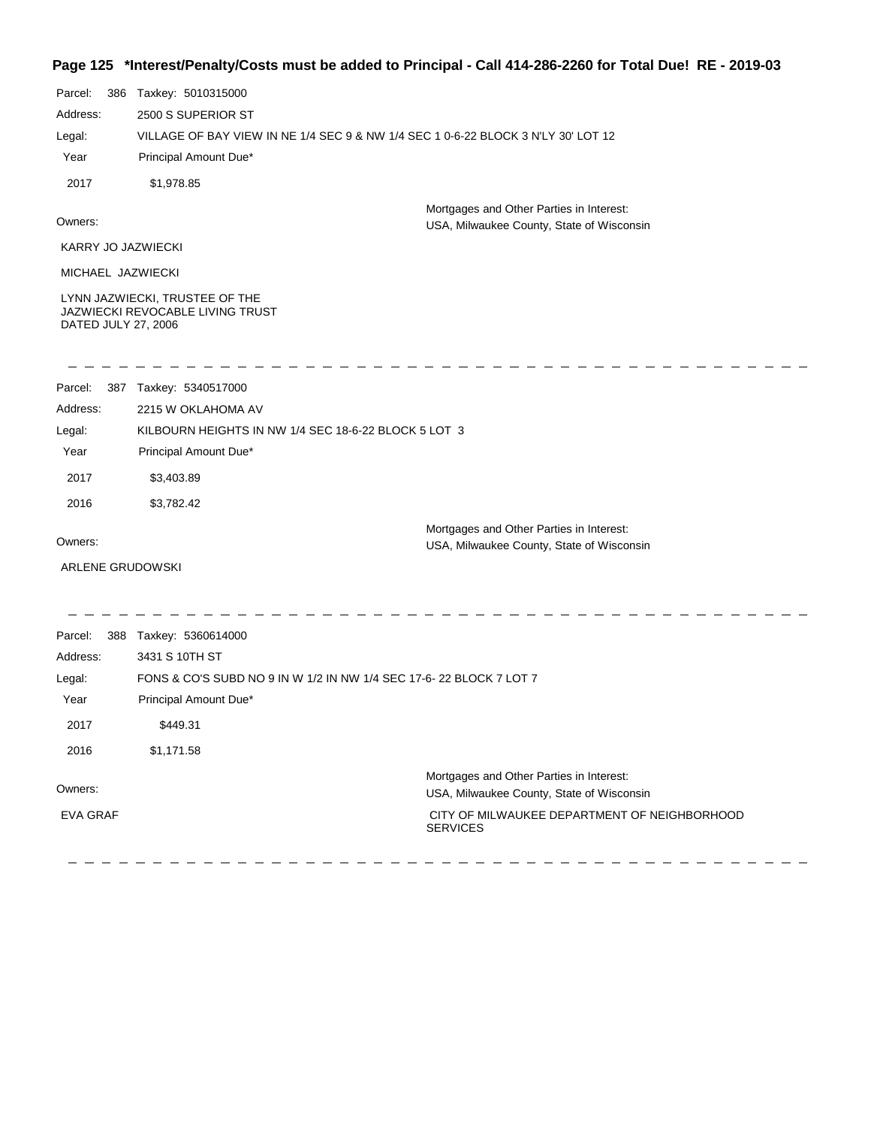### **Page 125 \*Interest/Penalty/Costs must be added to Principal - Call 414-286-2260 for Total Due! RE - 2019-03**

| ı ay <del>c</del> ızu   |                                                                                   | $m$ ci csyf chany/Oosts must be auded to Frincipal - Oall +1+-200-2200 for Total Due: TNL - 2019-05 |
|-------------------------|-----------------------------------------------------------------------------------|-----------------------------------------------------------------------------------------------------|
| Parcel:                 | 386 Taxkey: 5010315000                                                            |                                                                                                     |
| Address:                | 2500 S SUPERIOR ST                                                                |                                                                                                     |
| Legal:                  | VILLAGE OF BAY VIEW IN NE 1/4 SEC 9 & NW 1/4 SEC 1 0-6-22 BLOCK 3 N'LY 30' LOT 12 |                                                                                                     |
| Year                    | Principal Amount Due*                                                             |                                                                                                     |
| 2017                    | \$1,978.85                                                                        |                                                                                                     |
|                         |                                                                                   | Mortgages and Other Parties in Interest:                                                            |
| Owners:                 |                                                                                   | USA, Milwaukee County, State of Wisconsin                                                           |
| KARRY JO JAZWIECKI      |                                                                                   |                                                                                                     |
| MICHAEL JAZWIECKI       |                                                                                   |                                                                                                     |
| DATED JULY 27, 2006     | LYNN JAZWIECKI, TRUSTEE OF THE<br>JAZWIECKI REVOCABLE LIVING TRUST                |                                                                                                     |
| Parcel:                 | 387 Taxkey: 5340517000                                                            |                                                                                                     |
| Address:                | 2215 W OKLAHOMA AV                                                                |                                                                                                     |
| Legal:                  | KILBOURN HEIGHTS IN NW 1/4 SEC 18-6-22 BLOCK 5 LOT 3                              |                                                                                                     |
| Year                    | Principal Amount Due*                                                             |                                                                                                     |
| 2017                    | \$3,403.89                                                                        |                                                                                                     |
| 2016                    | \$3,782.42                                                                        |                                                                                                     |
| Owners:                 |                                                                                   | Mortgages and Other Parties in Interest:<br>USA, Milwaukee County, State of Wisconsin               |
| <b>ARLENE GRUDOWSKI</b> |                                                                                   |                                                                                                     |
| Parcel:                 | 388 Taxkey: 5360614000                                                            |                                                                                                     |
| Address:                | 3431 S 10TH ST                                                                    |                                                                                                     |
| Legal:                  | FONS & CO'S SUBD NO 9 IN W 1/2 IN NW 1/4 SEC 17-6-22 BLOCK 7 LOT 7                |                                                                                                     |
| Year                    | Principal Amount Due*                                                             |                                                                                                     |
| 2017                    | \$449.31                                                                          |                                                                                                     |
| 2016                    | \$1,171.58                                                                        |                                                                                                     |
|                         |                                                                                   | Mortgages and Other Parties in Interest:                                                            |
| Owners:                 |                                                                                   | USA, Milwaukee County, State of Wisconsin                                                           |

EVA GRAF

 CITY OF MILWAUKEE DEPARTMENT OF NEIGHBORHOOD **SERVICES**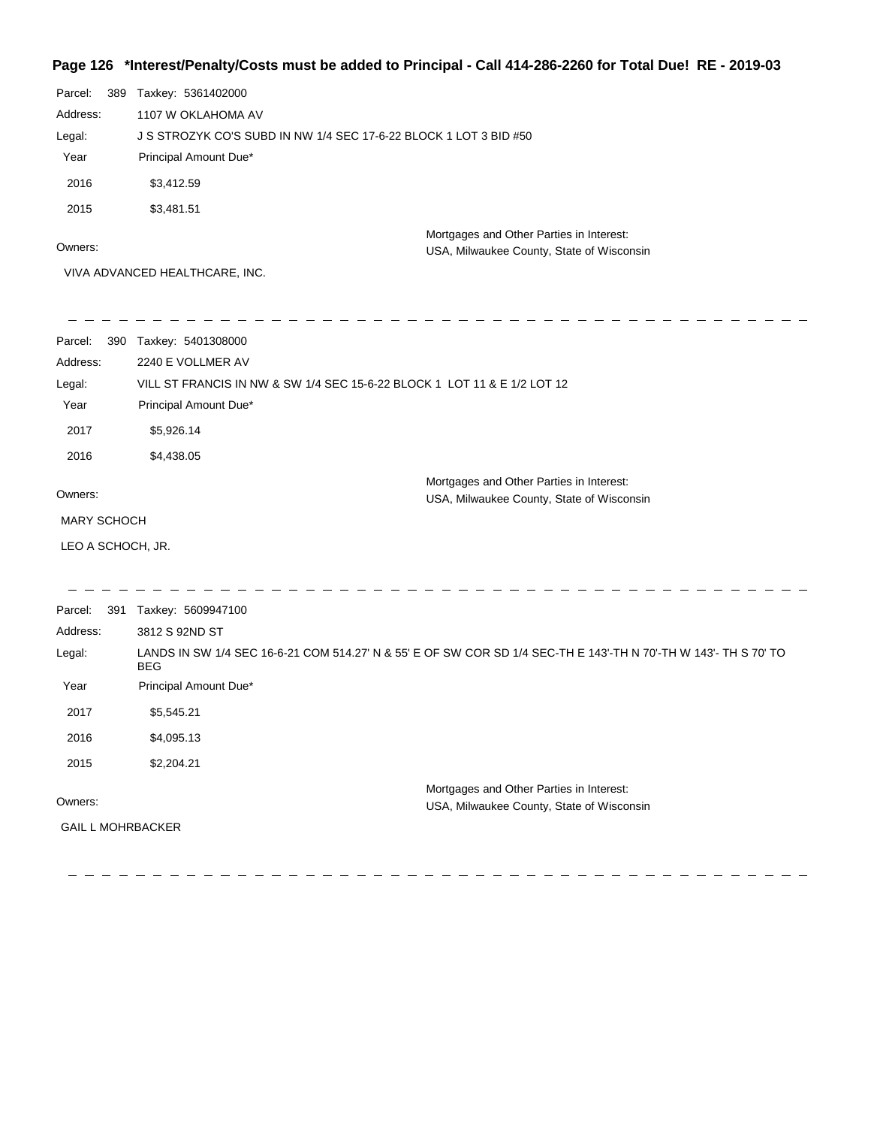## **Page 126 \*Interest/Penalty/Costs must be added to Principal - Call 414-286-2260 for Total Due! RE - 2019-03**

| Parcel:<br>Address:<br>Legal:<br>Year<br>2016<br>2015 | 389 Taxkey: 5361402000<br>1107 W OKLAHOMA AV<br>J S STROZYK CO'S SUBD IN NW 1/4 SEC 17-6-22 BLOCK 1 LOT 3 BID #50<br>Principal Amount Due*<br>\$3,412.59<br>\$3,481.51 |                                                                                                                  |
|-------------------------------------------------------|------------------------------------------------------------------------------------------------------------------------------------------------------------------------|------------------------------------------------------------------------------------------------------------------|
| Owners:                                               |                                                                                                                                                                        | Mortgages and Other Parties in Interest:<br>USA, Milwaukee County, State of Wisconsin                            |
|                                                       | VIVA ADVANCED HEALTHCARE, INC.                                                                                                                                         |                                                                                                                  |
| Parcel:                                               | 390 Taxkey: 5401308000                                                                                                                                                 |                                                                                                                  |
| Address:                                              | 2240 E VOLLMER AV                                                                                                                                                      |                                                                                                                  |
| Legal:                                                | VILL ST FRANCIS IN NW & SW 1/4 SEC 15-6-22 BLOCK 1 LOT 11 & E 1/2 LOT 12                                                                                               |                                                                                                                  |
| Year                                                  | Principal Amount Due*                                                                                                                                                  |                                                                                                                  |
| 2017                                                  | \$5,926.14                                                                                                                                                             |                                                                                                                  |
| 2016                                                  | \$4,438.05                                                                                                                                                             |                                                                                                                  |
| Owners:                                               |                                                                                                                                                                        | Mortgages and Other Parties in Interest:<br>USA, Milwaukee County, State of Wisconsin                            |
| <b>MARY SCHOCH</b>                                    |                                                                                                                                                                        |                                                                                                                  |
| LEO A SCHOCH, JR.                                     |                                                                                                                                                                        |                                                                                                                  |
| Parcel:                                               | 391 Taxkey: 5609947100                                                                                                                                                 |                                                                                                                  |
| Address:                                              | 3812 S 92ND ST                                                                                                                                                         |                                                                                                                  |
| Legal:                                                | <b>BEG</b>                                                                                                                                                             | LANDS IN SW 1/4 SEC 16-6-21 COM 514.27' N & 55' E OF SW COR SD 1/4 SEC-TH E 143'-TH N 70'-TH W 143'- TH S 70' TO |
| Year                                                  | Principal Amount Due*                                                                                                                                                  |                                                                                                                  |
| 2017                                                  | \$5,545.21                                                                                                                                                             |                                                                                                                  |
| 2016                                                  | \$4,095.13                                                                                                                                                             |                                                                                                                  |
| 2015                                                  | \$2,204.21                                                                                                                                                             |                                                                                                                  |
| Owners:                                               |                                                                                                                                                                        | Mortgages and Other Parties in Interest:<br>USA, Milwaukee County, State of Wisconsin                            |
| <b>GAIL L MOHRBACKER</b>                              |                                                                                                                                                                        |                                                                                                                  |
|                                                       |                                                                                                                                                                        |                                                                                                                  |

 $\sim$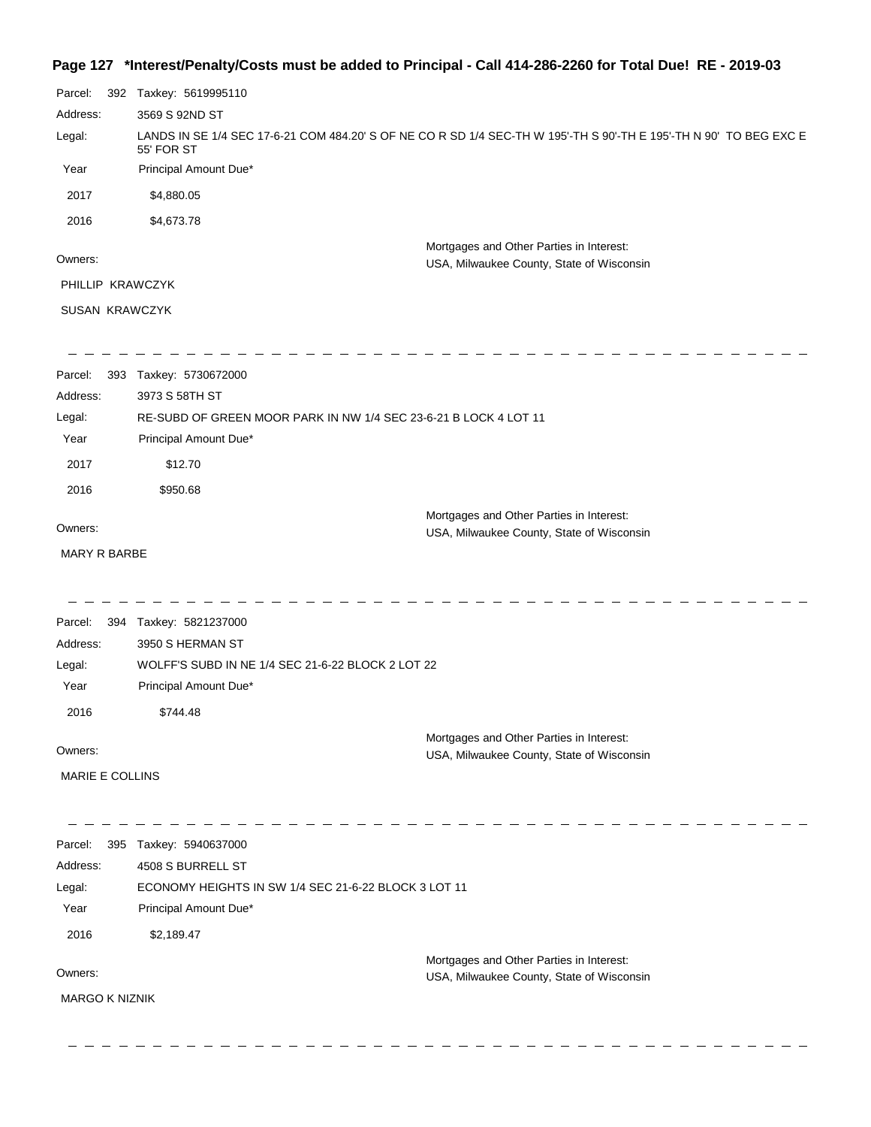## **Page 127 \*Interest/Penalty/Costs must be added to Principal - Call 414-286-2260 for Total Due! RE - 2019-03**

| Parcel:               | 392 | Taxkey: 5619995110                                               |                                                                                                                    |
|-----------------------|-----|------------------------------------------------------------------|--------------------------------------------------------------------------------------------------------------------|
| Address:              |     | 3569 S 92ND ST                                                   |                                                                                                                    |
| Legal:                |     | 55' FOR ST                                                       | LANDS IN SE 1/4 SEC 17-6-21 COM 484.20' S OF NE CO R SD 1/4 SEC-TH W 195'-TH S 90'-TH E 195'-TH N 90' TO BEG EXC E |
| Year                  |     | Principal Amount Due*                                            |                                                                                                                    |
| 2017                  |     | \$4,880.05                                                       |                                                                                                                    |
| 2016                  |     | \$4,673.78                                                       |                                                                                                                    |
| Owners:               |     |                                                                  | Mortgages and Other Parties in Interest:<br>USA, Milwaukee County, State of Wisconsin                              |
| PHILLIP KRAWCZYK      |     |                                                                  |                                                                                                                    |
| SUSAN KRAWCZYK        |     |                                                                  |                                                                                                                    |
| Parcel:               |     | 393 Taxkey: 5730672000                                           |                                                                                                                    |
| Address:              |     | 3973 S 58TH ST                                                   |                                                                                                                    |
| Legal:                |     | RE-SUBD OF GREEN MOOR PARK IN NW 1/4 SEC 23-6-21 B LOCK 4 LOT 11 |                                                                                                                    |
| Year                  |     | Principal Amount Due*                                            |                                                                                                                    |
| 2017                  |     | \$12.70                                                          |                                                                                                                    |
| 2016                  |     | \$950.68                                                         |                                                                                                                    |
| Owners:               |     |                                                                  | Mortgages and Other Parties in Interest:<br>USA, Milwaukee County, State of Wisconsin                              |
| MARY R BARBE          |     |                                                                  |                                                                                                                    |
|                       |     |                                                                  |                                                                                                                    |
| Parcel:               | 394 | Taxkey: 5821237000                                               |                                                                                                                    |
| Address:              |     | 3950 S HERMAN ST                                                 |                                                                                                                    |
| Legal:                |     | WOLFF'S SUBD IN NE 1/4 SEC 21-6-22 BLOCK 2 LOT 22                |                                                                                                                    |
| Year                  |     | Principal Amount Due*                                            |                                                                                                                    |
| 2016                  |     | \$744.48                                                         |                                                                                                                    |
| Owners:               |     |                                                                  | Mortgages and Other Parties in Interest:<br>USA, Milwaukee County, State of Wisconsin                              |
| MARIE E COLLINS       |     |                                                                  |                                                                                                                    |
| Parcel:               |     | 395 Taxkey: 5940637000                                           |                                                                                                                    |
| Address:              |     | 4508 S BURRELL ST                                                |                                                                                                                    |
| Legal:                |     | ECONOMY HEIGHTS IN SW 1/4 SEC 21-6-22 BLOCK 3 LOT 11             |                                                                                                                    |
| Year                  |     | Principal Amount Due*                                            |                                                                                                                    |
| 2016                  |     | \$2,189.47                                                       |                                                                                                                    |
| Owners:               |     |                                                                  | Mortgages and Other Parties in Interest:                                                                           |
|                       |     |                                                                  | USA, Milwaukee County, State of Wisconsin                                                                          |
| <b>MARGO K NIZNIK</b> |     |                                                                  |                                                                                                                    |
|                       |     |                                                                  |                                                                                                                    |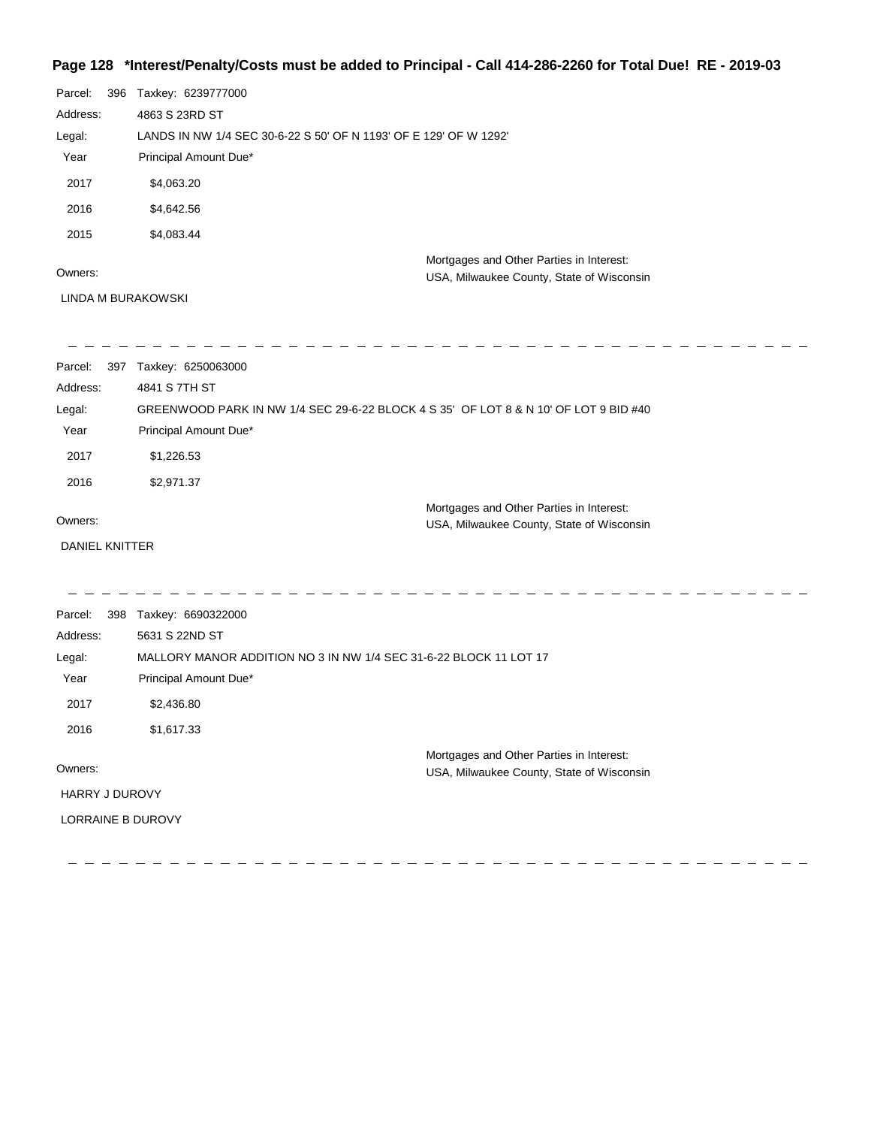## **Page 128 \*Interest/Penalty/Costs must be added to Principal - Call 414-286-2260 for Total Due! RE - 2019-03**

| Parcel:  | 396 | Taxkey: 6239777000                                                |                                                                                       |
|----------|-----|-------------------------------------------------------------------|---------------------------------------------------------------------------------------|
| Address: |     | 4863 S 23RD ST                                                    |                                                                                       |
| Legal:   |     | LANDS IN NW 1/4 SEC 30-6-22 S 50' OF N 1193' OF E 129' OF W 1292' |                                                                                       |
| Year     |     | Principal Amount Due*                                             |                                                                                       |
| 2017     |     | \$4,063.20                                                        |                                                                                       |
| 2016     |     | \$4,642.56                                                        |                                                                                       |
| 2015     |     | \$4,083.44                                                        |                                                                                       |
| Owners:  |     |                                                                   | Mortgages and Other Parties in Interest:<br>USA, Milwaukee County, State of Wisconsin |

LINDA M BURAKOWSKI

| Parcel:               | 397 Taxkey: 6250063000 |                                                                                      |  |
|-----------------------|------------------------|--------------------------------------------------------------------------------------|--|
| Address:              | 4841 S 7TH ST          |                                                                                      |  |
| Legal:                |                        | GREENWOOD PARK IN NW 1/4 SEC 29-6-22 BLOCK 4 S 35' OF LOT 8 & N 10' OF LOT 9 BID #40 |  |
| Year                  | Principal Amount Due*  |                                                                                      |  |
| 2017                  | \$1,226.53             |                                                                                      |  |
| 2016                  | \$2,971.37             |                                                                                      |  |
|                       |                        | Mortgages and Other Parties in Interest:                                             |  |
| Owners:               |                        | USA, Milwaukee County, State of Wisconsin                                            |  |
| <b>DANIEL KNITTER</b> |                        |                                                                                      |  |
|                       |                        |                                                                                      |  |
| Parcel:               | 398 Taxkey: 6690322000 |                                                                                      |  |
| Address:              | 5631 S 22ND ST         |                                                                                      |  |
| Legal:                |                        | MALLORY MANOR ADDITION NO 3 IN NW 1/4 SEC 31-6-22 BLOCK 11 LOT 17                    |  |
| Year                  | Principal Amount Due*  |                                                                                      |  |
| 2017                  | \$2,436.80             |                                                                                      |  |
| 2016                  | \$1,617.33             |                                                                                      |  |
|                       |                        | Mortgages and Other Parties in Interest:                                             |  |
| Owners:               |                        | USA, Milwaukee County, State of Wisconsin                                            |  |
| <b>HARRY J DUROVY</b> |                        |                                                                                      |  |
|                       | LORRAINE B DUROVY      |                                                                                      |  |
|                       |                        |                                                                                      |  |
|                       |                        |                                                                                      |  |